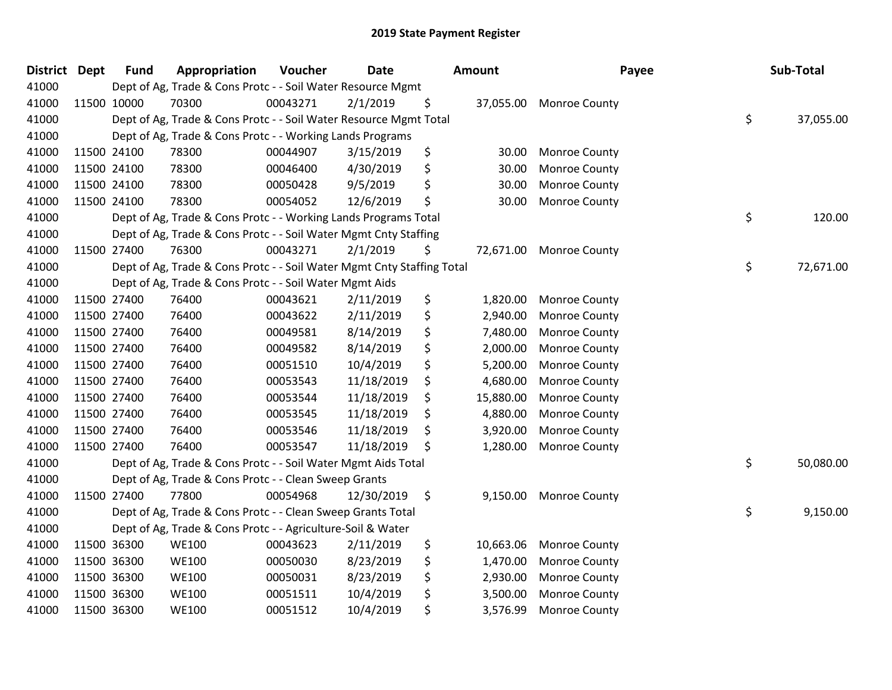| <b>District Dept</b> | <b>Fund</b> | Appropriation                                                          | Voucher  | <b>Date</b> | Amount          | Payee                | Sub-Total       |
|----------------------|-------------|------------------------------------------------------------------------|----------|-------------|-----------------|----------------------|-----------------|
| 41000                |             | Dept of Ag, Trade & Cons Protc - - Soil Water Resource Mgmt            |          |             |                 |                      |                 |
| 41000                | 11500 10000 | 70300                                                                  | 00043271 | 2/1/2019    | \$<br>37,055.00 | <b>Monroe County</b> |                 |
| 41000                |             | Dept of Ag, Trade & Cons Protc - - Soil Water Resource Mgmt Total      |          |             |                 |                      | \$<br>37,055.00 |
| 41000                |             | Dept of Ag, Trade & Cons Protc - - Working Lands Programs              |          |             |                 |                      |                 |
| 41000                | 11500 24100 | 78300                                                                  | 00044907 | 3/15/2019   | \$<br>30.00     | <b>Monroe County</b> |                 |
| 41000                | 11500 24100 | 78300                                                                  | 00046400 | 4/30/2019   | \$<br>30.00     | Monroe County        |                 |
| 41000                | 11500 24100 | 78300                                                                  | 00050428 | 9/5/2019    | \$<br>30.00     | Monroe County        |                 |
| 41000                | 11500 24100 | 78300                                                                  | 00054052 | 12/6/2019   | \$<br>30.00     | <b>Monroe County</b> |                 |
| 41000                |             | Dept of Ag, Trade & Cons Protc - - Working Lands Programs Total        |          |             |                 |                      | \$<br>120.00    |
| 41000                |             | Dept of Ag, Trade & Cons Protc - - Soil Water Mgmt Cnty Staffing       |          |             |                 |                      |                 |
| 41000                | 11500 27400 | 76300                                                                  | 00043271 | 2/1/2019    | \$<br>72,671.00 | <b>Monroe County</b> |                 |
| 41000                |             | Dept of Ag, Trade & Cons Protc - - Soil Water Mgmt Cnty Staffing Total |          |             |                 |                      | \$<br>72,671.00 |
| 41000                |             | Dept of Ag, Trade & Cons Protc - - Soil Water Mgmt Aids                |          |             |                 |                      |                 |
| 41000                | 11500 27400 | 76400                                                                  | 00043621 | 2/11/2019   | \$<br>1,820.00  | <b>Monroe County</b> |                 |
| 41000                | 11500 27400 | 76400                                                                  | 00043622 | 2/11/2019   | \$<br>2,940.00  | <b>Monroe County</b> |                 |
| 41000                | 11500 27400 | 76400                                                                  | 00049581 | 8/14/2019   | \$<br>7,480.00  | <b>Monroe County</b> |                 |
| 41000                | 11500 27400 | 76400                                                                  | 00049582 | 8/14/2019   | \$<br>2,000.00  | Monroe County        |                 |
| 41000                | 11500 27400 | 76400                                                                  | 00051510 | 10/4/2019   | \$<br>5,200.00  | Monroe County        |                 |
| 41000                | 11500 27400 | 76400                                                                  | 00053543 | 11/18/2019  | \$<br>4,680.00  | Monroe County        |                 |
| 41000                | 11500 27400 | 76400                                                                  | 00053544 | 11/18/2019  | \$<br>15,880.00 | <b>Monroe County</b> |                 |
| 41000                | 11500 27400 | 76400                                                                  | 00053545 | 11/18/2019  | \$<br>4,880.00  | <b>Monroe County</b> |                 |
| 41000                | 11500 27400 | 76400                                                                  | 00053546 | 11/18/2019  | \$<br>3,920.00  | Monroe County        |                 |
| 41000                | 11500 27400 | 76400                                                                  | 00053547 | 11/18/2019  | \$<br>1,280.00  | Monroe County        |                 |
| 41000                |             | Dept of Ag, Trade & Cons Protc - - Soil Water Mgmt Aids Total          |          |             |                 |                      | \$<br>50,080.00 |
| 41000                |             | Dept of Ag, Trade & Cons Protc - - Clean Sweep Grants                  |          |             |                 |                      |                 |
| 41000                | 11500 27400 | 77800                                                                  | 00054968 | 12/30/2019  | \$<br>9,150.00  | <b>Monroe County</b> |                 |
| 41000                |             | Dept of Ag, Trade & Cons Protc - - Clean Sweep Grants Total            |          |             |                 |                      | \$<br>9,150.00  |
| 41000                |             | Dept of Ag, Trade & Cons Protc - - Agriculture-Soil & Water            |          |             |                 |                      |                 |
| 41000                | 11500 36300 | <b>WE100</b>                                                           | 00043623 | 2/11/2019   | \$<br>10,663.06 | Monroe County        |                 |
| 41000                | 11500 36300 | <b>WE100</b>                                                           | 00050030 | 8/23/2019   | \$<br>1,470.00  | Monroe County        |                 |
| 41000                | 11500 36300 | <b>WE100</b>                                                           | 00050031 | 8/23/2019   | \$<br>2,930.00  | <b>Monroe County</b> |                 |
| 41000                | 11500 36300 | <b>WE100</b>                                                           | 00051511 | 10/4/2019   | \$<br>3,500.00  | <b>Monroe County</b> |                 |
| 41000                | 11500 36300 | <b>WE100</b>                                                           | 00051512 | 10/4/2019   | \$<br>3,576.99  | Monroe County        |                 |
|                      |             |                                                                        |          |             |                 |                      |                 |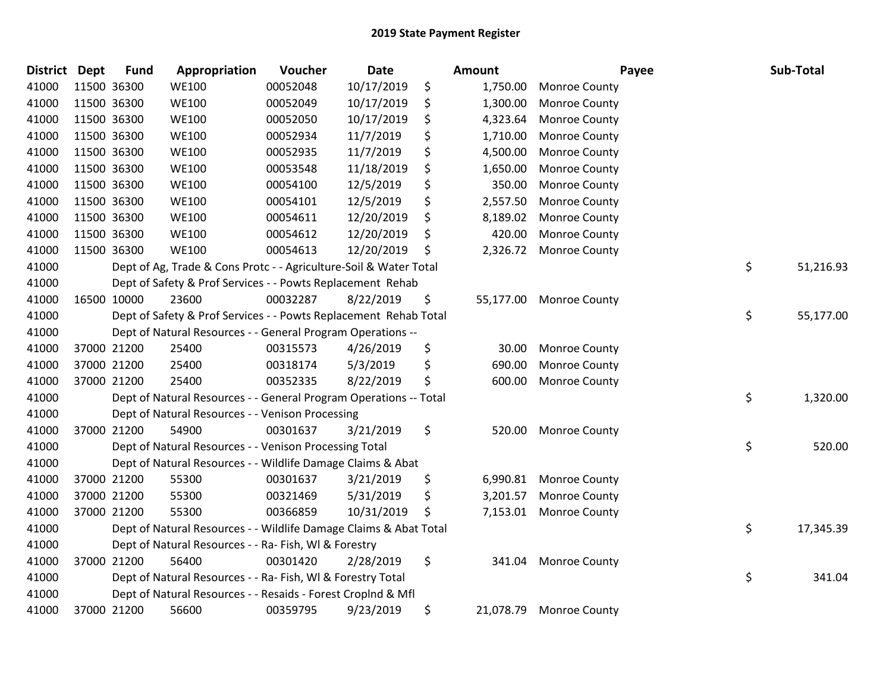| <b>District</b> | <b>Dept</b> | <b>Fund</b> | Appropriation                                                     | Voucher  | <b>Date</b> | Amount          |                         | Payee | Sub-Total |
|-----------------|-------------|-------------|-------------------------------------------------------------------|----------|-------------|-----------------|-------------------------|-------|-----------|
| 41000           |             | 11500 36300 | <b>WE100</b>                                                      | 00052048 | 10/17/2019  | \$<br>1,750.00  | Monroe County           |       |           |
| 41000           |             | 11500 36300 | <b>WE100</b>                                                      | 00052049 | 10/17/2019  | \$<br>1,300.00  | Monroe County           |       |           |
| 41000           |             | 11500 36300 | <b>WE100</b>                                                      | 00052050 | 10/17/2019  | \$<br>4,323.64  | Monroe County           |       |           |
| 41000           |             | 11500 36300 | <b>WE100</b>                                                      | 00052934 | 11/7/2019   | \$<br>1,710.00  | Monroe County           |       |           |
| 41000           |             | 11500 36300 | <b>WE100</b>                                                      | 00052935 | 11/7/2019   | \$<br>4,500.00  | Monroe County           |       |           |
| 41000           |             | 11500 36300 | <b>WE100</b>                                                      | 00053548 | 11/18/2019  | \$<br>1,650.00  | Monroe County           |       |           |
| 41000           |             | 11500 36300 | <b>WE100</b>                                                      | 00054100 | 12/5/2019   | \$<br>350.00    | Monroe County           |       |           |
| 41000           |             | 11500 36300 | <b>WE100</b>                                                      | 00054101 | 12/5/2019   | \$<br>2,557.50  | Monroe County           |       |           |
| 41000           |             | 11500 36300 | <b>WE100</b>                                                      | 00054611 | 12/20/2019  | \$<br>8,189.02  | Monroe County           |       |           |
| 41000           |             | 11500 36300 | <b>WE100</b>                                                      | 00054612 | 12/20/2019  | \$<br>420.00    | Monroe County           |       |           |
| 41000           |             | 11500 36300 | <b>WE100</b>                                                      | 00054613 | 12/20/2019  | \$<br>2,326.72  | <b>Monroe County</b>    |       |           |
| 41000           |             |             | Dept of Ag, Trade & Cons Protc - - Agriculture-Soil & Water Total |          |             |                 |                         | \$    | 51,216.93 |
| 41000           |             |             | Dept of Safety & Prof Services - - Powts Replacement Rehab        |          |             |                 |                         |       |           |
| 41000           |             | 16500 10000 | 23600                                                             | 00032287 | 8/22/2019   | \$              | 55,177.00 Monroe County |       |           |
| 41000           |             |             | Dept of Safety & Prof Services - - Powts Replacement Rehab Total  |          |             |                 |                         | \$    | 55,177.00 |
| 41000           |             |             | Dept of Natural Resources - - General Program Operations --       |          |             |                 |                         |       |           |
| 41000           |             | 37000 21200 | 25400                                                             | 00315573 | 4/26/2019   | \$<br>30.00     | Monroe County           |       |           |
| 41000           |             | 37000 21200 | 25400                                                             | 00318174 | 5/3/2019    | \$<br>690.00    | Monroe County           |       |           |
| 41000           |             | 37000 21200 | 25400                                                             | 00352335 | 8/22/2019   | \$<br>600.00    | <b>Monroe County</b>    |       |           |
| 41000           |             |             | Dept of Natural Resources - - General Program Operations -- Total |          |             |                 |                         | \$    | 1,320.00  |
| 41000           |             |             | Dept of Natural Resources - - Venison Processing                  |          |             |                 |                         |       |           |
| 41000           |             | 37000 21200 | 54900                                                             | 00301637 | 3/21/2019   | \$<br>520.00    | <b>Monroe County</b>    |       |           |
| 41000           |             |             | Dept of Natural Resources - - Venison Processing Total            |          |             |                 |                         | \$    | 520.00    |
| 41000           |             |             | Dept of Natural Resources - - Wildlife Damage Claims & Abat       |          |             |                 |                         |       |           |
| 41000           |             | 37000 21200 | 55300                                                             | 00301637 | 3/21/2019   | \$<br>6,990.81  | <b>Monroe County</b>    |       |           |
| 41000           |             | 37000 21200 | 55300                                                             | 00321469 | 5/31/2019   | \$<br>3,201.57  | Monroe County           |       |           |
| 41000           |             | 37000 21200 | 55300                                                             | 00366859 | 10/31/2019  | \$<br>7,153.01  | <b>Monroe County</b>    |       |           |
| 41000           |             |             | Dept of Natural Resources - - Wildlife Damage Claims & Abat Total |          |             |                 |                         | \$    | 17,345.39 |
| 41000           |             |             | Dept of Natural Resources - - Ra- Fish, WI & Forestry             |          |             |                 |                         |       |           |
| 41000           |             | 37000 21200 | 56400                                                             | 00301420 | 2/28/2019   | \$<br>341.04    | <b>Monroe County</b>    |       |           |
| 41000           |             |             | Dept of Natural Resources - - Ra- Fish, WI & Forestry Total       |          |             |                 |                         | \$    | 341.04    |
| 41000           |             |             | Dept of Natural Resources - - Resaids - Forest Croplnd & Mfl      |          |             |                 |                         |       |           |
| 41000           |             | 37000 21200 | 56600                                                             | 00359795 | 9/23/2019   | \$<br>21,078.79 | <b>Monroe County</b>    |       |           |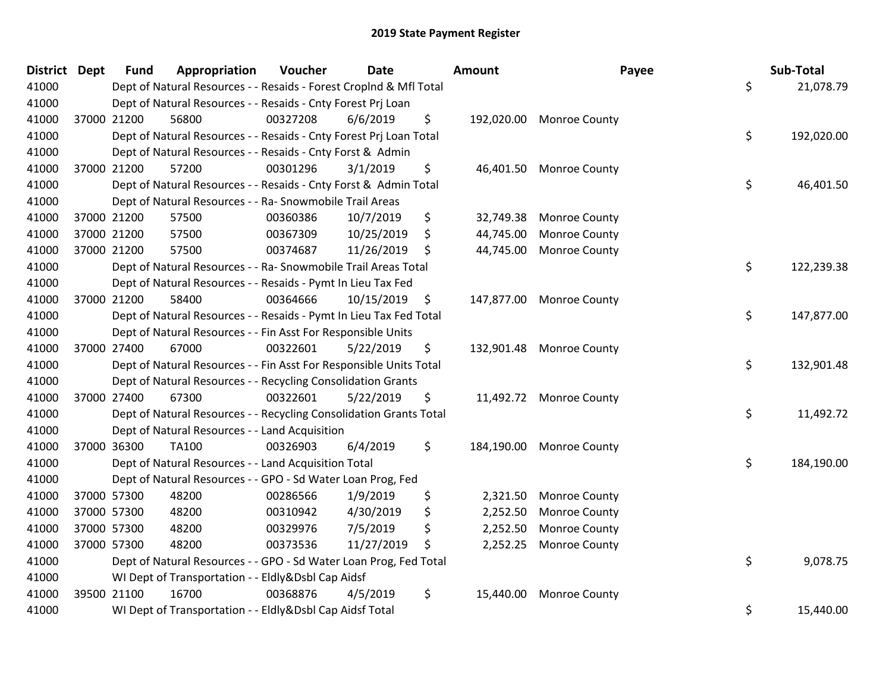| District Dept |             | <b>Fund</b> | Appropriation                                                      | Voucher  | Date       | Amount          | Payee                    | Sub-Total        |
|---------------|-------------|-------------|--------------------------------------------------------------------|----------|------------|-----------------|--------------------------|------------------|
| 41000         |             |             | Dept of Natural Resources - - Resaids - Forest Croplnd & Mfl Total |          |            |                 |                          | \$<br>21,078.79  |
| 41000         |             |             | Dept of Natural Resources - - Resaids - Cnty Forest Prj Loan       |          |            |                 |                          |                  |
| 41000         |             | 37000 21200 | 56800                                                              | 00327208 | 6/6/2019   | \$              | 192,020.00 Monroe County |                  |
| 41000         |             |             | Dept of Natural Resources - - Resaids - Cnty Forest Prj Loan Total |          |            |                 |                          | \$<br>192,020.00 |
| 41000         |             |             | Dept of Natural Resources - - Resaids - Cnty Forst & Admin         |          |            |                 |                          |                  |
| 41000         | 37000 21200 |             | 57200                                                              | 00301296 | 3/1/2019   | \$<br>46,401.50 | <b>Monroe County</b>     |                  |
| 41000         |             |             | Dept of Natural Resources - - Resaids - Cnty Forst & Admin Total   |          |            |                 |                          | \$<br>46,401.50  |
| 41000         |             |             | Dept of Natural Resources - - Ra- Snowmobile Trail Areas           |          |            |                 |                          |                  |
| 41000         | 37000 21200 |             | 57500                                                              | 00360386 | 10/7/2019  | \$<br>32,749.38 | <b>Monroe County</b>     |                  |
| 41000         | 37000 21200 |             | 57500                                                              | 00367309 | 10/25/2019 | \$<br>44,745.00 | <b>Monroe County</b>     |                  |
| 41000         | 37000 21200 |             | 57500                                                              | 00374687 | 11/26/2019 | \$<br>44,745.00 | <b>Monroe County</b>     |                  |
| 41000         |             |             | Dept of Natural Resources - - Ra- Snowmobile Trail Areas Total     |          |            |                 |                          | \$<br>122,239.38 |
| 41000         |             |             | Dept of Natural Resources - - Resaids - Pymt In Lieu Tax Fed       |          |            |                 |                          |                  |
| 41000         | 37000 21200 |             | 58400                                                              | 00364666 | 10/15/2019 | \$              | 147,877.00 Monroe County |                  |
| 41000         |             |             | Dept of Natural Resources - - Resaids - Pymt In Lieu Tax Fed Total |          |            |                 |                          | \$<br>147,877.00 |
| 41000         |             |             | Dept of Natural Resources - - Fin Asst For Responsible Units       |          |            |                 |                          |                  |
| 41000         | 37000 27400 |             | 67000                                                              | 00322601 | 5/22/2019  | \$              | 132,901.48 Monroe County |                  |
| 41000         |             |             | Dept of Natural Resources - - Fin Asst For Responsible Units Total |          |            |                 |                          | \$<br>132,901.48 |
| 41000         |             |             | Dept of Natural Resources - - Recycling Consolidation Grants       |          |            |                 |                          |                  |
| 41000         | 37000 27400 |             | 67300                                                              | 00322601 | 5/22/2019  | \$              | 11,492.72 Monroe County  |                  |
| 41000         |             |             | Dept of Natural Resources - - Recycling Consolidation Grants Total |          |            |                 |                          | \$<br>11,492.72  |
| 41000         |             |             | Dept of Natural Resources - - Land Acquisition                     |          |            |                 |                          |                  |
| 41000         |             | 37000 36300 | TA100                                                              | 00326903 | 6/4/2019   | \$              | 184,190.00 Monroe County |                  |
| 41000         |             |             | Dept of Natural Resources - - Land Acquisition Total               |          |            |                 |                          | \$<br>184,190.00 |
| 41000         |             |             | Dept of Natural Resources - - GPO - Sd Water Loan Prog, Fed        |          |            |                 |                          |                  |
| 41000         | 37000 57300 |             | 48200                                                              | 00286566 | 1/9/2019   | \$<br>2,321.50  | <b>Monroe County</b>     |                  |
| 41000         | 37000 57300 |             | 48200                                                              | 00310942 | 4/30/2019  | \$<br>2,252.50  | <b>Monroe County</b>     |                  |
| 41000         | 37000 57300 |             | 48200                                                              | 00329976 | 7/5/2019   | \$<br>2,252.50  | <b>Monroe County</b>     |                  |
| 41000         | 37000 57300 |             | 48200                                                              | 00373536 | 11/27/2019 | \$<br>2,252.25  | <b>Monroe County</b>     |                  |
| 41000         |             |             | Dept of Natural Resources - - GPO - Sd Water Loan Prog, Fed Total  |          |            |                 |                          | \$<br>9,078.75   |
| 41000         |             |             | WI Dept of Transportation - - Eldly&Dsbl Cap Aidsf                 |          |            |                 |                          |                  |
| 41000         | 39500 21100 |             | 16700                                                              | 00368876 | 4/5/2019   | \$<br>15,440.00 | <b>Monroe County</b>     |                  |
| 41000         |             |             | WI Dept of Transportation - - Eldly&Dsbl Cap Aidsf Total           |          |            |                 |                          | \$<br>15,440.00  |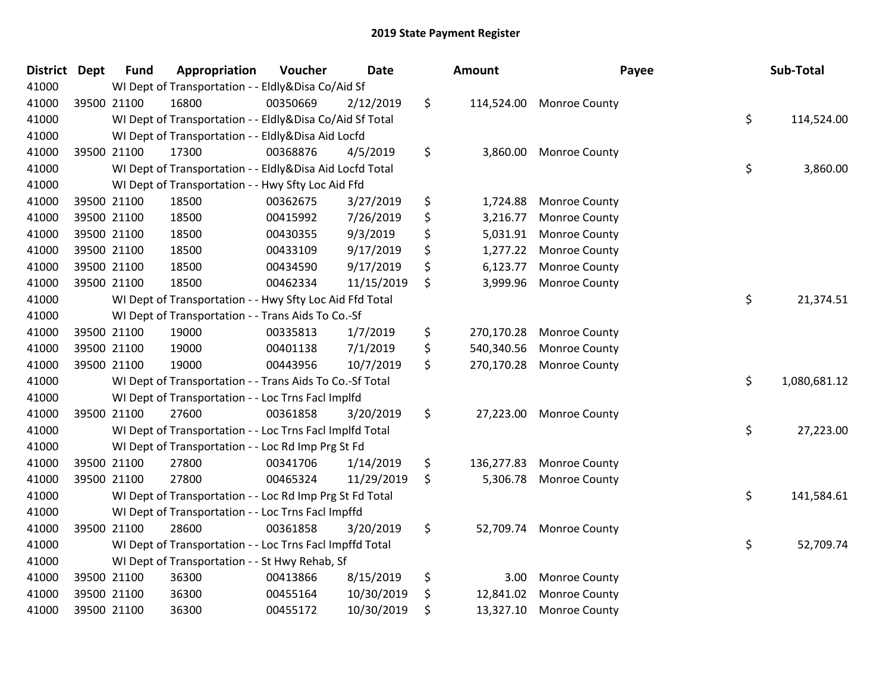| <b>District Dept</b> |             | <b>Fund</b> | Appropriation                                            | Voucher  | <b>Date</b> | Amount           | Payee                | Sub-Total          |
|----------------------|-------------|-------------|----------------------------------------------------------|----------|-------------|------------------|----------------------|--------------------|
| 41000                |             |             | WI Dept of Transportation - - Eldly&Disa Co/Aid Sf       |          |             |                  |                      |                    |
| 41000                |             | 39500 21100 | 16800                                                    | 00350669 | 2/12/2019   | \$<br>114,524.00 | <b>Monroe County</b> |                    |
| 41000                |             |             | WI Dept of Transportation - - Eldly&Disa Co/Aid Sf Total |          |             |                  |                      | \$<br>114,524.00   |
| 41000                |             |             | WI Dept of Transportation - - Eldly&Disa Aid Locfd       |          |             |                  |                      |                    |
| 41000                |             | 39500 21100 | 17300                                                    | 00368876 | 4/5/2019    | \$<br>3,860.00   | <b>Monroe County</b> |                    |
| 41000                |             |             | WI Dept of Transportation - - Eldly&Disa Aid Locfd Total |          |             |                  |                      | \$<br>3,860.00     |
| 41000                |             |             | WI Dept of Transportation - - Hwy Sfty Loc Aid Ffd       |          |             |                  |                      |                    |
| 41000                |             | 39500 21100 | 18500                                                    | 00362675 | 3/27/2019   | \$<br>1,724.88   | <b>Monroe County</b> |                    |
| 41000                | 39500 21100 |             | 18500                                                    | 00415992 | 7/26/2019   | \$<br>3,216.77   | <b>Monroe County</b> |                    |
| 41000                |             | 39500 21100 | 18500                                                    | 00430355 | 9/3/2019    | \$<br>5,031.91   | Monroe County        |                    |
| 41000                |             | 39500 21100 | 18500                                                    | 00433109 | 9/17/2019   | \$<br>1,277.22   | <b>Monroe County</b> |                    |
| 41000                |             | 39500 21100 | 18500                                                    | 00434590 | 9/17/2019   | \$<br>6,123.77   | Monroe County        |                    |
| 41000                | 39500 21100 |             | 18500                                                    | 00462334 | 11/15/2019  | \$<br>3,999.96   | <b>Monroe County</b> |                    |
| 41000                |             |             | WI Dept of Transportation - - Hwy Sfty Loc Aid Ffd Total |          |             |                  |                      | \$<br>21,374.51    |
| 41000                |             |             | WI Dept of Transportation - - Trans Aids To Co.-Sf       |          |             |                  |                      |                    |
| 41000                |             | 39500 21100 | 19000                                                    | 00335813 | 1/7/2019    | \$<br>270,170.28 | Monroe County        |                    |
| 41000                |             | 39500 21100 | 19000                                                    | 00401138 | 7/1/2019    | \$<br>540,340.56 | Monroe County        |                    |
| 41000                |             | 39500 21100 | 19000                                                    | 00443956 | 10/7/2019   | \$<br>270,170.28 | Monroe County        |                    |
| 41000                |             |             | WI Dept of Transportation - - Trans Aids To Co.-Sf Total |          |             |                  |                      | \$<br>1,080,681.12 |
| 41000                |             |             | WI Dept of Transportation - - Loc Trns Facl Implfd       |          |             |                  |                      |                    |
| 41000                |             | 39500 21100 | 27600                                                    | 00361858 | 3/20/2019   | \$<br>27,223.00  | <b>Monroe County</b> |                    |
| 41000                |             |             | WI Dept of Transportation - - Loc Trns Facl Implfd Total |          |             |                  |                      | \$<br>27,223.00    |
| 41000                |             |             | WI Dept of Transportation - - Loc Rd Imp Prg St Fd       |          |             |                  |                      |                    |
| 41000                |             | 39500 21100 | 27800                                                    | 00341706 | 1/14/2019   | \$<br>136,277.83 | <b>Monroe County</b> |                    |
| 41000                | 39500 21100 |             | 27800                                                    | 00465324 | 11/29/2019  | \$<br>5,306.78   | <b>Monroe County</b> |                    |
| 41000                |             |             | WI Dept of Transportation - - Loc Rd Imp Prg St Fd Total |          |             |                  |                      | \$<br>141,584.61   |
| 41000                |             |             | WI Dept of Transportation - - Loc Trns Facl Impffd       |          |             |                  |                      |                    |
| 41000                |             | 39500 21100 | 28600                                                    | 00361858 | 3/20/2019   | \$<br>52,709.74  | <b>Monroe County</b> |                    |
| 41000                |             |             | WI Dept of Transportation - - Loc Trns Facl Impffd Total |          |             |                  |                      | \$<br>52,709.74    |
| 41000                |             |             | WI Dept of Transportation - - St Hwy Rehab, Sf           |          |             |                  |                      |                    |
| 41000                | 39500 21100 |             | 36300                                                    | 00413866 | 8/15/2019   | \$<br>3.00       | Monroe County        |                    |
| 41000                |             | 39500 21100 | 36300                                                    | 00455164 | 10/30/2019  | \$<br>12,841.02  | Monroe County        |                    |
| 41000                |             | 39500 21100 | 36300                                                    | 00455172 | 10/30/2019  | \$<br>13,327.10  | Monroe County        |                    |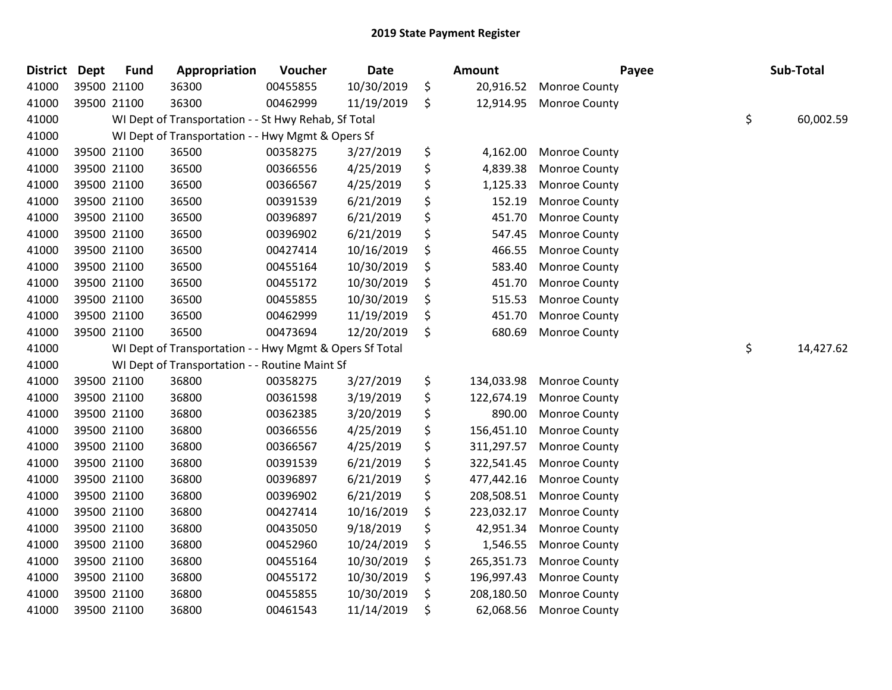| <b>District</b> | Dept | <b>Fund</b> | Appropriation                                           | Voucher  | <b>Date</b> | <b>Amount</b>    | Payee                | Sub-Total       |
|-----------------|------|-------------|---------------------------------------------------------|----------|-------------|------------------|----------------------|-----------------|
| 41000           |      | 39500 21100 | 36300                                                   | 00455855 | 10/30/2019  | \$<br>20,916.52  | Monroe County        |                 |
| 41000           |      | 39500 21100 | 36300                                                   | 00462999 | 11/19/2019  | \$<br>12,914.95  | <b>Monroe County</b> |                 |
| 41000           |      |             | WI Dept of Transportation - - St Hwy Rehab, Sf Total    |          |             |                  |                      | \$<br>60,002.59 |
| 41000           |      |             | WI Dept of Transportation - - Hwy Mgmt & Opers Sf       |          |             |                  |                      |                 |
| 41000           |      | 39500 21100 | 36500                                                   | 00358275 | 3/27/2019   | \$<br>4,162.00   | Monroe County        |                 |
| 41000           |      | 39500 21100 | 36500                                                   | 00366556 | 4/25/2019   | \$<br>4,839.38   | Monroe County        |                 |
| 41000           |      | 39500 21100 | 36500                                                   | 00366567 | 4/25/2019   | \$<br>1,125.33   | Monroe County        |                 |
| 41000           |      | 39500 21100 | 36500                                                   | 00391539 | 6/21/2019   | \$<br>152.19     | Monroe County        |                 |
| 41000           |      | 39500 21100 | 36500                                                   | 00396897 | 6/21/2019   | \$<br>451.70     | Monroe County        |                 |
| 41000           |      | 39500 21100 | 36500                                                   | 00396902 | 6/21/2019   | \$<br>547.45     | Monroe County        |                 |
| 41000           |      | 39500 21100 | 36500                                                   | 00427414 | 10/16/2019  | \$<br>466.55     | Monroe County        |                 |
| 41000           |      | 39500 21100 | 36500                                                   | 00455164 | 10/30/2019  | \$<br>583.40     | Monroe County        |                 |
| 41000           |      | 39500 21100 | 36500                                                   | 00455172 | 10/30/2019  | \$<br>451.70     | Monroe County        |                 |
| 41000           |      | 39500 21100 | 36500                                                   | 00455855 | 10/30/2019  | \$<br>515.53     | Monroe County        |                 |
| 41000           |      | 39500 21100 | 36500                                                   | 00462999 | 11/19/2019  | \$<br>451.70     | Monroe County        |                 |
| 41000           |      | 39500 21100 | 36500                                                   | 00473694 | 12/20/2019  | \$<br>680.69     | Monroe County        |                 |
| 41000           |      |             | WI Dept of Transportation - - Hwy Mgmt & Opers Sf Total |          |             |                  |                      | \$<br>14,427.62 |
| 41000           |      |             | WI Dept of Transportation - - Routine Maint Sf          |          |             |                  |                      |                 |
| 41000           |      | 39500 21100 | 36800                                                   | 00358275 | 3/27/2019   | \$<br>134,033.98 | Monroe County        |                 |
| 41000           |      | 39500 21100 | 36800                                                   | 00361598 | 3/19/2019   | \$<br>122,674.19 | Monroe County        |                 |
| 41000           |      | 39500 21100 | 36800                                                   | 00362385 | 3/20/2019   | \$<br>890.00     | Monroe County        |                 |
| 41000           |      | 39500 21100 | 36800                                                   | 00366556 | 4/25/2019   | \$<br>156,451.10 | Monroe County        |                 |
| 41000           |      | 39500 21100 | 36800                                                   | 00366567 | 4/25/2019   | \$<br>311,297.57 | Monroe County        |                 |
| 41000           |      | 39500 21100 | 36800                                                   | 00391539 | 6/21/2019   | \$<br>322,541.45 | Monroe County        |                 |
| 41000           |      | 39500 21100 | 36800                                                   | 00396897 | 6/21/2019   | \$<br>477,442.16 | Monroe County        |                 |
| 41000           |      | 39500 21100 | 36800                                                   | 00396902 | 6/21/2019   | \$<br>208,508.51 | Monroe County        |                 |
| 41000           |      | 39500 21100 | 36800                                                   | 00427414 | 10/16/2019  | \$<br>223,032.17 | Monroe County        |                 |
| 41000           |      | 39500 21100 | 36800                                                   | 00435050 | 9/18/2019   | \$<br>42,951.34  | Monroe County        |                 |
| 41000           |      | 39500 21100 | 36800                                                   | 00452960 | 10/24/2019  | \$<br>1,546.55   | Monroe County        |                 |
| 41000           |      | 39500 21100 | 36800                                                   | 00455164 | 10/30/2019  | \$<br>265,351.73 | Monroe County        |                 |
| 41000           |      | 39500 21100 | 36800                                                   | 00455172 | 10/30/2019  | \$<br>196,997.43 | Monroe County        |                 |
| 41000           |      | 39500 21100 | 36800                                                   | 00455855 | 10/30/2019  | \$<br>208,180.50 | Monroe County        |                 |
| 41000           |      | 39500 21100 | 36800                                                   | 00461543 | 11/14/2019  | \$<br>62,068.56  | Monroe County        |                 |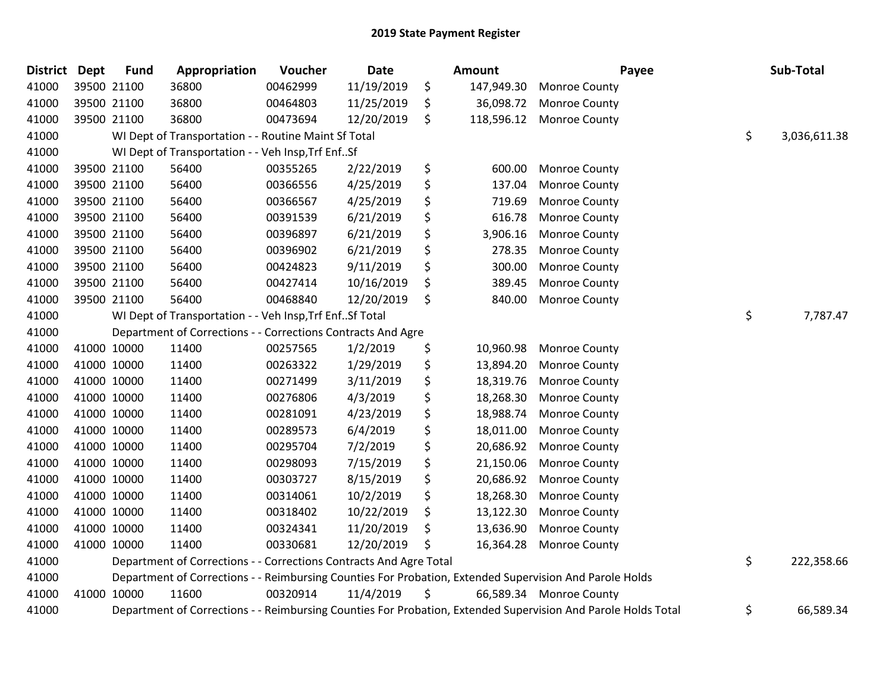| <b>District</b> | <b>Dept</b> | <b>Fund</b> | Appropriation                                                      | Voucher  | Date       | Amount           | Payee                                                                                                         | Sub-Total          |
|-----------------|-------------|-------------|--------------------------------------------------------------------|----------|------------|------------------|---------------------------------------------------------------------------------------------------------------|--------------------|
| 41000           |             | 39500 21100 | 36800                                                              | 00462999 | 11/19/2019 | \$<br>147,949.30 | <b>Monroe County</b>                                                                                          |                    |
| 41000           |             | 39500 21100 | 36800                                                              | 00464803 | 11/25/2019 | \$<br>36,098.72  | <b>Monroe County</b>                                                                                          |                    |
| 41000           |             | 39500 21100 | 36800                                                              | 00473694 | 12/20/2019 | \$<br>118,596.12 | <b>Monroe County</b>                                                                                          |                    |
| 41000           |             |             | WI Dept of Transportation - - Routine Maint Sf Total               |          |            |                  |                                                                                                               | \$<br>3,036,611.38 |
| 41000           |             |             | WI Dept of Transportation - - Veh Insp, Trf EnfSf                  |          |            |                  |                                                                                                               |                    |
| 41000           |             | 39500 21100 | 56400                                                              | 00355265 | 2/22/2019  | \$<br>600.00     | Monroe County                                                                                                 |                    |
| 41000           |             | 39500 21100 | 56400                                                              | 00366556 | 4/25/2019  | \$<br>137.04     | <b>Monroe County</b>                                                                                          |                    |
| 41000           |             | 39500 21100 | 56400                                                              | 00366567 | 4/25/2019  | \$<br>719.69     | <b>Monroe County</b>                                                                                          |                    |
| 41000           |             | 39500 21100 | 56400                                                              | 00391539 | 6/21/2019  | \$<br>616.78     | Monroe County                                                                                                 |                    |
| 41000           |             | 39500 21100 | 56400                                                              | 00396897 | 6/21/2019  | \$<br>3,906.16   | <b>Monroe County</b>                                                                                          |                    |
| 41000           |             | 39500 21100 | 56400                                                              | 00396902 | 6/21/2019  | \$<br>278.35     | <b>Monroe County</b>                                                                                          |                    |
| 41000           |             | 39500 21100 | 56400                                                              | 00424823 | 9/11/2019  | \$<br>300.00     | <b>Monroe County</b>                                                                                          |                    |
| 41000           |             | 39500 21100 | 56400                                                              | 00427414 | 10/16/2019 | \$<br>389.45     | Monroe County                                                                                                 |                    |
| 41000           |             | 39500 21100 | 56400                                                              | 00468840 | 12/20/2019 | \$<br>840.00     | Monroe County                                                                                                 |                    |
| 41000           |             |             | WI Dept of Transportation - - Veh Insp, Trf Enf Sf Total           |          |            |                  |                                                                                                               | \$<br>7,787.47     |
| 41000           |             |             | Department of Corrections - - Corrections Contracts And Agre       |          |            |                  |                                                                                                               |                    |
| 41000           |             | 41000 10000 | 11400                                                              | 00257565 | 1/2/2019   | \$<br>10,960.98  | <b>Monroe County</b>                                                                                          |                    |
| 41000           |             | 41000 10000 | 11400                                                              | 00263322 | 1/29/2019  | \$<br>13,894.20  | <b>Monroe County</b>                                                                                          |                    |
| 41000           |             | 41000 10000 | 11400                                                              | 00271499 | 3/11/2019  | \$<br>18,319.76  | Monroe County                                                                                                 |                    |
| 41000           |             | 41000 10000 | 11400                                                              | 00276806 | 4/3/2019   | \$<br>18,268.30  | <b>Monroe County</b>                                                                                          |                    |
| 41000           |             | 41000 10000 | 11400                                                              | 00281091 | 4/23/2019  | \$<br>18,988.74  | Monroe County                                                                                                 |                    |
| 41000           | 41000 10000 |             | 11400                                                              | 00289573 | 6/4/2019   | \$<br>18,011.00  | <b>Monroe County</b>                                                                                          |                    |
| 41000           |             | 41000 10000 | 11400                                                              | 00295704 | 7/2/2019   | \$<br>20,686.92  | <b>Monroe County</b>                                                                                          |                    |
| 41000           |             | 41000 10000 | 11400                                                              | 00298093 | 7/15/2019  | \$<br>21,150.06  | Monroe County                                                                                                 |                    |
| 41000           |             | 41000 10000 | 11400                                                              | 00303727 | 8/15/2019  | \$<br>20,686.92  | Monroe County                                                                                                 |                    |
| 41000           |             | 41000 10000 | 11400                                                              | 00314061 | 10/2/2019  | \$<br>18,268.30  | Monroe County                                                                                                 |                    |
| 41000           |             | 41000 10000 | 11400                                                              | 00318402 | 10/22/2019 | \$<br>13,122.30  | <b>Monroe County</b>                                                                                          |                    |
| 41000           |             | 41000 10000 | 11400                                                              | 00324341 | 11/20/2019 | \$<br>13,636.90  | Monroe County                                                                                                 |                    |
| 41000           |             | 41000 10000 | 11400                                                              | 00330681 | 12/20/2019 | \$<br>16,364.28  | <b>Monroe County</b>                                                                                          |                    |
| 41000           |             |             | Department of Corrections - - Corrections Contracts And Agre Total |          |            |                  |                                                                                                               | \$<br>222,358.66   |
| 41000           |             |             |                                                                    |          |            |                  | Department of Corrections - - Reimbursing Counties For Probation, Extended Supervision And Parole Holds       |                    |
| 41000           |             | 41000 10000 | 11600                                                              | 00320914 | 11/4/2019  | \$               | 66,589.34 Monroe County                                                                                       |                    |
| 41000           |             |             |                                                                    |          |            |                  | Department of Corrections - - Reimbursing Counties For Probation, Extended Supervision And Parole Holds Total | \$<br>66,589.34    |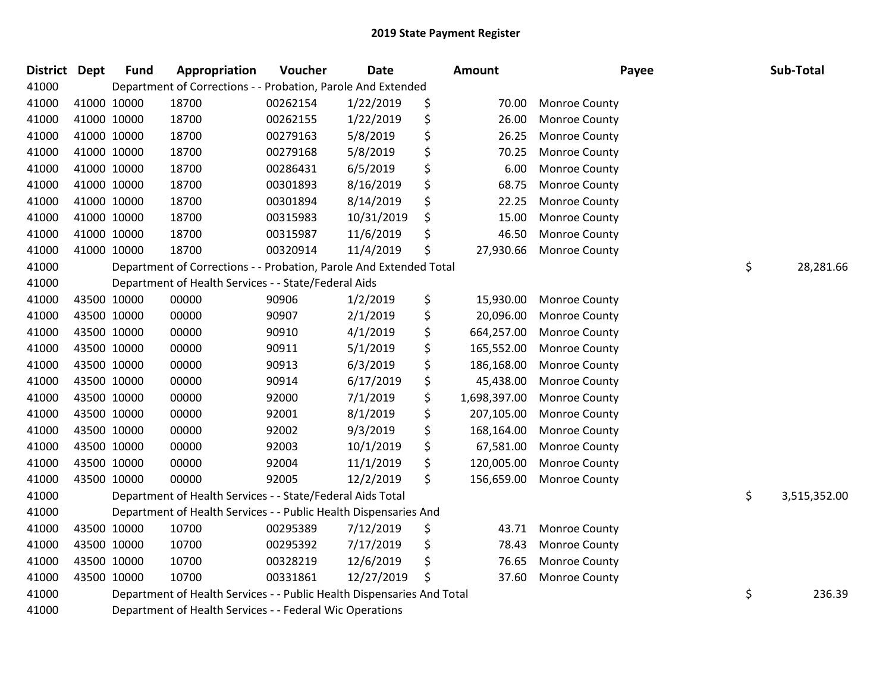| <b>District Dept</b> | <b>Fund</b> | Appropriation                                                          | Voucher  | <b>Date</b> | Amount             | Payee                | Sub-Total          |
|----------------------|-------------|------------------------------------------------------------------------|----------|-------------|--------------------|----------------------|--------------------|
| 41000                |             | Department of Corrections - - Probation, Parole And Extended           |          |             |                    |                      |                    |
| 41000                | 41000 10000 | 18700                                                                  | 00262154 | 1/22/2019   | \$<br>70.00        | <b>Monroe County</b> |                    |
| 41000                | 41000 10000 | 18700                                                                  | 00262155 | 1/22/2019   | \$<br>26.00        | Monroe County        |                    |
| 41000                | 41000 10000 | 18700                                                                  | 00279163 | 5/8/2019    | \$<br>26.25        | <b>Monroe County</b> |                    |
| 41000                | 41000 10000 | 18700                                                                  | 00279168 | 5/8/2019    | \$<br>70.25        | Monroe County        |                    |
| 41000                | 41000 10000 | 18700                                                                  | 00286431 | 6/5/2019    | \$<br>6.00         | Monroe County        |                    |
| 41000                | 41000 10000 | 18700                                                                  | 00301893 | 8/16/2019   | \$<br>68.75        | Monroe County        |                    |
| 41000                | 41000 10000 | 18700                                                                  | 00301894 | 8/14/2019   | \$<br>22.25        | Monroe County        |                    |
| 41000                | 41000 10000 | 18700                                                                  | 00315983 | 10/31/2019  | \$<br>15.00        | <b>Monroe County</b> |                    |
| 41000                | 41000 10000 | 18700                                                                  | 00315987 | 11/6/2019   | \$<br>46.50        | <b>Monroe County</b> |                    |
| 41000                | 41000 10000 | 18700                                                                  | 00320914 | 11/4/2019   | \$<br>27,930.66    | Monroe County        |                    |
| 41000                |             | Department of Corrections - - Probation, Parole And Extended Total     |          |             |                    |                      | \$<br>28,281.66    |
| 41000                |             | Department of Health Services - - State/Federal Aids                   |          |             |                    |                      |                    |
| 41000                | 43500 10000 | 00000                                                                  | 90906    | 1/2/2019    | \$<br>15,930.00    | <b>Monroe County</b> |                    |
| 41000                | 43500 10000 | 00000                                                                  | 90907    | 2/1/2019    | \$<br>20,096.00    | <b>Monroe County</b> |                    |
| 41000                | 43500 10000 | 00000                                                                  | 90910    | 4/1/2019    | \$<br>664,257.00   | <b>Monroe County</b> |                    |
| 41000                | 43500 10000 | 00000                                                                  | 90911    | 5/1/2019    | \$<br>165,552.00   | Monroe County        |                    |
| 41000                | 43500 10000 | 00000                                                                  | 90913    | 6/3/2019    | \$<br>186,168.00   | Monroe County        |                    |
| 41000                | 43500 10000 | 00000                                                                  | 90914    | 6/17/2019   | \$<br>45,438.00    | Monroe County        |                    |
| 41000                | 43500 10000 | 00000                                                                  | 92000    | 7/1/2019    | \$<br>1,698,397.00 | Monroe County        |                    |
| 41000                | 43500 10000 | 00000                                                                  | 92001    | 8/1/2019    | \$<br>207,105.00   | Monroe County        |                    |
| 41000                | 43500 10000 | 00000                                                                  | 92002    | 9/3/2019    | \$<br>168,164.00   | Monroe County        |                    |
| 41000                | 43500 10000 | 00000                                                                  | 92003    | 10/1/2019   | \$<br>67,581.00    | Monroe County        |                    |
| 41000                | 43500 10000 | 00000                                                                  | 92004    | 11/1/2019   | \$<br>120,005.00   | Monroe County        |                    |
| 41000                | 43500 10000 | 00000                                                                  | 92005    | 12/2/2019   | \$<br>156,659.00   | <b>Monroe County</b> |                    |
| 41000                |             | Department of Health Services - - State/Federal Aids Total             |          |             |                    |                      | \$<br>3,515,352.00 |
| 41000                |             | Department of Health Services - - Public Health Dispensaries And       |          |             |                    |                      |                    |
| 41000                | 43500 10000 | 10700                                                                  | 00295389 | 7/12/2019   | \$<br>43.71        | <b>Monroe County</b> |                    |
| 41000                | 43500 10000 | 10700                                                                  | 00295392 | 7/17/2019   | \$<br>78.43        | Monroe County        |                    |
| 41000                | 43500 10000 | 10700                                                                  | 00328219 | 12/6/2019   | \$<br>76.65        | Monroe County        |                    |
| 41000                | 43500 10000 | 10700                                                                  | 00331861 | 12/27/2019  | \$<br>37.60        | Monroe County        |                    |
| 41000                |             | Department of Health Services - - Public Health Dispensaries And Total |          |             |                    |                      | \$<br>236.39       |
| 41000                |             | Department of Health Services - - Federal Wic Operations               |          |             |                    |                      |                    |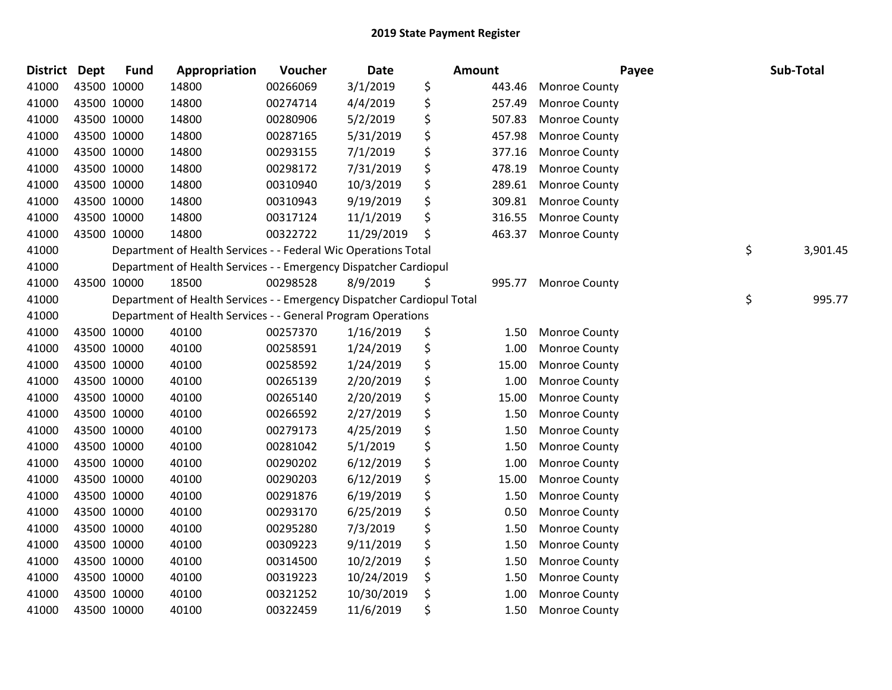| <b>District</b> | Dept        | <b>Fund</b> | Appropriation                                                          | Voucher  | <b>Date</b> | <b>Amount</b> |        | Payee                | Sub-Total      |
|-----------------|-------------|-------------|------------------------------------------------------------------------|----------|-------------|---------------|--------|----------------------|----------------|
| 41000           | 43500 10000 |             | 14800                                                                  | 00266069 | 3/1/2019    | \$            | 443.46 | <b>Monroe County</b> |                |
| 41000           | 43500 10000 |             | 14800                                                                  | 00274714 | 4/4/2019    | \$            | 257.49 | <b>Monroe County</b> |                |
| 41000           | 43500 10000 |             | 14800                                                                  | 00280906 | 5/2/2019    | \$            | 507.83 | Monroe County        |                |
| 41000           | 43500 10000 |             | 14800                                                                  | 00287165 | 5/31/2019   | \$            | 457.98 | Monroe County        |                |
| 41000           | 43500 10000 |             | 14800                                                                  | 00293155 | 7/1/2019    | \$            | 377.16 | Monroe County        |                |
| 41000           | 43500 10000 |             | 14800                                                                  | 00298172 | 7/31/2019   | \$            | 478.19 | Monroe County        |                |
| 41000           | 43500 10000 |             | 14800                                                                  | 00310940 | 10/3/2019   | \$            | 289.61 | Monroe County        |                |
| 41000           | 43500 10000 |             | 14800                                                                  | 00310943 | 9/19/2019   | \$            | 309.81 | Monroe County        |                |
| 41000           | 43500 10000 |             | 14800                                                                  | 00317124 | 11/1/2019   | \$            | 316.55 | Monroe County        |                |
| 41000           | 43500 10000 |             | 14800                                                                  | 00322722 | 11/29/2019  | \$            | 463.37 | Monroe County        |                |
| 41000           |             |             | Department of Health Services - - Federal Wic Operations Total         |          |             |               |        |                      | \$<br>3,901.45 |
| 41000           |             |             | Department of Health Services - - Emergency Dispatcher Cardiopul       |          |             |               |        |                      |                |
| 41000           | 43500 10000 |             | 18500                                                                  | 00298528 | 8/9/2019    | \$            | 995.77 | <b>Monroe County</b> |                |
| 41000           |             |             | Department of Health Services - - Emergency Dispatcher Cardiopul Total |          |             |               |        |                      | \$<br>995.77   |
| 41000           |             |             | Department of Health Services - - General Program Operations           |          |             |               |        |                      |                |
| 41000           | 43500 10000 |             | 40100                                                                  | 00257370 | 1/16/2019   | \$            | 1.50   | <b>Monroe County</b> |                |
| 41000           | 43500 10000 |             | 40100                                                                  | 00258591 | 1/24/2019   | \$            | 1.00   | Monroe County        |                |
| 41000           | 43500 10000 |             | 40100                                                                  | 00258592 | 1/24/2019   | \$            | 15.00  | Monroe County        |                |
| 41000           | 43500 10000 |             | 40100                                                                  | 00265139 | 2/20/2019   | \$            | 1.00   | Monroe County        |                |
| 41000           | 43500 10000 |             | 40100                                                                  | 00265140 | 2/20/2019   | \$            | 15.00  | Monroe County        |                |
| 41000           | 43500 10000 |             | 40100                                                                  | 00266592 | 2/27/2019   | \$            | 1.50   | <b>Monroe County</b> |                |
| 41000           | 43500 10000 |             | 40100                                                                  | 00279173 | 4/25/2019   | \$            | 1.50   | Monroe County        |                |
| 41000           | 43500 10000 |             | 40100                                                                  | 00281042 | 5/1/2019    | \$            | 1.50   | Monroe County        |                |
| 41000           | 43500 10000 |             | 40100                                                                  | 00290202 | 6/12/2019   | \$            | 1.00   | Monroe County        |                |
| 41000           | 43500 10000 |             | 40100                                                                  | 00290203 | 6/12/2019   | \$            | 15.00  | Monroe County        |                |
| 41000           | 43500 10000 |             | 40100                                                                  | 00291876 | 6/19/2019   | \$            | 1.50   | <b>Monroe County</b> |                |
| 41000           | 43500 10000 |             | 40100                                                                  | 00293170 | 6/25/2019   | \$            | 0.50   | <b>Monroe County</b> |                |
| 41000           | 43500 10000 |             | 40100                                                                  | 00295280 | 7/3/2019    | \$            | 1.50   | Monroe County        |                |
| 41000           | 43500 10000 |             | 40100                                                                  | 00309223 | 9/11/2019   | \$            | 1.50   | Monroe County        |                |
| 41000           | 43500 10000 |             | 40100                                                                  | 00314500 | 10/2/2019   | \$            | 1.50   | <b>Monroe County</b> |                |
| 41000           | 43500 10000 |             | 40100                                                                  | 00319223 | 10/24/2019  | \$            | 1.50   | <b>Monroe County</b> |                |
| 41000           | 43500 10000 |             | 40100                                                                  | 00321252 | 10/30/2019  | \$            | 1.00   | <b>Monroe County</b> |                |
| 41000           | 43500 10000 |             | 40100                                                                  | 00322459 | 11/6/2019   | \$            | 1.50   | Monroe County        |                |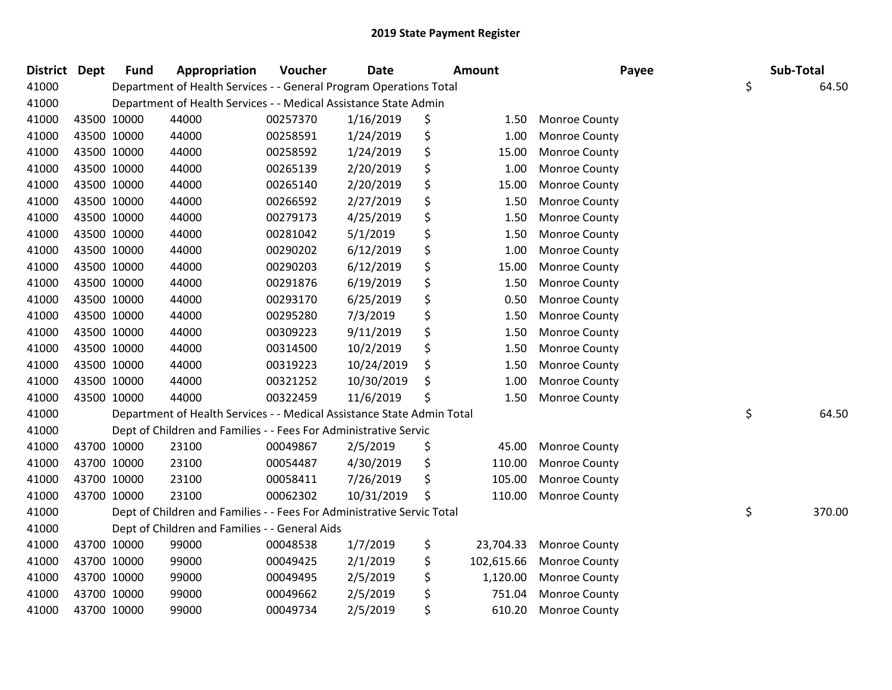| District Dept |             | <b>Fund</b> | Appropriation                                                          | Voucher  | <b>Date</b> | Amount           | Payee                | Sub-Total    |
|---------------|-------------|-------------|------------------------------------------------------------------------|----------|-------------|------------------|----------------------|--------------|
| 41000         |             |             | Department of Health Services - - General Program Operations Total     |          |             |                  |                      | \$<br>64.50  |
| 41000         |             |             | Department of Health Services - - Medical Assistance State Admin       |          |             |                  |                      |              |
| 41000         |             | 43500 10000 | 44000                                                                  | 00257370 | 1/16/2019   | \$<br>1.50       | <b>Monroe County</b> |              |
| 41000         |             | 43500 10000 | 44000                                                                  | 00258591 | 1/24/2019   | \$<br>1.00       | <b>Monroe County</b> |              |
| 41000         |             | 43500 10000 | 44000                                                                  | 00258592 | 1/24/2019   | \$<br>15.00      | Monroe County        |              |
| 41000         |             | 43500 10000 | 44000                                                                  | 00265139 | 2/20/2019   | \$<br>1.00       | Monroe County        |              |
| 41000         |             | 43500 10000 | 44000                                                                  | 00265140 | 2/20/2019   | \$<br>15.00      | Monroe County        |              |
| 41000         |             | 43500 10000 | 44000                                                                  | 00266592 | 2/27/2019   | \$<br>1.50       | <b>Monroe County</b> |              |
| 41000         |             | 43500 10000 | 44000                                                                  | 00279173 | 4/25/2019   | \$<br>1.50       | <b>Monroe County</b> |              |
| 41000         |             | 43500 10000 | 44000                                                                  | 00281042 | 5/1/2019    | \$<br>1.50       | Monroe County        |              |
| 41000         |             | 43500 10000 | 44000                                                                  | 00290202 | 6/12/2019   | \$<br>1.00       | Monroe County        |              |
| 41000         |             | 43500 10000 | 44000                                                                  | 00290203 | 6/12/2019   | \$<br>15.00      | Monroe County        |              |
| 41000         |             | 43500 10000 | 44000                                                                  | 00291876 | 6/19/2019   | \$<br>1.50       | <b>Monroe County</b> |              |
| 41000         | 43500 10000 |             | 44000                                                                  | 00293170 | 6/25/2019   | \$<br>0.50       | <b>Monroe County</b> |              |
| 41000         |             | 43500 10000 | 44000                                                                  | 00295280 | 7/3/2019    | \$<br>1.50       | Monroe County        |              |
| 41000         |             | 43500 10000 | 44000                                                                  | 00309223 | 9/11/2019   | \$<br>1.50       | Monroe County        |              |
| 41000         |             | 43500 10000 | 44000                                                                  | 00314500 | 10/2/2019   | \$<br>1.50       | Monroe County        |              |
| 41000         |             | 43500 10000 | 44000                                                                  | 00319223 | 10/24/2019  | \$<br>1.50       | <b>Monroe County</b> |              |
| 41000         |             | 43500 10000 | 44000                                                                  | 00321252 | 10/30/2019  | \$<br>1.00       | <b>Monroe County</b> |              |
| 41000         |             | 43500 10000 | 44000                                                                  | 00322459 | 11/6/2019   | \$<br>1.50       | <b>Monroe County</b> |              |
| 41000         |             |             | Department of Health Services - - Medical Assistance State Admin Total |          |             |                  |                      | \$<br>64.50  |
| 41000         |             |             | Dept of Children and Families - - Fees For Administrative Servic       |          |             |                  |                      |              |
| 41000         |             | 43700 10000 | 23100                                                                  | 00049867 | 2/5/2019    | \$<br>45.00      | <b>Monroe County</b> |              |
| 41000         |             | 43700 10000 | 23100                                                                  | 00054487 | 4/30/2019   | \$<br>110.00     | <b>Monroe County</b> |              |
| 41000         |             | 43700 10000 | 23100                                                                  | 00058411 | 7/26/2019   | \$<br>105.00     | <b>Monroe County</b> |              |
| 41000         |             | 43700 10000 | 23100                                                                  | 00062302 | 10/31/2019  | \$<br>110.00     | <b>Monroe County</b> |              |
| 41000         |             |             | Dept of Children and Families - - Fees For Administrative Servic Total |          |             |                  |                      | \$<br>370.00 |
| 41000         |             |             | Dept of Children and Families - - General Aids                         |          |             |                  |                      |              |
| 41000         |             | 43700 10000 | 99000                                                                  | 00048538 | 1/7/2019    | \$<br>23,704.33  | <b>Monroe County</b> |              |
| 41000         |             | 43700 10000 | 99000                                                                  | 00049425 | 2/1/2019    | \$<br>102,615.66 | Monroe County        |              |
| 41000         |             | 43700 10000 | 99000                                                                  | 00049495 | 2/5/2019    | \$<br>1,120.00   | <b>Monroe County</b> |              |
| 41000         |             | 43700 10000 | 99000                                                                  | 00049662 | 2/5/2019    | \$<br>751.04     | <b>Monroe County</b> |              |
| 41000         | 43700 10000 |             | 99000                                                                  | 00049734 | 2/5/2019    | \$<br>610.20     | <b>Monroe County</b> |              |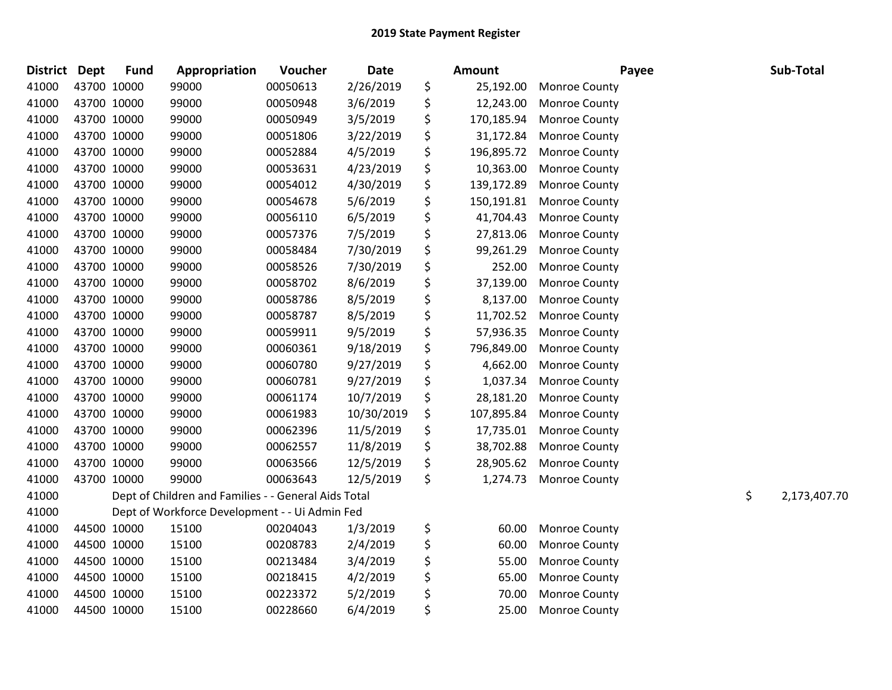| <b>District</b> | <b>Dept</b> | <b>Fund</b> | Appropriation                                        | Voucher  | <b>Date</b> | <b>Amount</b>    | Payee                | Sub-Total          |
|-----------------|-------------|-------------|------------------------------------------------------|----------|-------------|------------------|----------------------|--------------------|
| 41000           |             | 43700 10000 | 99000                                                | 00050613 | 2/26/2019   | \$<br>25,192.00  | Monroe County        |                    |
| 41000           |             | 43700 10000 | 99000                                                | 00050948 | 3/6/2019    | \$<br>12,243.00  | Monroe County        |                    |
| 41000           |             | 43700 10000 | 99000                                                | 00050949 | 3/5/2019    | \$<br>170,185.94 | <b>Monroe County</b> |                    |
| 41000           |             | 43700 10000 | 99000                                                | 00051806 | 3/22/2019   | \$<br>31,172.84  | <b>Monroe County</b> |                    |
| 41000           |             | 43700 10000 | 99000                                                | 00052884 | 4/5/2019    | \$<br>196,895.72 | <b>Monroe County</b> |                    |
| 41000           |             | 43700 10000 | 99000                                                | 00053631 | 4/23/2019   | \$<br>10,363.00  | <b>Monroe County</b> |                    |
| 41000           |             | 43700 10000 | 99000                                                | 00054012 | 4/30/2019   | \$<br>139,172.89 | Monroe County        |                    |
| 41000           |             | 43700 10000 | 99000                                                | 00054678 | 5/6/2019    | \$<br>150,191.81 | Monroe County        |                    |
| 41000           |             | 43700 10000 | 99000                                                | 00056110 | 6/5/2019    | \$<br>41,704.43  | Monroe County        |                    |
| 41000           |             | 43700 10000 | 99000                                                | 00057376 | 7/5/2019    | \$<br>27,813.06  | <b>Monroe County</b> |                    |
| 41000           |             | 43700 10000 | 99000                                                | 00058484 | 7/30/2019   | \$<br>99,261.29  | Monroe County        |                    |
| 41000           |             | 43700 10000 | 99000                                                | 00058526 | 7/30/2019   | \$<br>252.00     | Monroe County        |                    |
| 41000           |             | 43700 10000 | 99000                                                | 00058702 | 8/6/2019    | \$<br>37,139.00  | Monroe County        |                    |
| 41000           |             | 43700 10000 | 99000                                                | 00058786 | 8/5/2019    | \$<br>8,137.00   | <b>Monroe County</b> |                    |
| 41000           |             | 43700 10000 | 99000                                                | 00058787 | 8/5/2019    | \$<br>11,702.52  | <b>Monroe County</b> |                    |
| 41000           |             | 43700 10000 | 99000                                                | 00059911 | 9/5/2019    | \$<br>57,936.35  | <b>Monroe County</b> |                    |
| 41000           |             | 43700 10000 | 99000                                                | 00060361 | 9/18/2019   | \$<br>796,849.00 | Monroe County        |                    |
| 41000           |             | 43700 10000 | 99000                                                | 00060780 | 9/27/2019   | \$<br>4,662.00   | Monroe County        |                    |
| 41000           |             | 43700 10000 | 99000                                                | 00060781 | 9/27/2019   | \$<br>1,037.34   | Monroe County        |                    |
| 41000           |             | 43700 10000 | 99000                                                | 00061174 | 10/7/2019   | \$<br>28,181.20  | Monroe County        |                    |
| 41000           |             | 43700 10000 | 99000                                                | 00061983 | 10/30/2019  | \$<br>107,895.84 | <b>Monroe County</b> |                    |
| 41000           |             | 43700 10000 | 99000                                                | 00062396 | 11/5/2019   | \$<br>17,735.01  | Monroe County        |                    |
| 41000           |             | 43700 10000 | 99000                                                | 00062557 | 11/8/2019   | \$<br>38,702.88  | <b>Monroe County</b> |                    |
| 41000           |             | 43700 10000 | 99000                                                | 00063566 | 12/5/2019   | \$<br>28,905.62  | <b>Monroe County</b> |                    |
| 41000           |             | 43700 10000 | 99000                                                | 00063643 | 12/5/2019   | \$<br>1,274.73   | <b>Monroe County</b> |                    |
| 41000           |             |             | Dept of Children and Families - - General Aids Total |          |             |                  |                      | \$<br>2,173,407.70 |
| 41000           |             |             | Dept of Workforce Development - - Ui Admin Fed       |          |             |                  |                      |                    |
| 41000           |             | 44500 10000 | 15100                                                | 00204043 | 1/3/2019    | \$<br>60.00      | Monroe County        |                    |
| 41000           |             | 44500 10000 | 15100                                                | 00208783 | 2/4/2019    | \$<br>60.00      | Monroe County        |                    |
| 41000           |             | 44500 10000 | 15100                                                | 00213484 | 3/4/2019    | \$<br>55.00      | Monroe County        |                    |
| 41000           |             | 44500 10000 | 15100                                                | 00218415 | 4/2/2019    | \$<br>65.00      | <b>Monroe County</b> |                    |
| 41000           |             | 44500 10000 | 15100                                                | 00223372 | 5/2/2019    | \$<br>70.00      | Monroe County        |                    |
| 41000           |             | 44500 10000 | 15100                                                | 00228660 | 6/4/2019    | \$<br>25.00      | Monroe County        |                    |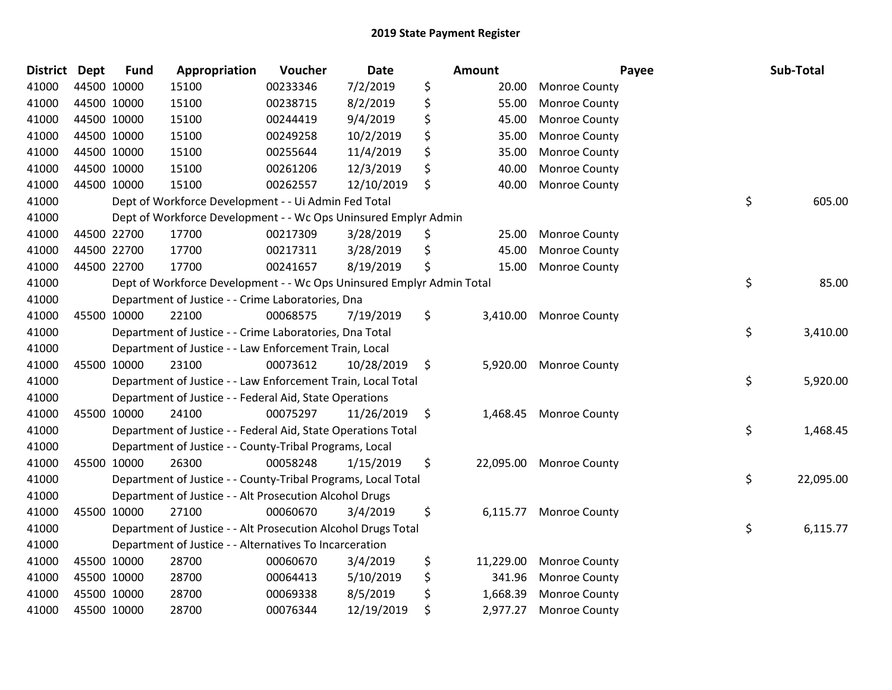| <b>District</b> | <b>Dept</b> | <b>Fund</b> | Appropriation                                                         | Voucher  | <b>Date</b> | <b>Amount</b>   | Payee                   | Sub-Total       |
|-----------------|-------------|-------------|-----------------------------------------------------------------------|----------|-------------|-----------------|-------------------------|-----------------|
| 41000           |             | 44500 10000 | 15100                                                                 | 00233346 | 7/2/2019    | \$<br>20.00     | <b>Monroe County</b>    |                 |
| 41000           | 44500 10000 |             | 15100                                                                 | 00238715 | 8/2/2019    | \$<br>55.00     | <b>Monroe County</b>    |                 |
| 41000           | 44500 10000 |             | 15100                                                                 | 00244419 | 9/4/2019    | \$<br>45.00     | <b>Monroe County</b>    |                 |
| 41000           | 44500 10000 |             | 15100                                                                 | 00249258 | 10/2/2019   | \$<br>35.00     | <b>Monroe County</b>    |                 |
| 41000           | 44500 10000 |             | 15100                                                                 | 00255644 | 11/4/2019   | \$<br>35.00     | Monroe County           |                 |
| 41000           |             | 44500 10000 | 15100                                                                 | 00261206 | 12/3/2019   | \$<br>40.00     | Monroe County           |                 |
| 41000           | 44500 10000 |             | 15100                                                                 | 00262557 | 12/10/2019  | \$<br>40.00     | Monroe County           |                 |
| 41000           |             |             | Dept of Workforce Development - - Ui Admin Fed Total                  |          |             |                 |                         | \$<br>605.00    |
| 41000           |             |             | Dept of Workforce Development - - Wc Ops Uninsured Emplyr Admin       |          |             |                 |                         |                 |
| 41000           | 44500 22700 |             | 17700                                                                 | 00217309 | 3/28/2019   | \$<br>25.00     | <b>Monroe County</b>    |                 |
| 41000           |             | 44500 22700 | 17700                                                                 | 00217311 | 3/28/2019   | \$<br>45.00     | Monroe County           |                 |
| 41000           | 44500 22700 |             | 17700                                                                 | 00241657 | 8/19/2019   | \$<br>15.00     | <b>Monroe County</b>    |                 |
| 41000           |             |             | Dept of Workforce Development - - Wc Ops Uninsured Emplyr Admin Total |          |             |                 |                         | \$<br>85.00     |
| 41000           |             |             | Department of Justice - - Crime Laboratories, Dna                     |          |             |                 |                         |                 |
| 41000           |             | 45500 10000 | 22100                                                                 | 00068575 | 7/19/2019   | \$<br>3,410.00  | <b>Monroe County</b>    |                 |
| 41000           |             |             | Department of Justice - - Crime Laboratories, Dna Total               |          |             |                 |                         | \$<br>3,410.00  |
| 41000           |             |             | Department of Justice - - Law Enforcement Train, Local                |          |             |                 |                         |                 |
| 41000           | 45500 10000 |             | 23100                                                                 | 00073612 | 10/28/2019  | \$<br>5,920.00  | <b>Monroe County</b>    |                 |
| 41000           |             |             | Department of Justice - - Law Enforcement Train, Local Total          |          |             |                 |                         | \$<br>5,920.00  |
| 41000           |             |             | Department of Justice - - Federal Aid, State Operations               |          |             |                 |                         |                 |
| 41000           | 45500 10000 |             | 24100                                                                 | 00075297 | 11/26/2019  | \$<br>1,468.45  | <b>Monroe County</b>    |                 |
| 41000           |             |             | Department of Justice - - Federal Aid, State Operations Total         |          |             |                 |                         | \$<br>1,468.45  |
| 41000           |             |             | Department of Justice - - County-Tribal Programs, Local               |          |             |                 |                         |                 |
| 41000           |             | 45500 10000 | 26300                                                                 | 00058248 | 1/15/2019   | \$              | 22,095.00 Monroe County |                 |
| 41000           |             |             | Department of Justice - - County-Tribal Programs, Local Total         |          |             |                 |                         | \$<br>22,095.00 |
| 41000           |             |             | Department of Justice - - Alt Prosecution Alcohol Drugs               |          |             |                 |                         |                 |
| 41000           |             | 45500 10000 | 27100                                                                 | 00060670 | 3/4/2019    | \$<br>6,115.77  | <b>Monroe County</b>    |                 |
| 41000           |             |             | Department of Justice - - Alt Prosecution Alcohol Drugs Total         |          |             |                 |                         | \$<br>6,115.77  |
| 41000           |             |             | Department of Justice - - Alternatives To Incarceration               |          |             |                 |                         |                 |
| 41000           | 45500 10000 |             | 28700                                                                 | 00060670 | 3/4/2019    | \$<br>11,229.00 | <b>Monroe County</b>    |                 |
| 41000           | 45500 10000 |             | 28700                                                                 | 00064413 | 5/10/2019   | \$<br>341.96    | <b>Monroe County</b>    |                 |
| 41000           | 45500 10000 |             | 28700                                                                 | 00069338 | 8/5/2019    | \$<br>1,668.39  | <b>Monroe County</b>    |                 |
| 41000           | 45500 10000 |             | 28700                                                                 | 00076344 | 12/19/2019  | \$<br>2,977.27  | <b>Monroe County</b>    |                 |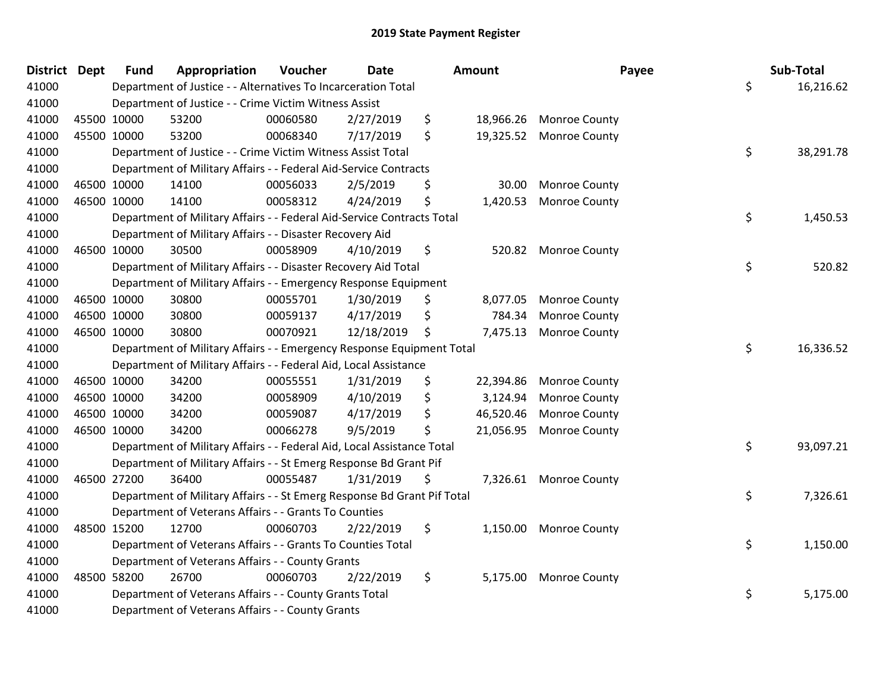| <b>District Dept</b> |             | <b>Fund</b> | Appropriation                                                           | Voucher  | <b>Date</b> | Amount          | Payee                   | Sub-Total       |
|----------------------|-------------|-------------|-------------------------------------------------------------------------|----------|-------------|-----------------|-------------------------|-----------------|
| 41000                |             |             | Department of Justice - - Alternatives To Incarceration Total           |          |             |                 |                         | \$<br>16,216.62 |
| 41000                |             |             | Department of Justice - - Crime Victim Witness Assist                   |          |             |                 |                         |                 |
| 41000                |             | 45500 10000 | 53200                                                                   | 00060580 | 2/27/2019   | \$              | 18,966.26 Monroe County |                 |
| 41000                |             | 45500 10000 | 53200                                                                   | 00068340 | 7/17/2019   | \$<br>19,325.52 | <b>Monroe County</b>    |                 |
| 41000                |             |             | Department of Justice - - Crime Victim Witness Assist Total             |          |             |                 |                         | \$<br>38,291.78 |
| 41000                |             |             | Department of Military Affairs - - Federal Aid-Service Contracts        |          |             |                 |                         |                 |
| 41000                |             | 46500 10000 | 14100                                                                   | 00056033 | 2/5/2019    | \$<br>30.00     | <b>Monroe County</b>    |                 |
| 41000                |             | 46500 10000 | 14100                                                                   | 00058312 | 4/24/2019   | \$<br>1,420.53  | <b>Monroe County</b>    |                 |
| 41000                |             |             | Department of Military Affairs - - Federal Aid-Service Contracts Total  |          |             |                 |                         | \$<br>1,450.53  |
| 41000                |             |             | Department of Military Affairs - - Disaster Recovery Aid                |          |             |                 |                         |                 |
| 41000                | 46500 10000 |             | 30500                                                                   | 00058909 | 4/10/2019   | \$              | 520.82 Monroe County    |                 |
| 41000                |             |             | Department of Military Affairs - - Disaster Recovery Aid Total          |          |             |                 |                         | \$<br>520.82    |
| 41000                |             |             | Department of Military Affairs - - Emergency Response Equipment         |          |             |                 |                         |                 |
| 41000                |             | 46500 10000 | 30800                                                                   | 00055701 | 1/30/2019   | \$<br>8,077.05  | <b>Monroe County</b>    |                 |
| 41000                |             | 46500 10000 | 30800                                                                   | 00059137 | 4/17/2019   | \$<br>784.34    | Monroe County           |                 |
| 41000                |             | 46500 10000 | 30800                                                                   | 00070921 | 12/18/2019  | \$<br>7,475.13  | <b>Monroe County</b>    |                 |
| 41000                |             |             | Department of Military Affairs - - Emergency Response Equipment Total   |          |             |                 |                         | \$<br>16,336.52 |
| 41000                |             |             | Department of Military Affairs - - Federal Aid, Local Assistance        |          |             |                 |                         |                 |
| 41000                |             | 46500 10000 | 34200                                                                   | 00055551 | 1/31/2019   | \$<br>22,394.86 | <b>Monroe County</b>    |                 |
| 41000                |             | 46500 10000 | 34200                                                                   | 00058909 | 4/10/2019   | \$<br>3,124.94  | Monroe County           |                 |
| 41000                |             | 46500 10000 | 34200                                                                   | 00059087 | 4/17/2019   | \$<br>46,520.46 | <b>Monroe County</b>    |                 |
| 41000                | 46500 10000 |             | 34200                                                                   | 00066278 | 9/5/2019    | \$<br>21,056.95 | <b>Monroe County</b>    |                 |
| 41000                |             |             | Department of Military Affairs - - Federal Aid, Local Assistance Total  |          |             |                 |                         | \$<br>93,097.21 |
| 41000                |             |             | Department of Military Affairs - - St Emerg Response Bd Grant Pif       |          |             |                 |                         |                 |
| 41000                | 46500 27200 |             | 36400                                                                   | 00055487 | 1/31/2019   | \$              | 7,326.61 Monroe County  |                 |
| 41000                |             |             | Department of Military Affairs - - St Emerg Response Bd Grant Pif Total |          |             |                 |                         | \$<br>7,326.61  |
| 41000                |             |             | Department of Veterans Affairs - - Grants To Counties                   |          |             |                 |                         |                 |
| 41000                |             | 48500 15200 | 12700                                                                   | 00060703 | 2/22/2019   | \$              | 1,150.00 Monroe County  |                 |
| 41000                |             |             | Department of Veterans Affairs - - Grants To Counties Total             |          |             |                 |                         | \$<br>1,150.00  |
| 41000                |             |             | Department of Veterans Affairs - - County Grants                        |          |             |                 |                         |                 |
| 41000                |             | 48500 58200 | 26700                                                                   | 00060703 | 2/22/2019   | \$<br>5,175.00  | <b>Monroe County</b>    |                 |
| 41000                |             |             | Department of Veterans Affairs - - County Grants Total                  |          |             |                 |                         | \$<br>5,175.00  |
| 41000                |             |             | Department of Veterans Affairs - - County Grants                        |          |             |                 |                         |                 |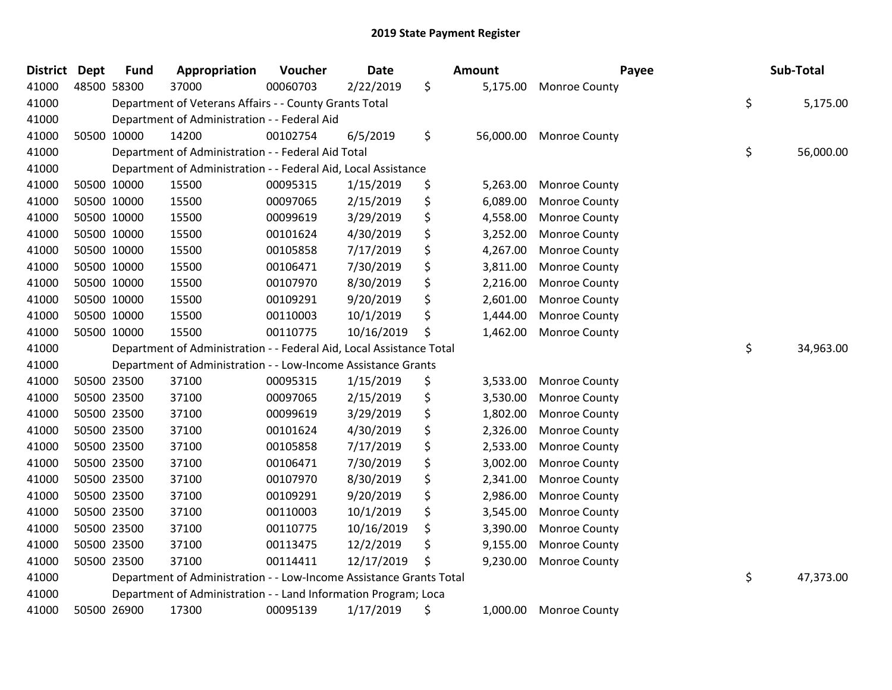| <b>District</b> | <b>Dept</b> | <b>Fund</b> | Appropriation                                                        | Voucher  | <b>Date</b> | <b>Amount</b>  | Payee                   | Sub-Total       |
|-----------------|-------------|-------------|----------------------------------------------------------------------|----------|-------------|----------------|-------------------------|-----------------|
| 41000           |             | 48500 58300 | 37000                                                                | 00060703 | 2/22/2019   | \$<br>5,175.00 | <b>Monroe County</b>    |                 |
| 41000           |             |             | Department of Veterans Affairs - - County Grants Total               |          |             |                |                         | \$<br>5,175.00  |
| 41000           |             |             | Department of Administration - - Federal Aid                         |          |             |                |                         |                 |
| 41000           |             | 50500 10000 | 14200                                                                | 00102754 | 6/5/2019    | \$             | 56,000.00 Monroe County |                 |
| 41000           |             |             | Department of Administration - - Federal Aid Total                   |          |             |                |                         | \$<br>56,000.00 |
| 41000           |             |             | Department of Administration - - Federal Aid, Local Assistance       |          |             |                |                         |                 |
| 41000           |             | 50500 10000 | 15500                                                                | 00095315 | 1/15/2019   | \$<br>5,263.00 | Monroe County           |                 |
| 41000           |             | 50500 10000 | 15500                                                                | 00097065 | 2/15/2019   | \$<br>6,089.00 | <b>Monroe County</b>    |                 |
| 41000           |             | 50500 10000 | 15500                                                                | 00099619 | 3/29/2019   | \$<br>4,558.00 | <b>Monroe County</b>    |                 |
| 41000           |             | 50500 10000 | 15500                                                                | 00101624 | 4/30/2019   | \$<br>3,252.00 | <b>Monroe County</b>    |                 |
| 41000           |             | 50500 10000 | 15500                                                                | 00105858 | 7/17/2019   | \$<br>4,267.00 | <b>Monroe County</b>    |                 |
| 41000           |             | 50500 10000 | 15500                                                                | 00106471 | 7/30/2019   | \$<br>3,811.00 | <b>Monroe County</b>    |                 |
| 41000           |             | 50500 10000 | 15500                                                                | 00107970 | 8/30/2019   | \$<br>2,216.00 | <b>Monroe County</b>    |                 |
| 41000           |             | 50500 10000 | 15500                                                                | 00109291 | 9/20/2019   | \$<br>2,601.00 | Monroe County           |                 |
| 41000           |             | 50500 10000 | 15500                                                                | 00110003 | 10/1/2019   | \$<br>1,444.00 | Monroe County           |                 |
| 41000           |             | 50500 10000 | 15500                                                                | 00110775 | 10/16/2019  | \$<br>1,462.00 | Monroe County           |                 |
| 41000           |             |             | Department of Administration - - Federal Aid, Local Assistance Total |          |             |                |                         | \$<br>34,963.00 |
| 41000           |             |             | Department of Administration - - Low-Income Assistance Grants        |          |             |                |                         |                 |
| 41000           |             | 50500 23500 | 37100                                                                | 00095315 | 1/15/2019   | \$<br>3,533.00 | <b>Monroe County</b>    |                 |
| 41000           |             | 50500 23500 | 37100                                                                | 00097065 | 2/15/2019   | \$<br>3,530.00 | <b>Monroe County</b>    |                 |
| 41000           |             | 50500 23500 | 37100                                                                | 00099619 | 3/29/2019   | \$<br>1,802.00 | <b>Monroe County</b>    |                 |
| 41000           |             | 50500 23500 | 37100                                                                | 00101624 | 4/30/2019   | \$<br>2,326.00 | <b>Monroe County</b>    |                 |
| 41000           |             | 50500 23500 | 37100                                                                | 00105858 | 7/17/2019   | \$<br>2,533.00 | <b>Monroe County</b>    |                 |
| 41000           |             | 50500 23500 | 37100                                                                | 00106471 | 7/30/2019   | \$<br>3,002.00 | <b>Monroe County</b>    |                 |
| 41000           |             | 50500 23500 | 37100                                                                | 00107970 | 8/30/2019   | \$<br>2,341.00 | Monroe County           |                 |
| 41000           |             | 50500 23500 | 37100                                                                | 00109291 | 9/20/2019   | \$<br>2,986.00 | Monroe County           |                 |
| 41000           |             | 50500 23500 | 37100                                                                | 00110003 | 10/1/2019   | \$<br>3,545.00 | <b>Monroe County</b>    |                 |
| 41000           |             | 50500 23500 | 37100                                                                | 00110775 | 10/16/2019  | \$<br>3,390.00 | <b>Monroe County</b>    |                 |
| 41000           |             | 50500 23500 | 37100                                                                | 00113475 | 12/2/2019   | \$<br>9,155.00 | Monroe County           |                 |
| 41000           |             | 50500 23500 | 37100                                                                | 00114411 | 12/17/2019  | \$<br>9,230.00 | <b>Monroe County</b>    |                 |
| 41000           |             |             | Department of Administration - - Low-Income Assistance Grants Total  |          |             |                |                         | \$<br>47,373.00 |
| 41000           |             |             | Department of Administration - - Land Information Program; Loca      |          |             |                |                         |                 |
| 41000           |             | 50500 26900 | 17300                                                                | 00095139 | 1/17/2019   | \$<br>1,000.00 | <b>Monroe County</b>    |                 |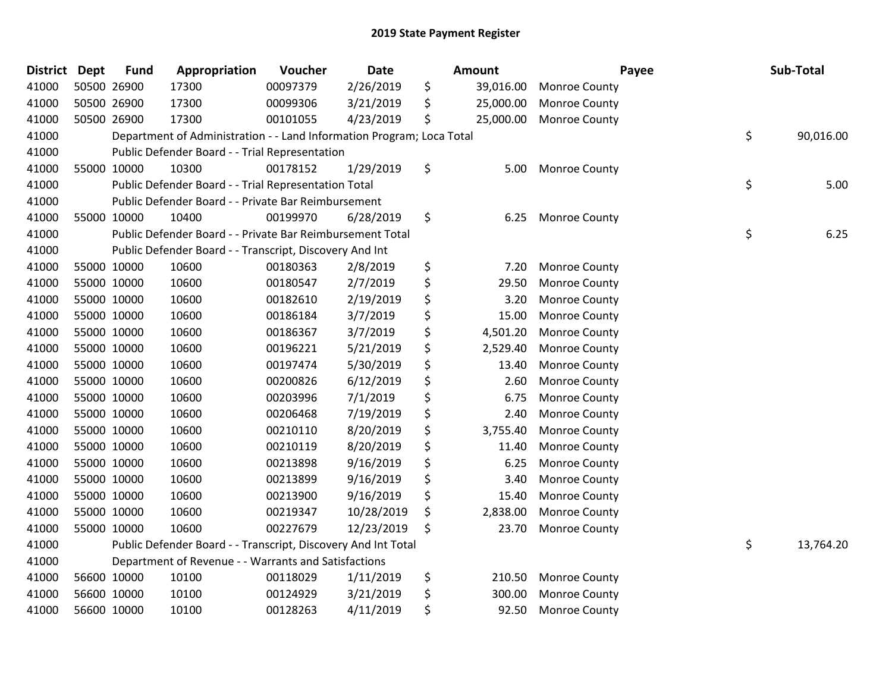| <b>District</b> | <b>Dept</b> | <b>Fund</b> | Appropriation                                                         | Voucher  | <b>Date</b> | <b>Amount</b>   | Payee                | Sub-Total       |
|-----------------|-------------|-------------|-----------------------------------------------------------------------|----------|-------------|-----------------|----------------------|-----------------|
| 41000           |             | 50500 26900 | 17300                                                                 | 00097379 | 2/26/2019   | \$<br>39,016.00 | <b>Monroe County</b> |                 |
| 41000           |             | 50500 26900 | 17300                                                                 | 00099306 | 3/21/2019   | \$<br>25,000.00 | <b>Monroe County</b> |                 |
| 41000           |             | 50500 26900 | 17300                                                                 | 00101055 | 4/23/2019   | \$<br>25,000.00 | <b>Monroe County</b> |                 |
| 41000           |             |             | Department of Administration - - Land Information Program; Loca Total |          |             |                 |                      | \$<br>90,016.00 |
| 41000           |             |             | Public Defender Board - - Trial Representation                        |          |             |                 |                      |                 |
| 41000           |             | 55000 10000 | 10300                                                                 | 00178152 | 1/29/2019   | \$<br>5.00      | <b>Monroe County</b> |                 |
| 41000           |             |             | Public Defender Board - - Trial Representation Total                  |          |             |                 |                      | \$<br>5.00      |
| 41000           |             |             | Public Defender Board - - Private Bar Reimbursement                   |          |             |                 |                      |                 |
| 41000           |             | 55000 10000 | 10400                                                                 | 00199970 | 6/28/2019   | \$<br>6.25      | <b>Monroe County</b> |                 |
| 41000           |             |             | Public Defender Board - - Private Bar Reimbursement Total             |          |             |                 |                      | \$<br>6.25      |
| 41000           |             |             | Public Defender Board - - Transcript, Discovery And Int               |          |             |                 |                      |                 |
| 41000           |             | 55000 10000 | 10600                                                                 | 00180363 | 2/8/2019    | \$<br>7.20      | <b>Monroe County</b> |                 |
| 41000           |             | 55000 10000 | 10600                                                                 | 00180547 | 2/7/2019    | \$<br>29.50     | Monroe County        |                 |
| 41000           |             | 55000 10000 | 10600                                                                 | 00182610 | 2/19/2019   | \$<br>3.20      | <b>Monroe County</b> |                 |
| 41000           |             | 55000 10000 | 10600                                                                 | 00186184 | 3/7/2019    | \$<br>15.00     | <b>Monroe County</b> |                 |
| 41000           |             | 55000 10000 | 10600                                                                 | 00186367 | 3/7/2019    | \$<br>4,501.20  | Monroe County        |                 |
| 41000           |             | 55000 10000 | 10600                                                                 | 00196221 | 5/21/2019   | \$<br>2,529.40  | Monroe County        |                 |
| 41000           |             | 55000 10000 | 10600                                                                 | 00197474 | 5/30/2019   | \$<br>13.40     | Monroe County        |                 |
| 41000           |             | 55000 10000 | 10600                                                                 | 00200826 | 6/12/2019   | \$<br>2.60      | <b>Monroe County</b> |                 |
| 41000           |             | 55000 10000 | 10600                                                                 | 00203996 | 7/1/2019    | \$<br>6.75      | <b>Monroe County</b> |                 |
| 41000           |             | 55000 10000 | 10600                                                                 | 00206468 | 7/19/2019   | \$<br>2.40      | Monroe County        |                 |
| 41000           |             | 55000 10000 | 10600                                                                 | 00210110 | 8/20/2019   | \$<br>3,755.40  | Monroe County        |                 |
| 41000           |             | 55000 10000 | 10600                                                                 | 00210119 | 8/20/2019   | \$<br>11.40     | Monroe County        |                 |
| 41000           |             | 55000 10000 | 10600                                                                 | 00213898 | 9/16/2019   | \$<br>6.25      | <b>Monroe County</b> |                 |
| 41000           |             | 55000 10000 | 10600                                                                 | 00213899 | 9/16/2019   | \$<br>3.40      | <b>Monroe County</b> |                 |
| 41000           |             | 55000 10000 | 10600                                                                 | 00213900 | 9/16/2019   | \$<br>15.40     | <b>Monroe County</b> |                 |
| 41000           |             | 55000 10000 | 10600                                                                 | 00219347 | 10/28/2019  | \$<br>2,838.00  | Monroe County        |                 |
| 41000           |             | 55000 10000 | 10600                                                                 | 00227679 | 12/23/2019  | \$<br>23.70     | <b>Monroe County</b> |                 |
| 41000           |             |             | Public Defender Board - - Transcript, Discovery And Int Total         |          |             |                 |                      | \$<br>13,764.20 |
| 41000           |             |             | Department of Revenue - - Warrants and Satisfactions                  |          |             |                 |                      |                 |
| 41000           |             | 56600 10000 | 10100                                                                 | 00118029 | 1/11/2019   | \$<br>210.50    | Monroe County        |                 |
| 41000           |             | 56600 10000 | 10100                                                                 | 00124929 | 3/21/2019   | \$<br>300.00    | <b>Monroe County</b> |                 |
| 41000           |             | 56600 10000 | 10100                                                                 | 00128263 | 4/11/2019   | \$<br>92.50     | <b>Monroe County</b> |                 |
|                 |             |             |                                                                       |          |             |                 |                      |                 |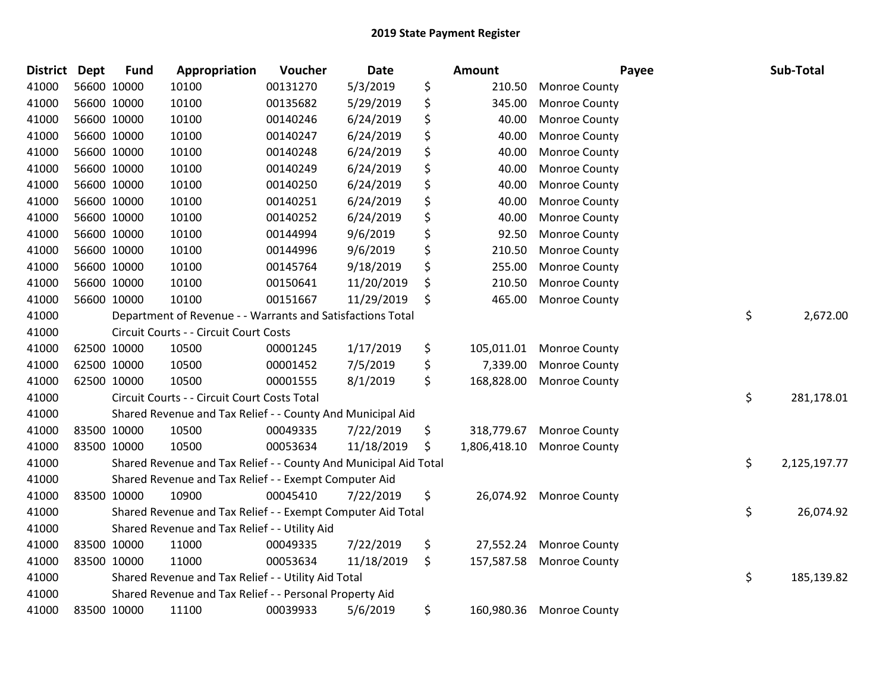| <b>District Dept</b> |             | <b>Fund</b> | Appropriation                                                    | Voucher  | <b>Date</b> | Amount             |                          | Payee | Sub-Total          |
|----------------------|-------------|-------------|------------------------------------------------------------------|----------|-------------|--------------------|--------------------------|-------|--------------------|
| 41000                |             | 56600 10000 | 10100                                                            | 00131270 | 5/3/2019    | \$<br>210.50       | <b>Monroe County</b>     |       |                    |
| 41000                |             | 56600 10000 | 10100                                                            | 00135682 | 5/29/2019   | \$<br>345.00       | <b>Monroe County</b>     |       |                    |
| 41000                |             | 56600 10000 | 10100                                                            | 00140246 | 6/24/2019   | \$<br>40.00        | Monroe County            |       |                    |
| 41000                |             | 56600 10000 | 10100                                                            | 00140247 | 6/24/2019   | \$<br>40.00        | Monroe County            |       |                    |
| 41000                |             | 56600 10000 | 10100                                                            | 00140248 | 6/24/2019   | \$<br>40.00        | <b>Monroe County</b>     |       |                    |
| 41000                |             | 56600 10000 | 10100                                                            | 00140249 | 6/24/2019   | \$<br>40.00        | Monroe County            |       |                    |
| 41000                |             | 56600 10000 | 10100                                                            | 00140250 | 6/24/2019   | \$<br>40.00        | Monroe County            |       |                    |
| 41000                |             | 56600 10000 | 10100                                                            | 00140251 | 6/24/2019   | \$<br>40.00        | Monroe County            |       |                    |
| 41000                |             | 56600 10000 | 10100                                                            | 00140252 | 6/24/2019   | \$<br>40.00        | Monroe County            |       |                    |
| 41000                |             | 56600 10000 | 10100                                                            | 00144994 | 9/6/2019    | \$<br>92.50        | Monroe County            |       |                    |
| 41000                |             | 56600 10000 | 10100                                                            | 00144996 | 9/6/2019    | \$<br>210.50       | Monroe County            |       |                    |
| 41000                |             | 56600 10000 | 10100                                                            | 00145764 | 9/18/2019   | \$<br>255.00       | Monroe County            |       |                    |
| 41000                |             | 56600 10000 | 10100                                                            | 00150641 | 11/20/2019  | \$<br>210.50       | Monroe County            |       |                    |
| 41000                |             | 56600 10000 | 10100                                                            | 00151667 | 11/29/2019  | \$<br>465.00       | Monroe County            |       |                    |
| 41000                |             |             | Department of Revenue - - Warrants and Satisfactions Total       |          |             |                    |                          |       | \$<br>2,672.00     |
| 41000                |             |             | Circuit Courts - - Circuit Court Costs                           |          |             |                    |                          |       |                    |
| 41000                |             | 62500 10000 | 10500                                                            | 00001245 | 1/17/2019   | \$<br>105,011.01   | Monroe County            |       |                    |
| 41000                |             | 62500 10000 | 10500                                                            | 00001452 | 7/5/2019    | \$<br>7,339.00     | Monroe County            |       |                    |
| 41000                |             | 62500 10000 | 10500                                                            | 00001555 | 8/1/2019    | \$<br>168,828.00   | <b>Monroe County</b>     |       |                    |
| 41000                |             |             | Circuit Courts - - Circuit Court Costs Total                     |          |             |                    |                          |       | \$<br>281,178.01   |
| 41000                |             |             | Shared Revenue and Tax Relief - - County And Municipal Aid       |          |             |                    |                          |       |                    |
| 41000                |             | 83500 10000 | 10500                                                            | 00049335 | 7/22/2019   | \$<br>318,779.67   | Monroe County            |       |                    |
| 41000                | 83500 10000 |             | 10500                                                            | 00053634 | 11/18/2019  | \$<br>1,806,418.10 | <b>Monroe County</b>     |       |                    |
| 41000                |             |             | Shared Revenue and Tax Relief - - County And Municipal Aid Total |          |             |                    |                          |       | \$<br>2,125,197.77 |
| 41000                |             |             | Shared Revenue and Tax Relief - - Exempt Computer Aid            |          |             |                    |                          |       |                    |
| 41000                |             | 83500 10000 | 10900                                                            | 00045410 | 7/22/2019   | \$<br>26,074.92    | <b>Monroe County</b>     |       |                    |
| 41000                |             |             | Shared Revenue and Tax Relief - - Exempt Computer Aid Total      |          |             |                    |                          |       | \$<br>26,074.92    |
| 41000                |             |             | Shared Revenue and Tax Relief - - Utility Aid                    |          |             |                    |                          |       |                    |
| 41000                |             | 83500 10000 | 11000                                                            | 00049335 | 7/22/2019   | \$<br>27,552.24    | Monroe County            |       |                    |
| 41000                |             | 83500 10000 | 11000                                                            | 00053634 | 11/18/2019  | \$<br>157,587.58   | <b>Monroe County</b>     |       |                    |
| 41000                |             |             | Shared Revenue and Tax Relief - - Utility Aid Total              |          |             |                    |                          |       | \$<br>185,139.82   |
| 41000                |             |             | Shared Revenue and Tax Relief - - Personal Property Aid          |          |             |                    |                          |       |                    |
| 41000                |             | 83500 10000 | 11100                                                            | 00039933 | 5/6/2019    | \$                 | 160,980.36 Monroe County |       |                    |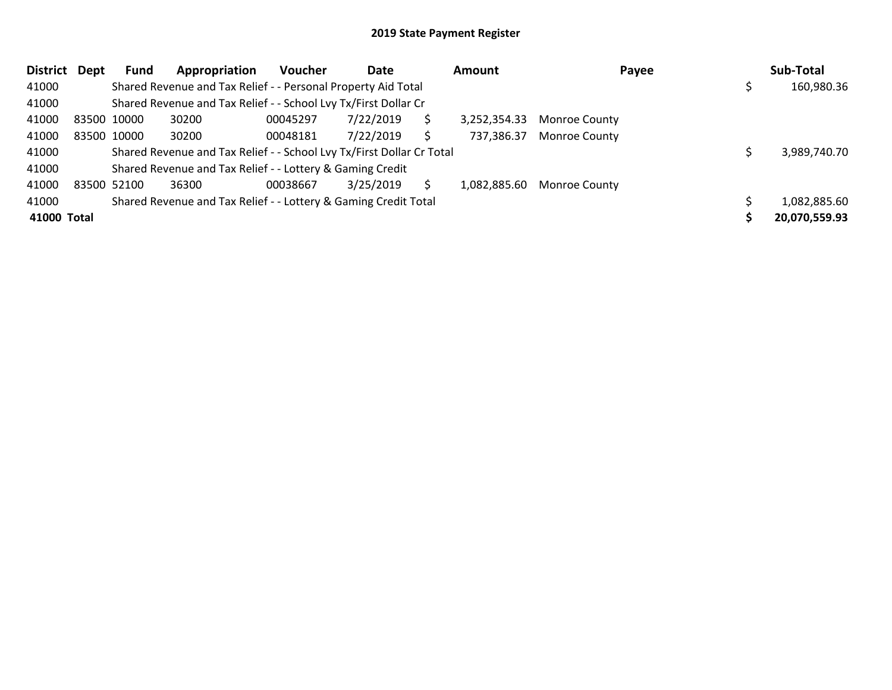| <b>District</b> | Dept | <b>Fund</b> | Appropriation                                                         | <b>Voucher</b> | Date      |   | <b>Amount</b> | Payee                | Sub-Total     |
|-----------------|------|-------------|-----------------------------------------------------------------------|----------------|-----------|---|---------------|----------------------|---------------|
| 41000           |      |             | Shared Revenue and Tax Relief - - Personal Property Aid Total         |                |           |   |               |                      | 160,980.36    |
| 41000           |      |             | Shared Revenue and Tax Relief - - School Lvy Tx/First Dollar Cr       |                |           |   |               |                      |               |
| 41000           |      | 83500 10000 | 30200                                                                 | 00045297       | 7/22/2019 | S | 3,252,354.33  | <b>Monroe County</b> |               |
| 41000           |      | 83500 10000 | 30200                                                                 | 00048181       | 7/22/2019 | S | 737,386.37    | <b>Monroe County</b> |               |
| 41000           |      |             | Shared Revenue and Tax Relief - - School Lvy Tx/First Dollar Cr Total |                |           |   |               |                      | 3,989,740.70  |
| 41000           |      |             | Shared Revenue and Tax Relief - - Lottery & Gaming Credit             |                |           |   |               |                      |               |
| 41000           |      | 83500 52100 | 36300                                                                 | 00038667       | 3/25/2019 |   | 1,082,885.60  | <b>Monroe County</b> |               |
| 41000           |      |             | Shared Revenue and Tax Relief - - Lottery & Gaming Credit Total       |                |           |   |               |                      | 1,082,885.60  |
| 41000 Total     |      |             |                                                                       |                |           |   |               |                      | 20,070,559.93 |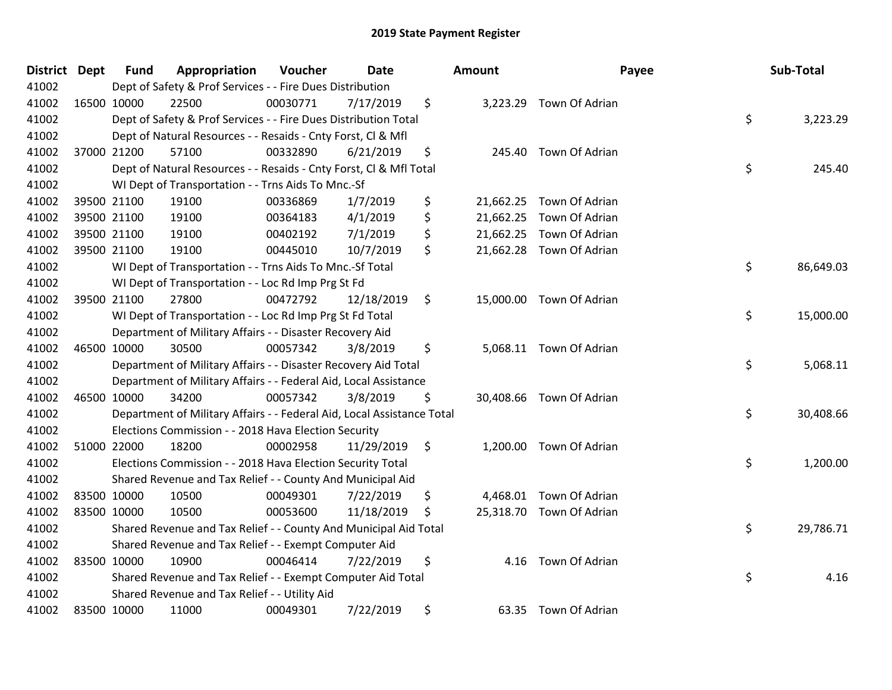| <b>District</b> | <b>Dept</b> | <b>Fund</b> | Appropriation                                                          | Voucher  | <b>Date</b> |                | Amount | Payee                    | Sub-Total       |
|-----------------|-------------|-------------|------------------------------------------------------------------------|----------|-------------|----------------|--------|--------------------------|-----------------|
| 41002           |             |             | Dept of Safety & Prof Services - - Fire Dues Distribution              |          |             |                |        |                          |                 |
| 41002           | 16500 10000 |             | 22500                                                                  | 00030771 | 7/17/2019   | \$             |        | 3,223.29 Town Of Adrian  |                 |
| 41002           |             |             | Dept of Safety & Prof Services - - Fire Dues Distribution Total        |          |             |                |        |                          | \$<br>3,223.29  |
| 41002           |             |             | Dept of Natural Resources - - Resaids - Cnty Forst, Cl & Mfl           |          |             |                |        |                          |                 |
| 41002           |             | 37000 21200 | 57100                                                                  | 00332890 | 6/21/2019   | \$             | 245.40 | Town Of Adrian           |                 |
| 41002           |             |             | Dept of Natural Resources - - Resaids - Cnty Forst, Cl & Mfl Total     |          |             |                |        |                          | \$<br>245.40    |
| 41002           |             |             | WI Dept of Transportation - - Trns Aids To Mnc.-Sf                     |          |             |                |        |                          |                 |
| 41002           |             | 39500 21100 | 19100                                                                  | 00336869 | 1/7/2019    | \$             |        | 21,662.25 Town Of Adrian |                 |
| 41002           |             | 39500 21100 | 19100                                                                  | 00364183 | 4/1/2019    | \$             |        | 21,662.25 Town Of Adrian |                 |
| 41002           |             | 39500 21100 | 19100                                                                  | 00402192 | 7/1/2019    | \$             |        | 21,662.25 Town Of Adrian |                 |
| 41002           |             | 39500 21100 | 19100                                                                  | 00445010 | 10/7/2019   | \$             |        | 21,662.28 Town Of Adrian |                 |
| 41002           |             |             | WI Dept of Transportation - - Trns Aids To Mnc.-Sf Total               |          |             |                |        |                          | \$<br>86,649.03 |
| 41002           |             |             | WI Dept of Transportation - - Loc Rd Imp Prg St Fd                     |          |             |                |        |                          |                 |
| 41002           |             | 39500 21100 | 27800                                                                  | 00472792 | 12/18/2019  | \$             |        | 15,000.00 Town Of Adrian |                 |
| 41002           |             |             | WI Dept of Transportation - - Loc Rd Imp Prg St Fd Total               |          |             |                |        |                          | \$<br>15,000.00 |
| 41002           |             |             | Department of Military Affairs - - Disaster Recovery Aid               |          |             |                |        |                          |                 |
| 41002           | 46500 10000 |             | 30500                                                                  | 00057342 | 3/8/2019    | \$             |        | 5,068.11 Town Of Adrian  |                 |
| 41002           |             |             | Department of Military Affairs - - Disaster Recovery Aid Total         |          |             |                |        |                          | \$<br>5,068.11  |
| 41002           |             |             | Department of Military Affairs - - Federal Aid, Local Assistance       |          |             |                |        |                          |                 |
| 41002           | 46500 10000 |             | 34200                                                                  | 00057342 | 3/8/2019    | \$             |        | 30,408.66 Town Of Adrian |                 |
| 41002           |             |             | Department of Military Affairs - - Federal Aid, Local Assistance Total |          |             |                |        |                          | \$<br>30,408.66 |
| 41002           |             |             | Elections Commission - - 2018 Hava Election Security                   |          |             |                |        |                          |                 |
| 41002           |             | 51000 22000 | 18200                                                                  | 00002958 | 11/29/2019  | $\ddot{\zeta}$ |        | 1,200.00 Town Of Adrian  |                 |
| 41002           |             |             | Elections Commission - - 2018 Hava Election Security Total             |          |             |                |        |                          | \$<br>1,200.00  |
| 41002           |             |             | Shared Revenue and Tax Relief - - County And Municipal Aid             |          |             |                |        |                          |                 |
| 41002           | 83500 10000 |             | 10500                                                                  | 00049301 | 7/22/2019   | \$             |        | 4,468.01 Town Of Adrian  |                 |
| 41002           | 83500 10000 |             | 10500                                                                  | 00053600 | 11/18/2019  | \$             |        | 25,318.70 Town Of Adrian |                 |
| 41002           |             |             | Shared Revenue and Tax Relief - - County And Municipal Aid Total       |          |             |                |        |                          | \$<br>29,786.71 |
| 41002           |             |             | Shared Revenue and Tax Relief - - Exempt Computer Aid                  |          |             |                |        |                          |                 |
| 41002           | 83500 10000 |             | 10900                                                                  | 00046414 | 7/22/2019   | \$             | 4.16   | Town Of Adrian           |                 |
| 41002           |             |             | Shared Revenue and Tax Relief - - Exempt Computer Aid Total            |          |             |                |        |                          | \$<br>4.16      |
| 41002           |             |             | Shared Revenue and Tax Relief - - Utility Aid                          |          |             |                |        |                          |                 |
| 41002           | 83500 10000 |             | 11000                                                                  | 00049301 | 7/22/2019   | \$             |        | 63.35 Town Of Adrian     |                 |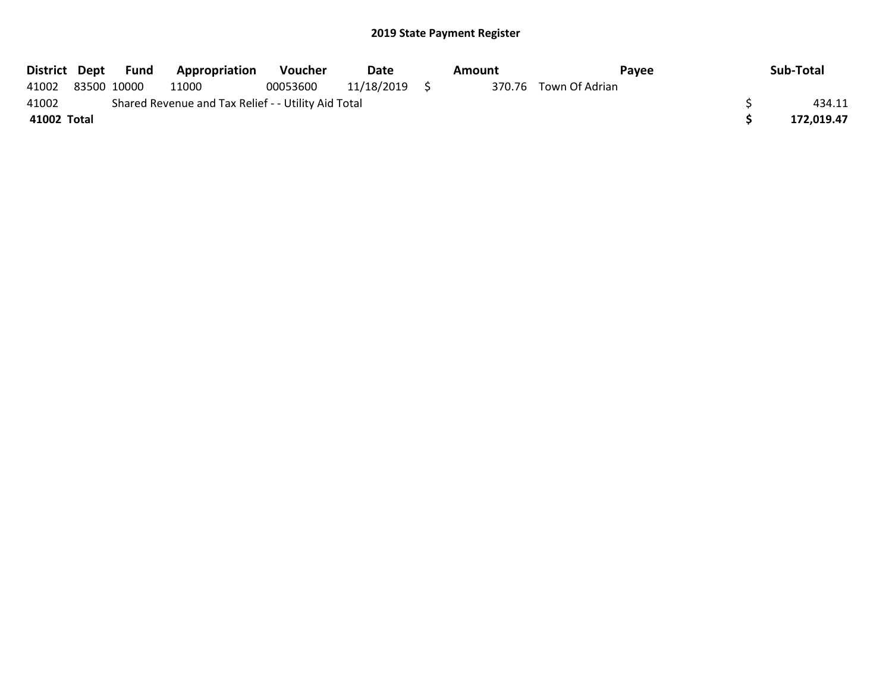|             |             | District Dept Fund | <b>Appropriation</b>                                | <b>Voucher</b> | Date       | Amount | Pavee                 | Sub-Total  |
|-------------|-------------|--------------------|-----------------------------------------------------|----------------|------------|--------|-----------------------|------------|
| 41002       | 83500 10000 |                    | 11000                                               | 00053600       | 11/18/2019 |        | 370.76 Town Of Adrian |            |
| 41002       |             |                    | Shared Revenue and Tax Relief - - Utility Aid Total |                |            |        |                       | 434.11     |
| 41002 Total |             |                    |                                                     |                |            |        |                       | 172.019.47 |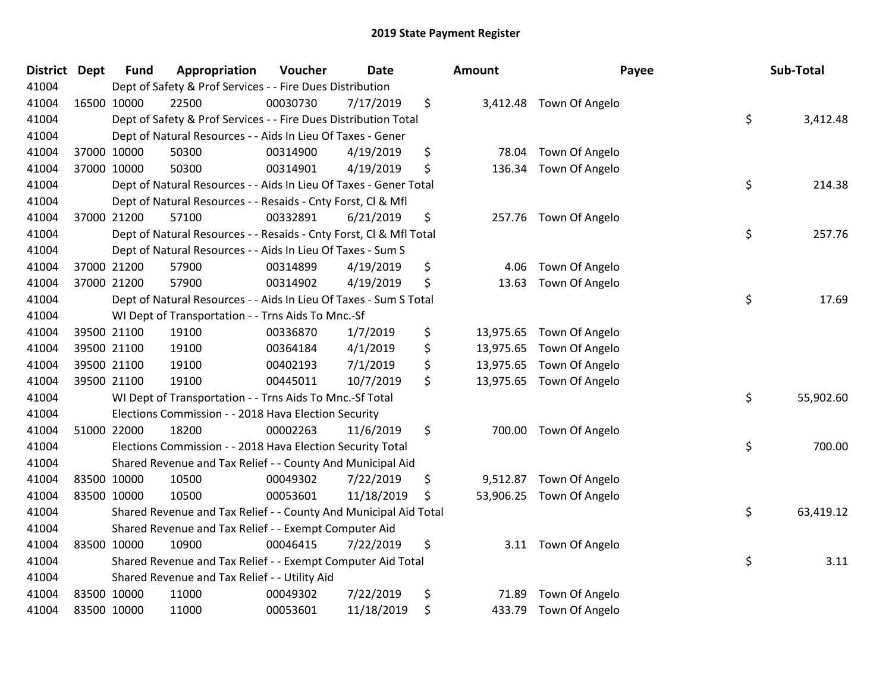| <b>District</b> | <b>Dept</b> | <b>Fund</b> | Appropriation                                                      | Voucher  | <b>Date</b> | <b>Amount</b>   |                          | Payee | Sub-Total |
|-----------------|-------------|-------------|--------------------------------------------------------------------|----------|-------------|-----------------|--------------------------|-------|-----------|
| 41004           |             |             | Dept of Safety & Prof Services - - Fire Dues Distribution          |          |             |                 |                          |       |           |
| 41004           |             | 16500 10000 | 22500                                                              | 00030730 | 7/17/2019   | \$              | 3,412.48 Town Of Angelo  |       |           |
| 41004           |             |             | Dept of Safety & Prof Services - - Fire Dues Distribution Total    |          |             |                 |                          | \$    | 3,412.48  |
| 41004           |             |             | Dept of Natural Resources - - Aids In Lieu Of Taxes - Gener        |          |             |                 |                          |       |           |
| 41004           |             | 37000 10000 | 50300                                                              | 00314900 | 4/19/2019   | \$<br>78.04     | Town Of Angelo           |       |           |
| 41004           |             | 37000 10000 | 50300                                                              | 00314901 | 4/19/2019   | \$<br>136.34    | Town Of Angelo           |       |           |
| 41004           |             |             | Dept of Natural Resources - - Aids In Lieu Of Taxes - Gener Total  |          |             |                 |                          | \$    | 214.38    |
| 41004           |             |             | Dept of Natural Resources - - Resaids - Cnty Forst, Cl & Mfl       |          |             |                 |                          |       |           |
| 41004           |             | 37000 21200 | 57100                                                              | 00332891 | 6/21/2019   | \$<br>257.76    | Town Of Angelo           |       |           |
| 41004           |             |             | Dept of Natural Resources - - Resaids - Cnty Forst, Cl & Mfl Total |          |             |                 |                          | \$    | 257.76    |
| 41004           |             |             | Dept of Natural Resources - - Aids In Lieu Of Taxes - Sum S        |          |             |                 |                          |       |           |
| 41004           |             | 37000 21200 | 57900                                                              | 00314899 | 4/19/2019   | \$<br>4.06      | Town Of Angelo           |       |           |
| 41004           |             | 37000 21200 | 57900                                                              | 00314902 | 4/19/2019   | \$<br>13.63     | Town Of Angelo           |       |           |
| 41004           |             |             | Dept of Natural Resources - - Aids In Lieu Of Taxes - Sum S Total  |          |             |                 |                          | \$    | 17.69     |
| 41004           |             |             | WI Dept of Transportation - - Trns Aids To Mnc.-Sf                 |          |             |                 |                          |       |           |
| 41004           |             | 39500 21100 | 19100                                                              | 00336870 | 1/7/2019    | \$<br>13,975.65 | Town Of Angelo           |       |           |
| 41004           |             | 39500 21100 | 19100                                                              | 00364184 | 4/1/2019    | \$<br>13,975.65 | Town Of Angelo           |       |           |
| 41004           |             | 39500 21100 | 19100                                                              | 00402193 | 7/1/2019    | \$<br>13,975.65 | Town Of Angelo           |       |           |
| 41004           |             | 39500 21100 | 19100                                                              | 00445011 | 10/7/2019   | \$              | 13,975.65 Town Of Angelo |       |           |
| 41004           |             |             | WI Dept of Transportation - - Trns Aids To Mnc.-Sf Total           |          |             |                 |                          | \$    | 55,902.60 |
| 41004           |             |             | Elections Commission - - 2018 Hava Election Security               |          |             |                 |                          |       |           |
| 41004           |             | 51000 22000 | 18200                                                              | 00002263 | 11/6/2019   | \$<br>700.00    | Town Of Angelo           |       |           |
| 41004           |             |             | Elections Commission - - 2018 Hava Election Security Total         |          |             |                 |                          | \$    | 700.00    |
| 41004           |             |             | Shared Revenue and Tax Relief - - County And Municipal Aid         |          |             |                 |                          |       |           |
| 41004           |             | 83500 10000 | 10500                                                              | 00049302 | 7/22/2019   | \$<br>9,512.87  | Town Of Angelo           |       |           |
| 41004           |             | 83500 10000 | 10500                                                              | 00053601 | 11/18/2019  | \$<br>53,906.25 | Town Of Angelo           |       |           |
| 41004           |             |             | Shared Revenue and Tax Relief - - County And Municipal Aid Total   |          |             |                 |                          | \$    | 63,419.12 |
| 41004           |             |             | Shared Revenue and Tax Relief - - Exempt Computer Aid              |          |             |                 |                          |       |           |
| 41004           | 83500 10000 |             | 10900                                                              | 00046415 | 7/22/2019   | \$              | 3.11 Town Of Angelo      |       |           |
| 41004           |             |             | Shared Revenue and Tax Relief - - Exempt Computer Aid Total        |          |             |                 |                          | \$    | 3.11      |
| 41004           |             |             | Shared Revenue and Tax Relief - - Utility Aid                      |          |             |                 |                          |       |           |
| 41004           |             | 83500 10000 | 11000                                                              | 00049302 | 7/22/2019   | \$<br>71.89     | Town Of Angelo           |       |           |
| 41004           |             | 83500 10000 | 11000                                                              | 00053601 | 11/18/2019  | \$<br>433.79    | Town Of Angelo           |       |           |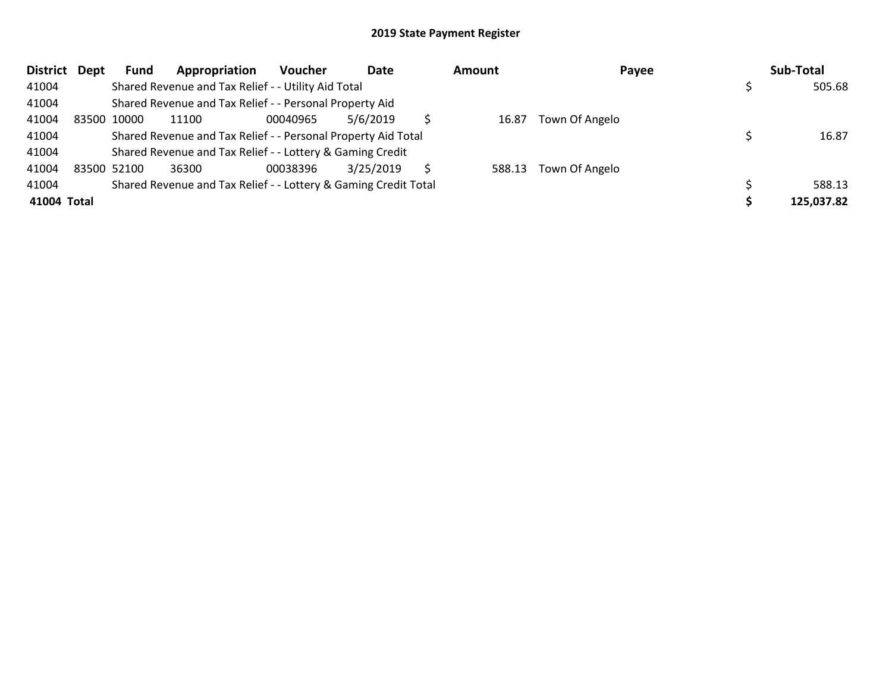| <b>District</b> | Dept | <b>Fund</b> | Appropriation                                                   | <b>Voucher</b> | Date      | <b>Amount</b> | Payee          | Sub-Total  |
|-----------------|------|-------------|-----------------------------------------------------------------|----------------|-----------|---------------|----------------|------------|
| 41004           |      |             | Shared Revenue and Tax Relief - - Utility Aid Total             |                |           |               |                | 505.68     |
| 41004           |      |             | Shared Revenue and Tax Relief - - Personal Property Aid         |                |           |               |                |            |
| 41004           |      | 83500 10000 | 11100                                                           | 00040965       | 5/6/2019  | 16.87         | Town Of Angelo |            |
| 41004           |      |             | Shared Revenue and Tax Relief - - Personal Property Aid Total   |                |           |               |                | 16.87      |
| 41004           |      |             | Shared Revenue and Tax Relief - - Lottery & Gaming Credit       |                |           |               |                |            |
| 41004           |      | 83500 52100 | 36300                                                           | 00038396       | 3/25/2019 | 588.13        | Town Of Angelo |            |
| 41004           |      |             | Shared Revenue and Tax Relief - - Lottery & Gaming Credit Total |                |           |               |                | 588.13     |
| 41004 Total     |      |             |                                                                 |                |           |               |                | 125,037.82 |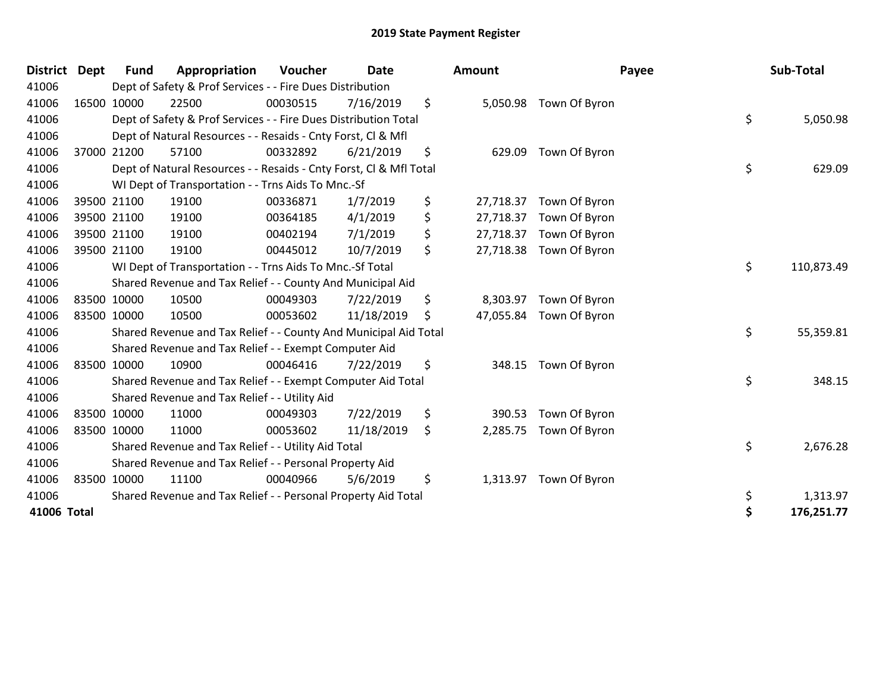| <b>District</b> | <b>Dept</b> | <b>Fund</b> | Appropriation                                                      | Voucher  | <b>Date</b> |     | <b>Amount</b> |                         | Payee | Sub-Total  |
|-----------------|-------------|-------------|--------------------------------------------------------------------|----------|-------------|-----|---------------|-------------------------|-------|------------|
| 41006           |             |             | Dept of Safety & Prof Services - - Fire Dues Distribution          |          |             |     |               |                         |       |            |
| 41006           |             | 16500 10000 | 22500                                                              | 00030515 | 7/16/2019   | \$  |               | 5,050.98 Town Of Byron  |       |            |
| 41006           |             |             | Dept of Safety & Prof Services - - Fire Dues Distribution Total    |          |             |     |               |                         | \$    | 5,050.98   |
| 41006           |             |             | Dept of Natural Resources - - Resaids - Cnty Forst, CI & Mfl       |          |             |     |               |                         |       |            |
| 41006           |             | 37000 21200 | 57100                                                              | 00332892 | 6/21/2019   | \$  | 629.09        | Town Of Byron           |       |            |
| 41006           |             |             | Dept of Natural Resources - - Resaids - Cnty Forst, CI & Mfl Total |          |             |     |               |                         | \$    | 629.09     |
| 41006           |             |             | WI Dept of Transportation - - Trns Aids To Mnc.-Sf                 |          |             |     |               |                         |       |            |
| 41006           |             | 39500 21100 | 19100                                                              | 00336871 | 1/7/2019    | \$  | 27,718.37     | Town Of Byron           |       |            |
| 41006           |             | 39500 21100 | 19100                                                              | 00364185 | 4/1/2019    | \$  | 27,718.37     | Town Of Byron           |       |            |
| 41006           |             | 39500 21100 | 19100                                                              | 00402194 | 7/1/2019    | \$  | 27,718.37     | Town Of Byron           |       |            |
| 41006           |             | 39500 21100 | 19100                                                              | 00445012 | 10/7/2019   | \$  |               | 27,718.38 Town Of Byron |       |            |
| 41006           |             |             | WI Dept of Transportation - - Trns Aids To Mnc.-Sf Total           |          |             |     |               |                         | \$    | 110,873.49 |
| 41006           |             |             | Shared Revenue and Tax Relief - - County And Municipal Aid         |          |             |     |               |                         |       |            |
| 41006           |             | 83500 10000 | 10500                                                              | 00049303 | 7/22/2019   | \$  | 8,303.97      | Town Of Byron           |       |            |
| 41006           |             | 83500 10000 | 10500                                                              | 00053602 | 11/18/2019  | \$. |               | 47,055.84 Town Of Byron |       |            |
| 41006           |             |             | Shared Revenue and Tax Relief - - County And Municipal Aid Total   |          |             |     |               |                         | \$    | 55,359.81  |
| 41006           |             |             | Shared Revenue and Tax Relief - - Exempt Computer Aid              |          |             |     |               |                         |       |            |
| 41006           |             | 83500 10000 | 10900                                                              | 00046416 | 7/22/2019   | \$  | 348.15        | Town Of Byron           |       |            |
| 41006           |             |             | Shared Revenue and Tax Relief - - Exempt Computer Aid Total        |          |             |     |               |                         | \$    | 348.15     |
| 41006           |             |             | Shared Revenue and Tax Relief - - Utility Aid                      |          |             |     |               |                         |       |            |
| 41006           |             | 83500 10000 | 11000                                                              | 00049303 | 7/22/2019   | \$  | 390.53        | Town Of Byron           |       |            |
| 41006           |             | 83500 10000 | 11000                                                              | 00053602 | 11/18/2019  | \$  | 2,285.75      | Town Of Byron           |       |            |
| 41006           |             |             | Shared Revenue and Tax Relief - - Utility Aid Total                |          |             |     |               |                         | \$    | 2,676.28   |
| 41006           |             |             | Shared Revenue and Tax Relief - - Personal Property Aid            |          |             |     |               |                         |       |            |
| 41006           |             | 83500 10000 | 11100                                                              | 00040966 | 5/6/2019    | \$  | 1,313.97      | Town Of Byron           |       |            |
| 41006           |             |             | Shared Revenue and Tax Relief - - Personal Property Aid Total      |          |             |     |               |                         | \$    | 1,313.97   |
| 41006 Total     |             |             |                                                                    |          |             |     |               |                         | \$    | 176,251.77 |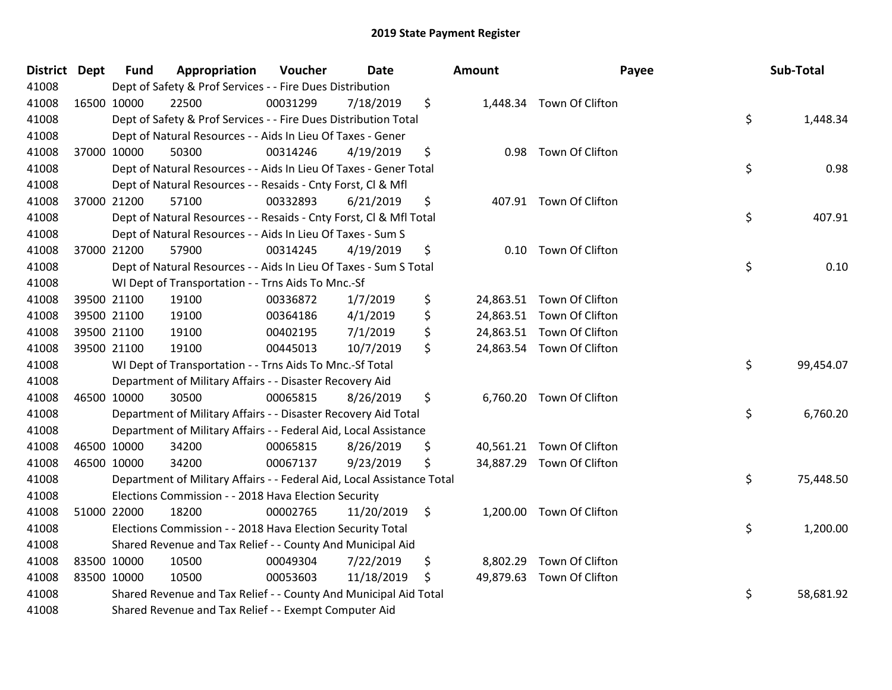| District Dept | <b>Fund</b> | Appropriation                                                          | Voucher  | <b>Date</b> | <b>Amount</b> |                           | Payee | Sub-Total |
|---------------|-------------|------------------------------------------------------------------------|----------|-------------|---------------|---------------------------|-------|-----------|
| 41008         |             | Dept of Safety & Prof Services - - Fire Dues Distribution              |          |             |               |                           |       |           |
| 41008         | 16500 10000 | 22500                                                                  | 00031299 | 7/18/2019   | \$            | 1,448.34 Town Of Clifton  |       |           |
| 41008         |             | Dept of Safety & Prof Services - - Fire Dues Distribution Total        |          |             |               |                           | \$    | 1,448.34  |
| 41008         |             | Dept of Natural Resources - - Aids In Lieu Of Taxes - Gener            |          |             |               |                           |       |           |
| 41008         | 37000 10000 | 50300                                                                  | 00314246 | 4/19/2019   | \$<br>0.98    | Town Of Clifton           |       |           |
| 41008         |             | Dept of Natural Resources - - Aids In Lieu Of Taxes - Gener Total      |          |             |               |                           | \$    | 0.98      |
| 41008         |             | Dept of Natural Resources - - Resaids - Cnty Forst, Cl & Mfl           |          |             |               |                           |       |           |
| 41008         | 37000 21200 | 57100                                                                  | 00332893 | 6/21/2019   | \$            | 407.91 Town Of Clifton    |       |           |
| 41008         |             | Dept of Natural Resources - - Resaids - Cnty Forst, CI & Mfl Total     |          |             |               |                           | \$    | 407.91    |
| 41008         |             | Dept of Natural Resources - - Aids In Lieu Of Taxes - Sum S            |          |             |               |                           |       |           |
| 41008         | 37000 21200 | 57900                                                                  | 00314245 | 4/19/2019   | \$            | 0.10 Town Of Clifton      |       |           |
| 41008         |             | Dept of Natural Resources - - Aids In Lieu Of Taxes - Sum S Total      |          |             |               |                           | \$    | 0.10      |
| 41008         |             | WI Dept of Transportation - - Trns Aids To Mnc.-Sf                     |          |             |               |                           |       |           |
| 41008         | 39500 21100 | 19100                                                                  | 00336872 | 1/7/2019    | \$            | 24,863.51 Town Of Clifton |       |           |
| 41008         | 39500 21100 | 19100                                                                  | 00364186 | 4/1/2019    | \$            | 24,863.51 Town Of Clifton |       |           |
| 41008         | 39500 21100 | 19100                                                                  | 00402195 | 7/1/2019    | \$            | 24,863.51 Town Of Clifton |       |           |
| 41008         | 39500 21100 | 19100                                                                  | 00445013 | 10/7/2019   | \$            | 24,863.54 Town Of Clifton |       |           |
| 41008         |             | WI Dept of Transportation - - Trns Aids To Mnc.-Sf Total               |          |             |               |                           | \$    | 99,454.07 |
| 41008         |             | Department of Military Affairs - - Disaster Recovery Aid               |          |             |               |                           |       |           |
| 41008         | 46500 10000 | 30500                                                                  | 00065815 | 8/26/2019   | \$            | 6,760.20 Town Of Clifton  |       |           |
| 41008         |             | Department of Military Affairs - - Disaster Recovery Aid Total         |          |             |               |                           | \$    | 6,760.20  |
| 41008         |             | Department of Military Affairs - - Federal Aid, Local Assistance       |          |             |               |                           |       |           |
| 41008         | 46500 10000 | 34200                                                                  | 00065815 | 8/26/2019   | \$            | 40,561.21 Town Of Clifton |       |           |
| 41008         | 46500 10000 | 34200                                                                  | 00067137 | 9/23/2019   | \$            | 34,887.29 Town Of Clifton |       |           |
| 41008         |             | Department of Military Affairs - - Federal Aid, Local Assistance Total |          |             |               |                           | \$    | 75,448.50 |
| 41008         |             | Elections Commission - - 2018 Hava Election Security                   |          |             |               |                           |       |           |
| 41008         | 51000 22000 | 18200                                                                  | 00002765 | 11/20/2019  | \$            | 1,200.00 Town Of Clifton  |       |           |
| 41008         |             | Elections Commission - - 2018 Hava Election Security Total             |          |             |               |                           | \$    | 1,200.00  |
| 41008         |             | Shared Revenue and Tax Relief - - County And Municipal Aid             |          |             |               |                           |       |           |
| 41008         | 83500 10000 | 10500                                                                  | 00049304 | 7/22/2019   | \$            | 8,802.29 Town Of Clifton  |       |           |
| 41008         | 83500 10000 | 10500                                                                  | 00053603 | 11/18/2019  | \$            | 49,879.63 Town Of Clifton |       |           |
| 41008         |             | Shared Revenue and Tax Relief - - County And Municipal Aid Total       |          |             |               |                           | \$    | 58,681.92 |
| 41008         |             | Shared Revenue and Tax Relief - - Exempt Computer Aid                  |          |             |               |                           |       |           |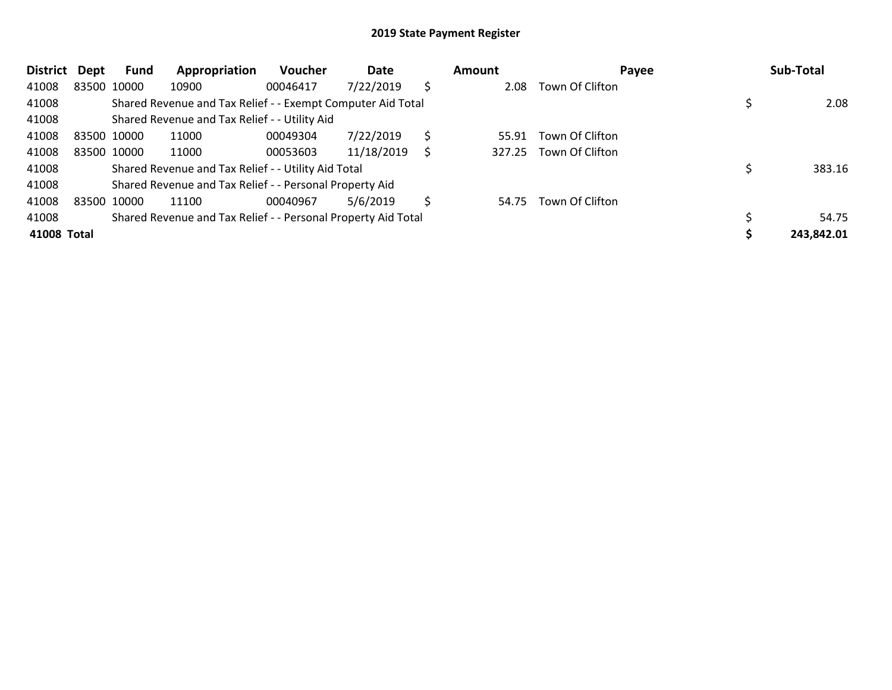| <b>District</b> | Dept        | Fund        | Appropriation                                                 | <b>Voucher</b> | Date       |    | <b>Amount</b> | Payee           | Sub-Total  |
|-----------------|-------------|-------------|---------------------------------------------------------------|----------------|------------|----|---------------|-----------------|------------|
| 41008           |             | 83500 10000 | 10900                                                         | 00046417       | 7/22/2019  | \$ | 2.08          | Town Of Clifton |            |
| 41008           |             |             | Shared Revenue and Tax Relief - - Exempt Computer Aid Total   |                |            |    |               |                 | 2.08       |
| 41008           |             |             | Shared Revenue and Tax Relief - - Utility Aid                 |                |            |    |               |                 |            |
| 41008           | 83500 10000 |             | 11000                                                         | 00049304       | 7/22/2019  | S  | 55.91         | Town Of Clifton |            |
| 41008           |             | 83500 10000 | 11000                                                         | 00053603       | 11/18/2019 | S  | 327.25        | Town Of Clifton |            |
| 41008           |             |             | Shared Revenue and Tax Relief - - Utility Aid Total           |                |            |    |               |                 | 383.16     |
| 41008           |             |             | Shared Revenue and Tax Relief - - Personal Property Aid       |                |            |    |               |                 |            |
| 41008           |             | 83500 10000 | 11100                                                         | 00040967       | 5/6/2019   | \$ | 54.75         | Town Of Clifton |            |
| 41008           |             |             | Shared Revenue and Tax Relief - - Personal Property Aid Total |                |            |    |               |                 | 54.75      |
| 41008 Total     |             |             |                                                               |                |            |    |               |                 | 243,842.01 |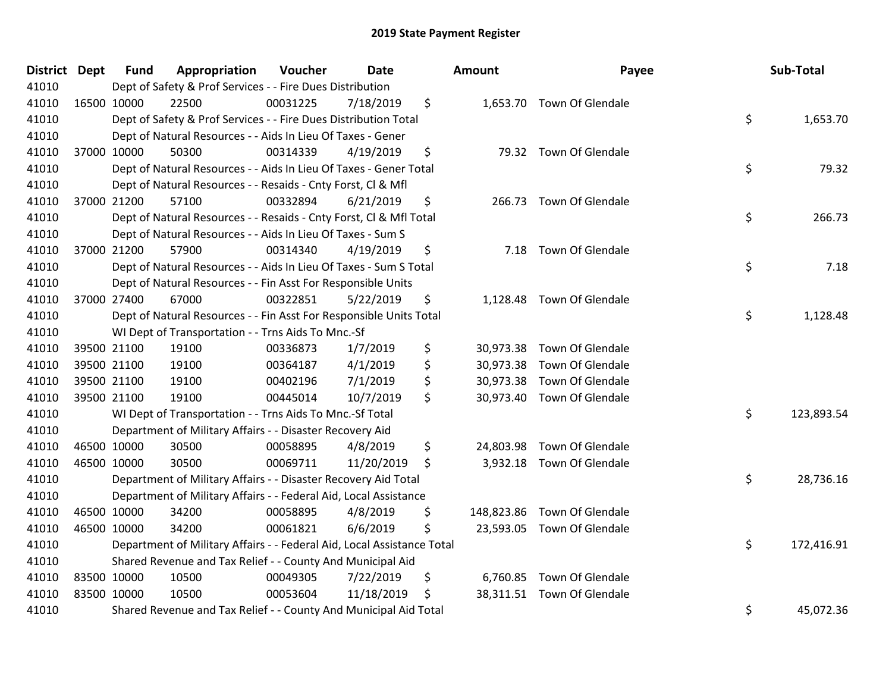| <b>District Dept</b> |             | <b>Fund</b> | Appropriation                                                          | Voucher  | <b>Date</b> | Amount | Payee                       | Sub-Total        |
|----------------------|-------------|-------------|------------------------------------------------------------------------|----------|-------------|--------|-----------------------------|------------------|
| 41010                |             |             | Dept of Safety & Prof Services - - Fire Dues Distribution              |          |             |        |                             |                  |
| 41010                | 16500 10000 |             | 22500                                                                  | 00031225 | 7/18/2019   | \$     | 1,653.70 Town Of Glendale   |                  |
| 41010                |             |             | Dept of Safety & Prof Services - - Fire Dues Distribution Total        |          |             |        |                             | \$<br>1,653.70   |
| 41010                |             |             | Dept of Natural Resources - - Aids In Lieu Of Taxes - Gener            |          |             |        |                             |                  |
| 41010                |             | 37000 10000 | 50300                                                                  | 00314339 | 4/19/2019   | \$     | 79.32 Town Of Glendale      |                  |
| 41010                |             |             | Dept of Natural Resources - - Aids In Lieu Of Taxes - Gener Total      |          |             |        |                             | \$<br>79.32      |
| 41010                |             |             | Dept of Natural Resources - - Resaids - Cnty Forst, Cl & Mfl           |          |             |        |                             |                  |
| 41010                |             | 37000 21200 | 57100                                                                  | 00332894 | 6/21/2019   | \$     | 266.73 Town Of Glendale     |                  |
| 41010                |             |             | Dept of Natural Resources - - Resaids - Cnty Forst, CI & Mfl Total     |          |             |        |                             | \$<br>266.73     |
| 41010                |             |             | Dept of Natural Resources - - Aids In Lieu Of Taxes - Sum S            |          |             |        |                             |                  |
| 41010                |             | 37000 21200 | 57900                                                                  | 00314340 | 4/19/2019   | \$     | 7.18 Town Of Glendale       |                  |
| 41010                |             |             | Dept of Natural Resources - - Aids In Lieu Of Taxes - Sum S Total      |          |             |        |                             | \$<br>7.18       |
| 41010                |             |             | Dept of Natural Resources - - Fin Asst For Responsible Units           |          |             |        |                             |                  |
| 41010                |             | 37000 27400 | 67000                                                                  | 00322851 | 5/22/2019   | \$     | 1,128.48 Town Of Glendale   |                  |
| 41010                |             |             | Dept of Natural Resources - - Fin Asst For Responsible Units Total     |          |             |        |                             | \$<br>1,128.48   |
| 41010                |             |             | WI Dept of Transportation - - Trns Aids To Mnc.-Sf                     |          |             |        |                             |                  |
| 41010                |             | 39500 21100 | 19100                                                                  | 00336873 | 1/7/2019    | \$     | 30,973.38 Town Of Glendale  |                  |
| 41010                |             | 39500 21100 | 19100                                                                  | 00364187 | 4/1/2019    | \$     | 30,973.38 Town Of Glendale  |                  |
| 41010                |             | 39500 21100 | 19100                                                                  | 00402196 | 7/1/2019    | \$     | 30,973.38 Town Of Glendale  |                  |
| 41010                |             | 39500 21100 | 19100                                                                  | 00445014 | 10/7/2019   | \$     | 30,973.40 Town Of Glendale  |                  |
| 41010                |             |             | WI Dept of Transportation - - Trns Aids To Mnc.-Sf Total               |          |             |        |                             | \$<br>123,893.54 |
| 41010                |             |             | Department of Military Affairs - - Disaster Recovery Aid               |          |             |        |                             |                  |
| 41010                |             | 46500 10000 | 30500                                                                  | 00058895 | 4/8/2019    | \$     | 24,803.98 Town Of Glendale  |                  |
| 41010                |             | 46500 10000 | 30500                                                                  | 00069711 | 11/20/2019  | \$     | 3,932.18 Town Of Glendale   |                  |
| 41010                |             |             | Department of Military Affairs - - Disaster Recovery Aid Total         |          |             |        |                             | \$<br>28,736.16  |
| 41010                |             |             | Department of Military Affairs - - Federal Aid, Local Assistance       |          |             |        |                             |                  |
| 41010                |             | 46500 10000 | 34200                                                                  | 00058895 | 4/8/2019    | \$     | 148,823.86 Town Of Glendale |                  |
| 41010                | 46500 10000 |             | 34200                                                                  | 00061821 | 6/6/2019    | \$     | 23,593.05 Town Of Glendale  |                  |
| 41010                |             |             | Department of Military Affairs - - Federal Aid, Local Assistance Total |          |             |        |                             | \$<br>172,416.91 |
| 41010                |             |             | Shared Revenue and Tax Relief - - County And Municipal Aid             |          |             |        |                             |                  |
| 41010                |             | 83500 10000 | 10500                                                                  | 00049305 | 7/22/2019   | \$     | 6,760.85 Town Of Glendale   |                  |
| 41010                | 83500 10000 |             | 10500                                                                  | 00053604 | 11/18/2019  | \$     | 38,311.51 Town Of Glendale  |                  |
| 41010                |             |             | Shared Revenue and Tax Relief - - County And Municipal Aid Total       |          |             |        |                             | \$<br>45,072.36  |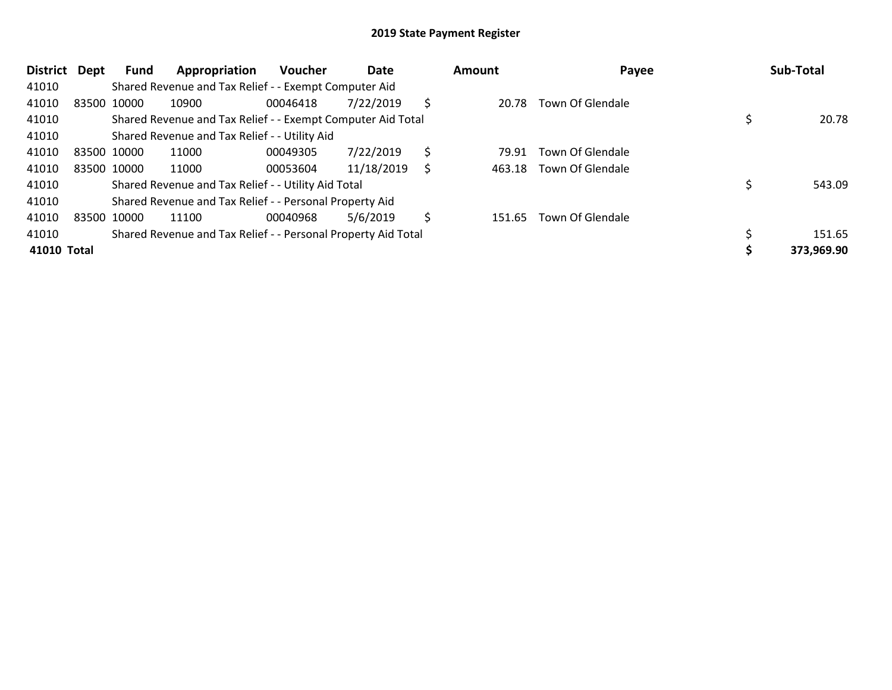| District    | Dept        | Fund        | Appropriation                                                 | <b>Voucher</b> | Date       |    | Amount | Payee                   | Sub-Total  |
|-------------|-------------|-------------|---------------------------------------------------------------|----------------|------------|----|--------|-------------------------|------------|
| 41010       |             |             | Shared Revenue and Tax Relief - - Exempt Computer Aid         |                |            |    |        |                         |            |
| 41010       | 83500 10000 |             | 10900                                                         | 00046418       | 7/22/2019  | S  | 20.78  | Town Of Glendale        |            |
| 41010       |             |             | Shared Revenue and Tax Relief - - Exempt Computer Aid Total   |                |            |    |        |                         | 20.78      |
| 41010       |             |             | Shared Revenue and Tax Relief - - Utility Aid                 |                |            |    |        |                         |            |
| 41010       | 83500 10000 |             | 11000                                                         | 00049305       | 7/22/2019  | \$ | 79.91  | Town Of Glendale        |            |
| 41010       |             | 83500 10000 | 11000                                                         | 00053604       | 11/18/2019 | S  | 463.18 | Town Of Glendale        |            |
| 41010       |             |             | Shared Revenue and Tax Relief - - Utility Aid Total           |                |            |    |        |                         | 543.09     |
| 41010       |             |             | Shared Revenue and Tax Relief - - Personal Property Aid       |                |            |    |        |                         |            |
| 41010       |             | 83500 10000 | 11100                                                         | 00040968       | 5/6/2019   | Ś  | 151.65 | <b>Town Of Glendale</b> |            |
| 41010       |             |             | Shared Revenue and Tax Relief - - Personal Property Aid Total |                |            |    |        |                         | 151.65     |
| 41010 Total |             |             |                                                               |                |            |    |        |                         | 373,969.90 |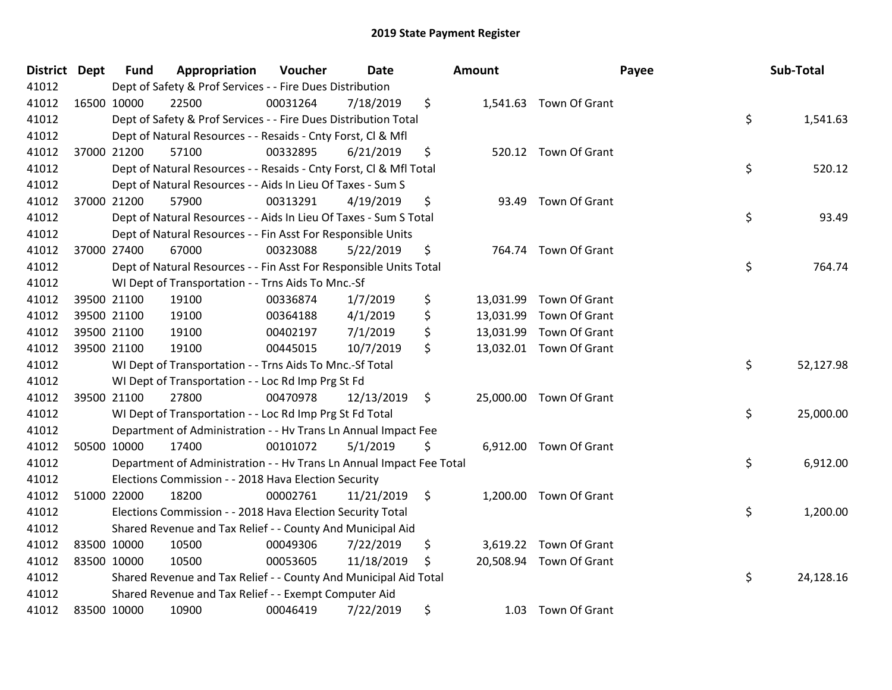| District Dept | <b>Fund</b> | Appropriation                                                        | Voucher  | <b>Date</b> | <b>Amount</b> |                         | Payee | Sub-Total |
|---------------|-------------|----------------------------------------------------------------------|----------|-------------|---------------|-------------------------|-------|-----------|
| 41012         |             | Dept of Safety & Prof Services - - Fire Dues Distribution            |          |             |               |                         |       |           |
| 41012         | 16500 10000 | 22500                                                                | 00031264 | 7/18/2019   | \$            | 1,541.63 Town Of Grant  |       |           |
| 41012         |             | Dept of Safety & Prof Services - - Fire Dues Distribution Total      |          |             |               |                         | \$    | 1,541.63  |
| 41012         |             | Dept of Natural Resources - - Resaids - Cnty Forst, Cl & Mfl         |          |             |               |                         |       |           |
| 41012         | 37000 21200 | 57100                                                                | 00332895 | 6/21/2019   | \$            | 520.12 Town Of Grant    |       |           |
| 41012         |             | Dept of Natural Resources - - Resaids - Cnty Forst, Cl & Mfl Total   |          |             |               |                         | \$    | 520.12    |
| 41012         |             | Dept of Natural Resources - - Aids In Lieu Of Taxes - Sum S          |          |             |               |                         |       |           |
| 41012         | 37000 21200 | 57900                                                                | 00313291 | 4/19/2019   | \$            | 93.49 Town Of Grant     |       |           |
| 41012         |             | Dept of Natural Resources - - Aids In Lieu Of Taxes - Sum S Total    |          |             |               |                         | \$    | 93.49     |
| 41012         |             | Dept of Natural Resources - - Fin Asst For Responsible Units         |          |             |               |                         |       |           |
| 41012         | 37000 27400 | 67000                                                                | 00323088 | 5/22/2019   | \$            | 764.74 Town Of Grant    |       |           |
| 41012         |             | Dept of Natural Resources - - Fin Asst For Responsible Units Total   |          |             |               |                         | \$    | 764.74    |
| 41012         |             | WI Dept of Transportation - - Trns Aids To Mnc.-Sf                   |          |             |               |                         |       |           |
| 41012         | 39500 21100 | 19100                                                                | 00336874 | 1/7/2019    | \$            | 13,031.99 Town Of Grant |       |           |
| 41012         | 39500 21100 | 19100                                                                | 00364188 | 4/1/2019    | \$            | 13,031.99 Town Of Grant |       |           |
| 41012         | 39500 21100 | 19100                                                                | 00402197 | 7/1/2019    | \$            | 13,031.99 Town Of Grant |       |           |
| 41012         | 39500 21100 | 19100                                                                | 00445015 | 10/7/2019   | \$            | 13,032.01 Town Of Grant |       |           |
| 41012         |             | WI Dept of Transportation - - Trns Aids To Mnc.-Sf Total             |          |             |               |                         | \$    | 52,127.98 |
| 41012         |             | WI Dept of Transportation - - Loc Rd Imp Prg St Fd                   |          |             |               |                         |       |           |
| 41012         | 39500 21100 | 27800                                                                | 00470978 | 12/13/2019  | \$            | 25,000.00 Town Of Grant |       |           |
| 41012         |             | WI Dept of Transportation - - Loc Rd Imp Prg St Fd Total             |          |             |               |                         | \$    | 25,000.00 |
| 41012         |             | Department of Administration - - Hv Trans Ln Annual Impact Fee       |          |             |               |                         |       |           |
| 41012         | 50500 10000 | 17400                                                                | 00101072 | 5/1/2019    | \$            | 6,912.00 Town Of Grant  |       |           |
| 41012         |             | Department of Administration - - Hv Trans Ln Annual Impact Fee Total |          |             |               |                         | \$    | 6,912.00  |
| 41012         |             | Elections Commission - - 2018 Hava Election Security                 |          |             |               |                         |       |           |
| 41012         | 51000 22000 | 18200                                                                | 00002761 | 11/21/2019  | \$            | 1,200.00 Town Of Grant  |       |           |
| 41012         |             | Elections Commission - - 2018 Hava Election Security Total           |          |             |               |                         | \$    | 1,200.00  |
| 41012         |             | Shared Revenue and Tax Relief - - County And Municipal Aid           |          |             |               |                         |       |           |
| 41012         | 83500 10000 | 10500                                                                | 00049306 | 7/22/2019   | \$            | 3,619.22 Town Of Grant  |       |           |
| 41012         | 83500 10000 | 10500                                                                | 00053605 | 11/18/2019  | \$            | 20,508.94 Town Of Grant |       |           |
| 41012         |             | Shared Revenue and Tax Relief - - County And Municipal Aid Total     |          |             |               |                         | \$    | 24,128.16 |
| 41012         |             | Shared Revenue and Tax Relief - - Exempt Computer Aid                |          |             |               |                         |       |           |
| 41012         | 83500 10000 | 10900                                                                | 00046419 | 7/22/2019   | \$            | 1.03 Town Of Grant      |       |           |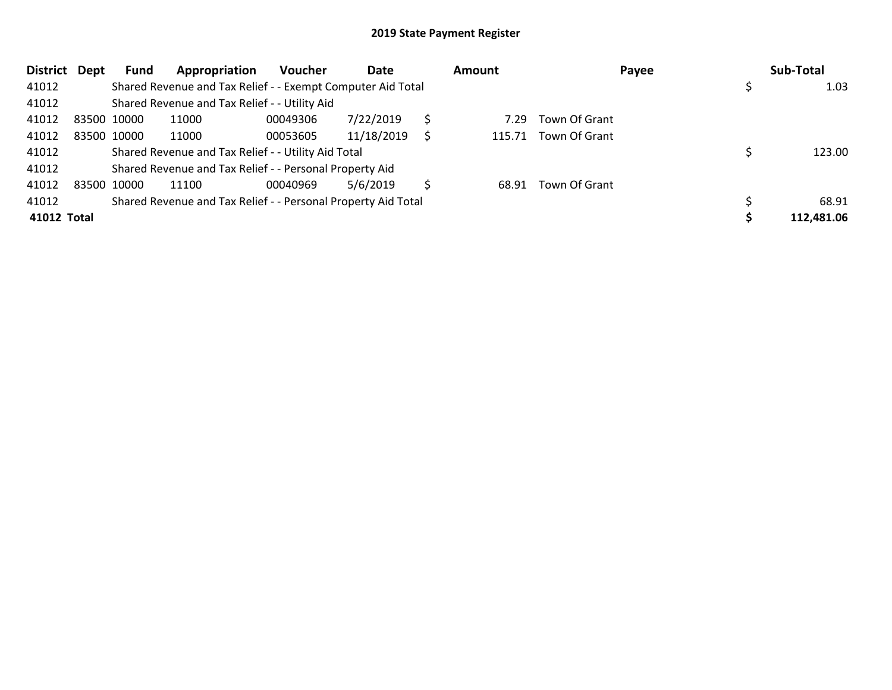| <b>District</b> | Dept | Fund        | Appropriation                                                 | <b>Voucher</b> | Date       |   | Amount |                      | Payee | Sub-Total  |  |
|-----------------|------|-------------|---------------------------------------------------------------|----------------|------------|---|--------|----------------------|-------|------------|--|
| 41012           |      |             | Shared Revenue and Tax Relief - - Exempt Computer Aid Total   |                |            |   |        |                      |       | 1.03       |  |
| 41012           |      |             | Shared Revenue and Tax Relief - - Utility Aid                 |                |            |   |        |                      |       |            |  |
| 41012           |      | 83500 10000 | 11000                                                         | 00049306       | 7/22/2019  |   | 7.29   | Town Of Grant        |       |            |  |
| 41012           |      | 83500 10000 | 11000                                                         | 00053605       | 11/18/2019 | S |        | 115.71 Town Of Grant |       |            |  |
| 41012           |      |             | Shared Revenue and Tax Relief - - Utility Aid Total           |                |            |   |        |                      |       | 123.00     |  |
| 41012           |      |             | Shared Revenue and Tax Relief - - Personal Property Aid       |                |            |   |        |                      |       |            |  |
| 41012           |      | 83500 10000 | 11100                                                         | 00040969       | 5/6/2019   |   | 68.91  | Town Of Grant        |       |            |  |
| 41012           |      |             | Shared Revenue and Tax Relief - - Personal Property Aid Total |                |            |   |        |                      |       | 68.91      |  |
| 41012 Total     |      |             |                                                               |                |            |   |        |                      |       | 112,481.06 |  |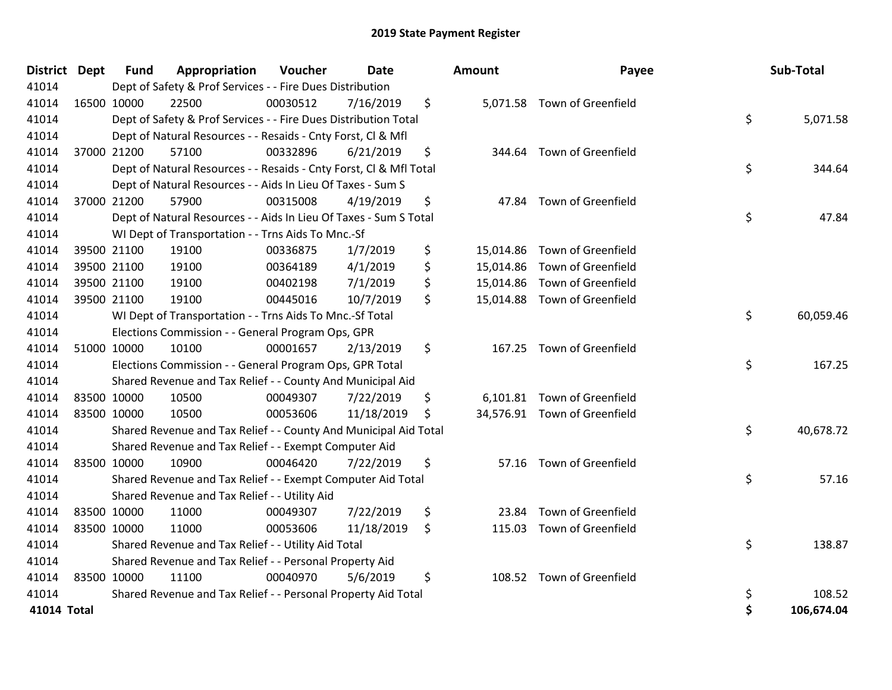| <b>District Dept</b> | <b>Fund</b> | Appropriation                                                      | Voucher  | <b>Date</b> | <b>Amount</b> | Payee                        | Sub-Total        |
|----------------------|-------------|--------------------------------------------------------------------|----------|-------------|---------------|------------------------------|------------------|
| 41014                |             | Dept of Safety & Prof Services - - Fire Dues Distribution          |          |             |               |                              |                  |
| 41014                | 16500 10000 | 22500                                                              | 00030512 | 7/16/2019   | \$            | 5,071.58 Town of Greenfield  |                  |
| 41014                |             | Dept of Safety & Prof Services - - Fire Dues Distribution Total    |          |             |               |                              | \$<br>5,071.58   |
| 41014                |             | Dept of Natural Resources - - Resaids - Cnty Forst, CI & Mfl       |          |             |               |                              |                  |
| 41014                | 37000 21200 | 57100                                                              | 00332896 | 6/21/2019   | \$<br>344.64  | Town of Greenfield           |                  |
| 41014                |             | Dept of Natural Resources - - Resaids - Cnty Forst, CI & Mfl Total |          |             |               |                              | \$<br>344.64     |
| 41014                |             | Dept of Natural Resources - - Aids In Lieu Of Taxes - Sum S        |          |             |               |                              |                  |
| 41014                | 37000 21200 | 57900                                                              | 00315008 | 4/19/2019   | \$            | 47.84 Town of Greenfield     |                  |
| 41014                |             | Dept of Natural Resources - - Aids In Lieu Of Taxes - Sum S Total  |          |             |               |                              | \$<br>47.84      |
| 41014                |             | WI Dept of Transportation - - Trns Aids To Mnc.-Sf                 |          |             |               |                              |                  |
| 41014                | 39500 21100 | 19100                                                              | 00336875 | 1/7/2019    | \$            | 15,014.86 Town of Greenfield |                  |
| 41014                | 39500 21100 | 19100                                                              | 00364189 | 4/1/2019    | \$            | 15,014.86 Town of Greenfield |                  |
| 41014                | 39500 21100 | 19100                                                              | 00402198 | 7/1/2019    | \$            | 15,014.86 Town of Greenfield |                  |
| 41014                | 39500 21100 | 19100                                                              | 00445016 | 10/7/2019   | \$            | 15,014.88 Town of Greenfield |                  |
| 41014                |             | WI Dept of Transportation - - Trns Aids To Mnc.-Sf Total           |          |             |               |                              | \$<br>60,059.46  |
| 41014                |             | Elections Commission - - General Program Ops, GPR                  |          |             |               |                              |                  |
| 41014                | 51000 10000 | 10100                                                              | 00001657 | 2/13/2019   | \$<br>167.25  | Town of Greenfield           |                  |
| 41014                |             | Elections Commission - - General Program Ops, GPR Total            |          |             |               |                              | \$<br>167.25     |
| 41014                |             | Shared Revenue and Tax Relief - - County And Municipal Aid         |          |             |               |                              |                  |
| 41014                | 83500 10000 | 10500                                                              | 00049307 | 7/22/2019   | \$            | 6,101.81 Town of Greenfield  |                  |
| 41014                | 83500 10000 | 10500                                                              | 00053606 | 11/18/2019  | \$            | 34,576.91 Town of Greenfield |                  |
| 41014                |             | Shared Revenue and Tax Relief - - County And Municipal Aid Total   |          |             |               |                              | \$<br>40,678.72  |
| 41014                |             | Shared Revenue and Tax Relief - - Exempt Computer Aid              |          |             |               |                              |                  |
| 41014                | 83500 10000 | 10900                                                              | 00046420 | 7/22/2019   | \$            | 57.16 Town of Greenfield     |                  |
| 41014                |             | Shared Revenue and Tax Relief - - Exempt Computer Aid Total        |          |             |               |                              | \$<br>57.16      |
| 41014                |             | Shared Revenue and Tax Relief - - Utility Aid                      |          |             |               |                              |                  |
| 41014                | 83500 10000 | 11000                                                              | 00049307 | 7/22/2019   | \$<br>23.84   | Town of Greenfield           |                  |
| 41014                | 83500 10000 | 11000                                                              | 00053606 | 11/18/2019  | \$            | 115.03 Town of Greenfield    |                  |
| 41014                |             | Shared Revenue and Tax Relief - - Utility Aid Total                |          |             |               |                              | \$<br>138.87     |
| 41014                |             | Shared Revenue and Tax Relief - - Personal Property Aid            |          |             |               |                              |                  |
| 41014                | 83500 10000 | 11100                                                              | 00040970 | 5/6/2019    | \$            | 108.52 Town of Greenfield    |                  |
| 41014                |             | Shared Revenue and Tax Relief - - Personal Property Aid Total      |          |             |               |                              | \$<br>108.52     |
| 41014 Total          |             |                                                                    |          |             |               |                              | \$<br>106,674.04 |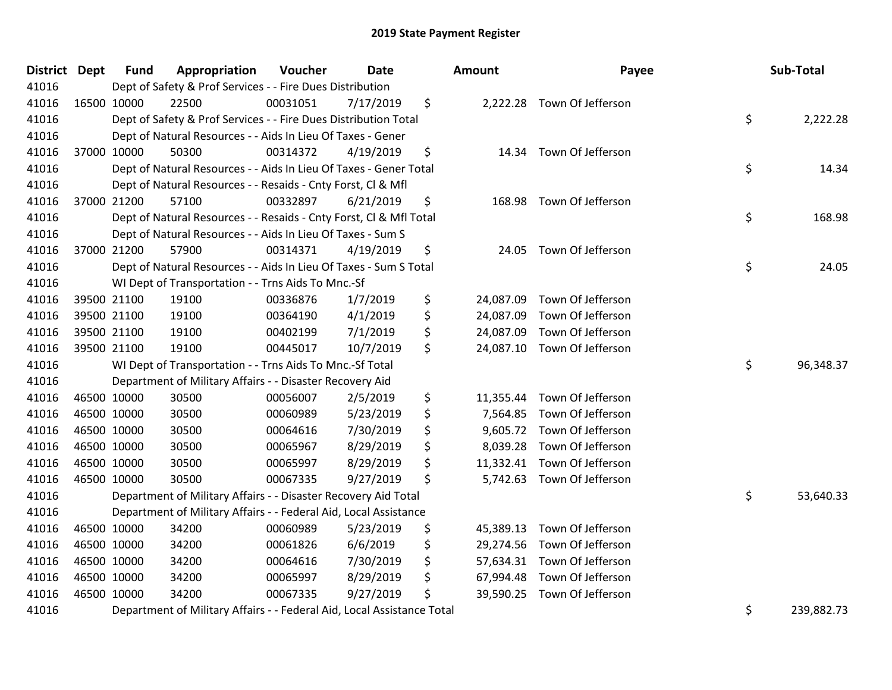| District Dept | <b>Fund</b> | Appropriation                                                          | Voucher  | <b>Date</b> | Amount          | Payee                       | Sub-Total        |
|---------------|-------------|------------------------------------------------------------------------|----------|-------------|-----------------|-----------------------------|------------------|
| 41016         |             | Dept of Safety & Prof Services - - Fire Dues Distribution              |          |             |                 |                             |                  |
| 41016         | 16500 10000 | 22500                                                                  | 00031051 | 7/17/2019   | \$              | 2,222.28 Town Of Jefferson  |                  |
| 41016         |             | Dept of Safety & Prof Services - - Fire Dues Distribution Total        |          |             |                 |                             | \$<br>2,222.28   |
| 41016         |             | Dept of Natural Resources - - Aids In Lieu Of Taxes - Gener            |          |             |                 |                             |                  |
| 41016         | 37000 10000 | 50300                                                                  | 00314372 | 4/19/2019   | \$              | 14.34 Town Of Jefferson     |                  |
| 41016         |             | Dept of Natural Resources - - Aids In Lieu Of Taxes - Gener Total      |          |             |                 |                             | \$<br>14.34      |
| 41016         |             | Dept of Natural Resources - - Resaids - Cnty Forst, Cl & Mfl           |          |             |                 |                             |                  |
| 41016         | 37000 21200 | 57100                                                                  | 00332897 | 6/21/2019   | \$              | 168.98 Town Of Jefferson    |                  |
| 41016         |             | Dept of Natural Resources - - Resaids - Cnty Forst, CI & Mfl Total     |          |             |                 |                             | \$<br>168.98     |
| 41016         |             | Dept of Natural Resources - - Aids In Lieu Of Taxes - Sum S            |          |             |                 |                             |                  |
| 41016         | 37000 21200 | 57900                                                                  | 00314371 | 4/19/2019   | \$              | 24.05 Town Of Jefferson     |                  |
| 41016         |             | Dept of Natural Resources - - Aids In Lieu Of Taxes - Sum S Total      |          |             |                 |                             | \$<br>24.05      |
| 41016         |             | WI Dept of Transportation - - Trns Aids To Mnc.-Sf                     |          |             |                 |                             |                  |
| 41016         | 39500 21100 | 19100                                                                  | 00336876 | 1/7/2019    | \$<br>24,087.09 | Town Of Jefferson           |                  |
| 41016         | 39500 21100 | 19100                                                                  | 00364190 | 4/1/2019    | \$<br>24,087.09 | Town Of Jefferson           |                  |
| 41016         | 39500 21100 | 19100                                                                  | 00402199 | 7/1/2019    | \$<br>24,087.09 | Town Of Jefferson           |                  |
| 41016         | 39500 21100 | 19100                                                                  | 00445017 | 10/7/2019   | \$<br>24,087.10 | Town Of Jefferson           |                  |
| 41016         |             | WI Dept of Transportation - - Trns Aids To Mnc.-Sf Total               |          |             |                 |                             | \$<br>96,348.37  |
| 41016         |             | Department of Military Affairs - - Disaster Recovery Aid               |          |             |                 |                             |                  |
| 41016         | 46500 10000 | 30500                                                                  | 00056007 | 2/5/2019    | \$<br>11,355.44 | Town Of Jefferson           |                  |
| 41016         | 46500 10000 | 30500                                                                  | 00060989 | 5/23/2019   | \$<br>7,564.85  | Town Of Jefferson           |                  |
| 41016         | 46500 10000 | 30500                                                                  | 00064616 | 7/30/2019   | \$              | 9,605.72 Town Of Jefferson  |                  |
| 41016         | 46500 10000 | 30500                                                                  | 00065967 | 8/29/2019   | \$<br>8,039.28  | Town Of Jefferson           |                  |
| 41016         | 46500 10000 | 30500                                                                  | 00065997 | 8/29/2019   | \$<br>11,332.41 | Town Of Jefferson           |                  |
| 41016         | 46500 10000 | 30500                                                                  | 00067335 | 9/27/2019   | \$<br>5,742.63  | Town Of Jefferson           |                  |
| 41016         |             | Department of Military Affairs - - Disaster Recovery Aid Total         |          |             |                 |                             | \$<br>53,640.33  |
| 41016         |             | Department of Military Affairs - - Federal Aid, Local Assistance       |          |             |                 |                             |                  |
| 41016         | 46500 10000 | 34200                                                                  | 00060989 | 5/23/2019   | \$<br>45,389.13 | Town Of Jefferson           |                  |
| 41016         | 46500 10000 | 34200                                                                  | 00061826 | 6/6/2019    | \$<br>29,274.56 | Town Of Jefferson           |                  |
| 41016         | 46500 10000 | 34200                                                                  | 00064616 | 7/30/2019   | \$              | 57,634.31 Town Of Jefferson |                  |
| 41016         | 46500 10000 | 34200                                                                  | 00065997 | 8/29/2019   | \$<br>67,994.48 | Town Of Jefferson           |                  |
| 41016         | 46500 10000 | 34200                                                                  | 00067335 | 9/27/2019   | \$<br>39,590.25 | Town Of Jefferson           |                  |
| 41016         |             | Department of Military Affairs - - Federal Aid, Local Assistance Total |          |             |                 |                             | \$<br>239,882.73 |

|                                                    | Payee                                                                                                                      | Sub-Total        |
|----------------------------------------------------|----------------------------------------------------------------------------------------------------------------------------|------------------|
| 22.28                                              | Town Of Jefferson                                                                                                          | \$<br>2,222.28   |
| 14.34                                              | Town Of Jefferson                                                                                                          | \$<br>14.34      |
| 68.98                                              | Town Of Jefferson                                                                                                          | \$<br>168.98     |
| 24.05                                              | Town Of Jefferson                                                                                                          | \$<br>24.05      |
| 87.09<br>87.09<br>87.09<br>87.10                   | Town Of Jefferson<br>Town Of Jefferson<br>Town Of Jefferson<br>Town Of Jefferson                                           | \$<br>96,348.37  |
| 55.44<br>64.85<br>05.72<br>39.28<br>32.41<br>42.63 | Town Of Jefferson<br>Town Of Jefferson<br>Town Of Jefferson<br>Town Of Jefferson<br>Town Of Jefferson<br>Town Of Jefferson | \$               |
| 89.13<br>74.56<br>34.31<br>94.48                   | Town Of Jefferson<br>Town Of Jefferson<br>Town Of Jefferson<br>Town Of Jefferson                                           | 53,640.33        |
| 90.25                                              | Town Of Jefferson                                                                                                          | \$<br>239,882.73 |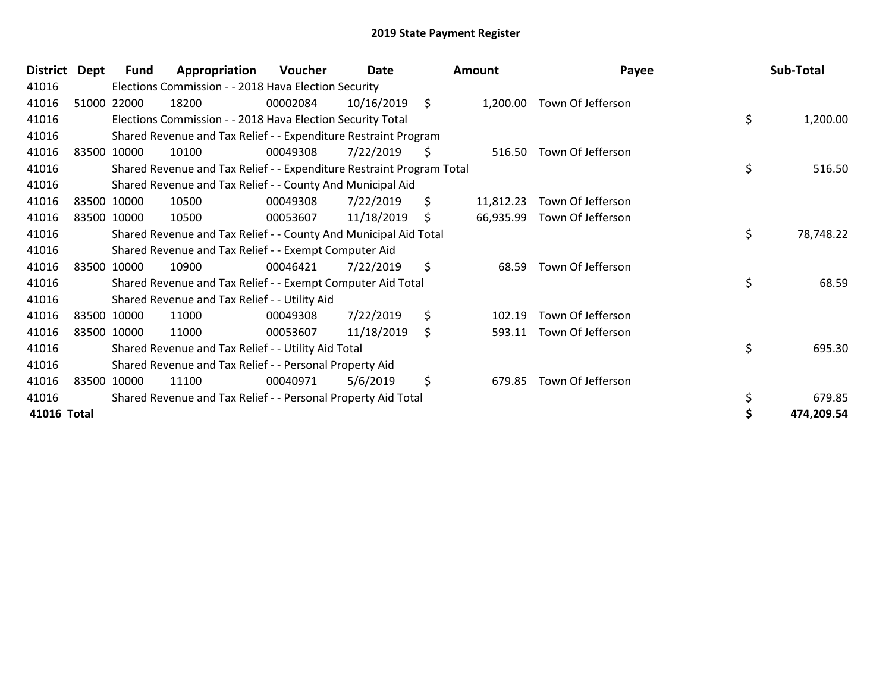| <b>District</b> | Dept | Fund        | Appropriation                                                         | Voucher  | Date       |     | <b>Amount</b> | Payee                      | Sub-Total       |
|-----------------|------|-------------|-----------------------------------------------------------------------|----------|------------|-----|---------------|----------------------------|-----------------|
| 41016           |      |             | Elections Commission - - 2018 Hava Election Security                  |          |            |     |               |                            |                 |
| 41016           |      | 51000 22000 | 18200                                                                 | 00002084 | 10/16/2019 | \$  |               | 1,200.00 Town Of Jefferson |                 |
| 41016           |      |             | Elections Commission - - 2018 Hava Election Security Total            |          |            |     |               |                            | \$<br>1,200.00  |
| 41016           |      |             | Shared Revenue and Tax Relief - - Expenditure Restraint Program       |          |            |     |               |                            |                 |
| 41016           |      | 83500 10000 | 10100                                                                 | 00049308 | 7/22/2019  | \$  | 516.50        | Town Of Jefferson          |                 |
| 41016           |      |             | Shared Revenue and Tax Relief - - Expenditure Restraint Program Total |          |            |     |               |                            | \$<br>516.50    |
| 41016           |      |             | Shared Revenue and Tax Relief - - County And Municipal Aid            |          |            |     |               |                            |                 |
| 41016           |      | 83500 10000 | 10500                                                                 | 00049308 | 7/22/2019  | \$. | 11,812.23     | Town Of Jefferson          |                 |
| 41016           |      | 83500 10000 | 10500                                                                 | 00053607 | 11/18/2019 | \$  | 66,935.99     | Town Of Jefferson          |                 |
| 41016           |      |             | Shared Revenue and Tax Relief - - County And Municipal Aid Total      |          |            |     |               |                            | \$<br>78,748.22 |
| 41016           |      |             | Shared Revenue and Tax Relief - - Exempt Computer Aid                 |          |            |     |               |                            |                 |
| 41016           |      | 83500 10000 | 10900                                                                 | 00046421 | 7/22/2019  | \$  | 68.59         | Town Of Jefferson          |                 |
| 41016           |      |             | Shared Revenue and Tax Relief - - Exempt Computer Aid Total           |          |            |     |               |                            | \$<br>68.59     |
| 41016           |      |             | Shared Revenue and Tax Relief - - Utility Aid                         |          |            |     |               |                            |                 |
| 41016           |      | 83500 10000 | 11000                                                                 | 00049308 | 7/22/2019  | \$  | 102.19        | Town Of Jefferson          |                 |
| 41016           |      | 83500 10000 | 11000                                                                 | 00053607 | 11/18/2019 | \$  | 593.11        | Town Of Jefferson          |                 |
| 41016           |      |             | Shared Revenue and Tax Relief - - Utility Aid Total                   |          |            |     |               |                            | \$<br>695.30    |
| 41016           |      |             | Shared Revenue and Tax Relief - - Personal Property Aid               |          |            |     |               |                            |                 |
| 41016           |      | 83500 10000 | 11100                                                                 | 00040971 | 5/6/2019   | \$  | 679.85        | Town Of Jefferson          |                 |
| 41016           |      |             | Shared Revenue and Tax Relief - - Personal Property Aid Total         |          |            |     |               |                            | \$<br>679.85    |
| 41016 Total     |      |             |                                                                       |          |            |     |               |                            | 474,209.54      |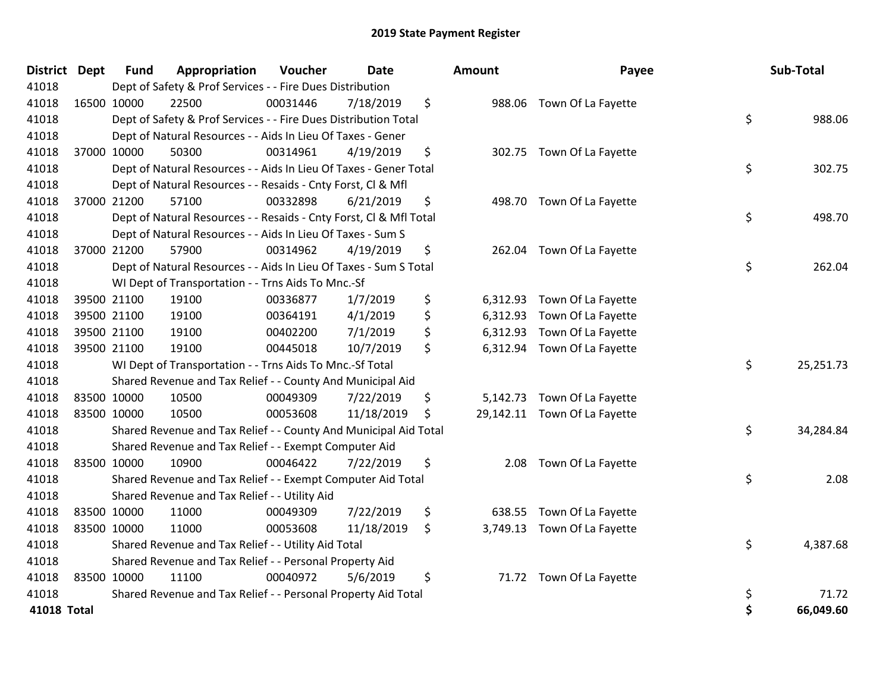| <b>District</b>    | Dept | <b>Fund</b> | Appropriation                                                      | Voucher  | <b>Date</b> | <b>Amount</b> | Payee                        | Sub-Total       |
|--------------------|------|-------------|--------------------------------------------------------------------|----------|-------------|---------------|------------------------------|-----------------|
| 41018              |      |             | Dept of Safety & Prof Services - - Fire Dues Distribution          |          |             |               |                              |                 |
| 41018              |      | 16500 10000 | 22500                                                              | 00031446 | 7/18/2019   | \$            | 988.06 Town Of La Fayette    |                 |
| 41018              |      |             | Dept of Safety & Prof Services - - Fire Dues Distribution Total    |          |             |               |                              | \$<br>988.06    |
| 41018              |      |             | Dept of Natural Resources - - Aids In Lieu Of Taxes - Gener        |          |             |               |                              |                 |
| 41018              |      | 37000 10000 | 50300                                                              | 00314961 | 4/19/2019   | \$            | 302.75 Town Of La Fayette    |                 |
| 41018              |      |             | Dept of Natural Resources - - Aids In Lieu Of Taxes - Gener Total  |          |             |               |                              | \$<br>302.75    |
| 41018              |      |             | Dept of Natural Resources - - Resaids - Cnty Forst, Cl & Mfl       |          |             |               |                              |                 |
| 41018              |      | 37000 21200 | 57100                                                              | 00332898 | 6/21/2019   | \$            | 498.70 Town Of La Fayette    |                 |
| 41018              |      |             | Dept of Natural Resources - - Resaids - Cnty Forst, Cl & Mfl Total |          |             |               |                              | \$<br>498.70    |
| 41018              |      |             | Dept of Natural Resources - - Aids In Lieu Of Taxes - Sum S        |          |             |               |                              |                 |
| 41018              |      | 37000 21200 | 57900                                                              | 00314962 | 4/19/2019   | \$            | 262.04 Town Of La Fayette    |                 |
| 41018              |      |             | Dept of Natural Resources - - Aids In Lieu Of Taxes - Sum S Total  |          |             |               |                              | \$<br>262.04    |
| 41018              |      |             | WI Dept of Transportation - - Trns Aids To Mnc.-Sf                 |          |             |               |                              |                 |
| 41018              |      | 39500 21100 | 19100                                                              | 00336877 | 1/7/2019    | \$            | 6,312.93 Town Of La Fayette  |                 |
| 41018              |      | 39500 21100 | 19100                                                              | 00364191 | 4/1/2019    | \$            | 6,312.93 Town Of La Fayette  |                 |
| 41018              |      | 39500 21100 | 19100                                                              | 00402200 | 7/1/2019    | \$            | 6,312.93 Town Of La Fayette  |                 |
| 41018              |      | 39500 21100 | 19100                                                              | 00445018 | 10/7/2019   | \$            | 6,312.94 Town Of La Fayette  |                 |
| 41018              |      |             | WI Dept of Transportation - - Trns Aids To Mnc.-Sf Total           |          |             |               |                              | \$<br>25,251.73 |
| 41018              |      |             | Shared Revenue and Tax Relief - - County And Municipal Aid         |          |             |               |                              |                 |
| 41018              |      | 83500 10000 | 10500                                                              | 00049309 | 7/22/2019   | \$            | 5,142.73 Town Of La Fayette  |                 |
| 41018              |      | 83500 10000 | 10500                                                              | 00053608 | 11/18/2019  | \$            | 29,142.11 Town Of La Fayette |                 |
| 41018              |      |             | Shared Revenue and Tax Relief - - County And Municipal Aid Total   |          |             |               |                              | \$<br>34,284.84 |
| 41018              |      |             | Shared Revenue and Tax Relief - - Exempt Computer Aid              |          |             |               |                              |                 |
| 41018              |      | 83500 10000 | 10900                                                              | 00046422 | 7/22/2019   | \$<br>2.08    | Town Of La Fayette           |                 |
| 41018              |      |             | Shared Revenue and Tax Relief - - Exempt Computer Aid Total        |          |             |               |                              | \$<br>2.08      |
| 41018              |      |             | Shared Revenue and Tax Relief - - Utility Aid                      |          |             |               |                              |                 |
| 41018              |      | 83500 10000 | 11000                                                              | 00049309 | 7/22/2019   | \$<br>638.55  | Town Of La Fayette           |                 |
| 41018              |      | 83500 10000 | 11000                                                              | 00053608 | 11/18/2019  | \$            | 3,749.13 Town Of La Fayette  |                 |
| 41018              |      |             | Shared Revenue and Tax Relief - - Utility Aid Total                |          |             |               |                              | \$<br>4,387.68  |
| 41018              |      |             | Shared Revenue and Tax Relief - - Personal Property Aid            |          |             |               |                              |                 |
| 41018              |      | 83500 10000 | 11100                                                              | 00040972 | 5/6/2019    | \$            | 71.72 Town Of La Fayette     |                 |
| 41018              |      |             | Shared Revenue and Tax Relief - - Personal Property Aid Total      |          |             |               |                              | \$<br>71.72     |
| <b>41018 Total</b> |      |             |                                                                    |          |             |               |                              | 66,049.60       |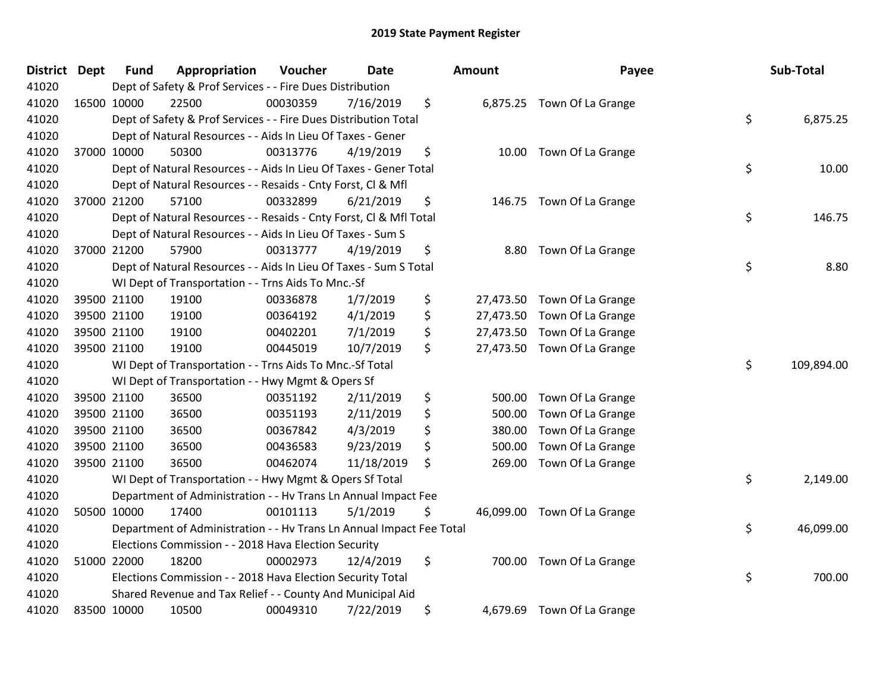| <b>District</b> | <b>Dept</b> | <b>Fund</b> | Appropriation                                                        | Voucher  | <b>Date</b> | Amount          | Payee                       | Sub-Total        |
|-----------------|-------------|-------------|----------------------------------------------------------------------|----------|-------------|-----------------|-----------------------------|------------------|
| 41020           |             |             | Dept of Safety & Prof Services - - Fire Dues Distribution            |          |             |                 |                             |                  |
| 41020           | 16500 10000 |             | 22500                                                                | 00030359 | 7/16/2019   | \$              | 6,875.25 Town Of La Grange  |                  |
| 41020           |             |             | Dept of Safety & Prof Services - - Fire Dues Distribution Total      |          |             |                 |                             | \$<br>6,875.25   |
| 41020           |             |             | Dept of Natural Resources - - Aids In Lieu Of Taxes - Gener          |          |             |                 |                             |                  |
| 41020           |             | 37000 10000 | 50300                                                                | 00313776 | 4/19/2019   | \$<br>10.00     | Town Of La Grange           |                  |
| 41020           |             |             | Dept of Natural Resources - - Aids In Lieu Of Taxes - Gener Total    |          |             |                 |                             | \$<br>10.00      |
| 41020           |             |             | Dept of Natural Resources - - Resaids - Cnty Forst, Cl & Mfl         |          |             |                 |                             |                  |
| 41020           |             | 37000 21200 | 57100                                                                | 00332899 | 6/21/2019   | \$              | 146.75 Town Of La Grange    |                  |
| 41020           |             |             | Dept of Natural Resources - - Resaids - Cnty Forst, Cl & Mfl Total   |          |             |                 |                             | \$<br>146.75     |
| 41020           |             |             | Dept of Natural Resources - - Aids In Lieu Of Taxes - Sum S          |          |             |                 |                             |                  |
| 41020           |             | 37000 21200 | 57900                                                                | 00313777 | 4/19/2019   | \$<br>8.80      | Town Of La Grange           |                  |
| 41020           |             |             | Dept of Natural Resources - - Aids In Lieu Of Taxes - Sum S Total    |          |             |                 |                             | \$<br>8.80       |
| 41020           |             |             | WI Dept of Transportation - - Trns Aids To Mnc.-Sf                   |          |             |                 |                             |                  |
| 41020           |             | 39500 21100 | 19100                                                                | 00336878 | 1/7/2019    | \$<br>27,473.50 | Town Of La Grange           |                  |
| 41020           |             | 39500 21100 | 19100                                                                | 00364192 | 4/1/2019    | \$<br>27,473.50 | Town Of La Grange           |                  |
| 41020           |             | 39500 21100 | 19100                                                                | 00402201 | 7/1/2019    | \$<br>27,473.50 | Town Of La Grange           |                  |
| 41020           |             | 39500 21100 | 19100                                                                | 00445019 | 10/7/2019   | \$              | 27,473.50 Town Of La Grange |                  |
| 41020           |             |             | WI Dept of Transportation - - Trns Aids To Mnc.-Sf Total             |          |             |                 |                             | \$<br>109,894.00 |
| 41020           |             |             | WI Dept of Transportation - - Hwy Mgmt & Opers Sf                    |          |             |                 |                             |                  |
| 41020           |             | 39500 21100 | 36500                                                                | 00351192 | 2/11/2019   | \$<br>500.00    | Town Of La Grange           |                  |
| 41020           |             | 39500 21100 | 36500                                                                | 00351193 | 2/11/2019   | \$<br>500.00    | Town Of La Grange           |                  |
| 41020           |             | 39500 21100 | 36500                                                                | 00367842 | 4/3/2019    | \$<br>380.00    | Town Of La Grange           |                  |
| 41020           |             | 39500 21100 | 36500                                                                | 00436583 | 9/23/2019   | \$<br>500.00    | Town Of La Grange           |                  |
| 41020           |             | 39500 21100 | 36500                                                                | 00462074 | 11/18/2019  | \$<br>269.00    | Town Of La Grange           |                  |
| 41020           |             |             | WI Dept of Transportation - - Hwy Mgmt & Opers Sf Total              |          |             |                 |                             | \$<br>2,149.00   |
| 41020           |             |             | Department of Administration - - Hv Trans Ln Annual Impact Fee       |          |             |                 |                             |                  |
| 41020           |             | 50500 10000 | 17400                                                                | 00101113 | 5/1/2019    | \$              | 46,099.00 Town Of La Grange |                  |
| 41020           |             |             | Department of Administration - - Hv Trans Ln Annual Impact Fee Total |          |             |                 |                             | \$<br>46,099.00  |
| 41020           |             |             | Elections Commission - - 2018 Hava Election Security                 |          |             |                 |                             |                  |
| 41020           |             | 51000 22000 | 18200                                                                | 00002973 | 12/4/2019   | \$              | 700.00 Town Of La Grange    |                  |
| 41020           |             |             | Elections Commission - - 2018 Hava Election Security Total           |          |             |                 |                             | \$<br>700.00     |
| 41020           |             |             | Shared Revenue and Tax Relief - - County And Municipal Aid           |          |             |                 |                             |                  |
| 41020           |             | 83500 10000 | 10500                                                                | 00049310 | 7/22/2019   | \$<br>4,679.69  | Town Of La Grange           |                  |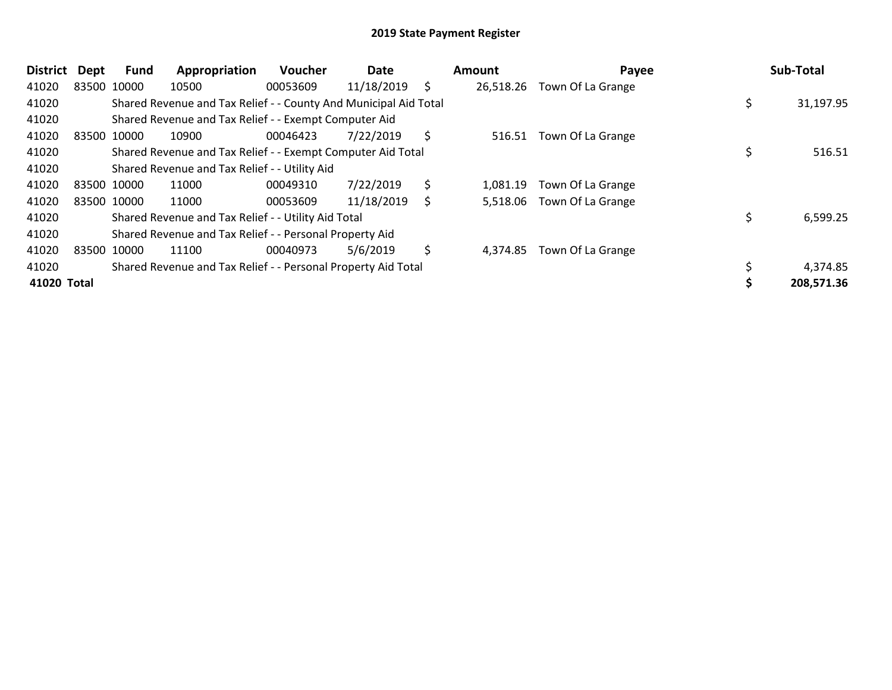| District    | <b>Dept</b> | Fund        | Appropriation                                                    | <b>Voucher</b> | Date       |    | Amount    | Payee             | Sub-Total  |
|-------------|-------------|-------------|------------------------------------------------------------------|----------------|------------|----|-----------|-------------------|------------|
| 41020       |             | 83500 10000 | 10500                                                            | 00053609       | 11/18/2019 | \$ | 26,518.26 | Town Of La Grange |            |
| 41020       |             |             | Shared Revenue and Tax Relief - - County And Municipal Aid Total |                |            |    |           |                   | 31,197.95  |
| 41020       |             |             | Shared Revenue and Tax Relief - - Exempt Computer Aid            |                |            |    |           |                   |            |
| 41020       | 83500 10000 |             | 10900                                                            | 00046423       | 7/22/2019  | \$ | 516.51    | Town Of La Grange |            |
| 41020       |             |             | Shared Revenue and Tax Relief - - Exempt Computer Aid Total      |                |            |    |           |                   | 516.51     |
| 41020       |             |             | Shared Revenue and Tax Relief - - Utility Aid                    |                |            |    |           |                   |            |
| 41020       |             | 83500 10000 | 11000                                                            | 00049310       | 7/22/2019  | \$ | 1,081.19  | Town Of La Grange |            |
| 41020       |             | 83500 10000 | 11000                                                            | 00053609       | 11/18/2019 | Ś  | 5,518.06  | Town Of La Grange |            |
| 41020       |             |             | Shared Revenue and Tax Relief - - Utility Aid Total              |                |            |    |           |                   | 6,599.25   |
| 41020       |             |             | Shared Revenue and Tax Relief - - Personal Property Aid          |                |            |    |           |                   |            |
| 41020       | 83500 10000 |             | 11100                                                            | 00040973       | 5/6/2019   | \$ | 4,374.85  | Town Of La Grange |            |
| 41020       |             |             | Shared Revenue and Tax Relief - - Personal Property Aid Total    |                |            |    |           |                   | 4,374.85   |
| 41020 Total |             |             |                                                                  |                |            |    |           |                   | 208,571.36 |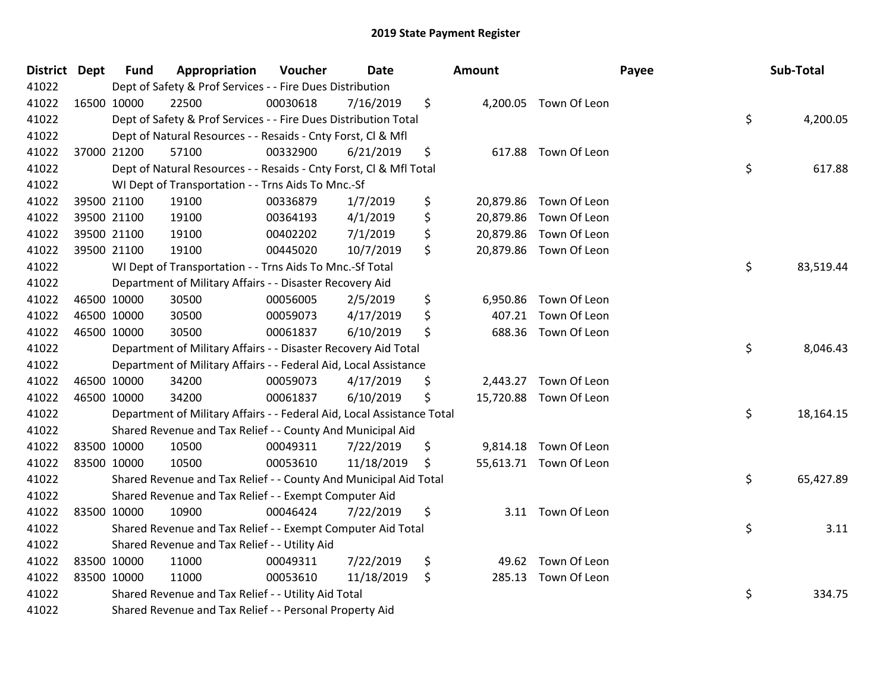| <b>District</b> | <b>Dept</b> | <b>Fund</b> | Appropriation                                                          | Voucher  | <b>Date</b> | Amount          |                        | Payee | Sub-Total |
|-----------------|-------------|-------------|------------------------------------------------------------------------|----------|-------------|-----------------|------------------------|-------|-----------|
| 41022           |             |             | Dept of Safety & Prof Services - - Fire Dues Distribution              |          |             |                 |                        |       |           |
| 41022           |             | 16500 10000 | 22500                                                                  | 00030618 | 7/16/2019   | \$              | 4,200.05 Town Of Leon  |       |           |
| 41022           |             |             | Dept of Safety & Prof Services - - Fire Dues Distribution Total        |          |             |                 |                        | \$    | 4,200.05  |
| 41022           |             |             | Dept of Natural Resources - - Resaids - Cnty Forst, Cl & Mfl           |          |             |                 |                        |       |           |
| 41022           |             | 37000 21200 | 57100                                                                  | 00332900 | 6/21/2019   | \$<br>617.88    | Town Of Leon           |       |           |
| 41022           |             |             | Dept of Natural Resources - - Resaids - Cnty Forst, Cl & Mfl Total     |          |             |                 |                        | \$    | 617.88    |
| 41022           |             |             | WI Dept of Transportation - - Trns Aids To Mnc.-Sf                     |          |             |                 |                        |       |           |
| 41022           |             | 39500 21100 | 19100                                                                  | 00336879 | 1/7/2019    | \$<br>20,879.86 | Town Of Leon           |       |           |
| 41022           |             | 39500 21100 | 19100                                                                  | 00364193 | 4/1/2019    | \$<br>20,879.86 | Town Of Leon           |       |           |
| 41022           |             | 39500 21100 | 19100                                                                  | 00402202 | 7/1/2019    | \$              | 20,879.86 Town Of Leon |       |           |
| 41022           |             | 39500 21100 | 19100                                                                  | 00445020 | 10/7/2019   | \$              | 20,879.86 Town Of Leon |       |           |
| 41022           |             |             | WI Dept of Transportation - - Trns Aids To Mnc.-Sf Total               |          |             |                 |                        | \$    | 83,519.44 |
| 41022           |             |             | Department of Military Affairs - - Disaster Recovery Aid               |          |             |                 |                        |       |           |
| 41022           |             | 46500 10000 | 30500                                                                  | 00056005 | 2/5/2019    | \$<br>6,950.86  | Town Of Leon           |       |           |
| 41022           |             | 46500 10000 | 30500                                                                  | 00059073 | 4/17/2019   | \$<br>407.21    | Town Of Leon           |       |           |
| 41022           |             | 46500 10000 | 30500                                                                  | 00061837 | 6/10/2019   | \$<br>688.36    | Town Of Leon           |       |           |
| 41022           |             |             | Department of Military Affairs - - Disaster Recovery Aid Total         |          |             |                 |                        | \$    | 8,046.43  |
| 41022           |             |             | Department of Military Affairs - - Federal Aid, Local Assistance       |          |             |                 |                        |       |           |
| 41022           |             | 46500 10000 | 34200                                                                  | 00059073 | 4/17/2019   | \$<br>2,443.27  | Town Of Leon           |       |           |
| 41022           |             | 46500 10000 | 34200                                                                  | 00061837 | 6/10/2019   | \$              | 15,720.88 Town Of Leon |       |           |
| 41022           |             |             | Department of Military Affairs - - Federal Aid, Local Assistance Total |          |             |                 |                        | \$    | 18,164.15 |
| 41022           |             |             | Shared Revenue and Tax Relief - - County And Municipal Aid             |          |             |                 |                        |       |           |
| 41022           |             | 83500 10000 | 10500                                                                  | 00049311 | 7/22/2019   | \$              | 9,814.18 Town Of Leon  |       |           |
| 41022           |             | 83500 10000 | 10500                                                                  | 00053610 | 11/18/2019  | \$              | 55,613.71 Town Of Leon |       |           |
| 41022           |             |             | Shared Revenue and Tax Relief - - County And Municipal Aid Total       |          |             |                 |                        | \$    | 65,427.89 |
| 41022           |             |             | Shared Revenue and Tax Relief - - Exempt Computer Aid                  |          |             |                 |                        |       |           |
| 41022           | 83500 10000 |             | 10900                                                                  | 00046424 | 7/22/2019   | \$              | 3.11 Town Of Leon      |       |           |
| 41022           |             |             | Shared Revenue and Tax Relief - - Exempt Computer Aid Total            |          |             |                 |                        | \$    | 3.11      |
| 41022           |             |             | Shared Revenue and Tax Relief - - Utility Aid                          |          |             |                 |                        |       |           |
| 41022           |             | 83500 10000 | 11000                                                                  | 00049311 | 7/22/2019   | \$<br>49.62     | Town Of Leon           |       |           |
| 41022           |             | 83500 10000 | 11000                                                                  | 00053610 | 11/18/2019  | \$<br>285.13    | Town Of Leon           |       |           |
| 41022           |             |             | Shared Revenue and Tax Relief - - Utility Aid Total                    |          |             |                 |                        | \$    | 334.75    |
| 41022           |             |             | Shared Revenue and Tax Relief - - Personal Property Aid                |          |             |                 |                        |       |           |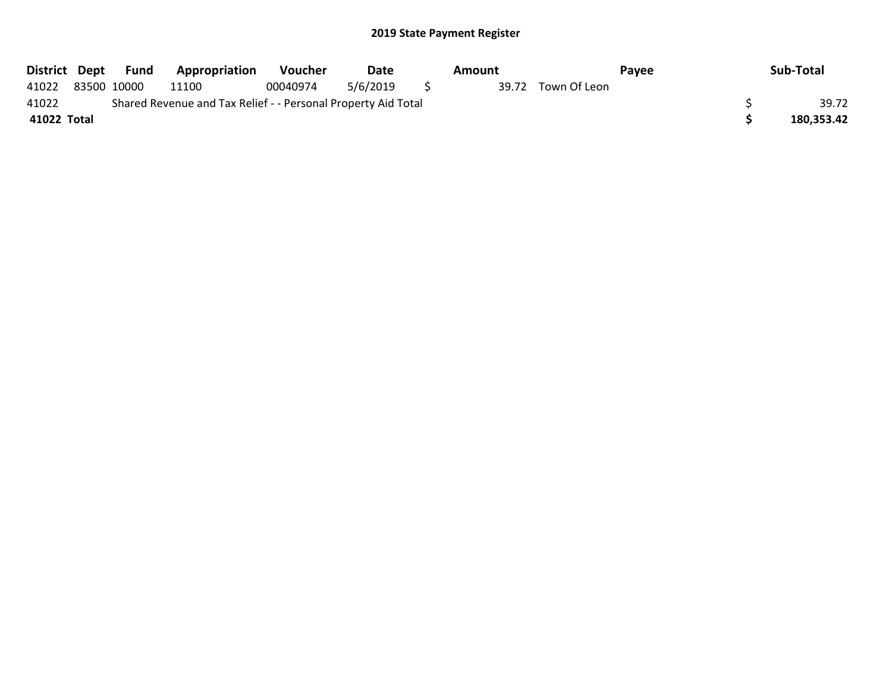| District Dept |                                                               | Fund        | <b>Appropriation</b> | <b>Voucher</b> | Date     | Amount |  | Pavee              |  | Sub-Total |            |
|---------------|---------------------------------------------------------------|-------------|----------------------|----------------|----------|--------|--|--------------------|--|-----------|------------|
| 41022         |                                                               | 83500 10000 | 11100                | 00040974       | 5/6/2019 |        |  | 39.72 Town Of Leon |  |           |            |
| 41022         | Shared Revenue and Tax Relief - - Personal Property Aid Total |             |                      |                |          |        |  |                    |  |           | 39.72      |
| 41022 Total   |                                                               |             |                      |                |          |        |  |                    |  |           | 180,353.42 |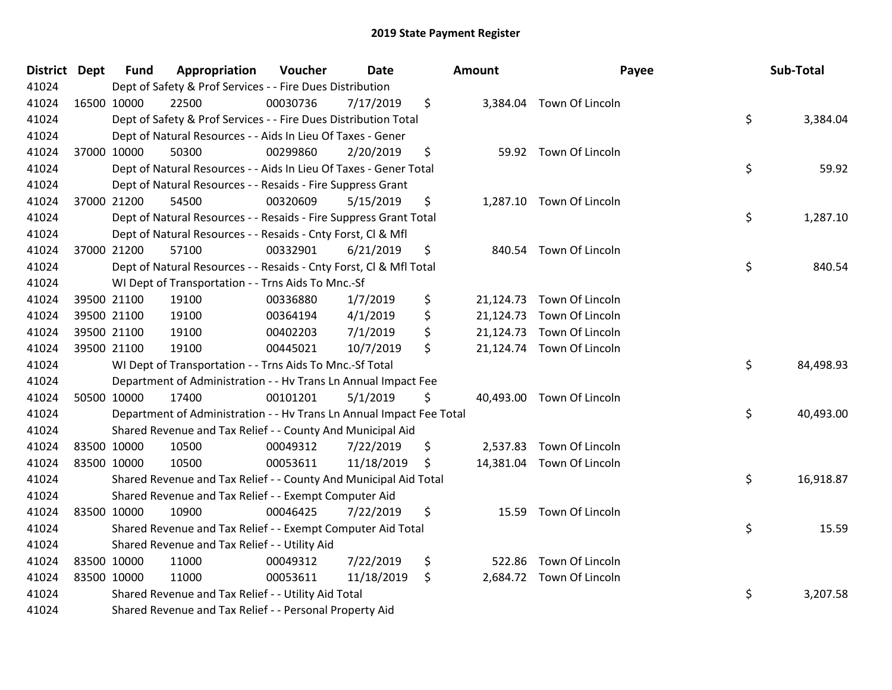| District Dept | <b>Fund</b>                                                             | Appropriation | Voucher  | <b>Date</b> |    | Amount | Payee                     |    | Sub-Total |
|---------------|-------------------------------------------------------------------------|---------------|----------|-------------|----|--------|---------------------------|----|-----------|
| 41024         | Dept of Safety & Prof Services - - Fire Dues Distribution               |               |          |             |    |        |                           |    |           |
| 41024         | 16500 10000                                                             | 22500         | 00030736 | 7/17/2019   | \$ |        | 3,384.04 Town Of Lincoln  |    |           |
| 41024         | \$<br>Dept of Safety & Prof Services - - Fire Dues Distribution Total   |               |          |             |    |        |                           |    | 3,384.04  |
| 41024         | Dept of Natural Resources - - Aids In Lieu Of Taxes - Gener             |               |          |             |    |        |                           |    |           |
| 41024         | 37000 10000                                                             | 50300         | 00299860 | 2/20/2019   | \$ |        | 59.92 Town Of Lincoln     |    |           |
| 41024         | Dept of Natural Resources - - Aids In Lieu Of Taxes - Gener Total       |               |          |             |    |        |                           |    | 59.92     |
| 41024         | Dept of Natural Resources - - Resaids - Fire Suppress Grant             |               |          |             |    |        |                           |    |           |
| 41024         | 37000 21200                                                             | 54500         | 00320609 | 5/15/2019   | \$ |        | 1,287.10 Town Of Lincoln  |    |           |
| 41024         | \$<br>Dept of Natural Resources - - Resaids - Fire Suppress Grant Total |               |          |             |    |        |                           |    | 1,287.10  |
| 41024         | Dept of Natural Resources - - Resaids - Cnty Forst, Cl & Mfl            |               |          |             |    |        |                           |    |           |
| 41024         | 37000 21200                                                             | 57100         | 00332901 | 6/21/2019   | \$ |        | 840.54 Town Of Lincoln    |    |           |
| 41024         | Dept of Natural Resources - - Resaids - Cnty Forst, CI & Mfl Total      |               |          |             |    |        |                           |    | 840.54    |
| 41024         | WI Dept of Transportation - - Trns Aids To Mnc.-Sf                      |               |          |             |    |        |                           |    |           |
| 41024         | 39500 21100                                                             | 19100         | 00336880 | 1/7/2019    | \$ |        | 21,124.73 Town Of Lincoln |    |           |
| 41024         | 39500 21100                                                             | 19100         | 00364194 | 4/1/2019    | \$ |        | 21,124.73 Town Of Lincoln |    |           |
| 41024         | 39500 21100                                                             | 19100         | 00402203 | 7/1/2019    | \$ |        | 21,124.73 Town Of Lincoln |    |           |
| 41024         | 39500 21100                                                             | 19100         | 00445021 | 10/7/2019   | \$ |        | 21,124.74 Town Of Lincoln |    |           |
| 41024         | WI Dept of Transportation - - Trns Aids To Mnc.-Sf Total                |               |          |             |    |        |                           |    | 84,498.93 |
| 41024         | Department of Administration - - Hv Trans Ln Annual Impact Fee          |               |          |             |    |        |                           |    |           |
| 41024         | 50500 10000                                                             | 17400         | 00101201 | 5/1/2019    | \$ |        | 40,493.00 Town Of Lincoln |    |           |
| 41024         | Department of Administration - - Hv Trans Ln Annual Impact Fee Total    |               |          |             |    |        |                           | \$ | 40,493.00 |
| 41024         | Shared Revenue and Tax Relief - - County And Municipal Aid              |               |          |             |    |        |                           |    |           |
| 41024         | 83500 10000                                                             | 10500         | 00049312 | 7/22/2019   | \$ |        | 2,537.83 Town Of Lincoln  |    |           |
| 41024         | 83500 10000                                                             | 10500         | 00053611 | 11/18/2019  | \$ |        | 14,381.04 Town Of Lincoln |    |           |
| 41024         | Shared Revenue and Tax Relief - - County And Municipal Aid Total        |               |          |             |    |        |                           |    | 16,918.87 |
| 41024         | Shared Revenue and Tax Relief - - Exempt Computer Aid                   |               |          |             |    |        |                           |    |           |
| 41024         | 83500 10000                                                             | 10900         | 00046425 | 7/22/2019   | \$ |        | 15.59 Town Of Lincoln     |    |           |
| 41024         | Shared Revenue and Tax Relief - - Exempt Computer Aid Total             |               |          |             |    |        |                           | \$ | 15.59     |
| 41024         | Shared Revenue and Tax Relief - - Utility Aid                           |               |          |             |    |        |                           |    |           |
| 41024         | 83500 10000                                                             | 11000         | 00049312 | 7/22/2019   | \$ |        | 522.86 Town Of Lincoln    |    |           |
| 41024         | 83500 10000                                                             | 11000         | 00053611 | 11/18/2019  | \$ |        | 2,684.72 Town Of Lincoln  |    |           |
| 41024         | Shared Revenue and Tax Relief - - Utility Aid Total                     |               |          |             |    |        |                           |    | 3,207.58  |
| 41024         | Shared Revenue and Tax Relief - - Personal Property Aid                 |               |          |             |    |        |                           |    |           |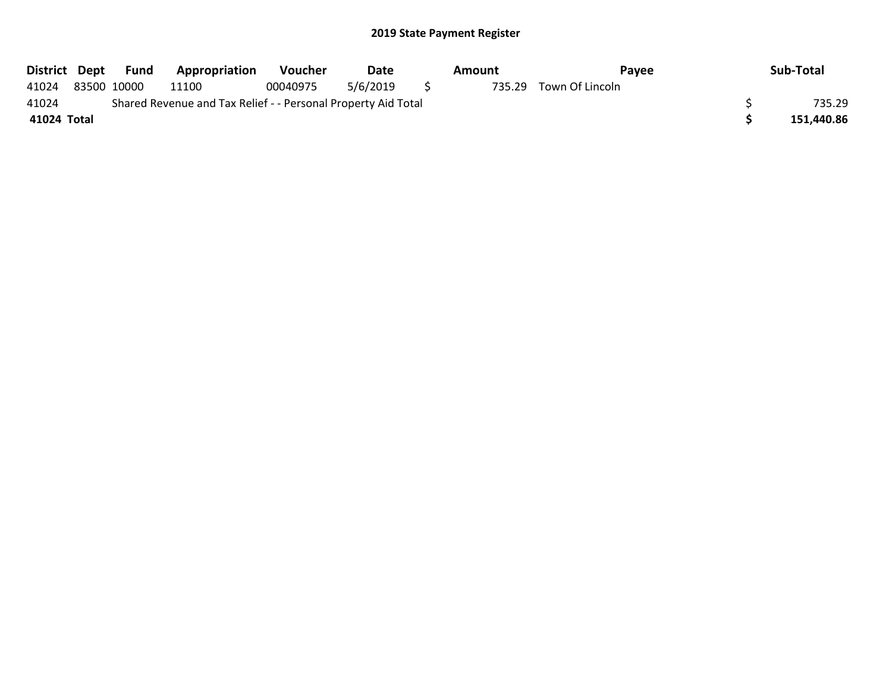| District Dept |                                                               | Fund        | <b>Appropriation</b> | <b>Voucher</b> | Date     |     | Amount | Pavee                  |  | Sub-Total  |  |
|---------------|---------------------------------------------------------------|-------------|----------------------|----------------|----------|-----|--------|------------------------|--|------------|--|
| 41024         |                                                               | 83500 10000 | 11100                | 00040975       | 5/6/2019 | S S |        | 735.29 Town Of Lincoln |  |            |  |
| 41024         | Shared Revenue and Tax Relief - - Personal Property Aid Total |             |                      |                |          |     |        |                        |  |            |  |
| 41024 Total   |                                                               |             |                      |                |          |     |        |                        |  | 151,440.86 |  |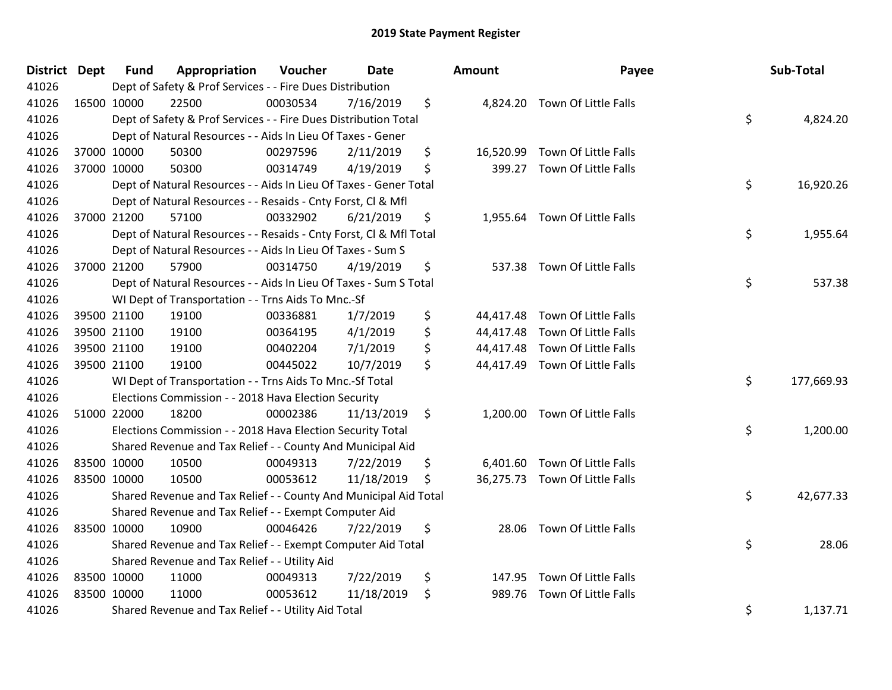| District Dept | <b>Fund</b> | Appropriation                                                      | Voucher  | <b>Date</b> |     | Amount | Payee                          | Sub-Total        |
|---------------|-------------|--------------------------------------------------------------------|----------|-------------|-----|--------|--------------------------------|------------------|
| 41026         |             | Dept of Safety & Prof Services - - Fire Dues Distribution          |          |             |     |        |                                |                  |
| 41026         | 16500 10000 | 22500                                                              | 00030534 | 7/16/2019   | \$  |        | 4,824.20 Town Of Little Falls  |                  |
| 41026         |             | Dept of Safety & Prof Services - - Fire Dues Distribution Total    |          |             |     |        |                                | \$<br>4,824.20   |
| 41026         |             | Dept of Natural Resources - - Aids In Lieu Of Taxes - Gener        |          |             |     |        |                                |                  |
| 41026         | 37000 10000 | 50300                                                              | 00297596 | 2/11/2019   | \$  |        | 16,520.99 Town Of Little Falls |                  |
| 41026         | 37000 10000 | 50300                                                              | 00314749 | 4/19/2019   | \$  | 399.27 | Town Of Little Falls           |                  |
| 41026         |             | Dept of Natural Resources - - Aids In Lieu Of Taxes - Gener Total  |          |             |     |        |                                | \$<br>16,920.26  |
| 41026         |             | Dept of Natural Resources - - Resaids - Cnty Forst, Cl & Mfl       |          |             |     |        |                                |                  |
| 41026         | 37000 21200 | 57100                                                              | 00332902 | 6/21/2019   | \$  |        | 1,955.64 Town Of Little Falls  |                  |
| 41026         |             | Dept of Natural Resources - - Resaids - Cnty Forst, CI & Mfl Total |          |             |     |        |                                | \$<br>1,955.64   |
| 41026         |             | Dept of Natural Resources - - Aids In Lieu Of Taxes - Sum S        |          |             |     |        |                                |                  |
| 41026         | 37000 21200 | 57900                                                              | 00314750 | 4/19/2019   | \$  |        | 537.38 Town Of Little Falls    |                  |
| 41026         |             | Dept of Natural Resources - - Aids In Lieu Of Taxes - Sum S Total  |          |             |     |        |                                | \$<br>537.38     |
| 41026         |             | WI Dept of Transportation - - Trns Aids To Mnc.-Sf                 |          |             |     |        |                                |                  |
| 41026         | 39500 21100 | 19100                                                              | 00336881 | 1/7/2019    | \$  |        | 44,417.48 Town Of Little Falls |                  |
| 41026         | 39500 21100 | 19100                                                              | 00364195 | 4/1/2019    | \$  |        | 44,417.48 Town Of Little Falls |                  |
| 41026         | 39500 21100 | 19100                                                              | 00402204 | 7/1/2019    | \$  |        | 44,417.48 Town Of Little Falls |                  |
| 41026         | 39500 21100 | 19100                                                              | 00445022 | 10/7/2019   | \$  |        | 44,417.49 Town Of Little Falls |                  |
| 41026         |             | WI Dept of Transportation - - Trns Aids To Mnc.-Sf Total           |          |             |     |        |                                | \$<br>177,669.93 |
| 41026         |             | Elections Commission - - 2018 Hava Election Security               |          |             |     |        |                                |                  |
| 41026         | 51000 22000 | 18200                                                              | 00002386 | 11/13/2019  | \$  |        | 1,200.00 Town Of Little Falls  |                  |
| 41026         |             | Elections Commission - - 2018 Hava Election Security Total         |          |             |     |        |                                | \$<br>1,200.00   |
| 41026         |             | Shared Revenue and Tax Relief - - County And Municipal Aid         |          |             |     |        |                                |                  |
| 41026         | 83500 10000 | 10500                                                              | 00049313 | 7/22/2019   | \$  |        | 6,401.60 Town Of Little Falls  |                  |
| 41026         | 83500 10000 | 10500                                                              | 00053612 | 11/18/2019  | \$. |        | 36,275.73 Town Of Little Falls |                  |
| 41026         |             | Shared Revenue and Tax Relief - - County And Municipal Aid Total   |          |             |     |        |                                | \$<br>42,677.33  |
| 41026         |             | Shared Revenue and Tax Relief - - Exempt Computer Aid              |          |             |     |        |                                |                  |
| 41026         | 83500 10000 | 10900                                                              | 00046426 | 7/22/2019   | \$  |        | 28.06 Town Of Little Falls     |                  |
| 41026         |             | Shared Revenue and Tax Relief - - Exempt Computer Aid Total        |          |             |     |        |                                | \$<br>28.06      |
| 41026         |             | Shared Revenue and Tax Relief - - Utility Aid                      |          |             |     |        |                                |                  |
| 41026         | 83500 10000 | 11000                                                              | 00049313 | 7/22/2019   | \$  |        | 147.95 Town Of Little Falls    |                  |
| 41026         | 83500 10000 | 11000                                                              | 00053612 | 11/18/2019  | \$  | 989.76 | Town Of Little Falls           |                  |
| 41026         |             | Shared Revenue and Tax Relief - - Utility Aid Total                |          |             |     |        |                                | \$<br>1,137.71   |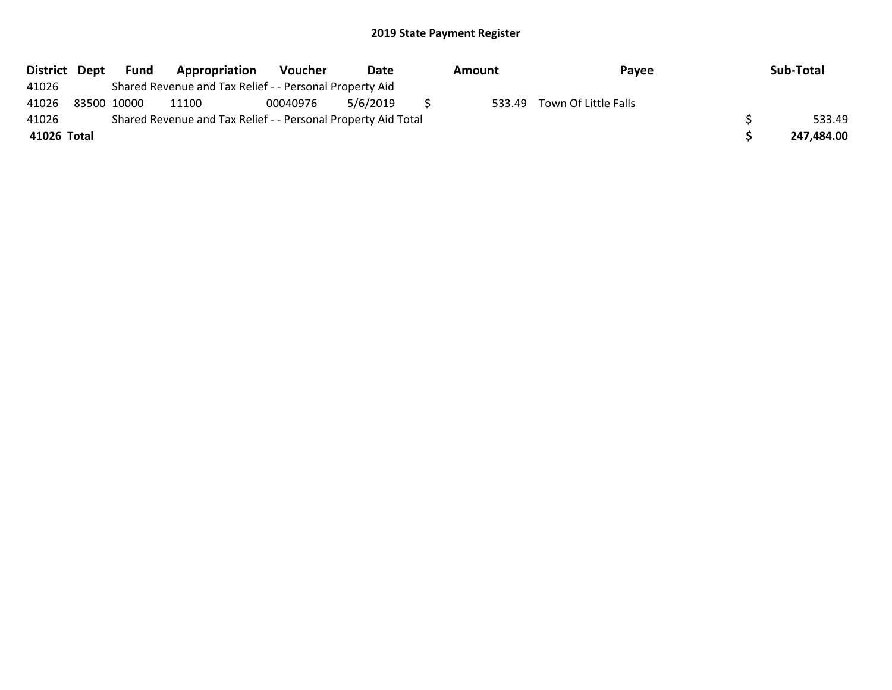| District Dept | Fund        | Appropriation                                                 | Voucher  | Date     | Amount | Payee                       | Sub-Total  |
|---------------|-------------|---------------------------------------------------------------|----------|----------|--------|-----------------------------|------------|
| 41026         |             | Shared Revenue and Tax Relief - - Personal Property Aid       |          |          |        |                             |            |
| 41026         | 83500 10000 | 11100                                                         | 00040976 | 5/6/2019 |        | 533.49 Town Of Little Falls |            |
| 41026         |             | Shared Revenue and Tax Relief - - Personal Property Aid Total |          |          |        |                             | 533.49     |
| 41026 Total   |             |                                                               |          |          |        |                             | 247,484.00 |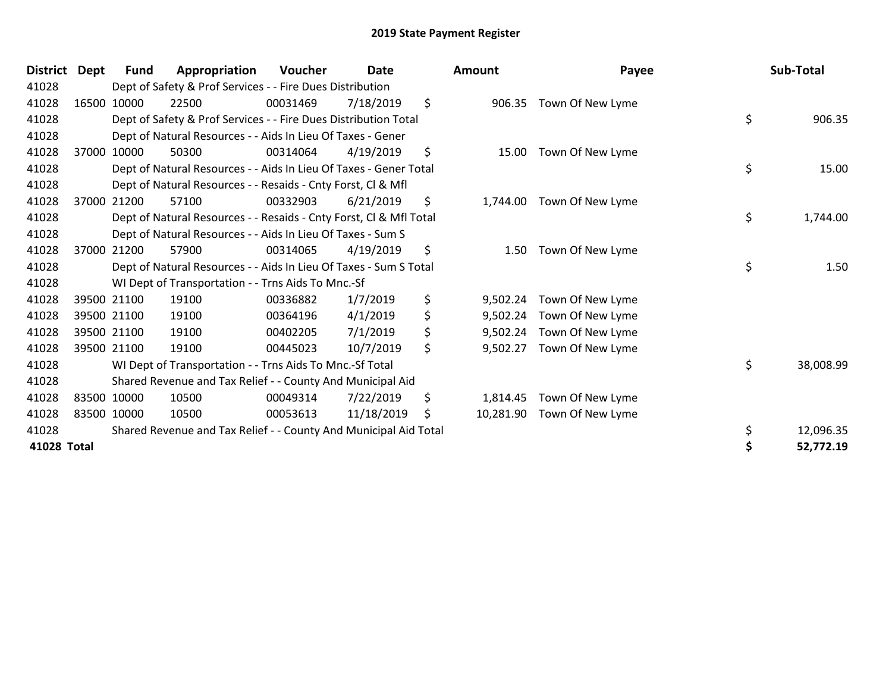| <b>District</b> | <b>Dept</b> | <b>Fund</b> | Appropriation                                                      | Voucher  | Date       | Amount          | Payee            | Sub-Total       |
|-----------------|-------------|-------------|--------------------------------------------------------------------|----------|------------|-----------------|------------------|-----------------|
| 41028           |             |             | Dept of Safety & Prof Services - - Fire Dues Distribution          |          |            |                 |                  |                 |
| 41028           |             | 16500 10000 | 22500                                                              | 00031469 | 7/18/2019  | \$<br>906.35    | Town Of New Lyme |                 |
| 41028           |             |             | Dept of Safety & Prof Services - - Fire Dues Distribution Total    |          |            |                 |                  | \$<br>906.35    |
| 41028           |             |             | Dept of Natural Resources - - Aids In Lieu Of Taxes - Gener        |          |            |                 |                  |                 |
| 41028           |             | 37000 10000 | 50300                                                              | 00314064 | 4/19/2019  | \$<br>15.00     | Town Of New Lyme |                 |
| 41028           |             |             | Dept of Natural Resources - - Aids In Lieu Of Taxes - Gener Total  |          |            |                 |                  | \$<br>15.00     |
| 41028           |             |             | Dept of Natural Resources - - Resaids - Cnty Forst, CI & Mfl       |          |            |                 |                  |                 |
| 41028           | 37000       | 21200       | 57100                                                              | 00332903 | 6/21/2019  | \$<br>1,744.00  | Town Of New Lyme |                 |
| 41028           |             |             | Dept of Natural Resources - - Resaids - Cnty Forst, Cl & Mfl Total |          |            |                 |                  | \$<br>1,744.00  |
| 41028           |             |             | Dept of Natural Resources - - Aids In Lieu Of Taxes - Sum S        |          |            |                 |                  |                 |
| 41028           |             | 37000 21200 | 57900                                                              | 00314065 | 4/19/2019  | \$<br>1.50      | Town Of New Lyme |                 |
| 41028           |             |             | Dept of Natural Resources - - Aids In Lieu Of Taxes - Sum S Total  |          |            |                 |                  | \$<br>1.50      |
| 41028           |             |             | WI Dept of Transportation - - Trns Aids To Mnc.-Sf                 |          |            |                 |                  |                 |
| 41028           |             | 39500 21100 | 19100                                                              | 00336882 | 1/7/2019   | \$<br>9,502.24  | Town Of New Lyme |                 |
| 41028           |             | 39500 21100 | 19100                                                              | 00364196 | 4/1/2019   | \$<br>9,502.24  | Town Of New Lyme |                 |
| 41028           |             | 39500 21100 | 19100                                                              | 00402205 | 7/1/2019   | \$<br>9,502.24  | Town Of New Lyme |                 |
| 41028           |             | 39500 21100 | 19100                                                              | 00445023 | 10/7/2019  | \$<br>9,502.27  | Town Of New Lyme |                 |
| 41028           |             |             | WI Dept of Transportation - - Trns Aids To Mnc.-Sf Total           |          |            |                 |                  | \$<br>38,008.99 |
| 41028           |             |             | Shared Revenue and Tax Relief - - County And Municipal Aid         |          |            |                 |                  |                 |
| 41028           |             | 83500 10000 | 10500                                                              | 00049314 | 7/22/2019  | \$<br>1,814.45  | Town Of New Lyme |                 |
| 41028           |             | 83500 10000 | 10500                                                              | 00053613 | 11/18/2019 | \$<br>10,281.90 | Town Of New Lyme |                 |
| 41028           |             |             | Shared Revenue and Tax Relief - - County And Municipal Aid Total   |          |            |                 |                  | 12,096.35       |
| 41028 Total     |             |             |                                                                    |          |            |                 |                  | 52,772.19       |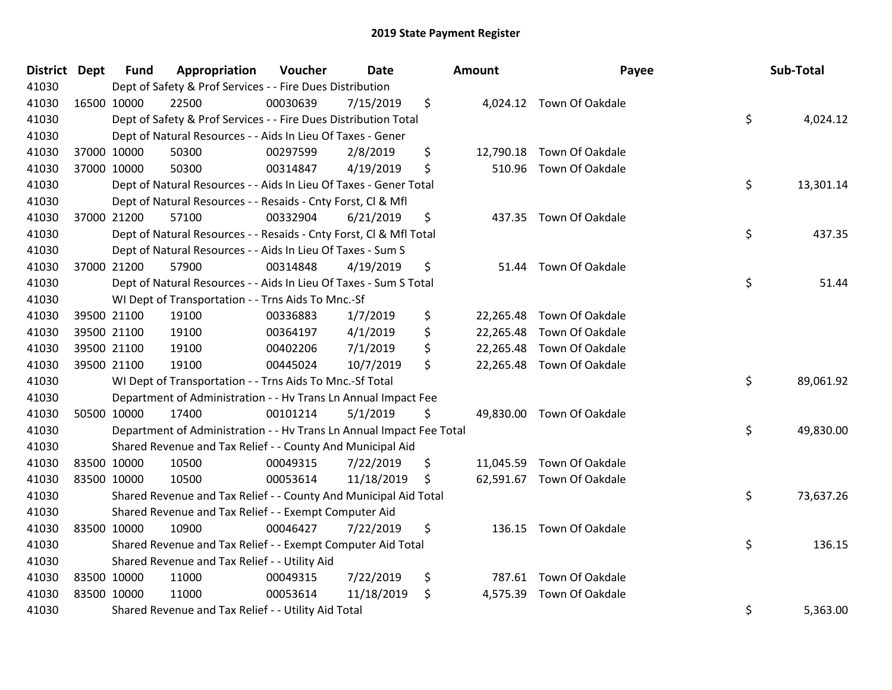| District Dept |             | <b>Fund</b> | Appropriation                                                        | Voucher  | <b>Date</b> | <b>Amount</b> | Payee                     | Sub-Total       |
|---------------|-------------|-------------|----------------------------------------------------------------------|----------|-------------|---------------|---------------------------|-----------------|
| 41030         |             |             | Dept of Safety & Prof Services - - Fire Dues Distribution            |          |             |               |                           |                 |
| 41030         |             | 16500 10000 | 22500                                                                | 00030639 | 7/15/2019   | \$            | 4,024.12 Town Of Oakdale  |                 |
| 41030         |             |             | Dept of Safety & Prof Services - - Fire Dues Distribution Total      |          |             |               |                           | \$<br>4,024.12  |
| 41030         |             |             | Dept of Natural Resources - - Aids In Lieu Of Taxes - Gener          |          |             |               |                           |                 |
| 41030         |             | 37000 10000 | 50300                                                                | 00297599 | 2/8/2019    | \$            | 12,790.18 Town Of Oakdale |                 |
| 41030         |             | 37000 10000 | 50300                                                                | 00314847 | 4/19/2019   | \$            | 510.96 Town Of Oakdale    |                 |
| 41030         |             |             | Dept of Natural Resources - - Aids In Lieu Of Taxes - Gener Total    |          |             |               |                           | \$<br>13,301.14 |
| 41030         |             |             | Dept of Natural Resources - - Resaids - Cnty Forst, Cl & Mfl         |          |             |               |                           |                 |
| 41030         |             | 37000 21200 | 57100                                                                | 00332904 | 6/21/2019   | \$            | 437.35 Town Of Oakdale    |                 |
| 41030         |             |             | Dept of Natural Resources - - Resaids - Cnty Forst, Cl & Mfl Total   |          |             |               |                           | \$<br>437.35    |
| 41030         |             |             | Dept of Natural Resources - - Aids In Lieu Of Taxes - Sum S          |          |             |               |                           |                 |
| 41030         |             | 37000 21200 | 57900                                                                | 00314848 | 4/19/2019   | \$            | 51.44 Town Of Oakdale     |                 |
| 41030         |             |             | Dept of Natural Resources - - Aids In Lieu Of Taxes - Sum S Total    |          |             |               |                           | \$<br>51.44     |
| 41030         |             |             | WI Dept of Transportation - - Trns Aids To Mnc.-Sf                   |          |             |               |                           |                 |
| 41030         |             | 39500 21100 | 19100                                                                | 00336883 | 1/7/2019    | \$            | 22,265.48 Town Of Oakdale |                 |
| 41030         |             | 39500 21100 | 19100                                                                | 00364197 | 4/1/2019    | \$            | 22,265.48 Town Of Oakdale |                 |
| 41030         |             | 39500 21100 | 19100                                                                | 00402206 | 7/1/2019    | \$            | 22,265.48 Town Of Oakdale |                 |
| 41030         |             | 39500 21100 | 19100                                                                | 00445024 | 10/7/2019   | \$            | 22,265.48 Town Of Oakdale |                 |
| 41030         |             |             | WI Dept of Transportation - - Trns Aids To Mnc.-Sf Total             |          |             |               |                           | \$<br>89,061.92 |
| 41030         |             |             | Department of Administration - - Hv Trans Ln Annual Impact Fee       |          |             |               |                           |                 |
| 41030         |             | 50500 10000 | 17400                                                                | 00101214 | 5/1/2019    | \$            | 49,830.00 Town Of Oakdale |                 |
| 41030         |             |             | Department of Administration - - Hv Trans Ln Annual Impact Fee Total |          |             |               |                           | \$<br>49,830.00 |
| 41030         |             |             | Shared Revenue and Tax Relief - - County And Municipal Aid           |          |             |               |                           |                 |
| 41030         | 83500 10000 |             | 10500                                                                | 00049315 | 7/22/2019   | \$            | 11,045.59 Town Of Oakdale |                 |
| 41030         |             | 83500 10000 | 10500                                                                | 00053614 | 11/18/2019  | \$            | 62,591.67 Town Of Oakdale |                 |
| 41030         |             |             | Shared Revenue and Tax Relief - - County And Municipal Aid Total     |          |             |               |                           | \$<br>73,637.26 |
| 41030         |             |             | Shared Revenue and Tax Relief - - Exempt Computer Aid                |          |             |               |                           |                 |
| 41030         | 83500 10000 |             | 10900                                                                | 00046427 | 7/22/2019   | \$            | 136.15 Town Of Oakdale    |                 |
| 41030         |             |             | Shared Revenue and Tax Relief - - Exempt Computer Aid Total          |          |             |               |                           | \$<br>136.15    |
| 41030         |             |             | Shared Revenue and Tax Relief - - Utility Aid                        |          |             |               |                           |                 |
| 41030         |             | 83500 10000 | 11000                                                                | 00049315 | 7/22/2019   | \$            | 787.61 Town Of Oakdale    |                 |
| 41030         |             | 83500 10000 | 11000                                                                | 00053614 | 11/18/2019  | \$            | 4,575.39 Town Of Oakdale  |                 |
| 41030         |             |             | Shared Revenue and Tax Relief - - Utility Aid Total                  |          |             |               |                           | \$<br>5,363.00  |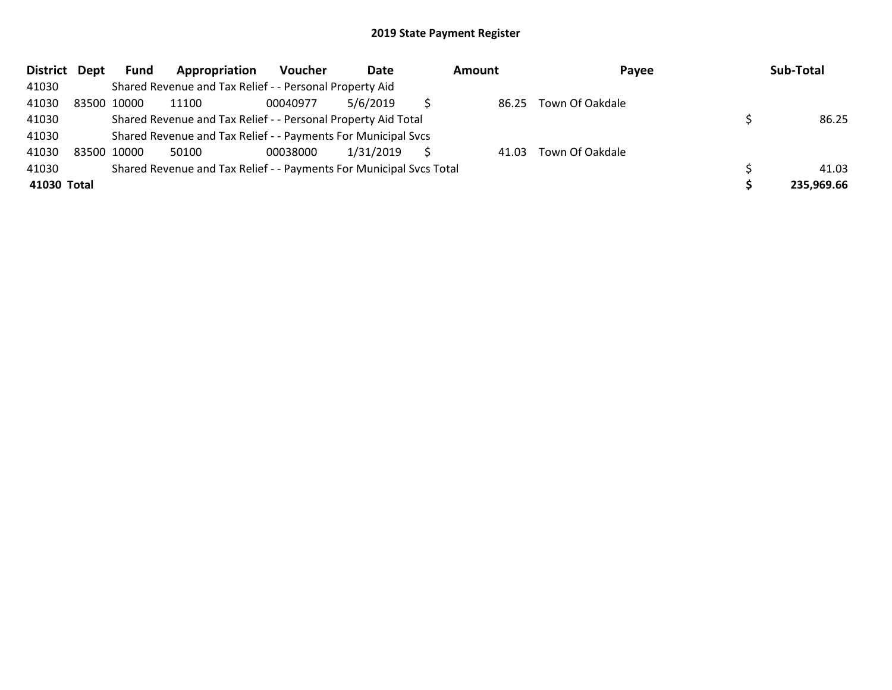| <b>District</b> | Dept | Fund        | Appropriation                                                       | <b>Voucher</b> | Date      | <b>Amount</b> | Payee           | Sub-Total  |
|-----------------|------|-------------|---------------------------------------------------------------------|----------------|-----------|---------------|-----------------|------------|
| 41030           |      |             | Shared Revenue and Tax Relief - - Personal Property Aid             |                |           |               |                 |            |
| 41030           |      | 83500 10000 | 11100                                                               | 00040977       | 5/6/2019  | 86.25         | Town Of Oakdale |            |
| 41030           |      |             | Shared Revenue and Tax Relief - - Personal Property Aid Total       |                |           |               |                 | 86.25      |
| 41030           |      |             | Shared Revenue and Tax Relief - - Payments For Municipal Svcs       |                |           |               |                 |            |
| 41030           |      | 83500 10000 | 50100                                                               | 00038000       | 1/31/2019 | 41.03         | Town Of Oakdale |            |
| 41030           |      |             | Shared Revenue and Tax Relief - - Payments For Municipal Svcs Total |                |           |               |                 | 41.03      |
| 41030 Total     |      |             |                                                                     |                |           |               |                 | 235,969.66 |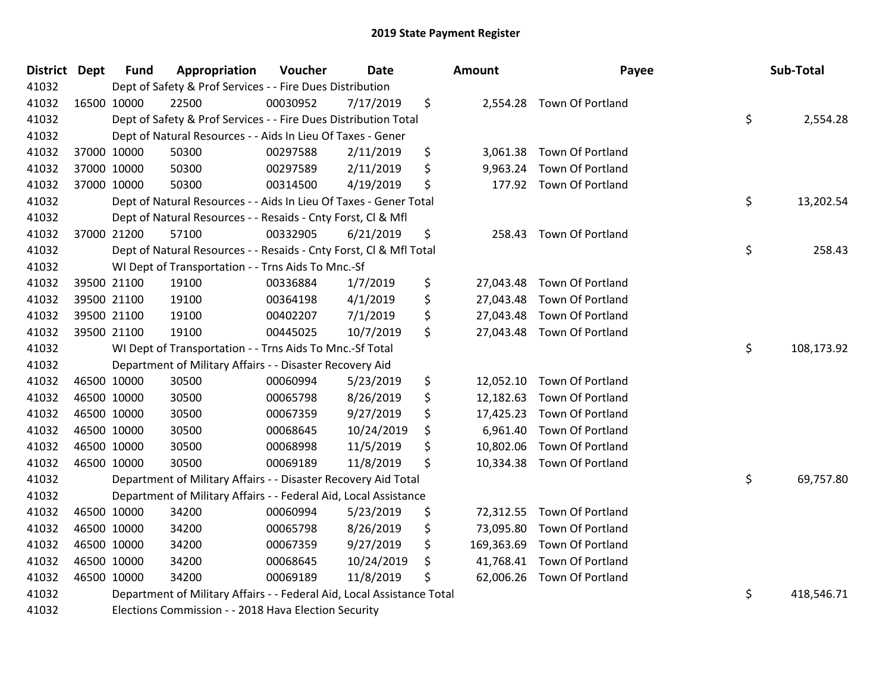| <b>District</b> | <b>Dept</b> | <b>Fund</b> | Appropriation                                                          | Voucher  | <b>Date</b> | Amount           | Payee                      | Sub-Total        |
|-----------------|-------------|-------------|------------------------------------------------------------------------|----------|-------------|------------------|----------------------------|------------------|
| 41032           |             |             | Dept of Safety & Prof Services - - Fire Dues Distribution              |          |             |                  |                            |                  |
| 41032           |             | 16500 10000 | 22500                                                                  | 00030952 | 7/17/2019   | \$               | 2,554.28 Town Of Portland  |                  |
| 41032           |             |             | Dept of Safety & Prof Services - - Fire Dues Distribution Total        |          |             |                  |                            | \$<br>2,554.28   |
| 41032           |             |             | Dept of Natural Resources - - Aids In Lieu Of Taxes - Gener            |          |             |                  |                            |                  |
| 41032           |             | 37000 10000 | 50300                                                                  | 00297588 | 2/11/2019   | \$<br>3,061.38   | Town Of Portland           |                  |
| 41032           |             | 37000 10000 | 50300                                                                  | 00297589 | 2/11/2019   | \$<br>9,963.24   | Town Of Portland           |                  |
| 41032           |             | 37000 10000 | 50300                                                                  | 00314500 | 4/19/2019   | \$<br>177.92     | Town Of Portland           |                  |
| 41032           |             |             | Dept of Natural Resources - - Aids In Lieu Of Taxes - Gener Total      |          |             |                  |                            | \$<br>13,202.54  |
| 41032           |             |             | Dept of Natural Resources - - Resaids - Cnty Forst, Cl & Mfl           |          |             |                  |                            |                  |
| 41032           |             | 37000 21200 | 57100                                                                  | 00332905 | 6/21/2019   | \$<br>258.43     | Town Of Portland           |                  |
| 41032           |             |             | Dept of Natural Resources - - Resaids - Cnty Forst, Cl & Mfl Total     |          |             |                  |                            | \$<br>258.43     |
| 41032           |             |             | WI Dept of Transportation - - Trns Aids To Mnc.-Sf                     |          |             |                  |                            |                  |
| 41032           |             | 39500 21100 | 19100                                                                  | 00336884 | 1/7/2019    | \$               | 27,043.48 Town Of Portland |                  |
| 41032           |             | 39500 21100 | 19100                                                                  | 00364198 | 4/1/2019    | \$<br>27,043.48  | Town Of Portland           |                  |
| 41032           |             | 39500 21100 | 19100                                                                  | 00402207 | 7/1/2019    | \$<br>27,043.48  | Town Of Portland           |                  |
| 41032           |             | 39500 21100 | 19100                                                                  | 00445025 | 10/7/2019   | \$<br>27,043.48  | Town Of Portland           |                  |
| 41032           |             |             | WI Dept of Transportation - - Trns Aids To Mnc.-Sf Total               |          |             |                  |                            | \$<br>108,173.92 |
| 41032           |             |             | Department of Military Affairs - - Disaster Recovery Aid               |          |             |                  |                            |                  |
| 41032           |             | 46500 10000 | 30500                                                                  | 00060994 | 5/23/2019   | \$<br>12,052.10  | Town Of Portland           |                  |
| 41032           |             | 46500 10000 | 30500                                                                  | 00065798 | 8/26/2019   | \$<br>12,182.63  | Town Of Portland           |                  |
| 41032           |             | 46500 10000 | 30500                                                                  | 00067359 | 9/27/2019   | \$<br>17,425.23  | Town Of Portland           |                  |
| 41032           |             | 46500 10000 | 30500                                                                  | 00068645 | 10/24/2019  | \$<br>6,961.40   | Town Of Portland           |                  |
| 41032           | 46500 10000 |             | 30500                                                                  | 00068998 | 11/5/2019   | \$<br>10,802.06  | Town Of Portland           |                  |
| 41032           |             | 46500 10000 | 30500                                                                  | 00069189 | 11/8/2019   | \$<br>10,334.38  | Town Of Portland           |                  |
| 41032           |             |             | Department of Military Affairs - - Disaster Recovery Aid Total         |          |             |                  |                            | \$<br>69,757.80  |
| 41032           |             |             | Department of Military Affairs - - Federal Aid, Local Assistance       |          |             |                  |                            |                  |
| 41032           |             | 46500 10000 | 34200                                                                  | 00060994 | 5/23/2019   | \$<br>72,312.55  | Town Of Portland           |                  |
| 41032           |             | 46500 10000 | 34200                                                                  | 00065798 | 8/26/2019   | \$<br>73,095.80  | Town Of Portland           |                  |
| 41032           |             | 46500 10000 | 34200                                                                  | 00067359 | 9/27/2019   | \$<br>169,363.69 | Town Of Portland           |                  |
| 41032           |             | 46500 10000 | 34200                                                                  | 00068645 | 10/24/2019  | \$<br>41,768.41  | Town Of Portland           |                  |
| 41032           |             | 46500 10000 | 34200                                                                  | 00069189 | 11/8/2019   | \$<br>62,006.26  | Town Of Portland           |                  |
| 41032           |             |             | Department of Military Affairs - - Federal Aid, Local Assistance Total |          |             |                  |                            | \$<br>418,546.71 |
| 41032           |             |             | Elections Commission - - 2018 Hava Election Security                   |          |             |                  |                            |                  |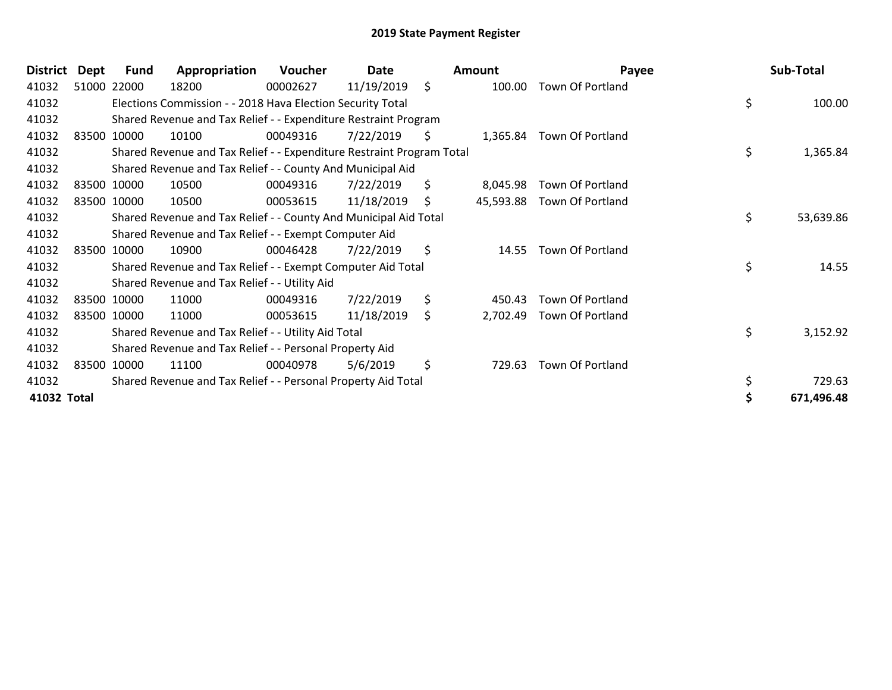| <b>District</b> | Dept | Fund        | Appropriation                                                         | Voucher  | Date       |    | <b>Amount</b> | Payee                   | Sub-Total       |
|-----------------|------|-------------|-----------------------------------------------------------------------|----------|------------|----|---------------|-------------------------|-----------------|
| 41032           |      | 51000 22000 | 18200                                                                 | 00002627 | 11/19/2019 | \$ | 100.00        | Town Of Portland        |                 |
| 41032           |      |             | Elections Commission - - 2018 Hava Election Security Total            |          |            |    |               |                         | \$<br>100.00    |
| 41032           |      |             | Shared Revenue and Tax Relief - - Expenditure Restraint Program       |          |            |    |               |                         |                 |
| 41032           |      | 83500 10000 | 10100                                                                 | 00049316 | 7/22/2019  | Ş. | 1,365.84      | Town Of Portland        |                 |
| 41032           |      |             | Shared Revenue and Tax Relief - - Expenditure Restraint Program Total |          |            |    |               |                         | \$<br>1,365.84  |
| 41032           |      |             | Shared Revenue and Tax Relief - - County And Municipal Aid            |          |            |    |               |                         |                 |
| 41032           |      | 83500 10000 | 10500                                                                 | 00049316 | 7/22/2019  | \$ | 8,045.98      | <b>Town Of Portland</b> |                 |
| 41032           |      | 83500 10000 | 10500                                                                 | 00053615 | 11/18/2019 | \$ | 45,593.88     | Town Of Portland        |                 |
| 41032           |      |             | Shared Revenue and Tax Relief - - County And Municipal Aid Total      |          |            |    |               |                         | \$<br>53,639.86 |
| 41032           |      |             | Shared Revenue and Tax Relief - - Exempt Computer Aid                 |          |            |    |               |                         |                 |
| 41032           |      | 83500 10000 | 10900                                                                 | 00046428 | 7/22/2019  | \$ | 14.55         | <b>Town Of Portland</b> |                 |
| 41032           |      |             | Shared Revenue and Tax Relief - - Exempt Computer Aid Total           |          |            |    |               |                         | \$<br>14.55     |
| 41032           |      |             | Shared Revenue and Tax Relief - - Utility Aid                         |          |            |    |               |                         |                 |
| 41032           |      | 83500 10000 | 11000                                                                 | 00049316 | 7/22/2019  | \$ | 450.43        | <b>Town Of Portland</b> |                 |
| 41032           |      | 83500 10000 | 11000                                                                 | 00053615 | 11/18/2019 | \$ | 2,702.49      | <b>Town Of Portland</b> |                 |
| 41032           |      |             | Shared Revenue and Tax Relief - - Utility Aid Total                   |          |            |    |               |                         | \$<br>3,152.92  |
| 41032           |      |             | Shared Revenue and Tax Relief - - Personal Property Aid               |          |            |    |               |                         |                 |
| 41032           |      | 83500 10000 | 11100                                                                 | 00040978 | 5/6/2019   | \$ | 729.63        | Town Of Portland        |                 |
| 41032           |      |             | Shared Revenue and Tax Relief - - Personal Property Aid Total         |          |            |    |               |                         | \$<br>729.63    |
| 41032 Total     |      |             |                                                                       |          |            |    |               |                         | 671,496.48      |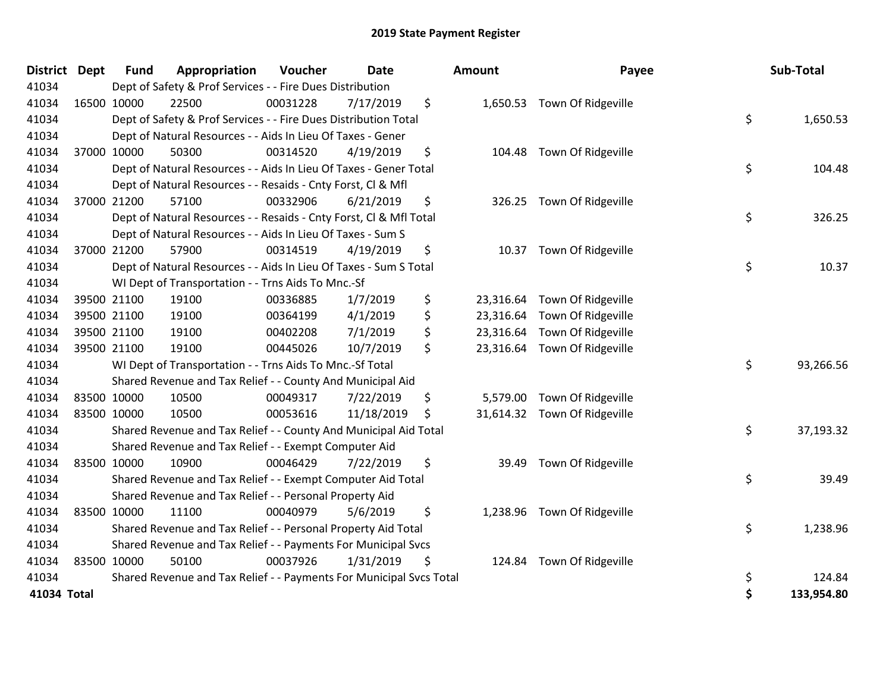| District Dept |             | <b>Fund</b> | Appropriation                                                       | Voucher  | <b>Date</b> | Amount          | Payee                        | Sub-Total        |
|---------------|-------------|-------------|---------------------------------------------------------------------|----------|-------------|-----------------|------------------------------|------------------|
| 41034         |             |             | Dept of Safety & Prof Services - - Fire Dues Distribution           |          |             |                 |                              |                  |
| 41034         |             | 16500 10000 | 22500                                                               | 00031228 | 7/17/2019   | \$              | 1,650.53 Town Of Ridgeville  |                  |
| 41034         |             |             | Dept of Safety & Prof Services - - Fire Dues Distribution Total     |          |             |                 |                              | \$<br>1,650.53   |
| 41034         |             |             | Dept of Natural Resources - - Aids In Lieu Of Taxes - Gener         |          |             |                 |                              |                  |
| 41034         |             | 37000 10000 | 50300                                                               | 00314520 | 4/19/2019   | \$<br>104.48    | Town Of Ridgeville           |                  |
| 41034         |             |             | Dept of Natural Resources - - Aids In Lieu Of Taxes - Gener Total   |          |             |                 |                              | \$<br>104.48     |
| 41034         |             |             | Dept of Natural Resources - - Resaids - Cnty Forst, Cl & Mfl        |          |             |                 |                              |                  |
| 41034         |             | 37000 21200 | 57100                                                               | 00332906 | 6/21/2019   | \$              | 326.25 Town Of Ridgeville    |                  |
| 41034         |             |             | Dept of Natural Resources - - Resaids - Cnty Forst, Cl & Mfl Total  |          |             |                 |                              | \$<br>326.25     |
| 41034         |             |             | Dept of Natural Resources - - Aids In Lieu Of Taxes - Sum S         |          |             |                 |                              |                  |
| 41034         |             | 37000 21200 | 57900                                                               | 00314519 | 4/19/2019   | \$<br>10.37     | Town Of Ridgeville           |                  |
| 41034         |             |             | Dept of Natural Resources - - Aids In Lieu Of Taxes - Sum S Total   |          |             |                 |                              | \$<br>10.37      |
| 41034         |             |             | WI Dept of Transportation - - Trns Aids To Mnc.-Sf                  |          |             |                 |                              |                  |
| 41034         |             | 39500 21100 | 19100                                                               | 00336885 | 1/7/2019    | \$<br>23,316.64 | Town Of Ridgeville           |                  |
| 41034         |             | 39500 21100 | 19100                                                               | 00364199 | 4/1/2019    | \$              | 23,316.64 Town Of Ridgeville |                  |
| 41034         |             | 39500 21100 | 19100                                                               | 00402208 | 7/1/2019    | \$              | 23,316.64 Town Of Ridgeville |                  |
| 41034         |             | 39500 21100 | 19100                                                               | 00445026 | 10/7/2019   | \$              | 23,316.64 Town Of Ridgeville |                  |
| 41034         |             |             | WI Dept of Transportation - - Trns Aids To Mnc.-Sf Total            |          |             |                 |                              | \$<br>93,266.56  |
| 41034         |             |             | Shared Revenue and Tax Relief - - County And Municipal Aid          |          |             |                 |                              |                  |
| 41034         |             | 83500 10000 | 10500                                                               | 00049317 | 7/22/2019   | \$              | 5,579.00 Town Of Ridgeville  |                  |
| 41034         |             | 83500 10000 | 10500                                                               | 00053616 | 11/18/2019  | \$              | 31,614.32 Town Of Ridgeville |                  |
| 41034         |             |             | Shared Revenue and Tax Relief - - County And Municipal Aid Total    |          |             |                 |                              | \$<br>37,193.32  |
| 41034         |             |             | Shared Revenue and Tax Relief - - Exempt Computer Aid               |          |             |                 |                              |                  |
| 41034         | 83500 10000 |             | 10900                                                               | 00046429 | 7/22/2019   | \$<br>39.49     | Town Of Ridgeville           |                  |
| 41034         |             |             | Shared Revenue and Tax Relief - - Exempt Computer Aid Total         |          |             |                 |                              | \$<br>39.49      |
| 41034         |             |             | Shared Revenue and Tax Relief - - Personal Property Aid             |          |             |                 |                              |                  |
| 41034         |             | 83500 10000 | 11100                                                               | 00040979 | 5/6/2019    | \$              | 1,238.96 Town Of Ridgeville  |                  |
| 41034         |             |             | Shared Revenue and Tax Relief - - Personal Property Aid Total       |          |             |                 |                              | \$<br>1,238.96   |
| 41034         |             |             | Shared Revenue and Tax Relief - - Payments For Municipal Svcs       |          |             |                 |                              |                  |
| 41034         |             | 83500 10000 | 50100                                                               | 00037926 | 1/31/2019   | \$              | 124.84 Town Of Ridgeville    |                  |
| 41034         |             |             | Shared Revenue and Tax Relief - - Payments For Municipal Svcs Total |          |             |                 |                              | \$<br>124.84     |
| 41034 Total   |             |             |                                                                     |          |             |                 |                              | \$<br>133,954.80 |

| <b>unt</b>                          | Payee                                                          |          | Sub-Total            |
|-------------------------------------|----------------------------------------------------------------|----------|----------------------|
| 1,650.53                            | Town Of Ridgeville                                             | \$       | 1,650.53             |
| 104.48                              | Town Of Ridgeville                                             | \$       | 104.48               |
| 326.25                              | Town Of Ridgeville                                             | \$       | 326.25               |
| 10.37                               | Town Of Ridgeville                                             | \$       | 10.37                |
| 23,316.64<br>23,316.64<br>23,316.64 | Town Of Ridgeville<br>Town Of Ridgeville<br>Town Of Ridgeville |          |                      |
| 23,316.64                           | Town Of Ridgeville                                             | \$       | 93,266.56            |
| 5,579.00<br>31,614.32               | Town Of Ridgeville<br>Town Of Ridgeville                       | \$       | 37,193.32            |
| 39.49                               | Town Of Ridgeville                                             |          |                      |
| 1,238.96                            | Town Of Ridgeville                                             | \$       | 39.49                |
| 124.84                              | Town Of Ridgeville                                             | \$       | 1,238.96             |
|                                     |                                                                | \$<br>\$ | 124.84<br>133,954.80 |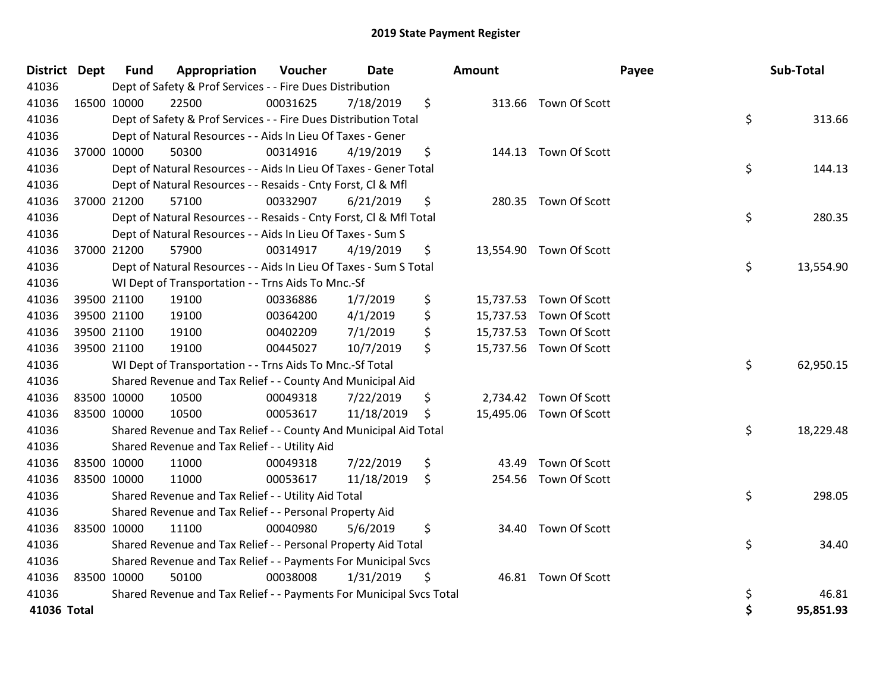| District Dept | <b>Fund</b> | Appropriation                                                       | Voucher  | <b>Date</b> | <b>Amount</b> |                         | Payee | Sub-Total |
|---------------|-------------|---------------------------------------------------------------------|----------|-------------|---------------|-------------------------|-------|-----------|
| 41036         |             | Dept of Safety & Prof Services - - Fire Dues Distribution           |          |             |               |                         |       |           |
| 41036         | 16500 10000 | 22500                                                               | 00031625 | 7/18/2019   | \$            | 313.66 Town Of Scott    |       |           |
| 41036         |             | Dept of Safety & Prof Services - - Fire Dues Distribution Total     |          |             |               |                         | \$    | 313.66    |
| 41036         |             | Dept of Natural Resources - - Aids In Lieu Of Taxes - Gener         |          |             |               |                         |       |           |
| 41036         | 37000 10000 | 50300                                                               | 00314916 | 4/19/2019   | \$            | 144.13 Town Of Scott    |       |           |
| 41036         |             | Dept of Natural Resources - - Aids In Lieu Of Taxes - Gener Total   |          |             |               |                         | \$    | 144.13    |
| 41036         |             | Dept of Natural Resources - - Resaids - Cnty Forst, Cl & Mfl        |          |             |               |                         |       |           |
| 41036         | 37000 21200 | 57100                                                               | 00332907 | 6/21/2019   | \$            | 280.35 Town Of Scott    |       |           |
| 41036         |             | Dept of Natural Resources - - Resaids - Cnty Forst, CI & Mfl Total  |          |             |               |                         | \$    | 280.35    |
| 41036         |             | Dept of Natural Resources - - Aids In Lieu Of Taxes - Sum S         |          |             |               |                         |       |           |
| 41036         | 37000 21200 | 57900                                                               | 00314917 | 4/19/2019   | \$            | 13,554.90 Town Of Scott |       |           |
| 41036         |             | Dept of Natural Resources - - Aids In Lieu Of Taxes - Sum S Total   |          |             |               |                         | \$    | 13,554.90 |
| 41036         |             | WI Dept of Transportation - - Trns Aids To Mnc.-Sf                  |          |             |               |                         |       |           |
| 41036         | 39500 21100 | 19100                                                               | 00336886 | 1/7/2019    | \$            | 15,737.53 Town Of Scott |       |           |
| 41036         | 39500 21100 | 19100                                                               | 00364200 | 4/1/2019    | \$            | 15,737.53 Town Of Scott |       |           |
| 41036         | 39500 21100 | 19100                                                               | 00402209 | 7/1/2019    | \$            | 15,737.53 Town Of Scott |       |           |
| 41036         | 39500 21100 | 19100                                                               | 00445027 | 10/7/2019   | \$            | 15,737.56 Town Of Scott |       |           |
| 41036         |             | WI Dept of Transportation - - Trns Aids To Mnc.-Sf Total            |          |             |               |                         | \$    | 62,950.15 |
| 41036         |             | Shared Revenue and Tax Relief - - County And Municipal Aid          |          |             |               |                         |       |           |
| 41036         | 83500 10000 | 10500                                                               | 00049318 | 7/22/2019   | \$            | 2,734.42 Town Of Scott  |       |           |
| 41036         | 83500 10000 | 10500                                                               | 00053617 | 11/18/2019  | \$            | 15,495.06 Town Of Scott |       |           |
| 41036         |             | Shared Revenue and Tax Relief - - County And Municipal Aid Total    |          |             |               |                         | \$    | 18,229.48 |
| 41036         |             | Shared Revenue and Tax Relief - - Utility Aid                       |          |             |               |                         |       |           |
| 41036         | 83500 10000 | 11000                                                               | 00049318 | 7/22/2019   | \$<br>43.49   | Town Of Scott           |       |           |
| 41036         | 83500 10000 | 11000                                                               | 00053617 | 11/18/2019  | \$            | 254.56 Town Of Scott    |       |           |
| 41036         |             | Shared Revenue and Tax Relief - - Utility Aid Total                 |          |             |               |                         | \$    | 298.05    |
| 41036         |             | Shared Revenue and Tax Relief - - Personal Property Aid             |          |             |               |                         |       |           |
| 41036         | 83500 10000 | 11100                                                               | 00040980 | 5/6/2019    | \$            | 34.40 Town Of Scott     |       |           |
| 41036         |             | Shared Revenue and Tax Relief - - Personal Property Aid Total       |          |             |               |                         | \$    | 34.40     |
| 41036         |             | Shared Revenue and Tax Relief - - Payments For Municipal Svcs       |          |             |               |                         |       |           |
| 41036         | 83500 10000 | 50100                                                               | 00038008 | 1/31/2019   | \$            | 46.81 Town Of Scott     |       |           |
| 41036         |             | Shared Revenue and Tax Relief - - Payments For Municipal Svcs Total |          |             |               |                         | \$    | 46.81     |
| 41036 Total   |             |                                                                     |          |             |               |                         | \$    | 95,851.93 |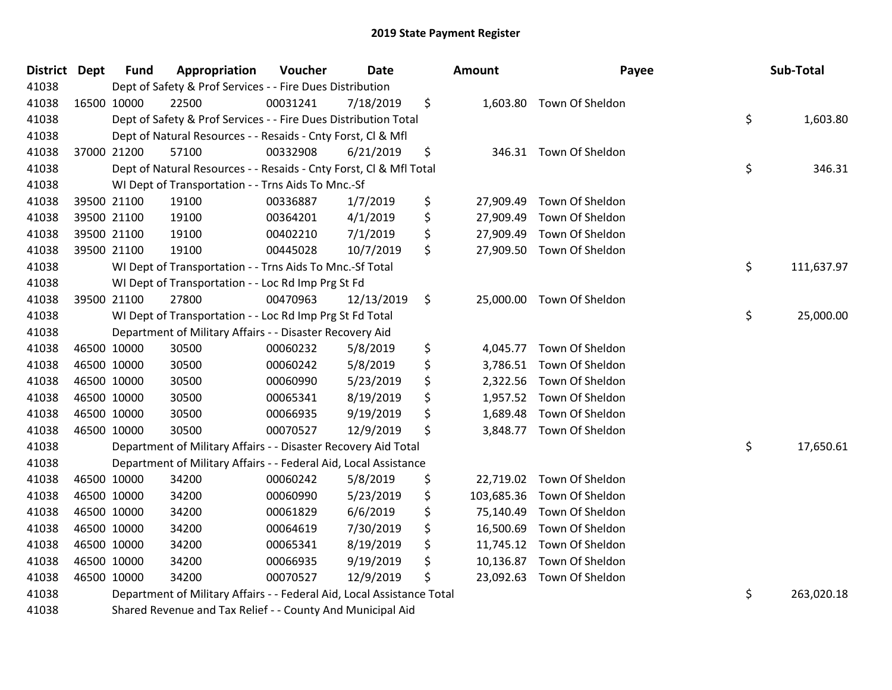| <b>District</b> | <b>Dept</b> | <b>Fund</b> | Appropriation                                                          | Voucher  | Date       | Amount           | Payee                    | Sub-Total        |
|-----------------|-------------|-------------|------------------------------------------------------------------------|----------|------------|------------------|--------------------------|------------------|
| 41038           |             |             | Dept of Safety & Prof Services - - Fire Dues Distribution              |          |            |                  |                          |                  |
| 41038           |             | 16500 10000 | 22500                                                                  | 00031241 | 7/18/2019  | \$               | 1,603.80 Town Of Sheldon |                  |
| 41038           |             |             | Dept of Safety & Prof Services - - Fire Dues Distribution Total        |          |            |                  |                          | \$<br>1,603.80   |
| 41038           |             |             | Dept of Natural Resources - - Resaids - Cnty Forst, Cl & Mfl           |          |            |                  |                          |                  |
| 41038           |             | 37000 21200 | 57100                                                                  | 00332908 | 6/21/2019  | \$<br>346.31     | Town Of Sheldon          |                  |
| 41038           |             |             | Dept of Natural Resources - - Resaids - Cnty Forst, Cl & Mfl Total     |          |            |                  |                          | \$<br>346.31     |
| 41038           |             |             | WI Dept of Transportation - - Trns Aids To Mnc.-Sf                     |          |            |                  |                          |                  |
| 41038           |             | 39500 21100 | 19100                                                                  | 00336887 | 1/7/2019   | \$<br>27,909.49  | Town Of Sheldon          |                  |
| 41038           |             | 39500 21100 | 19100                                                                  | 00364201 | 4/1/2019   | \$<br>27,909.49  | Town Of Sheldon          |                  |
| 41038           |             | 39500 21100 | 19100                                                                  | 00402210 | 7/1/2019   | \$<br>27,909.49  | Town Of Sheldon          |                  |
| 41038           |             | 39500 21100 | 19100                                                                  | 00445028 | 10/7/2019  | \$<br>27,909.50  | Town Of Sheldon          |                  |
| 41038           |             |             | WI Dept of Transportation - - Trns Aids To Mnc.-Sf Total               |          |            |                  |                          | \$<br>111,637.97 |
| 41038           |             |             | WI Dept of Transportation - - Loc Rd Imp Prg St Fd                     |          |            |                  |                          |                  |
| 41038           |             | 39500 21100 | 27800                                                                  | 00470963 | 12/13/2019 | \$<br>25,000.00  | Town Of Sheldon          |                  |
| 41038           |             |             | WI Dept of Transportation - - Loc Rd Imp Prg St Fd Total               |          |            |                  |                          | \$<br>25,000.00  |
| 41038           |             |             | Department of Military Affairs - - Disaster Recovery Aid               |          |            |                  |                          |                  |
| 41038           |             | 46500 10000 | 30500                                                                  | 00060232 | 5/8/2019   | \$<br>4,045.77   | Town Of Sheldon          |                  |
| 41038           | 46500 10000 |             | 30500                                                                  | 00060242 | 5/8/2019   | \$<br>3,786.51   | Town Of Sheldon          |                  |
| 41038           | 46500 10000 |             | 30500                                                                  | 00060990 | 5/23/2019  | \$<br>2,322.56   | Town Of Sheldon          |                  |
| 41038           |             | 46500 10000 | 30500                                                                  | 00065341 | 8/19/2019  | \$<br>1,957.52   | Town Of Sheldon          |                  |
| 41038           |             | 46500 10000 | 30500                                                                  | 00066935 | 9/19/2019  | \$<br>1,689.48   | Town Of Sheldon          |                  |
| 41038           | 46500 10000 |             | 30500                                                                  | 00070527 | 12/9/2019  | \$               | 3,848.77 Town Of Sheldon |                  |
| 41038           |             |             | Department of Military Affairs - - Disaster Recovery Aid Total         |          |            |                  |                          | \$<br>17,650.61  |
| 41038           |             |             | Department of Military Affairs - - Federal Aid, Local Assistance       |          |            |                  |                          |                  |
| 41038           |             | 46500 10000 | 34200                                                                  | 00060242 | 5/8/2019   | \$<br>22,719.02  | Town Of Sheldon          |                  |
| 41038           |             | 46500 10000 | 34200                                                                  | 00060990 | 5/23/2019  | \$<br>103,685.36 | Town Of Sheldon          |                  |
| 41038           | 46500 10000 |             | 34200                                                                  | 00061829 | 6/6/2019   | \$<br>75,140.49  | Town Of Sheldon          |                  |
| 41038           | 46500 10000 |             | 34200                                                                  | 00064619 | 7/30/2019  | \$<br>16,500.69  | Town Of Sheldon          |                  |
| 41038           |             | 46500 10000 | 34200                                                                  | 00065341 | 8/19/2019  | \$<br>11,745.12  | Town Of Sheldon          |                  |
| 41038           |             | 46500 10000 | 34200                                                                  | 00066935 | 9/19/2019  | \$<br>10,136.87  | Town Of Sheldon          |                  |
| 41038           |             | 46500 10000 | 34200                                                                  | 00070527 | 12/9/2019  | \$<br>23,092.63  | Town Of Sheldon          |                  |
| 41038           |             |             | Department of Military Affairs - - Federal Aid, Local Assistance Total |          |            |                  |                          | \$<br>263,020.18 |
| 41038           |             |             | Shared Revenue and Tax Relief - - County And Municipal Aid             |          |            |                  |                          |                  |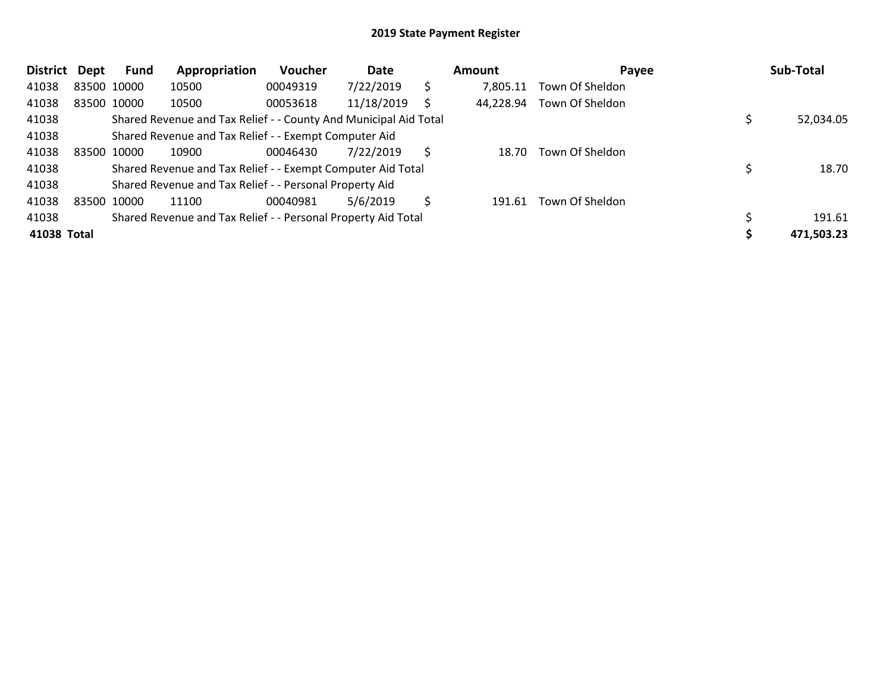| <b>District</b> | Dept        | <b>Fund</b> | Appropriation                                                    | <b>Voucher</b> | Date       |   | Amount    | Payee           | Sub-Total  |
|-----------------|-------------|-------------|------------------------------------------------------------------|----------------|------------|---|-----------|-----------------|------------|
| 41038           |             | 83500 10000 | 10500                                                            | 00049319       | 7/22/2019  | S | 7,805.11  | Town Of Sheldon |            |
| 41038           |             | 83500 10000 | 10500                                                            | 00053618       | 11/18/2019 | S | 44,228.94 | Town Of Sheldon |            |
| 41038           |             |             | Shared Revenue and Tax Relief - - County And Municipal Aid Total |                |            |   |           |                 | 52,034.05  |
| 41038           |             |             | Shared Revenue and Tax Relief - - Exempt Computer Aid            |                |            |   |           |                 |            |
| 41038           | 83500 10000 |             | 10900                                                            | 00046430       | 7/22/2019  | S | 18.70     | Town Of Sheldon |            |
| 41038           |             |             | Shared Revenue and Tax Relief - - Exempt Computer Aid Total      |                |            |   |           |                 | 18.70      |
| 41038           |             |             | Shared Revenue and Tax Relief - - Personal Property Aid          |                |            |   |           |                 |            |
| 41038           | 83500 10000 |             | 11100                                                            | 00040981       | 5/6/2019   | Ś | 191.61    | Town Of Sheldon |            |
| 41038           |             |             | Shared Revenue and Tax Relief - - Personal Property Aid Total    |                |            |   |           |                 | 191.61     |
| 41038 Total     |             |             |                                                                  |                |            |   |           |                 | 471,503.23 |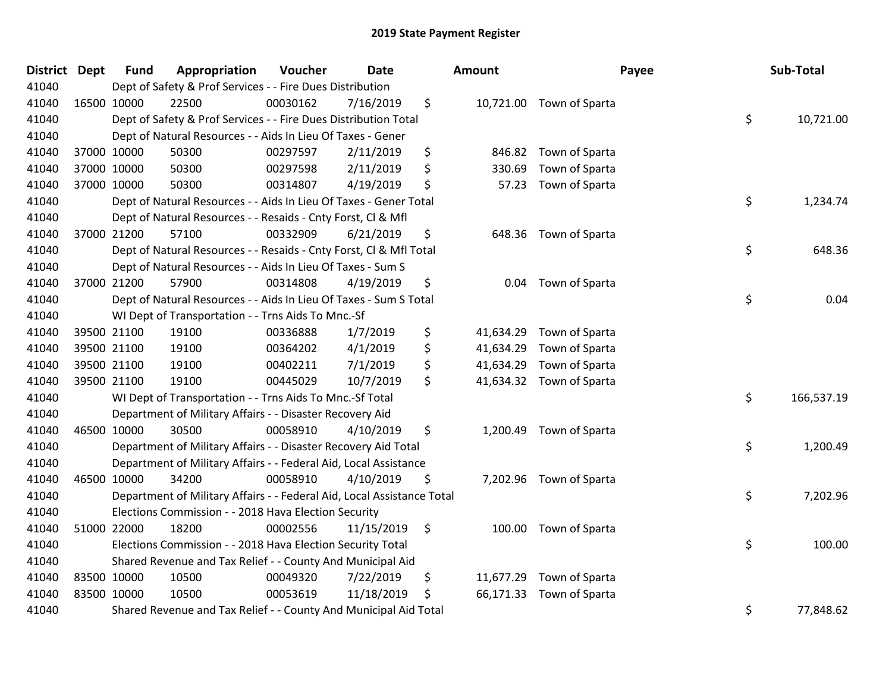| District | <b>Dept</b> | <b>Fund</b> | Appropriation                                                          | Voucher  | <b>Date</b> | <b>Amount</b>   |                          | Payee | Sub-Total  |
|----------|-------------|-------------|------------------------------------------------------------------------|----------|-------------|-----------------|--------------------------|-------|------------|
| 41040    |             |             | Dept of Safety & Prof Services - - Fire Dues Distribution              |          |             |                 |                          |       |            |
| 41040    |             | 16500 10000 | 22500                                                                  | 00030162 | 7/16/2019   | \$              | 10,721.00 Town of Sparta |       |            |
| 41040    |             |             | Dept of Safety & Prof Services - - Fire Dues Distribution Total        |          |             |                 |                          | \$    | 10,721.00  |
| 41040    |             |             | Dept of Natural Resources - - Aids In Lieu Of Taxes - Gener            |          |             |                 |                          |       |            |
| 41040    |             | 37000 10000 | 50300                                                                  | 00297597 | 2/11/2019   | \$<br>846.82    | Town of Sparta           |       |            |
| 41040    |             | 37000 10000 | 50300                                                                  | 00297598 | 2/11/2019   | \$<br>330.69    | Town of Sparta           |       |            |
| 41040    |             | 37000 10000 | 50300                                                                  | 00314807 | 4/19/2019   | \$<br>57.23     | Town of Sparta           |       |            |
| 41040    |             |             | Dept of Natural Resources - - Aids In Lieu Of Taxes - Gener Total      |          |             |                 |                          | \$    | 1,234.74   |
| 41040    |             |             | Dept of Natural Resources - - Resaids - Cnty Forst, Cl & Mfl           |          |             |                 |                          |       |            |
| 41040    |             | 37000 21200 | 57100                                                                  | 00332909 | 6/21/2019   | \$<br>648.36    | Town of Sparta           |       |            |
| 41040    |             |             | Dept of Natural Resources - - Resaids - Cnty Forst, Cl & Mfl Total     |          |             |                 |                          | \$    | 648.36     |
| 41040    |             |             | Dept of Natural Resources - - Aids In Lieu Of Taxes - Sum S            |          |             |                 |                          |       |            |
| 41040    |             | 37000 21200 | 57900                                                                  | 00314808 | 4/19/2019   | \$<br>0.04      | Town of Sparta           |       |            |
| 41040    |             |             | Dept of Natural Resources - - Aids In Lieu Of Taxes - Sum S Total      |          |             |                 |                          | \$    | 0.04       |
| 41040    |             |             | WI Dept of Transportation - - Trns Aids To Mnc.-Sf                     |          |             |                 |                          |       |            |
| 41040    |             | 39500 21100 | 19100                                                                  | 00336888 | 1/7/2019    | \$<br>41,634.29 | Town of Sparta           |       |            |
| 41040    |             | 39500 21100 | 19100                                                                  | 00364202 | 4/1/2019    | \$<br>41,634.29 | Town of Sparta           |       |            |
| 41040    |             | 39500 21100 | 19100                                                                  | 00402211 | 7/1/2019    | \$<br>41,634.29 | Town of Sparta           |       |            |
| 41040    |             | 39500 21100 | 19100                                                                  | 00445029 | 10/7/2019   | \$              | 41,634.32 Town of Sparta |       |            |
| 41040    |             |             | WI Dept of Transportation - - Trns Aids To Mnc.-Sf Total               |          |             |                 |                          | \$    | 166,537.19 |
| 41040    |             |             | Department of Military Affairs - - Disaster Recovery Aid               |          |             |                 |                          |       |            |
| 41040    |             | 46500 10000 | 30500                                                                  | 00058910 | 4/10/2019   | \$              | 1,200.49 Town of Sparta  |       |            |
| 41040    |             |             | Department of Military Affairs - - Disaster Recovery Aid Total         |          |             |                 |                          | \$    | 1,200.49   |
| 41040    |             |             | Department of Military Affairs - - Federal Aid, Local Assistance       |          |             |                 |                          |       |            |
| 41040    | 46500 10000 |             | 34200                                                                  | 00058910 | 4/10/2019   | \$              | 7,202.96 Town of Sparta  |       |            |
| 41040    |             |             | Department of Military Affairs - - Federal Aid, Local Assistance Total |          |             |                 |                          | \$    | 7,202.96   |
| 41040    |             |             | Elections Commission - - 2018 Hava Election Security                   |          |             |                 |                          |       |            |
| 41040    |             | 51000 22000 | 18200                                                                  | 00002556 | 11/15/2019  | \$<br>100.00    | Town of Sparta           |       |            |
| 41040    |             |             | Elections Commission - - 2018 Hava Election Security Total             |          |             |                 |                          | \$    | 100.00     |
| 41040    |             |             | Shared Revenue and Tax Relief - - County And Municipal Aid             |          |             |                 |                          |       |            |
| 41040    | 83500 10000 |             | 10500                                                                  | 00049320 | 7/22/2019   | \$<br>11,677.29 | Town of Sparta           |       |            |
| 41040    | 83500 10000 |             | 10500                                                                  | 00053619 | 11/18/2019  | \$              | 66,171.33 Town of Sparta |       |            |
| 41040    |             |             | Shared Revenue and Tax Relief - - County And Municipal Aid Total       |          |             |                 |                          | \$    | 77,848.62  |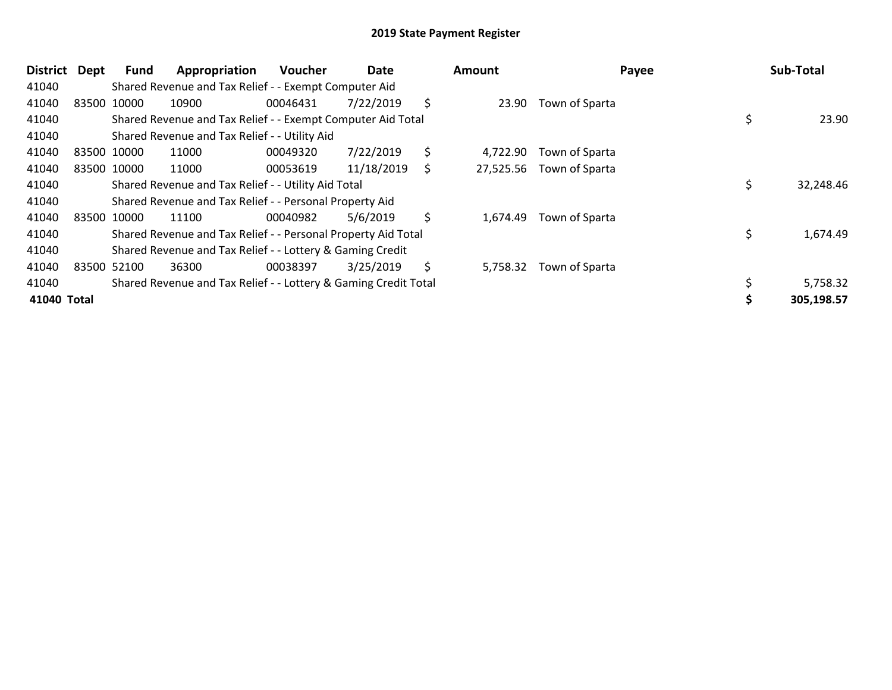| <b>District</b> | <b>Dept</b> | Fund        | Appropriation                                                   | <b>Voucher</b> | Date       |    | Amount    |                | Payee | Sub-Total  |
|-----------------|-------------|-------------|-----------------------------------------------------------------|----------------|------------|----|-----------|----------------|-------|------------|
| 41040           |             |             | Shared Revenue and Tax Relief - - Exempt Computer Aid           |                |            |    |           |                |       |            |
| 41040           |             | 83500 10000 | 10900                                                           | 00046431       | 7/22/2019  | \$ | 23.90     | Town of Sparta |       |            |
| 41040           |             |             | Shared Revenue and Tax Relief - - Exempt Computer Aid Total     |                |            |    |           |                |       | 23.90      |
| 41040           |             |             | Shared Revenue and Tax Relief - - Utility Aid                   |                |            |    |           |                |       |            |
| 41040           |             | 83500 10000 | 11000                                                           | 00049320       | 7/22/2019  | \$ | 4,722.90  | Town of Sparta |       |            |
| 41040           |             | 83500 10000 | 11000                                                           | 00053619       | 11/18/2019 | S  | 27,525.56 | Town of Sparta |       |            |
| 41040           |             |             | Shared Revenue and Tax Relief - - Utility Aid Total             |                |            |    |           |                | \$    | 32,248.46  |
| 41040           |             |             | Shared Revenue and Tax Relief - - Personal Property Aid         |                |            |    |           |                |       |            |
| 41040           |             | 83500 10000 | 11100                                                           | 00040982       | 5/6/2019   | \$ | 1,674.49  | Town of Sparta |       |            |
| 41040           |             |             | Shared Revenue and Tax Relief - - Personal Property Aid Total   |                |            |    |           |                | \$    | 1,674.49   |
| 41040           |             |             | Shared Revenue and Tax Relief - - Lottery & Gaming Credit       |                |            |    |           |                |       |            |
| 41040           |             | 83500 52100 | 36300                                                           | 00038397       | 3/25/2019  | \$ | 5,758.32  | Town of Sparta |       |            |
| 41040           |             |             | Shared Revenue and Tax Relief - - Lottery & Gaming Credit Total |                |            |    |           |                |       | 5,758.32   |
| 41040 Total     |             |             |                                                                 |                |            |    |           |                |       | 305,198.57 |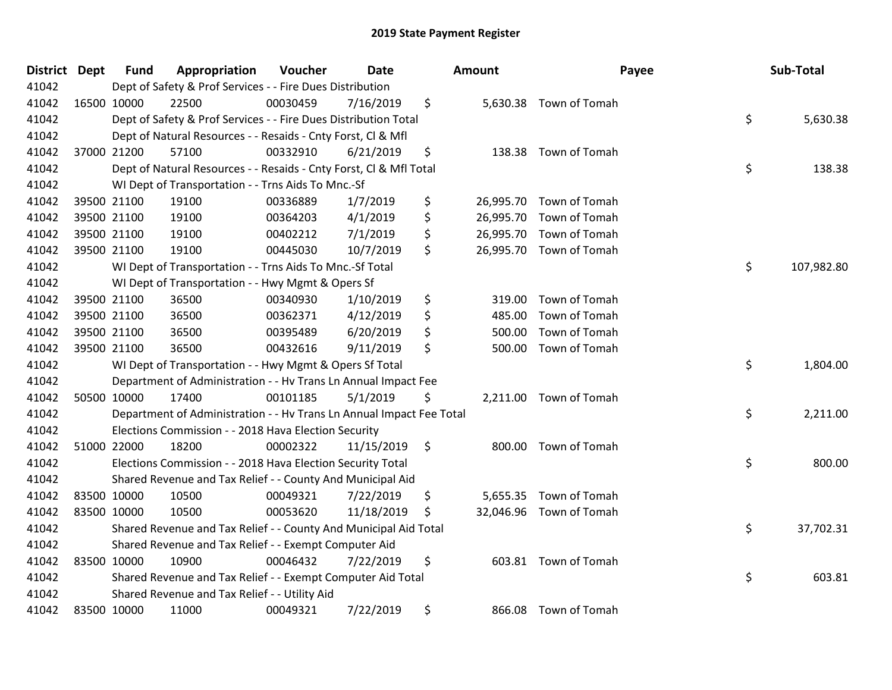| District Dept | <b>Fund</b> | Appropriation                                                        | Voucher  | Date       |               | Amount    | Payee                   | Sub-Total        |
|---------------|-------------|----------------------------------------------------------------------|----------|------------|---------------|-----------|-------------------------|------------------|
| 41042         |             | Dept of Safety & Prof Services - - Fire Dues Distribution            |          |            |               |           |                         |                  |
| 41042         | 16500 10000 | 22500                                                                | 00030459 | 7/16/2019  | \$            |           | 5,630.38 Town of Tomah  |                  |
| 41042         |             | Dept of Safety & Prof Services - - Fire Dues Distribution Total      |          |            |               |           |                         | \$<br>5,630.38   |
| 41042         |             | Dept of Natural Resources - - Resaids - Cnty Forst, Cl & Mfl         |          |            |               |           |                         |                  |
| 41042         | 37000 21200 | 57100                                                                | 00332910 | 6/21/2019  | \$            | 138.38    | Town of Tomah           |                  |
| 41042         |             | Dept of Natural Resources - - Resaids - Cnty Forst, Cl & Mfl Total   |          |            |               |           |                         | \$<br>138.38     |
| 41042         |             | WI Dept of Transportation - - Trns Aids To Mnc.-Sf                   |          |            |               |           |                         |                  |
| 41042         | 39500 21100 | 19100                                                                | 00336889 | 1/7/2019   | \$            | 26,995.70 | Town of Tomah           |                  |
| 41042         | 39500 21100 | 19100                                                                | 00364203 | 4/1/2019   | \$            | 26,995.70 | Town of Tomah           |                  |
| 41042         | 39500 21100 | 19100                                                                | 00402212 | 7/1/2019   | \$            | 26,995.70 | Town of Tomah           |                  |
| 41042         | 39500 21100 | 19100                                                                | 00445030 | 10/7/2019  | \$            |           | 26,995.70 Town of Tomah |                  |
| 41042         |             | WI Dept of Transportation - - Trns Aids To Mnc.-Sf Total             |          |            |               |           |                         | \$<br>107,982.80 |
| 41042         |             | WI Dept of Transportation - - Hwy Mgmt & Opers Sf                    |          |            |               |           |                         |                  |
| 41042         | 39500 21100 | 36500                                                                | 00340930 | 1/10/2019  | \$            | 319.00    | Town of Tomah           |                  |
| 41042         | 39500 21100 | 36500                                                                | 00362371 | 4/12/2019  | \$            | 485.00    | Town of Tomah           |                  |
| 41042         | 39500 21100 | 36500                                                                | 00395489 | 6/20/2019  | \$            | 500.00    | Town of Tomah           |                  |
| 41042         | 39500 21100 | 36500                                                                | 00432616 | 9/11/2019  | \$            | 500.00    | Town of Tomah           |                  |
| 41042         |             | WI Dept of Transportation - - Hwy Mgmt & Opers Sf Total              |          |            |               |           |                         | \$<br>1,804.00   |
| 41042         |             | Department of Administration - - Hv Trans Ln Annual Impact Fee       |          |            |               |           |                         |                  |
| 41042         | 50500 10000 | 17400                                                                | 00101185 | 5/1/2019   | \$            |           | 2,211.00 Town of Tomah  |                  |
| 41042         |             | Department of Administration - - Hv Trans Ln Annual Impact Fee Total |          |            |               |           |                         | \$<br>2,211.00   |
| 41042         |             | Elections Commission - - 2018 Hava Election Security                 |          |            |               |           |                         |                  |
| 41042         | 51000 22000 | 18200                                                                | 00002322 | 11/15/2019 | $\ddot{\phi}$ |           | 800.00 Town of Tomah    |                  |
| 41042         |             | Elections Commission - - 2018 Hava Election Security Total           |          |            |               |           |                         | \$<br>800.00     |
| 41042         |             | Shared Revenue and Tax Relief - - County And Municipal Aid           |          |            |               |           |                         |                  |
| 41042         | 83500 10000 | 10500                                                                | 00049321 | 7/22/2019  | \$            | 5,655.35  | Town of Tomah           |                  |
| 41042         | 83500 10000 | 10500                                                                | 00053620 | 11/18/2019 | \$            |           | 32,046.96 Town of Tomah |                  |
| 41042         |             | Shared Revenue and Tax Relief - - County And Municipal Aid Total     |          |            |               |           |                         | \$<br>37,702.31  |
| 41042         |             | Shared Revenue and Tax Relief - - Exempt Computer Aid                |          |            |               |           |                         |                  |
| 41042         | 83500 10000 | 10900                                                                | 00046432 | 7/22/2019  | \$            |           | 603.81 Town of Tomah    |                  |
| 41042         |             | Shared Revenue and Tax Relief - - Exempt Computer Aid Total          |          |            |               |           |                         | \$<br>603.81     |
| 41042         |             | Shared Revenue and Tax Relief - - Utility Aid                        |          |            |               |           |                         |                  |
| 41042         | 83500 10000 | 11000                                                                | 00049321 | 7/22/2019  | \$            | 866.08    | Town of Tomah           |                  |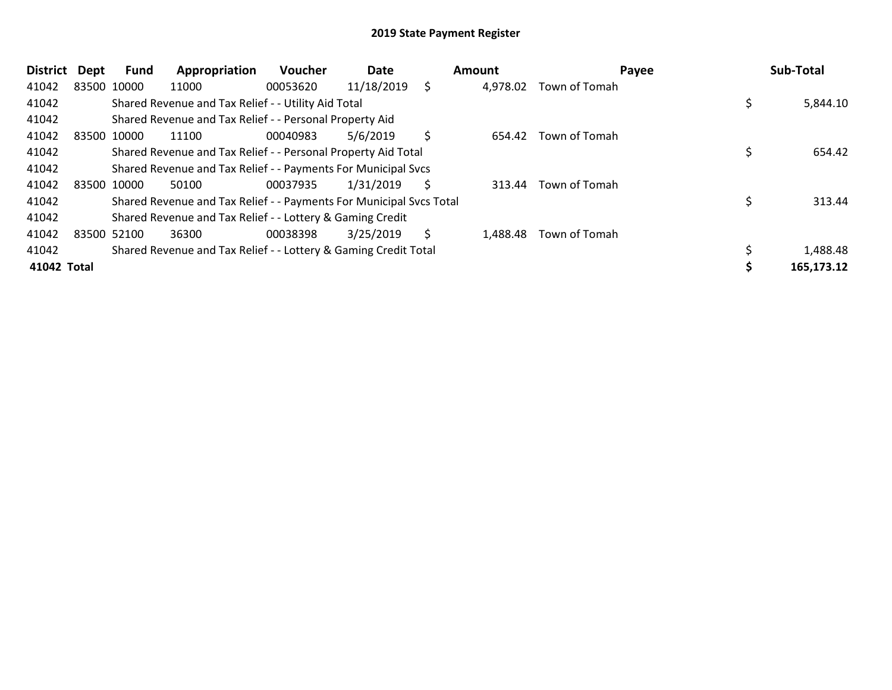| <b>District</b> | Dept        | <b>Fund</b> | Appropriation                                                       | <b>Voucher</b> | Date       |    | Amount   | Payee         | Sub-Total  |
|-----------------|-------------|-------------|---------------------------------------------------------------------|----------------|------------|----|----------|---------------|------------|
| 41042           | 83500 10000 |             | 11000                                                               | 00053620       | 11/18/2019 | \$ | 4,978.02 | Town of Tomah |            |
| 41042           |             |             | Shared Revenue and Tax Relief - - Utility Aid Total                 |                |            |    |          |               | 5,844.10   |
| 41042           |             |             | Shared Revenue and Tax Relief - - Personal Property Aid             |                |            |    |          |               |            |
| 41042           | 83500 10000 |             | 11100                                                               | 00040983       | 5/6/2019   | \$ | 654.42   | Town of Tomah |            |
| 41042           |             |             | Shared Revenue and Tax Relief - - Personal Property Aid Total       |                |            |    |          |               | 654.42     |
| 41042           |             |             | Shared Revenue and Tax Relief - - Payments For Municipal Svcs       |                |            |    |          |               |            |
| 41042           | 83500 10000 |             | 50100                                                               | 00037935       | 1/31/2019  | S  | 313.44   | Town of Tomah |            |
| 41042           |             |             | Shared Revenue and Tax Relief - - Payments For Municipal Svcs Total |                |            |    |          |               | 313.44     |
| 41042           |             |             | Shared Revenue and Tax Relief - - Lottery & Gaming Credit           |                |            |    |          |               |            |
| 41042           | 83500 52100 |             | 36300                                                               | 00038398       | 3/25/2019  | \$ | 1,488.48 | Town of Tomah |            |
| 41042           |             |             | Shared Revenue and Tax Relief - - Lottery & Gaming Credit Total     |                |            |    |          |               | 1,488.48   |
| 41042 Total     |             |             |                                                                     |                |            |    |          |               | 165,173.12 |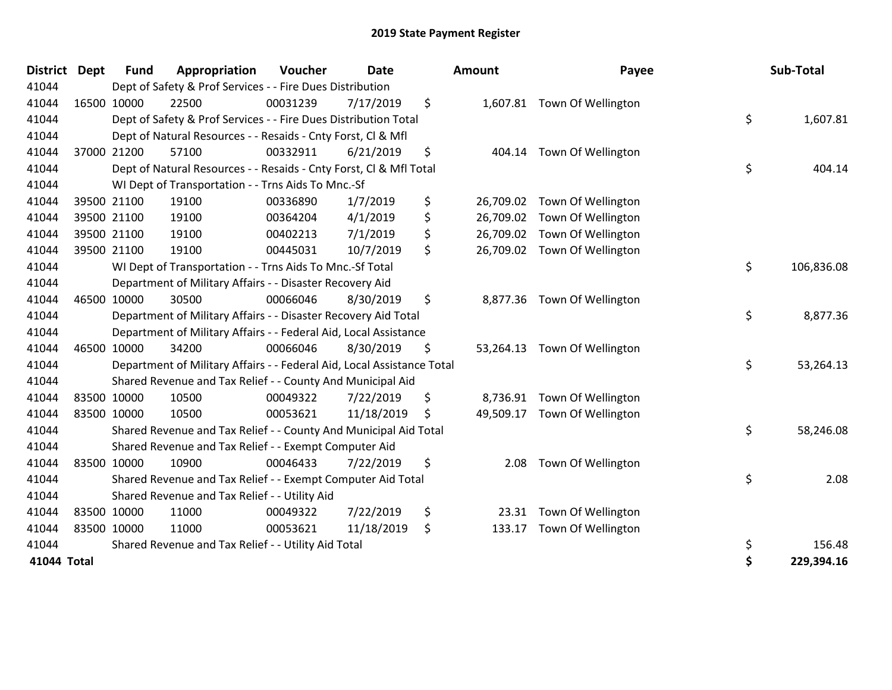| <b>District</b> | <b>Dept</b> | <b>Fund</b> | Appropriation                                                          | Voucher  | <b>Date</b> | Amount          | Payee                        | Sub-Total        |
|-----------------|-------------|-------------|------------------------------------------------------------------------|----------|-------------|-----------------|------------------------------|------------------|
| 41044           |             |             | Dept of Safety & Prof Services - - Fire Dues Distribution              |          |             |                 |                              |                  |
| 41044           |             | 16500 10000 | 22500                                                                  | 00031239 | 7/17/2019   | \$              | 1,607.81 Town Of Wellington  |                  |
| 41044           |             |             | Dept of Safety & Prof Services - - Fire Dues Distribution Total        |          |             |                 |                              | \$<br>1,607.81   |
| 41044           |             |             | Dept of Natural Resources - - Resaids - Cnty Forst, CI & Mfl           |          |             |                 |                              |                  |
| 41044           |             | 37000 21200 | 57100                                                                  | 00332911 | 6/21/2019   | \$<br>404.14    | Town Of Wellington           |                  |
| 41044           |             |             | Dept of Natural Resources - - Resaids - Cnty Forst, CI & Mfl Total     |          |             |                 |                              | \$<br>404.14     |
| 41044           |             |             | WI Dept of Transportation - - Trns Aids To Mnc.-Sf                     |          |             |                 |                              |                  |
| 41044           |             | 39500 21100 | 19100                                                                  | 00336890 | 1/7/2019    | \$<br>26,709.02 | Town Of Wellington           |                  |
| 41044           |             | 39500 21100 | 19100                                                                  | 00364204 | 4/1/2019    | \$<br>26,709.02 | Town Of Wellington           |                  |
| 41044           |             | 39500 21100 | 19100                                                                  | 00402213 | 7/1/2019    | \$<br>26,709.02 | Town Of Wellington           |                  |
| 41044           |             | 39500 21100 | 19100                                                                  | 00445031 | 10/7/2019   | \$              | 26,709.02 Town Of Wellington |                  |
| 41044           |             |             | WI Dept of Transportation - - Trns Aids To Mnc.-Sf Total               |          |             |                 |                              | \$<br>106,836.08 |
| 41044           |             |             | Department of Military Affairs - - Disaster Recovery Aid               |          |             |                 |                              |                  |
| 41044           |             | 46500 10000 | 30500                                                                  | 00066046 | 8/30/2019   | \$              | 8,877.36 Town Of Wellington  |                  |
| 41044           |             |             | Department of Military Affairs - - Disaster Recovery Aid Total         |          |             |                 |                              | \$<br>8,877.36   |
| 41044           |             |             | Department of Military Affairs - - Federal Aid, Local Assistance       |          |             |                 |                              |                  |
| 41044           |             | 46500 10000 | 34200                                                                  | 00066046 | 8/30/2019   | \$<br>53,264.13 | Town Of Wellington           |                  |
| 41044           |             |             | Department of Military Affairs - - Federal Aid, Local Assistance Total |          |             |                 |                              | \$<br>53,264.13  |
| 41044           |             |             | Shared Revenue and Tax Relief - - County And Municipal Aid             |          |             |                 |                              |                  |
| 41044           |             | 83500 10000 | 10500                                                                  | 00049322 | 7/22/2019   | \$<br>8,736.91  | Town Of Wellington           |                  |
| 41044           |             | 83500 10000 | 10500                                                                  | 00053621 | 11/18/2019  | \$<br>49,509.17 | Town Of Wellington           |                  |
| 41044           |             |             | Shared Revenue and Tax Relief - - County And Municipal Aid Total       |          |             |                 |                              | \$<br>58,246.08  |
| 41044           |             |             | Shared Revenue and Tax Relief - - Exempt Computer Aid                  |          |             |                 |                              |                  |
| 41044           |             | 83500 10000 | 10900                                                                  | 00046433 | 7/22/2019   | \$<br>2.08      | Town Of Wellington           |                  |
| 41044           |             |             | Shared Revenue and Tax Relief - - Exempt Computer Aid Total            |          |             |                 |                              | \$<br>2.08       |
| 41044           |             |             | Shared Revenue and Tax Relief - - Utility Aid                          |          |             |                 |                              |                  |
| 41044           |             | 83500 10000 | 11000                                                                  | 00049322 | 7/22/2019   | \$<br>23.31     | Town Of Wellington           |                  |
| 41044           | 83500 10000 |             | 11000                                                                  | 00053621 | 11/18/2019  | \$<br>133.17    | Town Of Wellington           |                  |
| 41044           |             |             | Shared Revenue and Tax Relief - - Utility Aid Total                    |          |             |                 |                              | \$<br>156.48     |
| 41044 Total     |             |             |                                                                        |          |             |                 |                              | \$<br>229,394.16 |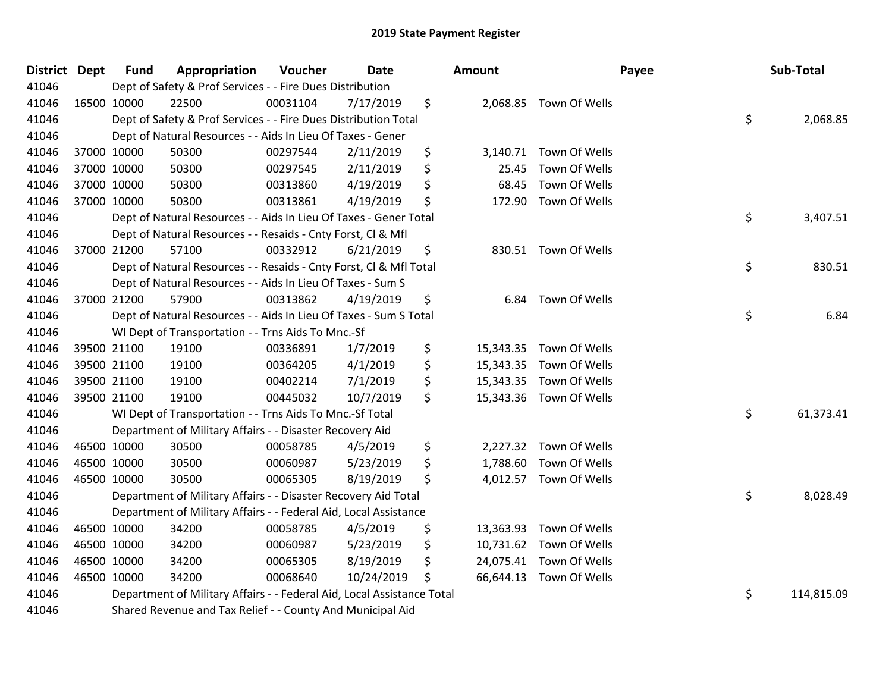| District Dept |             | <b>Fund</b> | Appropriation                                                          | Voucher  | <b>Date</b> | Amount          |                         | Payee | Sub-Total  |
|---------------|-------------|-------------|------------------------------------------------------------------------|----------|-------------|-----------------|-------------------------|-------|------------|
| 41046         |             |             | Dept of Safety & Prof Services - - Fire Dues Distribution              |          |             |                 |                         |       |            |
| 41046         |             | 16500 10000 | 22500                                                                  | 00031104 | 7/17/2019   | \$              | 2,068.85 Town Of Wells  |       |            |
| 41046         |             |             | Dept of Safety & Prof Services - - Fire Dues Distribution Total        |          |             |                 |                         | \$    | 2,068.85   |
| 41046         |             |             | Dept of Natural Resources - - Aids In Lieu Of Taxes - Gener            |          |             |                 |                         |       |            |
| 41046         |             | 37000 10000 | 50300                                                                  | 00297544 | 2/11/2019   | \$              | 3,140.71 Town Of Wells  |       |            |
| 41046         |             | 37000 10000 | 50300                                                                  | 00297545 | 2/11/2019   | \$<br>25.45     | Town Of Wells           |       |            |
| 41046         |             | 37000 10000 | 50300                                                                  | 00313860 | 4/19/2019   | \$<br>68.45     | Town Of Wells           |       |            |
| 41046         |             | 37000 10000 | 50300                                                                  | 00313861 | 4/19/2019   | \$<br>172.90    | Town Of Wells           |       |            |
| 41046         |             |             | Dept of Natural Resources - - Aids In Lieu Of Taxes - Gener Total      |          |             |                 |                         | \$    | 3,407.51   |
| 41046         |             |             | Dept of Natural Resources - - Resaids - Cnty Forst, Cl & Mfl           |          |             |                 |                         |       |            |
| 41046         |             | 37000 21200 | 57100                                                                  | 00332912 | 6/21/2019   | \$              | 830.51 Town Of Wells    |       |            |
| 41046         |             |             | Dept of Natural Resources - - Resaids - Cnty Forst, Cl & Mfl Total     |          |             |                 |                         | \$    | 830.51     |
| 41046         |             |             | Dept of Natural Resources - - Aids In Lieu Of Taxes - Sum S            |          |             |                 |                         |       |            |
| 41046         |             | 37000 21200 | 57900                                                                  | 00313862 | 4/19/2019   | \$<br>6.84      | Town Of Wells           |       |            |
| 41046         |             |             | Dept of Natural Resources - - Aids In Lieu Of Taxes - Sum S Total      |          |             |                 |                         | \$    | 6.84       |
| 41046         |             |             | WI Dept of Transportation - - Trns Aids To Mnc.-Sf                     |          |             |                 |                         |       |            |
| 41046         |             | 39500 21100 | 19100                                                                  | 00336891 | 1/7/2019    | \$<br>15,343.35 | Town Of Wells           |       |            |
| 41046         |             | 39500 21100 | 19100                                                                  | 00364205 | 4/1/2019    | \$              | 15,343.35 Town Of Wells |       |            |
| 41046         |             | 39500 21100 | 19100                                                                  | 00402214 | 7/1/2019    | \$              | 15,343.35 Town Of Wells |       |            |
| 41046         |             | 39500 21100 | 19100                                                                  | 00445032 | 10/7/2019   | \$              | 15,343.36 Town Of Wells |       |            |
| 41046         |             |             | WI Dept of Transportation - - Trns Aids To Mnc.-Sf Total               |          |             |                 |                         | \$    | 61,373.41  |
| 41046         |             |             | Department of Military Affairs - - Disaster Recovery Aid               |          |             |                 |                         |       |            |
| 41046         |             | 46500 10000 | 30500                                                                  | 00058785 | 4/5/2019    | \$              | 2,227.32 Town Of Wells  |       |            |
| 41046         |             | 46500 10000 | 30500                                                                  | 00060987 | 5/23/2019   | \$              | 1,788.60 Town Of Wells  |       |            |
| 41046         |             | 46500 10000 | 30500                                                                  | 00065305 | 8/19/2019   | \$              | 4,012.57 Town Of Wells  |       |            |
| 41046         |             |             | Department of Military Affairs - - Disaster Recovery Aid Total         |          |             |                 |                         | \$    | 8,028.49   |
| 41046         |             |             | Department of Military Affairs - - Federal Aid, Local Assistance       |          |             |                 |                         |       |            |
| 41046         |             | 46500 10000 | 34200                                                                  | 00058785 | 4/5/2019    | \$              | 13,363.93 Town Of Wells |       |            |
| 41046         | 46500 10000 |             | 34200                                                                  | 00060987 | 5/23/2019   | \$              | 10,731.62 Town Of Wells |       |            |
| 41046         |             | 46500 10000 | 34200                                                                  | 00065305 | 8/19/2019   | \$              | 24,075.41 Town Of Wells |       |            |
| 41046         |             | 46500 10000 | 34200                                                                  | 00068640 | 10/24/2019  | \$              | 66,644.13 Town Of Wells |       |            |
| 41046         |             |             | Department of Military Affairs - - Federal Aid, Local Assistance Total |          |             |                 |                         | \$    | 114,815.09 |
| 41046         |             |             | Shared Revenue and Tax Relief - - County And Municipal Aid             |          |             |                 |                         |       |            |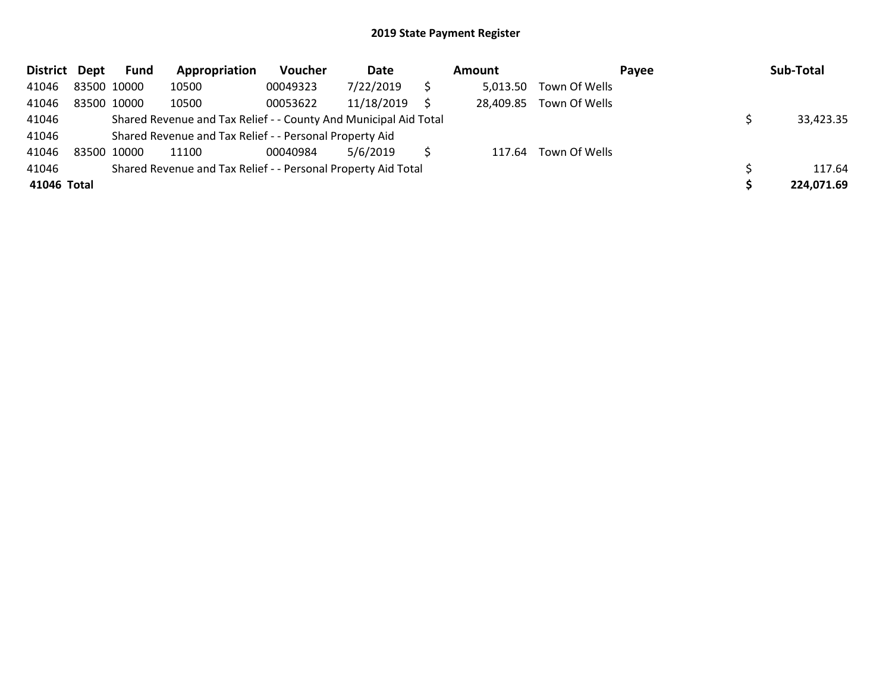| District Dept |             | <b>Fund</b> | Appropriation                                                    | Voucher  | Date       | Amount    |                      | Payee | Sub-Total  |
|---------------|-------------|-------------|------------------------------------------------------------------|----------|------------|-----------|----------------------|-------|------------|
| 41046         | 83500 10000 |             | 10500                                                            | 00049323 | 7/22/2019  | 5,013.50  | Town Of Wells        |       |            |
| 41046         | 83500 10000 |             | 10500                                                            | 00053622 | 11/18/2019 | 28,409.85 | Town Of Wells        |       |            |
| 41046         |             |             | Shared Revenue and Tax Relief - - County And Municipal Aid Total |          |            |           |                      |       | 33,423.35  |
| 41046         |             |             | Shared Revenue and Tax Relief - - Personal Property Aid          |          |            |           |                      |       |            |
| 41046         | 83500 10000 |             | 11100                                                            | 00040984 | 5/6/2019   |           | 117.64 Town Of Wells |       |            |
| 41046         |             |             | Shared Revenue and Tax Relief - - Personal Property Aid Total    |          |            |           |                      |       | 117.64     |
| 41046 Total   |             |             |                                                                  |          |            |           |                      |       | 224,071.69 |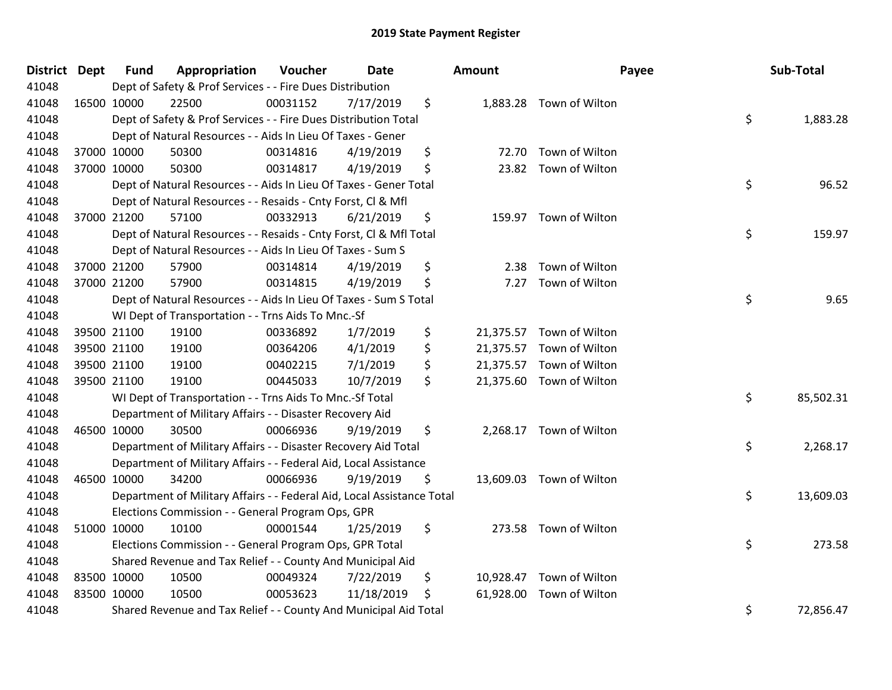| District Dept | <b>Fund</b> | Appropriation                                                          | Voucher  | Date       | Amount       | Payee                    | Sub-Total       |
|---------------|-------------|------------------------------------------------------------------------|----------|------------|--------------|--------------------------|-----------------|
| 41048         |             | Dept of Safety & Prof Services - - Fire Dues Distribution              |          |            |              |                          |                 |
| 41048         | 16500 10000 | 22500                                                                  | 00031152 | 7/17/2019  | \$           | 1,883.28 Town of Wilton  |                 |
| 41048         |             | Dept of Safety & Prof Services - - Fire Dues Distribution Total        |          |            |              |                          | \$<br>1,883.28  |
| 41048         |             | Dept of Natural Resources - - Aids In Lieu Of Taxes - Gener            |          |            |              |                          |                 |
| 41048         | 37000 10000 | 50300                                                                  | 00314816 | 4/19/2019  | \$<br>72.70  | Town of Wilton           |                 |
| 41048         | 37000 10000 | 50300                                                                  | 00314817 | 4/19/2019  | \$           | 23.82 Town of Wilton     |                 |
| 41048         |             | Dept of Natural Resources - - Aids In Lieu Of Taxes - Gener Total      |          |            |              |                          | \$<br>96.52     |
| 41048         |             | Dept of Natural Resources - - Resaids - Cnty Forst, Cl & Mfl           |          |            |              |                          |                 |
| 41048         | 37000 21200 | 57100                                                                  | 00332913 | 6/21/2019  | \$           | 159.97 Town of Wilton    |                 |
| 41048         |             | Dept of Natural Resources - - Resaids - Cnty Forst, CI & Mfl Total     |          |            |              |                          | \$<br>159.97    |
| 41048         |             | Dept of Natural Resources - - Aids In Lieu Of Taxes - Sum S            |          |            |              |                          |                 |
| 41048         | 37000 21200 | 57900                                                                  | 00314814 | 4/19/2019  | \$<br>2.38   | Town of Wilton           |                 |
| 41048         | 37000 21200 | 57900                                                                  | 00314815 | 4/19/2019  | \$<br>7.27   | Town of Wilton           |                 |
| 41048         |             | Dept of Natural Resources - - Aids In Lieu Of Taxes - Sum S Total      |          |            |              |                          | \$<br>9.65      |
| 41048         |             | WI Dept of Transportation - - Trns Aids To Mnc.-Sf                     |          |            |              |                          |                 |
| 41048         | 39500 21100 | 19100                                                                  | 00336892 | 1/7/2019   | \$           | 21,375.57 Town of Wilton |                 |
| 41048         | 39500 21100 | 19100                                                                  | 00364206 | 4/1/2019   | \$           | 21,375.57 Town of Wilton |                 |
| 41048         | 39500 21100 | 19100                                                                  | 00402215 | 7/1/2019   | \$           | 21,375.57 Town of Wilton |                 |
| 41048         | 39500 21100 | 19100                                                                  | 00445033 | 10/7/2019  | \$           | 21,375.60 Town of Wilton |                 |
| 41048         |             | WI Dept of Transportation - - Trns Aids To Mnc.-Sf Total               |          |            |              |                          | \$<br>85,502.31 |
| 41048         |             | Department of Military Affairs - - Disaster Recovery Aid               |          |            |              |                          |                 |
| 41048         | 46500 10000 | 30500                                                                  | 00066936 | 9/19/2019  | \$           | 2,268.17 Town of Wilton  |                 |
| 41048         |             | Department of Military Affairs - - Disaster Recovery Aid Total         |          |            |              |                          | \$<br>2,268.17  |
| 41048         |             | Department of Military Affairs - - Federal Aid, Local Assistance       |          |            |              |                          |                 |
| 41048         | 46500 10000 | 34200                                                                  | 00066936 | 9/19/2019  | \$           | 13,609.03 Town of Wilton |                 |
| 41048         |             | Department of Military Affairs - - Federal Aid, Local Assistance Total |          |            |              |                          | \$<br>13,609.03 |
| 41048         |             | Elections Commission - - General Program Ops, GPR                      |          |            |              |                          |                 |
| 41048         | 51000 10000 | 10100                                                                  | 00001544 | 1/25/2019  | \$<br>273.58 | Town of Wilton           |                 |
| 41048         |             | Elections Commission - - General Program Ops, GPR Total                |          |            |              |                          | \$<br>273.58    |
| 41048         |             | Shared Revenue and Tax Relief - - County And Municipal Aid             |          |            |              |                          |                 |
| 41048         | 83500 10000 | 10500                                                                  | 00049324 | 7/22/2019  | \$           | 10,928.47 Town of Wilton |                 |
| 41048         | 83500 10000 | 10500                                                                  | 00053623 | 11/18/2019 | \$           | 61,928.00 Town of Wilton |                 |
| 41048         |             | Shared Revenue and Tax Relief - - County And Municipal Aid Total       |          |            |              |                          | \$<br>72,856.47 |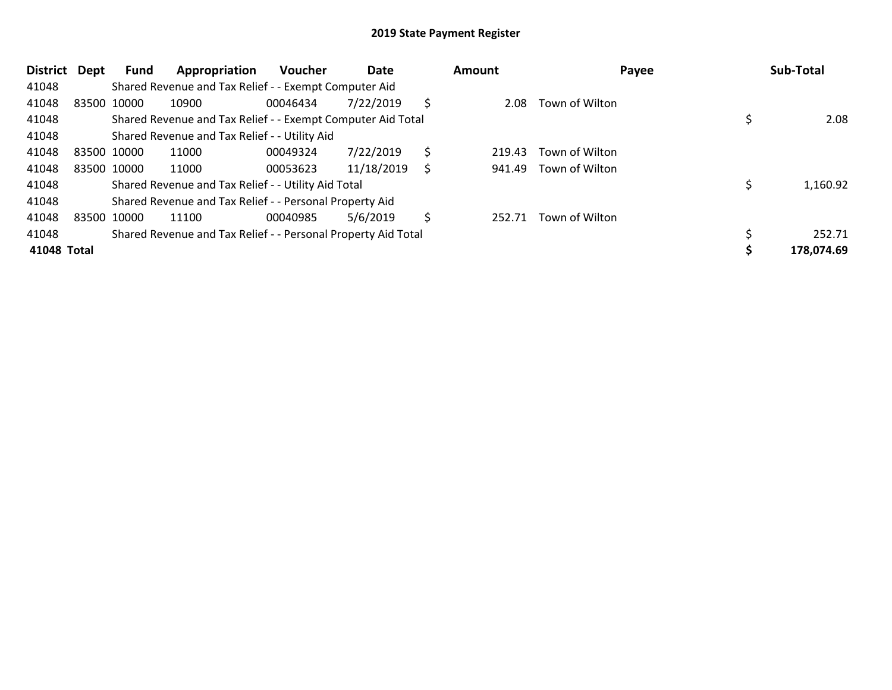| <b>District</b> | Dept | Fund        | Appropriation                                                 | <b>Voucher</b> | Date       |    | Amount | Payee          | Sub-Total  |
|-----------------|------|-------------|---------------------------------------------------------------|----------------|------------|----|--------|----------------|------------|
| 41048           |      |             | Shared Revenue and Tax Relief - - Exempt Computer Aid         |                |            |    |        |                |            |
| 41048           |      | 83500 10000 | 10900                                                         | 00046434       | 7/22/2019  | Ŝ  | 2.08   | Town of Wilton |            |
| 41048           |      |             | Shared Revenue and Tax Relief - - Exempt Computer Aid Total   |                |            |    |        |                | 2.08       |
| 41048           |      |             | Shared Revenue and Tax Relief - - Utility Aid                 |                |            |    |        |                |            |
| 41048           |      | 83500 10000 | 11000                                                         | 00049324       | 7/22/2019  | \$ | 219.43 | Town of Wilton |            |
| 41048           |      | 83500 10000 | 11000                                                         | 00053623       | 11/18/2019 | S  | 941.49 | Town of Wilton |            |
| 41048           |      |             | Shared Revenue and Tax Relief - - Utility Aid Total           |                |            |    |        |                | 1,160.92   |
| 41048           |      |             | Shared Revenue and Tax Relief - - Personal Property Aid       |                |            |    |        |                |            |
| 41048           |      | 83500 10000 | 11100                                                         | 00040985       | 5/6/2019   | S  | 252.71 | Town of Wilton |            |
| 41048           |      |             | Shared Revenue and Tax Relief - - Personal Property Aid Total |                |            |    |        |                | 252.71     |
| 41048 Total     |      |             |                                                               |                |            |    |        |                | 178,074.69 |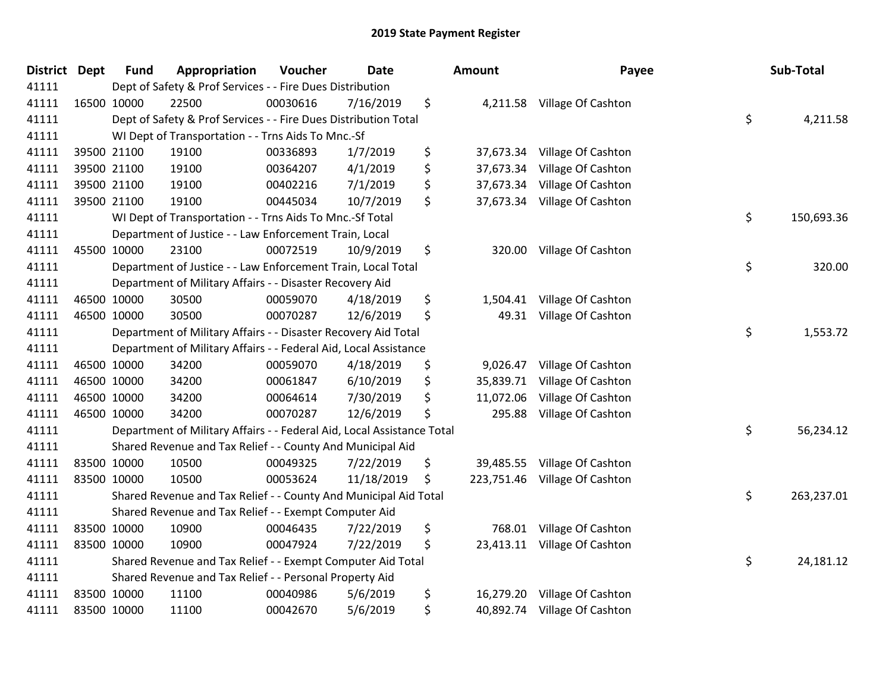| <b>District Dept</b> | <b>Fund</b> | Appropriation                                                          | Voucher  | <b>Date</b> | <b>Amount</b>   | Payee                         | Sub-Total        |
|----------------------|-------------|------------------------------------------------------------------------|----------|-------------|-----------------|-------------------------------|------------------|
| 41111                |             | Dept of Safety & Prof Services - - Fire Dues Distribution              |          |             |                 |                               |                  |
| 41111                | 16500 10000 | 22500                                                                  | 00030616 | 7/16/2019   | \$              | 4,211.58 Village Of Cashton   |                  |
| 41111                |             | Dept of Safety & Prof Services - - Fire Dues Distribution Total        |          |             |                 |                               | \$<br>4,211.58   |
| 41111                |             | WI Dept of Transportation - - Trns Aids To Mnc.-Sf                     |          |             |                 |                               |                  |
| 41111                | 39500 21100 | 19100                                                                  | 00336893 | 1/7/2019    | \$<br>37,673.34 | Village Of Cashton            |                  |
| 41111                | 39500 21100 | 19100                                                                  | 00364207 | 4/1/2019    | \$<br>37,673.34 | Village Of Cashton            |                  |
| 41111                | 39500 21100 | 19100                                                                  | 00402216 | 7/1/2019    | \$<br>37,673.34 | Village Of Cashton            |                  |
| 41111                | 39500 21100 | 19100                                                                  | 00445034 | 10/7/2019   | \$<br>37,673.34 | Village Of Cashton            |                  |
| 41111                |             | WI Dept of Transportation - - Trns Aids To Mnc.-Sf Total               |          |             |                 |                               | \$<br>150,693.36 |
| 41111                |             | Department of Justice - - Law Enforcement Train, Local                 |          |             |                 |                               |                  |
| 41111                | 45500 10000 | 23100                                                                  | 00072519 | 10/9/2019   | \$              | 320.00 Village Of Cashton     |                  |
| 41111                |             | Department of Justice - - Law Enforcement Train, Local Total           |          |             |                 |                               | \$<br>320.00     |
| 41111                |             | Department of Military Affairs - - Disaster Recovery Aid               |          |             |                 |                               |                  |
| 41111                | 46500 10000 | 30500                                                                  | 00059070 | 4/18/2019   | \$<br>1,504.41  | Village Of Cashton            |                  |
| 41111                | 46500 10000 | 30500                                                                  | 00070287 | 12/6/2019   | \$<br>49.31     | Village Of Cashton            |                  |
| 41111                |             | Department of Military Affairs - - Disaster Recovery Aid Total         |          |             |                 |                               | \$<br>1,553.72   |
| 41111                |             | Department of Military Affairs - - Federal Aid, Local Assistance       |          |             |                 |                               |                  |
| 41111                | 46500 10000 | 34200                                                                  | 00059070 | 4/18/2019   | \$<br>9,026.47  | Village Of Cashton            |                  |
| 41111                | 46500 10000 | 34200                                                                  | 00061847 | 6/10/2019   | \$<br>35,839.71 | Village Of Cashton            |                  |
| 41111                | 46500 10000 | 34200                                                                  | 00064614 | 7/30/2019   | \$<br>11,072.06 | Village Of Cashton            |                  |
| 41111                | 46500 10000 | 34200                                                                  | 00070287 | 12/6/2019   | \$<br>295.88    | Village Of Cashton            |                  |
| 41111                |             | Department of Military Affairs - - Federal Aid, Local Assistance Total |          |             |                 |                               | \$<br>56,234.12  |
| 41111                |             | Shared Revenue and Tax Relief - - County And Municipal Aid             |          |             |                 |                               |                  |
| 41111                | 83500 10000 | 10500                                                                  | 00049325 | 7/22/2019   | \$              | 39,485.55 Village Of Cashton  |                  |
| 41111                | 83500 10000 | 10500                                                                  | 00053624 | 11/18/2019  | \$              | 223,751.46 Village Of Cashton |                  |
| 41111                |             | Shared Revenue and Tax Relief - - County And Municipal Aid Total       |          |             |                 |                               | \$<br>263,237.01 |
| 41111                |             | Shared Revenue and Tax Relief - - Exempt Computer Aid                  |          |             |                 |                               |                  |
| 41111                | 83500 10000 | 10900                                                                  | 00046435 | 7/22/2019   | \$<br>768.01    | Village Of Cashton            |                  |
| 41111                | 83500 10000 | 10900                                                                  | 00047924 | 7/22/2019   | \$              | 23,413.11 Village Of Cashton  |                  |
| 41111                |             | Shared Revenue and Tax Relief - - Exempt Computer Aid Total            |          |             |                 |                               | \$<br>24,181.12  |
| 41111                |             | Shared Revenue and Tax Relief - - Personal Property Aid                |          |             |                 |                               |                  |
| 41111                | 83500 10000 | 11100                                                                  | 00040986 | 5/6/2019    | \$<br>16,279.20 | Village Of Cashton            |                  |
| 41111                | 83500 10000 | 11100                                                                  | 00042670 | 5/6/2019    | \$<br>40,892.74 | Village Of Cashton            |                  |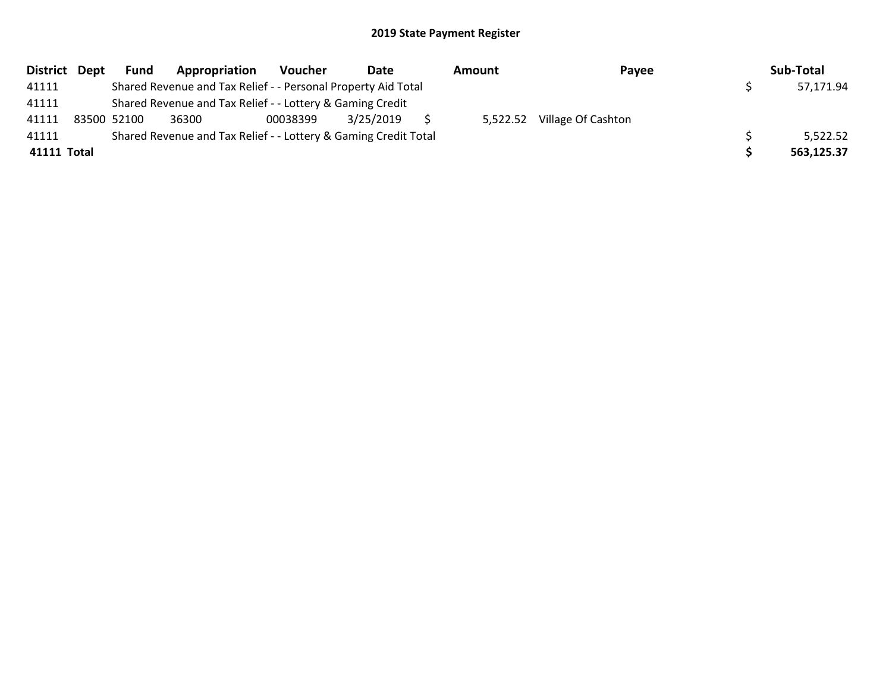| District Dept | <b>Fund</b> | Appropriation                                                   | Voucher  | Date      | Amount   | Payee              | Sub-Total  |
|---------------|-------------|-----------------------------------------------------------------|----------|-----------|----------|--------------------|------------|
| 41111         |             | Shared Revenue and Tax Relief - - Personal Property Aid Total   |          |           |          |                    | 57,171.94  |
| 41111         |             | Shared Revenue and Tax Relief - - Lottery & Gaming Credit       |          |           |          |                    |            |
| 41111         | 83500 52100 | 36300                                                           | 00038399 | 3/25/2019 | 5,522.52 | Village Of Cashton |            |
| 41111         |             | Shared Revenue and Tax Relief - - Lottery & Gaming Credit Total |          |           |          |                    | 5,522.52   |
| 41111 Total   |             |                                                                 |          |           |          |                    | 563,125.37 |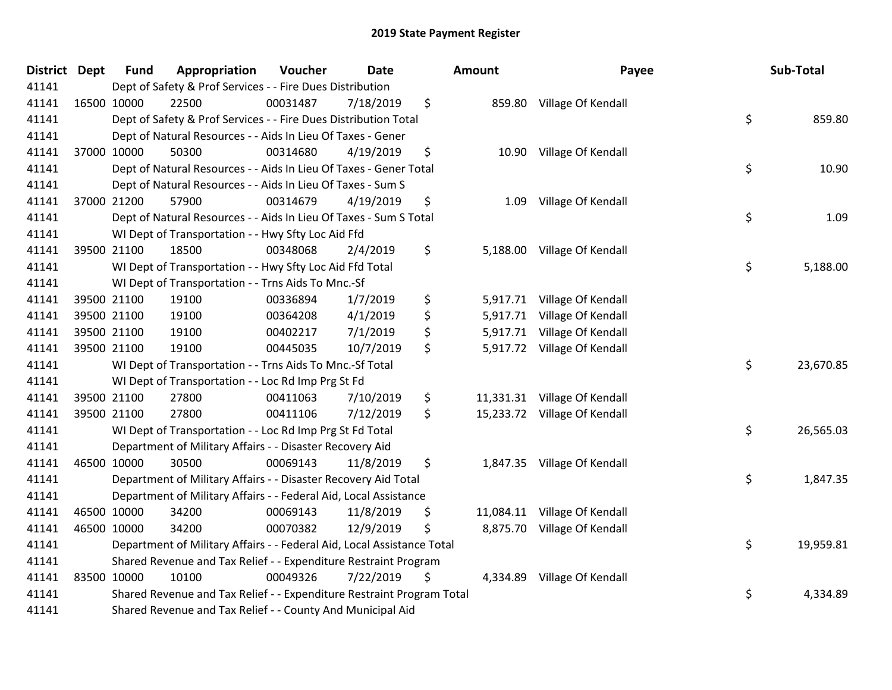| <b>District Dept</b> | <b>Fund</b> | Appropriation                                                          | Voucher  | <b>Date</b> |     | <b>Amount</b> | Payee                        | Sub-Total       |
|----------------------|-------------|------------------------------------------------------------------------|----------|-------------|-----|---------------|------------------------------|-----------------|
| 41141                |             | Dept of Safety & Prof Services - - Fire Dues Distribution              |          |             |     |               |                              |                 |
| 41141                | 16500 10000 | 22500                                                                  | 00031487 | 7/18/2019   | \$  |               | 859.80 Village Of Kendall    |                 |
| 41141                |             | Dept of Safety & Prof Services - - Fire Dues Distribution Total        |          |             |     |               |                              | \$<br>859.80    |
| 41141                |             | Dept of Natural Resources - - Aids In Lieu Of Taxes - Gener            |          |             |     |               |                              |                 |
| 41141                | 37000 10000 | 50300                                                                  | 00314680 | 4/19/2019   | \$  |               | 10.90 Village Of Kendall     |                 |
| 41141                |             | Dept of Natural Resources - - Aids In Lieu Of Taxes - Gener Total      |          |             |     |               |                              | \$<br>10.90     |
| 41141                |             | Dept of Natural Resources - - Aids In Lieu Of Taxes - Sum S            |          |             |     |               |                              |                 |
| 41141                | 37000 21200 | 57900                                                                  | 00314679 | 4/19/2019   | \$  | 1.09          | Village Of Kendall           |                 |
| 41141                |             | Dept of Natural Resources - - Aids In Lieu Of Taxes - Sum S Total      |          |             |     |               |                              | \$<br>1.09      |
| 41141                |             | WI Dept of Transportation - - Hwy Sfty Loc Aid Ffd                     |          |             |     |               |                              |                 |
| 41141                | 39500 21100 | 18500                                                                  | 00348068 | 2/4/2019    | \$  |               | 5,188.00 Village Of Kendall  |                 |
| 41141                |             | WI Dept of Transportation - - Hwy Sfty Loc Aid Ffd Total               |          |             |     |               |                              | \$<br>5,188.00  |
| 41141                |             | WI Dept of Transportation - - Trns Aids To Mnc.-Sf                     |          |             |     |               |                              |                 |
| 41141                | 39500 21100 | 19100                                                                  | 00336894 | 1/7/2019    | \$  |               | 5,917.71 Village Of Kendall  |                 |
| 41141                | 39500 21100 | 19100                                                                  | 00364208 | 4/1/2019    | \$  | 5,917.71      | Village Of Kendall           |                 |
| 41141                | 39500 21100 | 19100                                                                  | 00402217 | 7/1/2019    | \$  | 5,917.71      | Village Of Kendall           |                 |
| 41141                | 39500 21100 | 19100                                                                  | 00445035 | 10/7/2019   | \$. |               | 5,917.72 Village Of Kendall  |                 |
| 41141                |             | WI Dept of Transportation - - Trns Aids To Mnc.-Sf Total               |          |             |     |               |                              | \$<br>23,670.85 |
| 41141                |             | WI Dept of Transportation - - Loc Rd Imp Prg St Fd                     |          |             |     |               |                              |                 |
| 41141                | 39500 21100 | 27800                                                                  | 00411063 | 7/10/2019   | \$  |               | 11,331.31 Village Of Kendall |                 |
| 41141                | 39500 21100 | 27800                                                                  | 00411106 | 7/12/2019   | \$  |               | 15,233.72 Village Of Kendall |                 |
| 41141                |             | WI Dept of Transportation - - Loc Rd Imp Prg St Fd Total               |          |             |     |               |                              | \$<br>26,565.03 |
| 41141                |             | Department of Military Affairs - - Disaster Recovery Aid               |          |             |     |               |                              |                 |
| 41141                | 46500 10000 | 30500                                                                  | 00069143 | 11/8/2019   | \$  |               | 1,847.35 Village Of Kendall  |                 |
| 41141                |             | Department of Military Affairs - - Disaster Recovery Aid Total         |          |             |     |               |                              | \$<br>1,847.35  |
| 41141                |             | Department of Military Affairs - - Federal Aid, Local Assistance       |          |             |     |               |                              |                 |
| 41141                | 46500 10000 | 34200                                                                  | 00069143 | 11/8/2019   | \$  |               | 11,084.11 Village Of Kendall |                 |
| 41141                | 46500 10000 | 34200                                                                  | 00070382 | 12/9/2019   | \$  |               | 8,875.70 Village Of Kendall  |                 |
| 41141                |             | Department of Military Affairs - - Federal Aid, Local Assistance Total |          |             |     |               |                              | \$<br>19,959.81 |
| 41141                |             | Shared Revenue and Tax Relief - - Expenditure Restraint Program        |          |             |     |               |                              |                 |
| 41141                | 83500 10000 | 10100                                                                  | 00049326 | 7/22/2019   | \$  | 4,334.89      | Village Of Kendall           |                 |
| 41141                |             | Shared Revenue and Tax Relief - - Expenditure Restraint Program Total  |          |             |     |               |                              | \$<br>4,334.89  |
| 41141                |             | Shared Revenue and Tax Relief - - County And Municipal Aid             |          |             |     |               |                              |                 |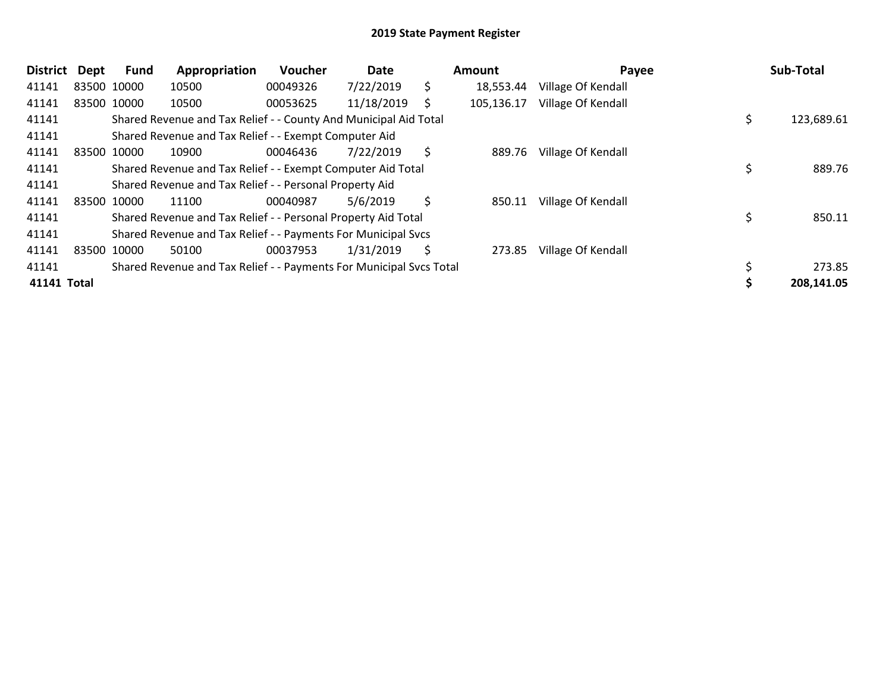| <b>District</b> | <b>Dept</b> | Fund        | Appropriation                                                       | Voucher  | Date       |    | Amount     | Payee              | Sub-Total        |
|-----------------|-------------|-------------|---------------------------------------------------------------------|----------|------------|----|------------|--------------------|------------------|
| 41141           |             | 83500 10000 | 10500                                                               | 00049326 | 7/22/2019  | \$ | 18,553.44  | Village Of Kendall |                  |
| 41141           |             | 83500 10000 | 10500                                                               | 00053625 | 11/18/2019 | S  | 105,136.17 | Village Of Kendall |                  |
| 41141           |             |             | Shared Revenue and Tax Relief - - County And Municipal Aid Total    |          |            |    |            |                    | \$<br>123,689.61 |
| 41141           |             |             | Shared Revenue and Tax Relief - - Exempt Computer Aid               |          |            |    |            |                    |                  |
| 41141           |             | 83500 10000 | 10900                                                               | 00046436 | 7/22/2019  | \$ | 889.76     | Village Of Kendall |                  |
| 41141           |             |             | Shared Revenue and Tax Relief - - Exempt Computer Aid Total         |          |            |    |            |                    | 889.76           |
| 41141           |             |             | Shared Revenue and Tax Relief - - Personal Property Aid             |          |            |    |            |                    |                  |
| 41141           |             | 83500 10000 | 11100                                                               | 00040987 | 5/6/2019   | \$ | 850.11     | Village Of Kendall |                  |
| 41141           |             |             | Shared Revenue and Tax Relief - - Personal Property Aid Total       |          |            |    |            |                    | 850.11           |
| 41141           |             |             | Shared Revenue and Tax Relief - - Payments For Municipal Svcs       |          |            |    |            |                    |                  |
| 41141           |             | 83500 10000 | 50100                                                               | 00037953 | 1/31/2019  | S  | 273.85     | Village Of Kendall |                  |
| 41141           |             |             | Shared Revenue and Tax Relief - - Payments For Municipal Svcs Total |          |            |    |            |                    | 273.85           |
| 41141 Total     |             |             |                                                                     |          |            |    |            |                    | 208,141.05       |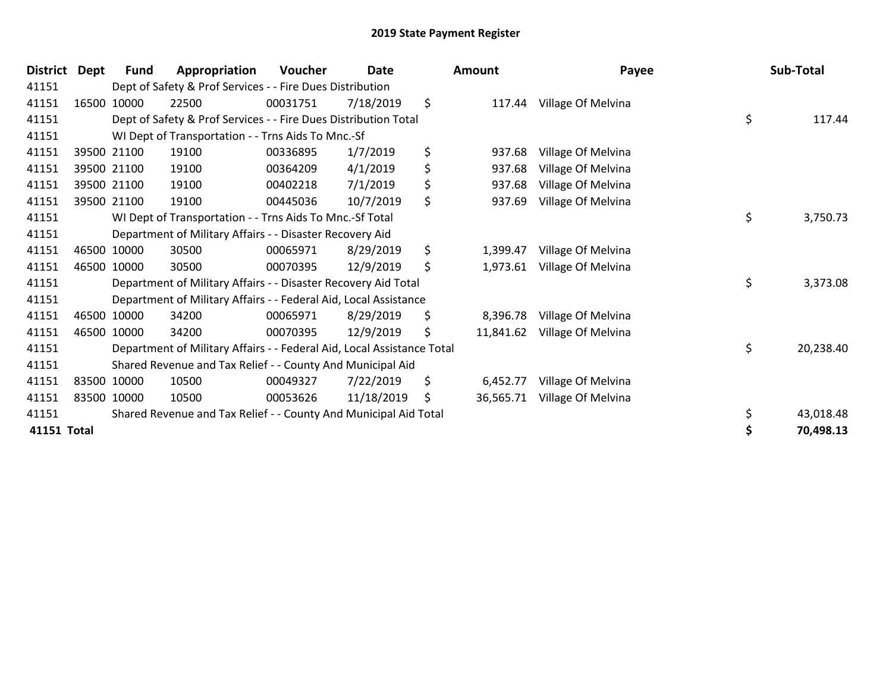| <b>District</b> | Dept | <b>Fund</b> | Appropriation                                                          | <b>Voucher</b> | Date       | <b>Amount</b>   | Payee              | Sub-Total       |
|-----------------|------|-------------|------------------------------------------------------------------------|----------------|------------|-----------------|--------------------|-----------------|
| 41151           |      |             | Dept of Safety & Prof Services - - Fire Dues Distribution              |                |            |                 |                    |                 |
| 41151           |      | 16500 10000 | 22500                                                                  | 00031751       | 7/18/2019  | \$<br>117.44    | Village Of Melvina |                 |
| 41151           |      |             | Dept of Safety & Prof Services - - Fire Dues Distribution Total        |                |            |                 |                    | \$<br>117.44    |
| 41151           |      |             | WI Dept of Transportation - - Trns Aids To Mnc.-Sf                     |                |            |                 |                    |                 |
| 41151           |      | 39500 21100 | 19100                                                                  | 00336895       | 1/7/2019   | \$<br>937.68    | Village Of Melvina |                 |
| 41151           |      | 39500 21100 | 19100                                                                  | 00364209       | 4/1/2019   | \$<br>937.68    | Village Of Melvina |                 |
| 41151           |      | 39500 21100 | 19100                                                                  | 00402218       | 7/1/2019   | \$<br>937.68    | Village Of Melvina |                 |
| 41151           |      | 39500 21100 | 19100                                                                  | 00445036       | 10/7/2019  | \$<br>937.69    | Village Of Melvina |                 |
| 41151           |      |             | WI Dept of Transportation - - Trns Aids To Mnc.-Sf Total               |                |            |                 |                    | \$<br>3,750.73  |
| 41151           |      |             | Department of Military Affairs - - Disaster Recovery Aid               |                |            |                 |                    |                 |
| 41151           |      | 46500 10000 | 30500                                                                  | 00065971       | 8/29/2019  | \$<br>1,399.47  | Village Of Melvina |                 |
| 41151           |      | 46500 10000 | 30500                                                                  | 00070395       | 12/9/2019  | \$<br>1,973.61  | Village Of Melvina |                 |
| 41151           |      |             | Department of Military Affairs - - Disaster Recovery Aid Total         |                |            |                 |                    | \$<br>3,373.08  |
| 41151           |      |             | Department of Military Affairs - - Federal Aid, Local Assistance       |                |            |                 |                    |                 |
| 41151           |      | 46500 10000 | 34200                                                                  | 00065971       | 8/29/2019  | \$<br>8,396.78  | Village Of Melvina |                 |
| 41151           |      | 46500 10000 | 34200                                                                  | 00070395       | 12/9/2019  | \$<br>11,841.62 | Village Of Melvina |                 |
| 41151           |      |             | Department of Military Affairs - - Federal Aid, Local Assistance Total |                |            |                 |                    | \$<br>20,238.40 |
| 41151           |      |             | Shared Revenue and Tax Relief - - County And Municipal Aid             |                |            |                 |                    |                 |
| 41151           |      | 83500 10000 | 10500                                                                  | 00049327       | 7/22/2019  | \$<br>6,452.77  | Village Of Melvina |                 |
| 41151           |      | 83500 10000 | 10500                                                                  | 00053626       | 11/18/2019 | \$<br>36,565.71 | Village Of Melvina |                 |
| 41151           |      |             | Shared Revenue and Tax Relief - - County And Municipal Aid Total       |                |            |                 |                    | \$<br>43,018.48 |
| 41151 Total     |      |             |                                                                        |                |            |                 |                    | \$<br>70,498.13 |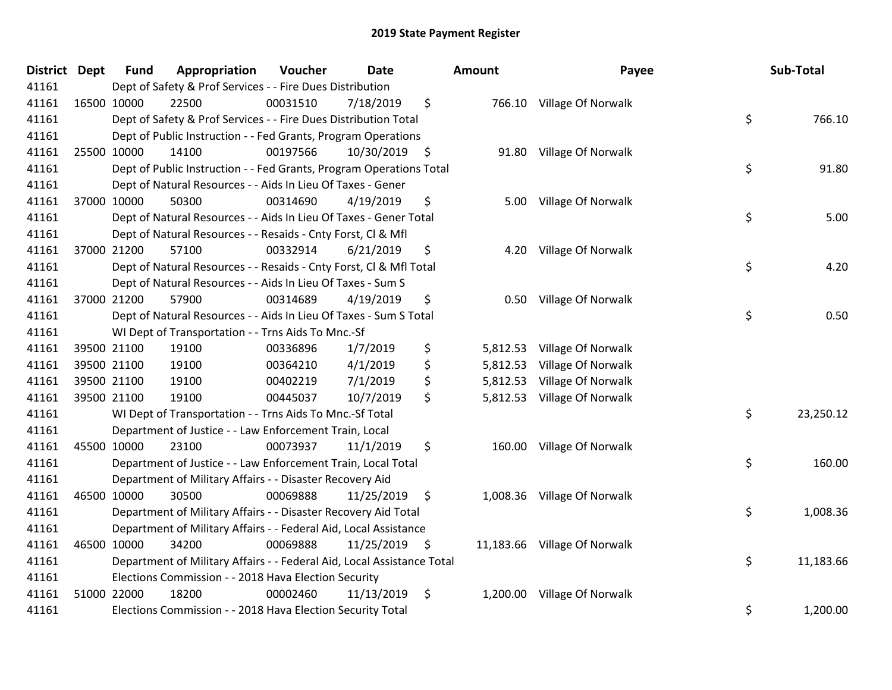| <b>District Dept</b> | <b>Fund</b> | Appropriation                                                          | Voucher  | <b>Date</b>     |      | Amount   | Payee                        | Sub-Total       |
|----------------------|-------------|------------------------------------------------------------------------|----------|-----------------|------|----------|------------------------------|-----------------|
| 41161                |             | Dept of Safety & Prof Services - - Fire Dues Distribution              |          |                 |      |          |                              |                 |
| 41161                | 16500 10000 | 22500                                                                  | 00031510 | 7/18/2019       | \$   |          | 766.10 Village Of Norwalk    |                 |
| 41161                |             | Dept of Safety & Prof Services - - Fire Dues Distribution Total        |          |                 |      |          |                              | \$<br>766.10    |
| 41161                |             | Dept of Public Instruction - - Fed Grants, Program Operations          |          |                 |      |          |                              |                 |
| 41161                | 25500 10000 | 14100                                                                  | 00197566 | 10/30/2019      | - \$ | 91.80    | Village Of Norwalk           |                 |
| 41161                |             | Dept of Public Instruction - - Fed Grants, Program Operations Total    |          |                 |      |          |                              | \$<br>91.80     |
| 41161                |             | Dept of Natural Resources - - Aids In Lieu Of Taxes - Gener            |          |                 |      |          |                              |                 |
| 41161                | 37000 10000 | 50300                                                                  | 00314690 | 4/19/2019       | \$   | 5.00     | Village Of Norwalk           |                 |
| 41161                |             | Dept of Natural Resources - - Aids In Lieu Of Taxes - Gener Total      |          |                 |      |          |                              | \$<br>5.00      |
| 41161                |             | Dept of Natural Resources - - Resaids - Cnty Forst, Cl & Mfl           |          |                 |      |          |                              |                 |
| 41161                | 37000 21200 | 57100                                                                  | 00332914 | 6/21/2019       | \$   | 4.20     | Village Of Norwalk           |                 |
| 41161                |             | Dept of Natural Resources - - Resaids - Cnty Forst, CI & Mfl Total     |          |                 |      |          |                              | \$<br>4.20      |
| 41161                |             | Dept of Natural Resources - - Aids In Lieu Of Taxes - Sum S            |          |                 |      |          |                              |                 |
| 41161                | 37000 21200 | 57900                                                                  | 00314689 | 4/19/2019       | \$   | 0.50     | Village Of Norwalk           |                 |
| 41161                |             | Dept of Natural Resources - - Aids In Lieu Of Taxes - Sum S Total      |          |                 |      |          |                              | \$<br>0.50      |
| 41161                |             | WI Dept of Transportation - - Trns Aids To Mnc.-Sf                     |          |                 |      |          |                              |                 |
| 41161                | 39500 21100 | 19100                                                                  | 00336896 | 1/7/2019        | \$   | 5,812.53 | Village Of Norwalk           |                 |
| 41161                | 39500 21100 | 19100                                                                  | 00364210 | 4/1/2019        | \$   | 5,812.53 | Village Of Norwalk           |                 |
| 41161                | 39500 21100 | 19100                                                                  | 00402219 | 7/1/2019        | \$   | 5,812.53 | Village Of Norwalk           |                 |
| 41161                | 39500 21100 | 19100                                                                  | 00445037 | 10/7/2019       | \$   | 5,812.53 | Village Of Norwalk           |                 |
| 41161                |             | WI Dept of Transportation - - Trns Aids To Mnc.-Sf Total               |          |                 |      |          |                              | \$<br>23,250.12 |
| 41161                |             | Department of Justice - - Law Enforcement Train, Local                 |          |                 |      |          |                              |                 |
| 41161                | 45500 10000 | 23100                                                                  | 00073937 | 11/1/2019       | \$   |          | 160.00 Village Of Norwalk    |                 |
| 41161                |             | Department of Justice - - Law Enforcement Train, Local Total           |          |                 |      |          |                              | \$<br>160.00    |
| 41161                |             | Department of Military Affairs - - Disaster Recovery Aid               |          |                 |      |          |                              |                 |
| 41161                | 46500 10000 | 30500                                                                  | 00069888 | 11/25/2019      | \$   | 1,008.36 | Village Of Norwalk           |                 |
| 41161                |             | Department of Military Affairs - - Disaster Recovery Aid Total         |          |                 |      |          |                              | \$<br>1,008.36  |
| 41161                |             | Department of Military Affairs - - Federal Aid, Local Assistance       |          |                 |      |          |                              |                 |
| 41161                | 46500 10000 | 34200                                                                  | 00069888 | $11/25/2019$ \$ |      |          | 11,183.66 Village Of Norwalk |                 |
| 41161                |             | Department of Military Affairs - - Federal Aid, Local Assistance Total |          |                 |      |          |                              | \$<br>11,183.66 |
| 41161                |             | Elections Commission - - 2018 Hava Election Security                   |          |                 |      |          |                              |                 |
| 41161                | 51000 22000 | 18200                                                                  | 00002460 | 11/13/2019      | \$   | 1,200.00 | Village Of Norwalk           |                 |
| 41161                |             | Elections Commission - - 2018 Hava Election Security Total             |          |                 |      |          |                              | \$<br>1,200.00  |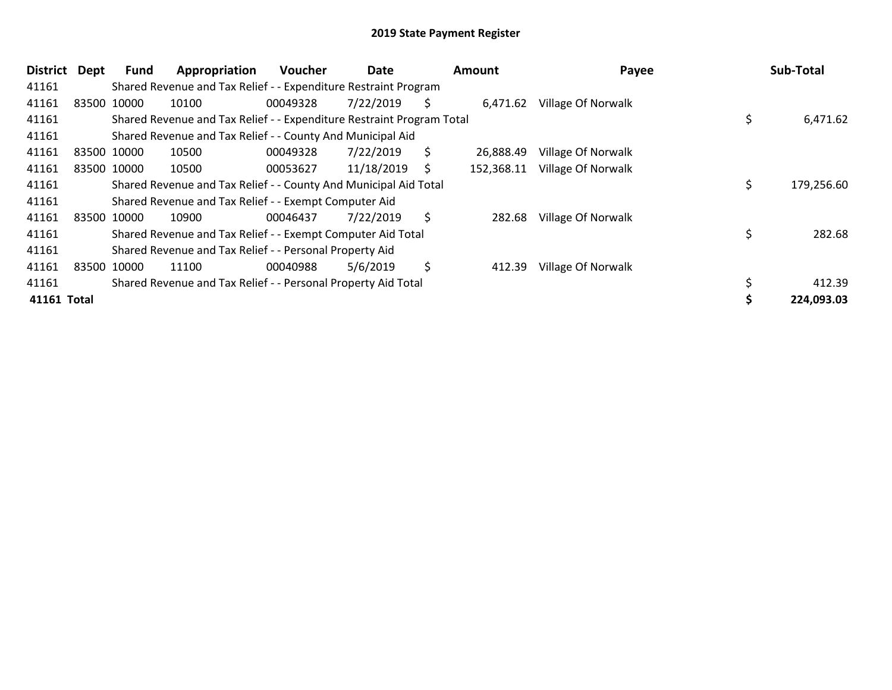| District    | <b>Dept</b> | <b>Fund</b> | Appropriation                                                         | <b>Voucher</b> | Date       |    | Amount     | Payee              | Sub-Total  |
|-------------|-------------|-------------|-----------------------------------------------------------------------|----------------|------------|----|------------|--------------------|------------|
| 41161       |             |             | Shared Revenue and Tax Relief - - Expenditure Restraint Program       |                |            |    |            |                    |            |
| 41161       |             | 83500 10000 | 10100                                                                 | 00049328       | 7/22/2019  | S  | 6,471.62   | Village Of Norwalk |            |
| 41161       |             |             | Shared Revenue and Tax Relief - - Expenditure Restraint Program Total |                |            |    |            |                    | 6,471.62   |
| 41161       |             |             | Shared Revenue and Tax Relief - - County And Municipal Aid            |                |            |    |            |                    |            |
| 41161       |             | 83500 10000 | 10500                                                                 | 00049328       | 7/22/2019  | \$ | 26,888.49  | Village Of Norwalk |            |
| 41161       |             | 83500 10000 | 10500                                                                 | 00053627       | 11/18/2019 | S  | 152,368.11 | Village Of Norwalk |            |
| 41161       |             |             | Shared Revenue and Tax Relief - - County And Municipal Aid Total      |                |            |    |            |                    | 179,256.60 |
| 41161       |             |             | Shared Revenue and Tax Relief - - Exempt Computer Aid                 |                |            |    |            |                    |            |
| 41161       |             | 83500 10000 | 10900                                                                 | 00046437       | 7/22/2019  | \$ | 282.68     | Village Of Norwalk |            |
| 41161       |             |             | Shared Revenue and Tax Relief - - Exempt Computer Aid Total           |                |            |    |            |                    | 282.68     |
| 41161       |             |             | Shared Revenue and Tax Relief - - Personal Property Aid               |                |            |    |            |                    |            |
| 41161       |             | 83500 10000 | 11100                                                                 | 00040988       | 5/6/2019   | \$ | 412.39     | Village Of Norwalk |            |
| 41161       |             |             | Shared Revenue and Tax Relief - - Personal Property Aid Total         |                |            |    |            |                    | 412.39     |
| 41161 Total |             |             |                                                                       |                |            |    |            |                    | 224,093.03 |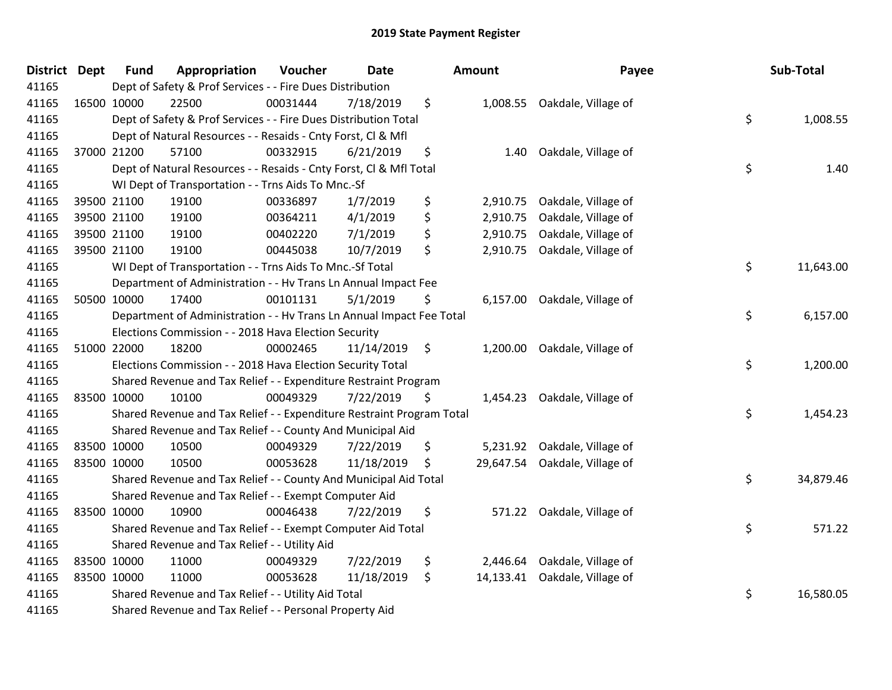| District Dept | <b>Fund</b> | Appropriation                                                         | Voucher  | <b>Date</b> | Amount          | Payee                        | Sub-Total       |
|---------------|-------------|-----------------------------------------------------------------------|----------|-------------|-----------------|------------------------------|-----------------|
| 41165         |             | Dept of Safety & Prof Services - - Fire Dues Distribution             |          |             |                 |                              |                 |
| 41165         | 16500 10000 | 22500                                                                 | 00031444 | 7/18/2019   | \$              | 1,008.55 Oakdale, Village of |                 |
| 41165         |             | Dept of Safety & Prof Services - - Fire Dues Distribution Total       |          |             |                 |                              | \$<br>1,008.55  |
| 41165         |             | Dept of Natural Resources - - Resaids - Cnty Forst, CI & Mfl          |          |             |                 |                              |                 |
| 41165         | 37000 21200 | 57100                                                                 | 00332915 | 6/21/2019   | \$<br>1.40      | Oakdale, Village of          |                 |
| 41165         |             | Dept of Natural Resources - - Resaids - Cnty Forst, Cl & Mfl Total    |          |             |                 |                              | \$<br>1.40      |
| 41165         |             | WI Dept of Transportation - - Trns Aids To Mnc.-Sf                    |          |             |                 |                              |                 |
| 41165         | 39500 21100 | 19100                                                                 | 00336897 | 1/7/2019    | \$<br>2,910.75  | Oakdale, Village of          |                 |
| 41165         | 39500 21100 | 19100                                                                 | 00364211 | 4/1/2019    | \$<br>2,910.75  | Oakdale, Village of          |                 |
| 41165         | 39500 21100 | 19100                                                                 | 00402220 | 7/1/2019    | \$<br>2,910.75  | Oakdale, Village of          |                 |
| 41165         | 39500 21100 | 19100                                                                 | 00445038 | 10/7/2019   | \$<br>2,910.75  | Oakdale, Village of          |                 |
| 41165         |             | WI Dept of Transportation - - Trns Aids To Mnc.-Sf Total              |          |             |                 |                              | \$<br>11,643.00 |
| 41165         |             | Department of Administration - - Hv Trans Ln Annual Impact Fee        |          |             |                 |                              |                 |
| 41165         | 50500 10000 | 17400                                                                 | 00101131 | 5/1/2019    | \$<br>6,157.00  | Oakdale, Village of          |                 |
| 41165         |             | Department of Administration - - Hv Trans Ln Annual Impact Fee Total  |          |             |                 |                              | \$<br>6,157.00  |
| 41165         |             | Elections Commission - - 2018 Hava Election Security                  |          |             |                 |                              |                 |
| 41165         | 51000 22000 | 18200                                                                 | 00002465 | 11/14/2019  | \$<br>1,200.00  | Oakdale, Village of          |                 |
| 41165         |             | Elections Commission - - 2018 Hava Election Security Total            |          |             |                 |                              | \$<br>1,200.00  |
| 41165         |             | Shared Revenue and Tax Relief - - Expenditure Restraint Program       |          |             |                 |                              |                 |
| 41165         | 83500 10000 | 10100                                                                 | 00049329 | 7/22/2019   | \$<br>1,454.23  | Oakdale, Village of          |                 |
| 41165         |             | Shared Revenue and Tax Relief - - Expenditure Restraint Program Total |          |             |                 |                              | \$<br>1,454.23  |
| 41165         |             | Shared Revenue and Tax Relief - - County And Municipal Aid            |          |             |                 |                              |                 |
| 41165         | 83500 10000 | 10500                                                                 | 00049329 | 7/22/2019   | \$              | 5,231.92 Oakdale, Village of |                 |
| 41165         | 83500 10000 | 10500                                                                 | 00053628 | 11/18/2019  | \$<br>29,647.54 | Oakdale, Village of          |                 |
| 41165         |             | Shared Revenue and Tax Relief - - County And Municipal Aid Total      |          |             |                 |                              | \$<br>34,879.46 |
| 41165         |             | Shared Revenue and Tax Relief - - Exempt Computer Aid                 |          |             |                 |                              |                 |
| 41165         | 83500 10000 | 10900                                                                 | 00046438 | 7/22/2019   | \$              | 571.22 Oakdale, Village of   |                 |
| 41165         |             | Shared Revenue and Tax Relief - - Exempt Computer Aid Total           |          |             |                 |                              | \$<br>571.22    |
| 41165         |             | Shared Revenue and Tax Relief - - Utility Aid                         |          |             |                 |                              |                 |
| 41165         | 83500 10000 | 11000                                                                 | 00049329 | 7/22/2019   | \$<br>2,446.64  | Oakdale, Village of          |                 |
| 41165         | 83500 10000 | 11000                                                                 | 00053628 | 11/18/2019  | \$<br>14,133.41 | Oakdale, Village of          |                 |
| 41165         |             | Shared Revenue and Tax Relief - - Utility Aid Total                   |          |             |                 |                              | \$<br>16,580.05 |
| 41165         |             | Shared Revenue and Tax Relief - - Personal Property Aid               |          |             |                 |                              |                 |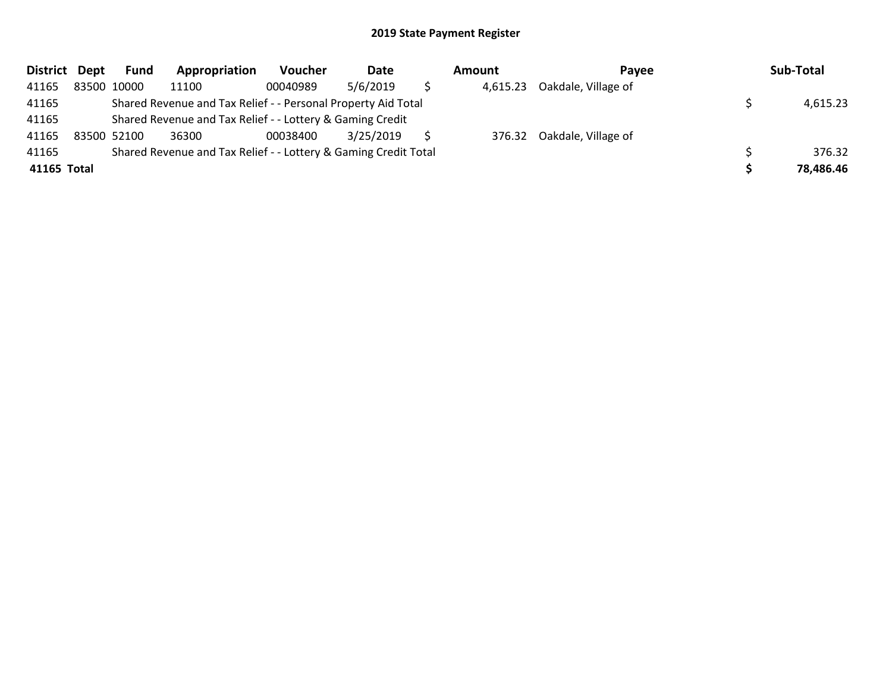| District Dept | <b>Fund</b> | Appropriation                                                   | <b>Voucher</b> | Date      | Amount   | Pavee                      | Sub-Total |
|---------------|-------------|-----------------------------------------------------------------|----------------|-----------|----------|----------------------------|-----------|
| 41165         | 83500 10000 | 11100                                                           | 00040989       | 5/6/2019  | 4,615.23 | Oakdale, Village of        |           |
| 41165         |             | Shared Revenue and Tax Relief - - Personal Property Aid Total   |                |           |          |                            | 4,615.23  |
| 41165         |             | Shared Revenue and Tax Relief - - Lottery & Gaming Credit       |                |           |          |                            |           |
| 41165         | 83500 52100 | 36300                                                           | 00038400       | 3/25/2019 |          | 376.32 Oakdale, Village of |           |
| 41165         |             | Shared Revenue and Tax Relief - - Lottery & Gaming Credit Total |                |           |          |                            | 376.32    |
| 41165 Total   |             |                                                                 |                |           |          |                            | 78,486.46 |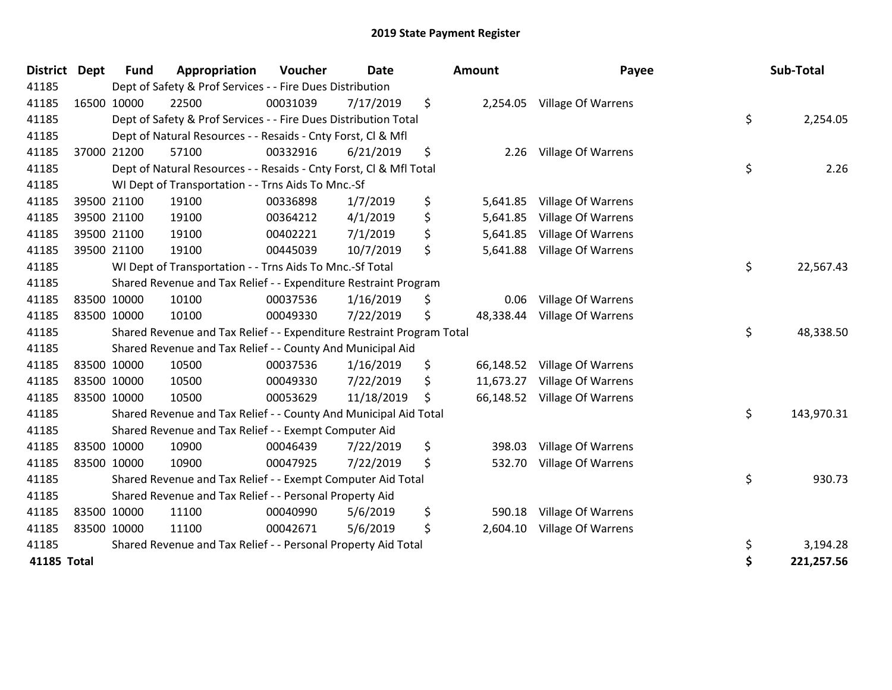| <b>District Dept</b> |             | <b>Fund</b> | Appropriation                                                         | Voucher  | <b>Date</b> | <b>Amount</b>   | Payee                     | Sub-Total        |
|----------------------|-------------|-------------|-----------------------------------------------------------------------|----------|-------------|-----------------|---------------------------|------------------|
| 41185                |             |             | Dept of Safety & Prof Services - - Fire Dues Distribution             |          |             |                 |                           |                  |
| 41185                |             | 16500 10000 | 22500                                                                 | 00031039 | 7/17/2019   | \$<br>2,254.05  | <b>Village Of Warrens</b> |                  |
| 41185                |             |             | Dept of Safety & Prof Services - - Fire Dues Distribution Total       |          |             |                 |                           | \$<br>2,254.05   |
| 41185                |             |             | Dept of Natural Resources - - Resaids - Cnty Forst, CI & Mfl          |          |             |                 |                           |                  |
| 41185                |             | 37000 21200 | 57100                                                                 | 00332916 | 6/21/2019   | \$<br>2.26      | <b>Village Of Warrens</b> |                  |
| 41185                |             |             | Dept of Natural Resources - - Resaids - Cnty Forst, Cl & Mfl Total    |          |             |                 |                           | \$<br>2.26       |
| 41185                |             |             | WI Dept of Transportation - - Trns Aids To Mnc.-Sf                    |          |             |                 |                           |                  |
| 41185                |             | 39500 21100 | 19100                                                                 | 00336898 | 1/7/2019    | \$<br>5,641.85  | Village Of Warrens        |                  |
| 41185                |             | 39500 21100 | 19100                                                                 | 00364212 | 4/1/2019    | \$<br>5,641.85  | <b>Village Of Warrens</b> |                  |
| 41185                |             | 39500 21100 | 19100                                                                 | 00402221 | 7/1/2019    | \$<br>5,641.85  | <b>Village Of Warrens</b> |                  |
| 41185                |             | 39500 21100 | 19100                                                                 | 00445039 | 10/7/2019   | \$<br>5,641.88  | <b>Village Of Warrens</b> |                  |
| 41185                |             |             | WI Dept of Transportation - - Trns Aids To Mnc.-Sf Total              |          |             |                 |                           | \$<br>22,567.43  |
| 41185                |             |             | Shared Revenue and Tax Relief - - Expenditure Restraint Program       |          |             |                 |                           |                  |
| 41185                |             | 83500 10000 | 10100                                                                 | 00037536 | 1/16/2019   | \$<br>0.06      | Village Of Warrens        |                  |
| 41185                |             | 83500 10000 | 10100                                                                 | 00049330 | 7/22/2019   | \$<br>48,338.44 | <b>Village Of Warrens</b> |                  |
| 41185                |             |             | Shared Revenue and Tax Relief - - Expenditure Restraint Program Total |          |             |                 |                           | \$<br>48,338.50  |
| 41185                |             |             | Shared Revenue and Tax Relief - - County And Municipal Aid            |          |             |                 |                           |                  |
| 41185                |             | 83500 10000 | 10500                                                                 | 00037536 | 1/16/2019   | \$<br>66,148.52 | Village Of Warrens        |                  |
| 41185                | 83500 10000 |             | 10500                                                                 | 00049330 | 7/22/2019   | \$<br>11,673.27 | <b>Village Of Warrens</b> |                  |
| 41185                | 83500 10000 |             | 10500                                                                 | 00053629 | 11/18/2019  | \$<br>66,148.52 | Village Of Warrens        |                  |
| 41185                |             |             | Shared Revenue and Tax Relief - - County And Municipal Aid Total      |          |             |                 |                           | \$<br>143,970.31 |
| 41185                |             |             | Shared Revenue and Tax Relief - - Exempt Computer Aid                 |          |             |                 |                           |                  |
| 41185                |             | 83500 10000 | 10900                                                                 | 00046439 | 7/22/2019   | \$<br>398.03    | Village Of Warrens        |                  |
| 41185                | 83500 10000 |             | 10900                                                                 | 00047925 | 7/22/2019   | \$<br>532.70    | Village Of Warrens        |                  |
| 41185                |             |             | Shared Revenue and Tax Relief - - Exempt Computer Aid Total           |          |             |                 |                           | \$<br>930.73     |
| 41185                |             |             | Shared Revenue and Tax Relief - - Personal Property Aid               |          |             |                 |                           |                  |
| 41185                |             | 83500 10000 | 11100                                                                 | 00040990 | 5/6/2019    | \$<br>590.18    | Village Of Warrens        |                  |
| 41185                | 83500 10000 |             | 11100                                                                 | 00042671 | 5/6/2019    | \$<br>2,604.10  | <b>Village Of Warrens</b> |                  |
| 41185                |             |             | Shared Revenue and Tax Relief - - Personal Property Aid Total         |          |             |                 |                           | \$<br>3,194.28   |
| 41185 Total          |             |             |                                                                       |          |             |                 |                           | \$<br>221,257.56 |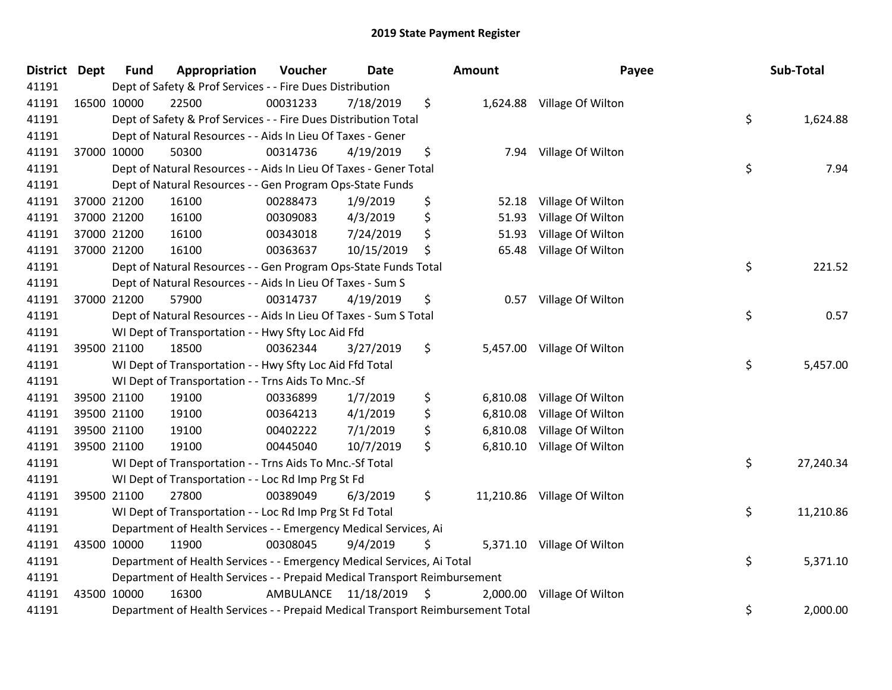| District Dept | <b>Fund</b> | Appropriation                                                                   | Voucher   | <b>Date</b> | Amount         | Payee                       | Sub-Total       |
|---------------|-------------|---------------------------------------------------------------------------------|-----------|-------------|----------------|-----------------------------|-----------------|
| 41191         |             | Dept of Safety & Prof Services - - Fire Dues Distribution                       |           |             |                |                             |                 |
| 41191         | 16500 10000 | 22500                                                                           | 00031233  | 7/18/2019   | \$             | 1,624.88 Village Of Wilton  |                 |
| 41191         |             | Dept of Safety & Prof Services - - Fire Dues Distribution Total                 |           |             |                |                             | \$<br>1,624.88  |
| 41191         |             | Dept of Natural Resources - - Aids In Lieu Of Taxes - Gener                     |           |             |                |                             |                 |
| 41191         | 37000 10000 | 50300                                                                           | 00314736  | 4/19/2019   | \$<br>7.94     | Village Of Wilton           |                 |
| 41191         |             | Dept of Natural Resources - - Aids In Lieu Of Taxes - Gener Total               |           |             |                |                             | \$<br>7.94      |
| 41191         |             | Dept of Natural Resources - - Gen Program Ops-State Funds                       |           |             |                |                             |                 |
| 41191         | 37000 21200 | 16100                                                                           | 00288473  | 1/9/2019    | \$<br>52.18    | Village Of Wilton           |                 |
| 41191         | 37000 21200 | 16100                                                                           | 00309083  | 4/3/2019    | \$<br>51.93    | Village Of Wilton           |                 |
| 41191         | 37000 21200 | 16100                                                                           | 00343018  | 7/24/2019   | \$<br>51.93    | Village Of Wilton           |                 |
| 41191         | 37000 21200 | 16100                                                                           | 00363637  | 10/15/2019  | \$<br>65.48    | Village Of Wilton           |                 |
| 41191         |             | Dept of Natural Resources - - Gen Program Ops-State Funds Total                 |           |             |                |                             | \$<br>221.52    |
| 41191         |             | Dept of Natural Resources - - Aids In Lieu Of Taxes - Sum S                     |           |             |                |                             |                 |
| 41191         | 37000 21200 | 57900                                                                           | 00314737  | 4/19/2019   | \$<br>0.57     | Village Of Wilton           |                 |
| 41191         |             | Dept of Natural Resources - - Aids In Lieu Of Taxes - Sum S Total               |           |             |                |                             | \$<br>0.57      |
| 41191         |             | WI Dept of Transportation - - Hwy Sfty Loc Aid Ffd                              |           |             |                |                             |                 |
| 41191         | 39500 21100 | 18500                                                                           | 00362344  | 3/27/2019   | \$<br>5,457.00 | Village Of Wilton           |                 |
| 41191         |             | WI Dept of Transportation - - Hwy Sfty Loc Aid Ffd Total                        |           |             |                |                             | \$<br>5,457.00  |
| 41191         |             | WI Dept of Transportation - - Trns Aids To Mnc.-Sf                              |           |             |                |                             |                 |
| 41191         | 39500 21100 | 19100                                                                           | 00336899  | 1/7/2019    | \$<br>6,810.08 | Village Of Wilton           |                 |
| 41191         | 39500 21100 | 19100                                                                           | 00364213  | 4/1/2019    | \$<br>6,810.08 | Village Of Wilton           |                 |
| 41191         | 39500 21100 | 19100                                                                           | 00402222  | 7/1/2019    | \$<br>6,810.08 | Village Of Wilton           |                 |
| 41191         | 39500 21100 | 19100                                                                           | 00445040  | 10/7/2019   | \$<br>6,810.10 | Village Of Wilton           |                 |
| 41191         |             | WI Dept of Transportation - - Trns Aids To Mnc.-Sf Total                        |           |             |                |                             | \$<br>27,240.34 |
| 41191         |             | WI Dept of Transportation - - Loc Rd Imp Prg St Fd                              |           |             |                |                             |                 |
| 41191         | 39500 21100 | 27800                                                                           | 00389049  | 6/3/2019    | \$             | 11,210.86 Village Of Wilton |                 |
| 41191         |             | WI Dept of Transportation - - Loc Rd Imp Prg St Fd Total                        |           |             |                |                             | \$<br>11,210.86 |
| 41191         |             | Department of Health Services - - Emergency Medical Services, Ai                |           |             |                |                             |                 |
| 41191         | 43500 10000 | 11900                                                                           | 00308045  | 9/4/2019    | \$             | 5,371.10 Village Of Wilton  |                 |
| 41191         |             | Department of Health Services - - Emergency Medical Services, Ai Total          |           |             |                |                             | \$<br>5,371.10  |
| 41191         |             | Department of Health Services - - Prepaid Medical Transport Reimbursement       |           |             |                |                             |                 |
| 41191         | 43500 10000 | 16300                                                                           | AMBULANCE | 11/18/2019  | \$<br>2,000.00 | Village Of Wilton           |                 |
| 41191         |             | Department of Health Services - - Prepaid Medical Transport Reimbursement Total |           |             |                |                             | \$<br>2,000.00  |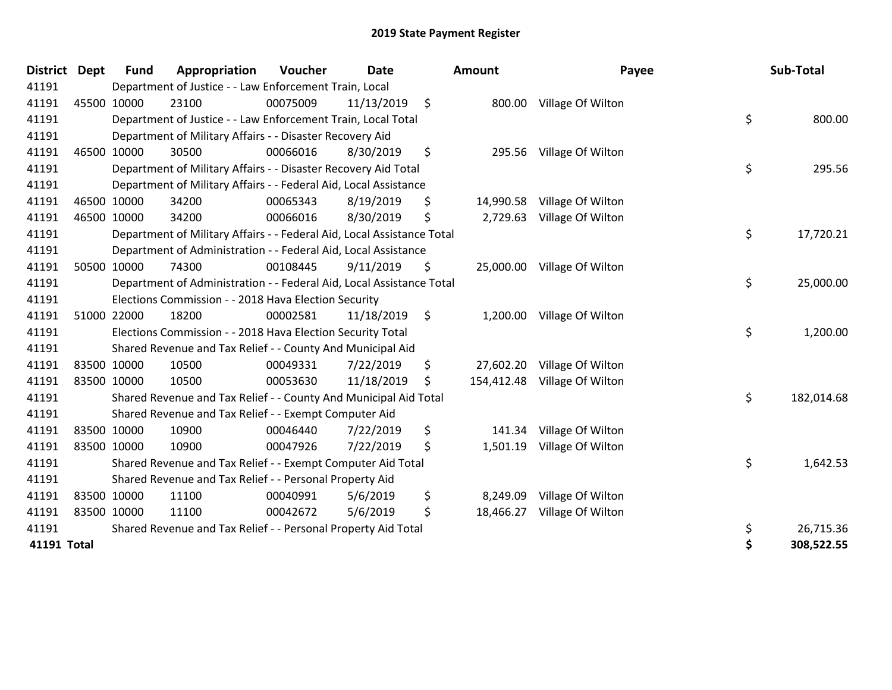| <b>District</b> | <b>Dept</b> | <b>Fund</b> | Appropriation                                                          | Voucher  | <b>Date</b> |                    | Amount     | Payee                       | Sub-Total        |
|-----------------|-------------|-------------|------------------------------------------------------------------------|----------|-------------|--------------------|------------|-----------------------------|------------------|
| 41191           |             |             | Department of Justice - - Law Enforcement Train, Local                 |          |             |                    |            |                             |                  |
| 41191           |             | 45500 10000 | 23100                                                                  | 00075009 | 11/13/2019  | $\zeta$            | 800.00     | Village Of Wilton           |                  |
| 41191           |             |             | Department of Justice - - Law Enforcement Train, Local Total           |          |             |                    |            |                             | \$<br>800.00     |
| 41191           |             |             | Department of Military Affairs - - Disaster Recovery Aid               |          |             |                    |            |                             |                  |
| 41191           |             | 46500 10000 | 30500                                                                  | 00066016 | 8/30/2019   | \$                 | 295.56     | Village Of Wilton           |                  |
| 41191           |             |             | Department of Military Affairs - - Disaster Recovery Aid Total         |          |             |                    |            |                             | \$<br>295.56     |
| 41191           |             |             | Department of Military Affairs - - Federal Aid, Local Assistance       |          |             |                    |            |                             |                  |
| 41191           |             | 46500 10000 | 34200                                                                  | 00065343 | 8/19/2019   | \$                 | 14,990.58  | Village Of Wilton           |                  |
| 41191           | 46500 10000 |             | 34200                                                                  | 00066016 | 8/30/2019   | \$                 | 2,729.63   | Village Of Wilton           |                  |
| 41191           |             |             | Department of Military Affairs - - Federal Aid, Local Assistance Total |          |             |                    |            |                             | \$<br>17,720.21  |
| 41191           |             |             | Department of Administration - - Federal Aid, Local Assistance         |          |             |                    |            |                             |                  |
| 41191           |             | 50500 10000 | 74300                                                                  | 00108445 | 9/11/2019   | \$                 |            | 25,000.00 Village Of Wilton |                  |
| 41191           |             |             | Department of Administration - - Federal Aid, Local Assistance Total   |          |             |                    |            |                             | \$<br>25,000.00  |
| 41191           |             |             | Elections Commission - - 2018 Hava Election Security                   |          |             |                    |            |                             |                  |
| 41191           |             | 51000 22000 | 18200                                                                  | 00002581 | 11/18/2019  | $\ddot{\varsigma}$ | 1,200.00   | Village Of Wilton           |                  |
| 41191           |             |             | Elections Commission - - 2018 Hava Election Security Total             |          |             |                    |            |                             | \$<br>1,200.00   |
| 41191           |             |             | Shared Revenue and Tax Relief - - County And Municipal Aid             |          |             |                    |            |                             |                  |
| 41191           |             | 83500 10000 | 10500                                                                  | 00049331 | 7/22/2019   | \$                 | 27,602.20  | Village Of Wilton           |                  |
| 41191           |             | 83500 10000 | 10500                                                                  | 00053630 | 11/18/2019  | \$                 | 154,412.48 | Village Of Wilton           |                  |
| 41191           |             |             | Shared Revenue and Tax Relief - - County And Municipal Aid Total       |          |             |                    |            |                             | \$<br>182,014.68 |
| 41191           |             |             | Shared Revenue and Tax Relief - - Exempt Computer Aid                  |          |             |                    |            |                             |                  |
| 41191           | 83500 10000 |             | 10900                                                                  | 00046440 | 7/22/2019   | \$                 | 141.34     | Village Of Wilton           |                  |
| 41191           |             | 83500 10000 | 10900                                                                  | 00047926 | 7/22/2019   | \$                 | 1,501.19   | Village Of Wilton           |                  |
| 41191           |             |             | Shared Revenue and Tax Relief - - Exempt Computer Aid Total            |          |             |                    |            |                             | \$<br>1,642.53   |
| 41191           |             |             | Shared Revenue and Tax Relief - - Personal Property Aid                |          |             |                    |            |                             |                  |
| 41191           | 83500 10000 |             | 11100                                                                  | 00040991 | 5/6/2019    | \$                 | 8,249.09   | Village Of Wilton           |                  |
| 41191           |             | 83500 10000 | 11100                                                                  | 00042672 | 5/6/2019    | \$                 | 18,466.27  | Village Of Wilton           |                  |
| 41191           |             |             | Shared Revenue and Tax Relief - - Personal Property Aid Total          |          |             |                    |            |                             | \$<br>26,715.36  |
| 41191 Total     |             |             |                                                                        |          |             |                    |            |                             | \$<br>308,522.55 |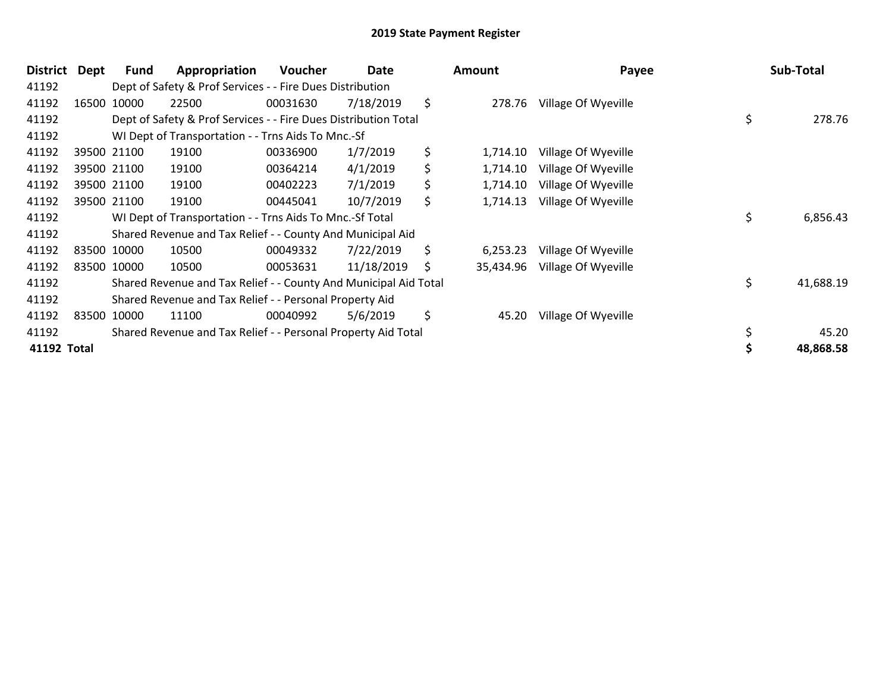| <b>District</b> | Dept | Fund        | Appropriation                                                    | <b>Voucher</b> | Date       |    | Amount    | Payee               | Sub-Total       |
|-----------------|------|-------------|------------------------------------------------------------------|----------------|------------|----|-----------|---------------------|-----------------|
| 41192           |      |             | Dept of Safety & Prof Services - - Fire Dues Distribution        |                |            |    |           |                     |                 |
| 41192           |      | 16500 10000 | 22500                                                            | 00031630       | 7/18/2019  | \$ | 278.76    | Village Of Wyeville |                 |
| 41192           |      |             | Dept of Safety & Prof Services - - Fire Dues Distribution Total  |                |            |    |           |                     | \$<br>278.76    |
| 41192           |      |             | WI Dept of Transportation - - Trns Aids To Mnc.-Sf               |                |            |    |           |                     |                 |
| 41192           |      | 39500 21100 | 19100                                                            | 00336900       | 1/7/2019   | \$ | 1,714.10  | Village Of Wyeville |                 |
| 41192           |      | 39500 21100 | 19100                                                            | 00364214       | 4/1/2019   | \$ | 1,714.10  | Village Of Wyeville |                 |
| 41192           |      | 39500 21100 | 19100                                                            | 00402223       | 7/1/2019   | \$ | 1,714.10  | Village Of Wyeville |                 |
| 41192           |      | 39500 21100 | 19100                                                            | 00445041       | 10/7/2019  | \$ | 1,714.13  | Village Of Wyeville |                 |
| 41192           |      |             | WI Dept of Transportation - - Trns Aids To Mnc.-Sf Total         |                |            |    |           |                     | \$<br>6,856.43  |
| 41192           |      |             | Shared Revenue and Tax Relief - - County And Municipal Aid       |                |            |    |           |                     |                 |
| 41192           |      | 83500 10000 | 10500                                                            | 00049332       | 7/22/2019  | \$ | 6,253.23  | Village Of Wyeville |                 |
| 41192           |      | 83500 10000 | 10500                                                            | 00053631       | 11/18/2019 | S  | 35,434.96 | Village Of Wyeville |                 |
| 41192           |      |             | Shared Revenue and Tax Relief - - County And Municipal Aid Total |                |            |    |           |                     | \$<br>41,688.19 |
| 41192           |      |             | Shared Revenue and Tax Relief - - Personal Property Aid          |                |            |    |           |                     |                 |
| 41192           |      | 83500 10000 | 11100                                                            | 00040992       | 5/6/2019   | \$ | 45.20     | Village Of Wyeville |                 |
| 41192           |      |             | Shared Revenue and Tax Relief - - Personal Property Aid Total    |                |            |    |           |                     | 45.20           |
| 41192 Total     |      |             |                                                                  |                |            |    |           |                     | 48,868.58       |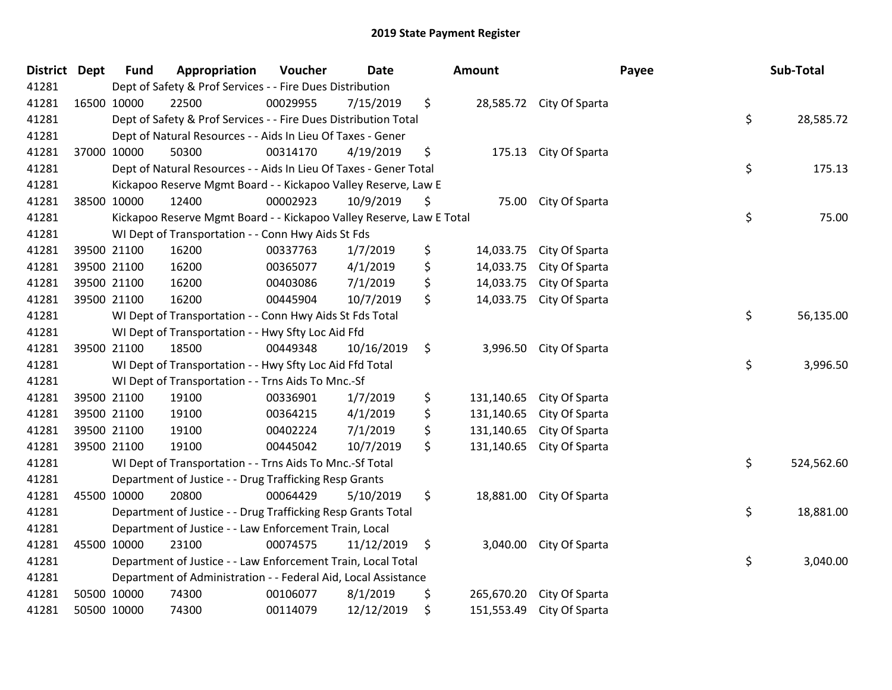| District | <b>Dept</b> | <b>Fund</b> | Appropriation                                                        | Voucher  | <b>Date</b> | Amount           |                          | Payee | Sub-Total  |
|----------|-------------|-------------|----------------------------------------------------------------------|----------|-------------|------------------|--------------------------|-------|------------|
| 41281    |             |             | Dept of Safety & Prof Services - - Fire Dues Distribution            |          |             |                  |                          |       |            |
| 41281    |             | 16500 10000 | 22500                                                                | 00029955 | 7/15/2019   | \$               | 28,585.72 City Of Sparta |       |            |
| 41281    |             |             | Dept of Safety & Prof Services - - Fire Dues Distribution Total      |          |             |                  |                          | \$    | 28,585.72  |
| 41281    |             |             | Dept of Natural Resources - - Aids In Lieu Of Taxes - Gener          |          |             |                  |                          |       |            |
| 41281    |             | 37000 10000 | 50300                                                                | 00314170 | 4/19/2019   | \$<br>175.13     | City Of Sparta           |       |            |
| 41281    |             |             | Dept of Natural Resources - - Aids In Lieu Of Taxes - Gener Total    |          |             |                  |                          | \$    | 175.13     |
| 41281    |             |             | Kickapoo Reserve Mgmt Board - - Kickapoo Valley Reserve, Law E       |          |             |                  |                          |       |            |
| 41281    |             | 38500 10000 | 12400                                                                | 00002923 | 10/9/2019   | \$<br>75.00      | City Of Sparta           |       |            |
| 41281    |             |             | Kickapoo Reserve Mgmt Board - - Kickapoo Valley Reserve, Law E Total |          |             |                  |                          | \$    | 75.00      |
| 41281    |             |             | WI Dept of Transportation - - Conn Hwy Aids St Fds                   |          |             |                  |                          |       |            |
| 41281    |             | 39500 21100 | 16200                                                                | 00337763 | 1/7/2019    | \$<br>14,033.75  | City Of Sparta           |       |            |
| 41281    |             | 39500 21100 | 16200                                                                | 00365077 | 4/1/2019    | \$<br>14,033.75  | City Of Sparta           |       |            |
| 41281    |             | 39500 21100 | 16200                                                                | 00403086 | 7/1/2019    | \$<br>14,033.75  | City Of Sparta           |       |            |
| 41281    |             | 39500 21100 | 16200                                                                | 00445904 | 10/7/2019   | \$<br>14,033.75  | City Of Sparta           |       |            |
| 41281    |             |             | WI Dept of Transportation - - Conn Hwy Aids St Fds Total             |          |             |                  |                          | \$    | 56,135.00  |
| 41281    |             |             | WI Dept of Transportation - - Hwy Sfty Loc Aid Ffd                   |          |             |                  |                          |       |            |
| 41281    |             | 39500 21100 | 18500                                                                | 00449348 | 10/16/2019  | \$<br>3,996.50   | City Of Sparta           |       |            |
| 41281    |             |             | WI Dept of Transportation - - Hwy Sfty Loc Aid Ffd Total             |          |             |                  |                          | \$    | 3,996.50   |
| 41281    |             |             | WI Dept of Transportation - - Trns Aids To Mnc.-Sf                   |          |             |                  |                          |       |            |
| 41281    |             | 39500 21100 | 19100                                                                | 00336901 | 1/7/2019    | \$<br>131,140.65 | City Of Sparta           |       |            |
| 41281    |             | 39500 21100 | 19100                                                                | 00364215 | 4/1/2019    | \$<br>131,140.65 | City Of Sparta           |       |            |
| 41281    |             | 39500 21100 | 19100                                                                | 00402224 | 7/1/2019    | \$<br>131,140.65 | City Of Sparta           |       |            |
| 41281    |             | 39500 21100 | 19100                                                                | 00445042 | 10/7/2019   | \$<br>131,140.65 | City Of Sparta           |       |            |
| 41281    |             |             | WI Dept of Transportation - - Trns Aids To Mnc.-Sf Total             |          |             |                  |                          | \$    | 524,562.60 |
| 41281    |             |             | Department of Justice - - Drug Trafficking Resp Grants               |          |             |                  |                          |       |            |
| 41281    |             | 45500 10000 | 20800                                                                | 00064429 | 5/10/2019   | \$<br>18,881.00  | City Of Sparta           |       |            |
| 41281    |             |             | Department of Justice - - Drug Trafficking Resp Grants Total         |          |             |                  |                          | \$    | 18,881.00  |
| 41281    |             |             | Department of Justice - - Law Enforcement Train, Local               |          |             |                  |                          |       |            |
| 41281    |             | 45500 10000 | 23100                                                                | 00074575 | 11/12/2019  | \$<br>3,040.00   | City Of Sparta           |       |            |
| 41281    |             |             | Department of Justice - - Law Enforcement Train, Local Total         |          |             |                  |                          | \$    | 3,040.00   |
| 41281    |             |             | Department of Administration - - Federal Aid, Local Assistance       |          |             |                  |                          |       |            |
| 41281    |             | 50500 10000 | 74300                                                                | 00106077 | 8/1/2019    | \$<br>265,670.20 | City Of Sparta           |       |            |
| 41281    |             | 50500 10000 | 74300                                                                | 00114079 | 12/12/2019  | \$<br>151,553.49 | City Of Sparta           |       |            |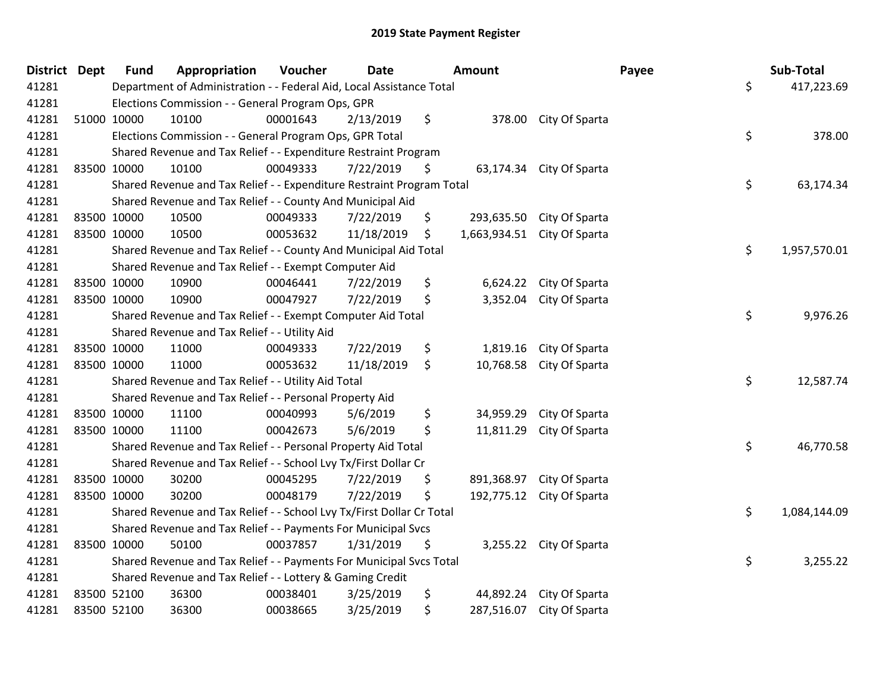| District Dept |             | <b>Fund</b>                                                                           | Appropriation | Voucher  | <b>Date</b> |    | <b>Amount</b> |                             | Payee | Sub-Total    |
|---------------|-------------|---------------------------------------------------------------------------------------|---------------|----------|-------------|----|---------------|-----------------------------|-------|--------------|
| 41281         |             | Department of Administration - - Federal Aid, Local Assistance Total                  |               |          |             |    |               |                             |       | 417,223.69   |
| 41281         |             | Elections Commission - - General Program Ops, GPR                                     |               |          |             |    |               |                             |       |              |
| 41281         | 51000 10000 |                                                                                       | 10100         | 00001643 | 2/13/2019   | \$ |               | 378.00 City Of Sparta       |       |              |
| 41281         |             | Elections Commission - - General Program Ops, GPR Total                               |               |          |             |    |               |                             |       | 378.00       |
| 41281         |             | Shared Revenue and Tax Relief - - Expenditure Restraint Program                       |               |          |             |    |               |                             |       |              |
| 41281         | 83500 10000 |                                                                                       | 10100         | 00049333 | 7/22/2019   | \$ |               | 63,174.34 City Of Sparta    |       |              |
| 41281         |             | Shared Revenue and Tax Relief - - Expenditure Restraint Program Total                 |               |          |             |    |               |                             |       | 63,174.34    |
| 41281         |             | Shared Revenue and Tax Relief - - County And Municipal Aid                            |               |          |             |    |               |                             |       |              |
| 41281         | 83500 10000 |                                                                                       | 10500         | 00049333 | 7/22/2019   | \$ |               | 293,635.50 City Of Sparta   |       |              |
| 41281         | 83500 10000 |                                                                                       | 10500         | 00053632 | 11/18/2019  | \$ |               | 1,663,934.51 City Of Sparta |       |              |
| 41281         |             | Shared Revenue and Tax Relief - - County And Municipal Aid Total                      |               |          |             |    |               |                             |       | 1,957,570.01 |
| 41281         |             | Shared Revenue and Tax Relief - - Exempt Computer Aid                                 |               |          |             |    |               |                             |       |              |
| 41281         | 83500 10000 |                                                                                       | 10900         | 00046441 | 7/22/2019   | \$ |               | 6,624.22 City Of Sparta     |       |              |
| 41281         | 83500 10000 |                                                                                       | 10900         | 00047927 | 7/22/2019   | \$ |               | 3,352.04 City Of Sparta     |       |              |
| 41281         |             | Shared Revenue and Tax Relief - - Exempt Computer Aid Total                           |               |          |             |    |               |                             |       | 9,976.26     |
| 41281         |             | Shared Revenue and Tax Relief - - Utility Aid                                         |               |          |             |    |               |                             |       |              |
| 41281         | 83500 10000 |                                                                                       | 11000         | 00049333 | 7/22/2019   | \$ | 1,819.16      | City Of Sparta              |       |              |
| 41281         | 83500 10000 |                                                                                       | 11000         | 00053632 | 11/18/2019  | \$ |               | 10,768.58 City Of Sparta    |       |              |
| 41281         |             | Shared Revenue and Tax Relief - - Utility Aid Total                                   |               |          |             |    |               |                             |       | 12,587.74    |
| 41281         |             | Shared Revenue and Tax Relief - - Personal Property Aid                               |               |          |             |    |               |                             |       |              |
| 41281         | 83500 10000 |                                                                                       | 11100         | 00040993 | 5/6/2019    | \$ |               | 34,959.29 City Of Sparta    |       |              |
| 41281         | 83500 10000 |                                                                                       | 11100         | 00042673 | 5/6/2019    | \$ |               | 11,811.29 City Of Sparta    |       |              |
| 41281         |             | Shared Revenue and Tax Relief - - Personal Property Aid Total                         |               |          |             |    |               |                             |       | 46,770.58    |
| 41281         |             | Shared Revenue and Tax Relief - - School Lvy Tx/First Dollar Cr                       |               |          |             |    |               |                             |       |              |
| 41281         | 83500 10000 |                                                                                       | 30200         | 00045295 | 7/22/2019   | \$ | 891,368.97    | City Of Sparta              |       |              |
| 41281         | 83500 10000 |                                                                                       | 30200         | 00048179 | 7/22/2019   | \$ |               | 192,775.12 City Of Sparta   |       |              |
| 41281         |             | Shared Revenue and Tax Relief - - School Lvy Tx/First Dollar Cr Total                 |               |          |             |    |               |                             |       | 1,084,144.09 |
| 41281         |             | Shared Revenue and Tax Relief - - Payments For Municipal Svcs                         |               |          |             |    |               |                             |       |              |
| 41281         | 83500 10000 |                                                                                       | 50100         | 00037857 | 1/31/2019   | \$ |               | 3,255.22 City Of Sparta     |       |              |
| 41281         |             | \$<br>Shared Revenue and Tax Relief - - Payments For Municipal Svcs Total<br>3,255.22 |               |          |             |    |               |                             |       |              |
| 41281         |             | Shared Revenue and Tax Relief - - Lottery & Gaming Credit                             |               |          |             |    |               |                             |       |              |
| 41281         | 83500 52100 |                                                                                       | 36300         | 00038401 | 3/25/2019   | \$ | 44,892.24     | City Of Sparta              |       |              |
| 41281         | 83500 52100 |                                                                                       | 36300         | 00038665 | 3/25/2019   | \$ |               | 287,516.07 City Of Sparta   |       |              |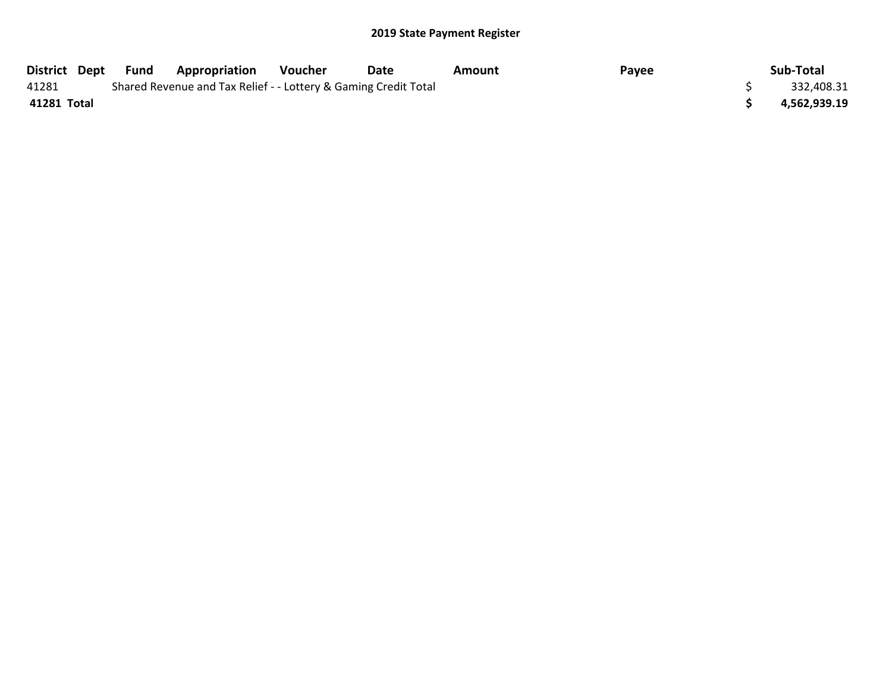## 2019 State Payment Register

| <b>District Dept</b> | Fund | <b>Appropriation</b>                                            | Voucher | Date | Amount | Payee | Sub-Total    |
|----------------------|------|-----------------------------------------------------------------|---------|------|--------|-------|--------------|
| 41281                |      | Shared Revenue and Tax Relief - - Lottery & Gaming Credit Total |         |      |        |       | 332,408.31   |
| 41281 Total          |      |                                                                 |         |      |        |       | 4,562,939.19 |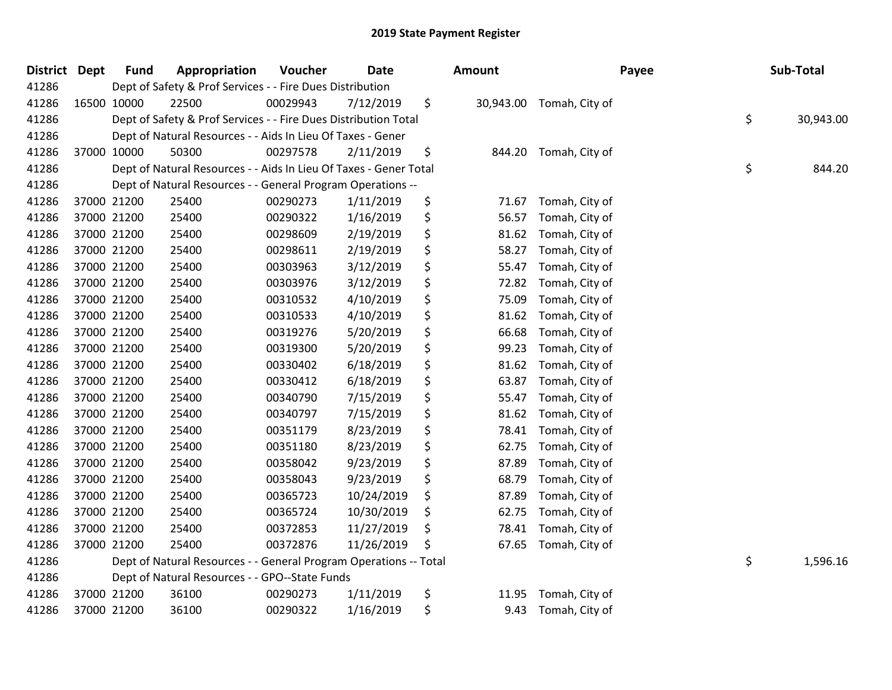## 2019 State Payment Register

| District | <b>Dept</b> | <b>Fund</b> | Appropriation                                                     | Voucher  | <b>Date</b> | Amount          |                | Payee | Sub-Total       |
|----------|-------------|-------------|-------------------------------------------------------------------|----------|-------------|-----------------|----------------|-------|-----------------|
| 41286    |             |             | Dept of Safety & Prof Services - - Fire Dues Distribution         |          |             |                 |                |       |                 |
| 41286    |             | 16500 10000 | 22500                                                             | 00029943 | 7/12/2019   | \$<br>30,943.00 | Tomah, City of |       |                 |
| 41286    |             |             | Dept of Safety & Prof Services - - Fire Dues Distribution Total   |          |             |                 |                |       | \$<br>30,943.00 |
| 41286    |             |             | Dept of Natural Resources - - Aids In Lieu Of Taxes - Gener       |          |             |                 |                |       |                 |
| 41286    |             | 37000 10000 | 50300                                                             | 00297578 | 2/11/2019   | \$<br>844.20    | Tomah, City of |       |                 |
| 41286    |             |             | Dept of Natural Resources - - Aids In Lieu Of Taxes - Gener Total |          |             |                 |                |       | \$<br>844.20    |
| 41286    |             |             | Dept of Natural Resources - - General Program Operations --       |          |             |                 |                |       |                 |
| 41286    |             | 37000 21200 | 25400                                                             | 00290273 | 1/11/2019   | \$<br>71.67     | Tomah, City of |       |                 |
| 41286    |             | 37000 21200 | 25400                                                             | 00290322 | 1/16/2019   | \$<br>56.57     | Tomah, City of |       |                 |
| 41286    |             | 37000 21200 | 25400                                                             | 00298609 | 2/19/2019   | \$<br>81.62     | Tomah, City of |       |                 |
| 41286    |             | 37000 21200 | 25400                                                             | 00298611 | 2/19/2019   | \$<br>58.27     | Tomah, City of |       |                 |
| 41286    |             | 37000 21200 | 25400                                                             | 00303963 | 3/12/2019   | \$<br>55.47     | Tomah, City of |       |                 |
| 41286    |             | 37000 21200 | 25400                                                             | 00303976 | 3/12/2019   | \$<br>72.82     | Tomah, City of |       |                 |
| 41286    |             | 37000 21200 | 25400                                                             | 00310532 | 4/10/2019   | \$<br>75.09     | Tomah, City of |       |                 |
| 41286    |             | 37000 21200 | 25400                                                             | 00310533 | 4/10/2019   | \$<br>81.62     | Tomah, City of |       |                 |
| 41286    |             | 37000 21200 | 25400                                                             | 00319276 | 5/20/2019   | \$<br>66.68     | Tomah, City of |       |                 |
| 41286    |             | 37000 21200 | 25400                                                             | 00319300 | 5/20/2019   | \$<br>99.23     | Tomah, City of |       |                 |
| 41286    |             | 37000 21200 | 25400                                                             | 00330402 | 6/18/2019   | \$<br>81.62     | Tomah, City of |       |                 |
| 41286    |             | 37000 21200 | 25400                                                             | 00330412 | 6/18/2019   | \$<br>63.87     | Tomah, City of |       |                 |
| 41286    |             | 37000 21200 | 25400                                                             | 00340790 | 7/15/2019   | \$<br>55.47     | Tomah, City of |       |                 |
| 41286    |             | 37000 21200 | 25400                                                             | 00340797 | 7/15/2019   | \$<br>81.62     | Tomah, City of |       |                 |
| 41286    |             | 37000 21200 | 25400                                                             | 00351179 | 8/23/2019   | \$<br>78.41     | Tomah, City of |       |                 |
| 41286    |             | 37000 21200 | 25400                                                             | 00351180 | 8/23/2019   | \$<br>62.75     | Tomah, City of |       |                 |
| 41286    |             | 37000 21200 | 25400                                                             | 00358042 | 9/23/2019   | \$<br>87.89     | Tomah, City of |       |                 |
| 41286    |             | 37000 21200 | 25400                                                             | 00358043 | 9/23/2019   | \$<br>68.79     | Tomah, City of |       |                 |
| 41286    |             | 37000 21200 | 25400                                                             | 00365723 | 10/24/2019  | \$<br>87.89     | Tomah, City of |       |                 |
| 41286    |             | 37000 21200 | 25400                                                             | 00365724 | 10/30/2019  | \$<br>62.75     | Tomah, City of |       |                 |
| 41286    |             | 37000 21200 | 25400                                                             | 00372853 | 11/27/2019  | \$<br>78.41     | Tomah, City of |       |                 |
| 41286    |             | 37000 21200 | 25400                                                             | 00372876 | 11/26/2019  | \$<br>67.65     | Tomah, City of |       |                 |
| 41286    |             |             | Dept of Natural Resources - - General Program Operations -- Total |          |             |                 |                |       | \$<br>1,596.16  |
| 41286    |             |             | Dept of Natural Resources - - GPO--State Funds                    |          |             |                 |                |       |                 |
| 41286    |             | 37000 21200 | 36100                                                             | 00290273 | 1/11/2019   | \$<br>11.95     | Tomah, City of |       |                 |
| 41286    |             | 37000 21200 | 36100                                                             | 00290322 | 1/16/2019   | \$<br>9.43      | Tomah, City of |       |                 |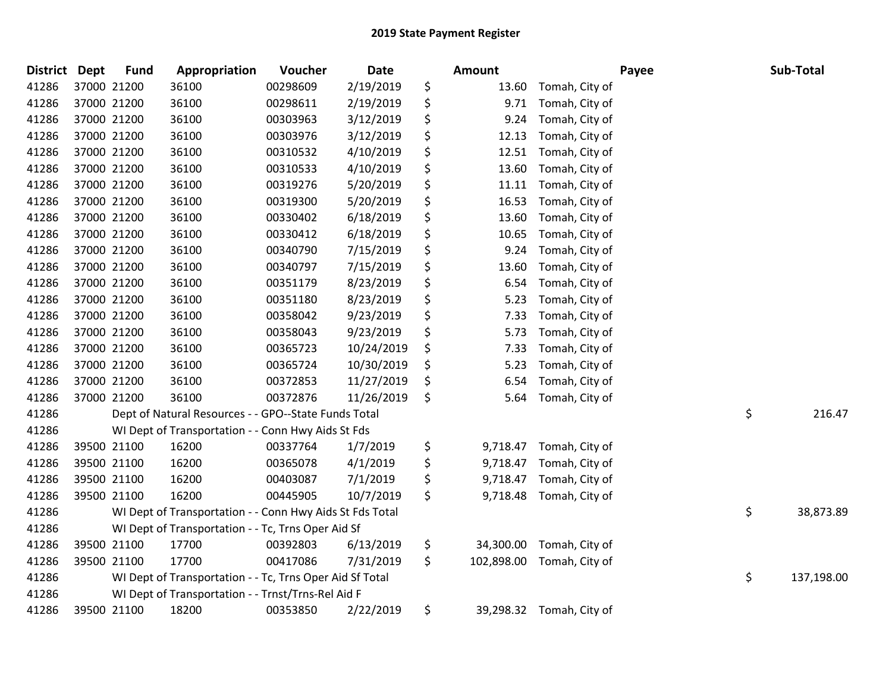| <b>District</b> | <b>Dept</b> | <b>Fund</b> | Appropriation                                            | Voucher  | Date       | <b>Amount</b>    |                | Payee | Sub-Total  |
|-----------------|-------------|-------------|----------------------------------------------------------|----------|------------|------------------|----------------|-------|------------|
| 41286           |             | 37000 21200 | 36100                                                    | 00298609 | 2/19/2019  | \$<br>13.60      | Tomah, City of |       |            |
| 41286           |             | 37000 21200 | 36100                                                    | 00298611 | 2/19/2019  | \$<br>9.71       | Tomah, City of |       |            |
| 41286           |             | 37000 21200 | 36100                                                    | 00303963 | 3/12/2019  | \$<br>9.24       | Tomah, City of |       |            |
| 41286           |             | 37000 21200 | 36100                                                    | 00303976 | 3/12/2019  | \$<br>12.13      | Tomah, City of |       |            |
| 41286           |             | 37000 21200 | 36100                                                    | 00310532 | 4/10/2019  | \$<br>12.51      | Tomah, City of |       |            |
| 41286           |             | 37000 21200 | 36100                                                    | 00310533 | 4/10/2019  | \$<br>13.60      | Tomah, City of |       |            |
| 41286           |             | 37000 21200 | 36100                                                    | 00319276 | 5/20/2019  | \$<br>11.11      | Tomah, City of |       |            |
| 41286           |             | 37000 21200 | 36100                                                    | 00319300 | 5/20/2019  | \$<br>16.53      | Tomah, City of |       |            |
| 41286           |             | 37000 21200 | 36100                                                    | 00330402 | 6/18/2019  | \$<br>13.60      | Tomah, City of |       |            |
| 41286           |             | 37000 21200 | 36100                                                    | 00330412 | 6/18/2019  | \$<br>10.65      | Tomah, City of |       |            |
| 41286           |             | 37000 21200 | 36100                                                    | 00340790 | 7/15/2019  | \$<br>9.24       | Tomah, City of |       |            |
| 41286           |             | 37000 21200 | 36100                                                    | 00340797 | 7/15/2019  | \$<br>13.60      | Tomah, City of |       |            |
| 41286           |             | 37000 21200 | 36100                                                    | 00351179 | 8/23/2019  | \$<br>6.54       | Tomah, City of |       |            |
| 41286           |             | 37000 21200 | 36100                                                    | 00351180 | 8/23/2019  | \$<br>5.23       | Tomah, City of |       |            |
| 41286           |             | 37000 21200 | 36100                                                    | 00358042 | 9/23/2019  | \$<br>7.33       | Tomah, City of |       |            |
| 41286           |             | 37000 21200 | 36100                                                    | 00358043 | 9/23/2019  | \$<br>5.73       | Tomah, City of |       |            |
| 41286           |             | 37000 21200 | 36100                                                    | 00365723 | 10/24/2019 | \$<br>7.33       | Tomah, City of |       |            |
| 41286           |             | 37000 21200 | 36100                                                    | 00365724 | 10/30/2019 | \$<br>5.23       | Tomah, City of |       |            |
| 41286           |             | 37000 21200 | 36100                                                    | 00372853 | 11/27/2019 | \$<br>6.54       | Tomah, City of |       |            |
| 41286           |             | 37000 21200 | 36100                                                    | 00372876 | 11/26/2019 | \$<br>5.64       | Tomah, City of |       |            |
| 41286           |             |             | Dept of Natural Resources - - GPO--State Funds Total     |          |            |                  |                | \$    | 216.47     |
| 41286           |             |             | WI Dept of Transportation - - Conn Hwy Aids St Fds       |          |            |                  |                |       |            |
| 41286           |             | 39500 21100 | 16200                                                    | 00337764 | 1/7/2019   | \$<br>9,718.47   | Tomah, City of |       |            |
| 41286           |             | 39500 21100 | 16200                                                    | 00365078 | 4/1/2019   | \$<br>9,718.47   | Tomah, City of |       |            |
| 41286           |             | 39500 21100 | 16200                                                    | 00403087 | 7/1/2019   | \$<br>9,718.47   | Tomah, City of |       |            |
| 41286           |             | 39500 21100 | 16200                                                    | 00445905 | 10/7/2019  | \$<br>9,718.48   | Tomah, City of |       |            |
| 41286           |             |             | WI Dept of Transportation - - Conn Hwy Aids St Fds Total |          |            |                  |                | \$    | 38,873.89  |
| 41286           |             |             | WI Dept of Transportation - - Tc, Trns Oper Aid Sf       |          |            |                  |                |       |            |
| 41286           |             | 39500 21100 | 17700                                                    | 00392803 | 6/13/2019  | \$<br>34,300.00  | Tomah, City of |       |            |
| 41286           |             | 39500 21100 | 17700                                                    | 00417086 | 7/31/2019  | \$<br>102,898.00 | Tomah, City of |       |            |
| 41286           |             |             | WI Dept of Transportation - - Tc, Trns Oper Aid Sf Total |          |            |                  |                | \$    | 137,198.00 |
| 41286           |             |             | WI Dept of Transportation - - Trnst/Trns-Rel Aid F       |          |            |                  |                |       |            |
| 41286           |             | 39500 21100 | 18200                                                    | 00353850 | 2/22/2019  | \$<br>39,298.32  | Tomah, City of |       |            |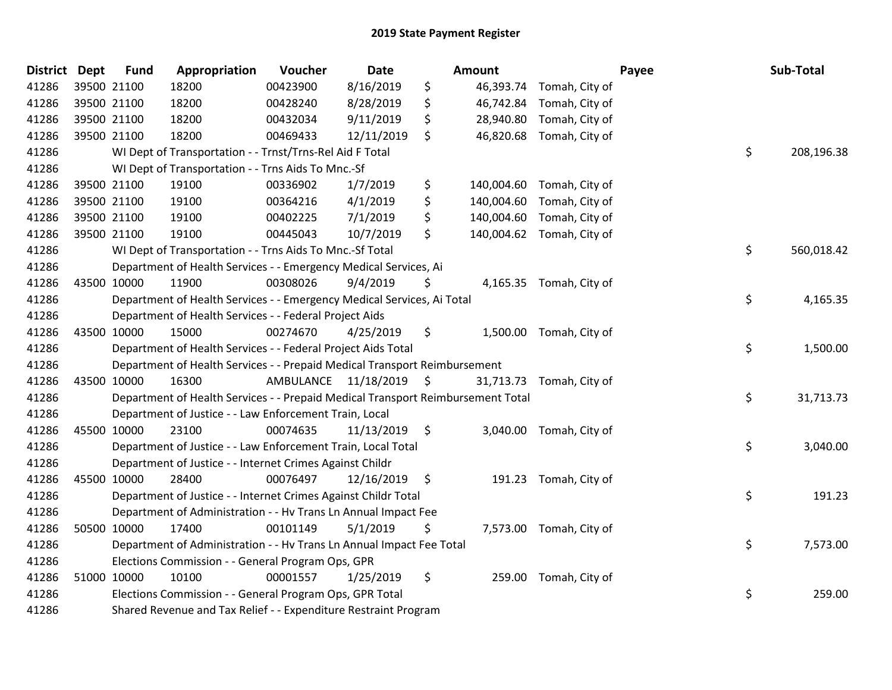| District Dept |             | <b>Fund</b> | Appropriation                                                                   | Voucher                 | <b>Date</b>     | Amount |                           | Payee | Sub-Total  |
|---------------|-------------|-------------|---------------------------------------------------------------------------------|-------------------------|-----------------|--------|---------------------------|-------|------------|
| 41286         | 39500 21100 |             | 18200                                                                           | 00423900                | 8/16/2019       | \$     | 46,393.74 Tomah, City of  |       |            |
| 41286         |             | 39500 21100 | 18200                                                                           | 00428240                | 8/28/2019       | \$     | 46,742.84 Tomah, City of  |       |            |
| 41286         | 39500 21100 |             | 18200                                                                           | 00432034                | 9/11/2019       | \$     | 28,940.80 Tomah, City of  |       |            |
| 41286         | 39500 21100 |             | 18200                                                                           | 00469433                | 12/11/2019      | \$     | 46,820.68 Tomah, City of  |       |            |
| 41286         |             |             | WI Dept of Transportation - - Trnst/Trns-Rel Aid F Total                        |                         |                 |        |                           | \$    | 208,196.38 |
| 41286         |             |             | WI Dept of Transportation - - Trns Aids To Mnc.-Sf                              |                         |                 |        |                           |       |            |
| 41286         |             | 39500 21100 | 19100                                                                           | 00336902                | 1/7/2019        | \$     | 140,004.60 Tomah, City of |       |            |
| 41286         |             | 39500 21100 | 19100                                                                           | 00364216                | 4/1/2019        | \$     | 140,004.60 Tomah, City of |       |            |
| 41286         |             | 39500 21100 | 19100                                                                           | 00402225                | 7/1/2019        | \$     | 140,004.60 Tomah, City of |       |            |
| 41286         | 39500 21100 |             | 19100                                                                           | 00445043                | 10/7/2019       | \$     | 140,004.62 Tomah, City of |       |            |
| 41286         |             |             | WI Dept of Transportation - - Trns Aids To Mnc.-Sf Total                        |                         |                 |        |                           | \$    | 560,018.42 |
| 41286         |             |             | Department of Health Services - - Emergency Medical Services, Ai                |                         |                 |        |                           |       |            |
| 41286         |             | 43500 10000 | 11900                                                                           | 00308026                | 9/4/2019        | \$     | 4,165.35 Tomah, City of   |       |            |
| 41286         |             |             | Department of Health Services - - Emergency Medical Services, Ai Total          |                         |                 |        |                           | \$    | 4,165.35   |
| 41286         |             |             | Department of Health Services - - Federal Project Aids                          |                         |                 |        |                           |       |            |
| 41286         |             | 43500 10000 | 15000                                                                           | 00274670                | 4/25/2019       | \$     | 1,500.00 Tomah, City of   |       |            |
| 41286         |             |             | Department of Health Services - - Federal Project Aids Total                    |                         |                 |        |                           | \$    | 1,500.00   |
| 41286         |             |             | Department of Health Services - - Prepaid Medical Transport Reimbursement       |                         |                 |        |                           |       |            |
| 41286         | 43500 10000 |             | 16300                                                                           | AMBULANCE 11/18/2019 \$ |                 |        | 31,713.73 Tomah, City of  |       |            |
| 41286         |             |             | Department of Health Services - - Prepaid Medical Transport Reimbursement Total |                         |                 |        |                           | \$    | 31,713.73  |
| 41286         |             |             | Department of Justice - - Law Enforcement Train, Local                          |                         |                 |        |                           |       |            |
| 41286         |             | 45500 10000 | 23100                                                                           | 00074635                | $11/13/2019$ \$ |        | 3,040.00 Tomah, City of   |       |            |
| 41286         |             |             | Department of Justice - - Law Enforcement Train, Local Total                    |                         |                 |        |                           | \$    | 3,040.00   |
| 41286         |             |             | Department of Justice - - Internet Crimes Against Childr                        |                         |                 |        |                           |       |            |
| 41286         |             | 45500 10000 | 28400                                                                           | 00076497                | 12/16/2019 \$   |        | 191.23 Tomah, City of     |       |            |
| 41286         |             |             | Department of Justice - - Internet Crimes Against Childr Total                  |                         |                 |        |                           | \$    | 191.23     |
| 41286         |             |             | Department of Administration - - Hv Trans Ln Annual Impact Fee                  |                         |                 |        |                           |       |            |
| 41286         |             | 50500 10000 | 17400                                                                           | 00101149                | 5/1/2019        | \$     | 7,573.00 Tomah, City of   |       |            |
| 41286         |             |             | Department of Administration - - Hv Trans Ln Annual Impact Fee Total            |                         |                 |        |                           | \$    | 7,573.00   |
| 41286         |             |             | Elections Commission - - General Program Ops, GPR                               |                         |                 |        |                           |       |            |
| 41286         |             | 51000 10000 | 10100                                                                           | 00001557                | 1/25/2019       | \$     | 259.00 Tomah, City of     |       |            |
| 41286         |             |             | Elections Commission - - General Program Ops, GPR Total                         |                         |                 |        |                           | \$    | 259.00     |
| 41286         |             |             | Shared Revenue and Tax Relief - - Expenditure Restraint Program                 |                         |                 |        |                           |       |            |